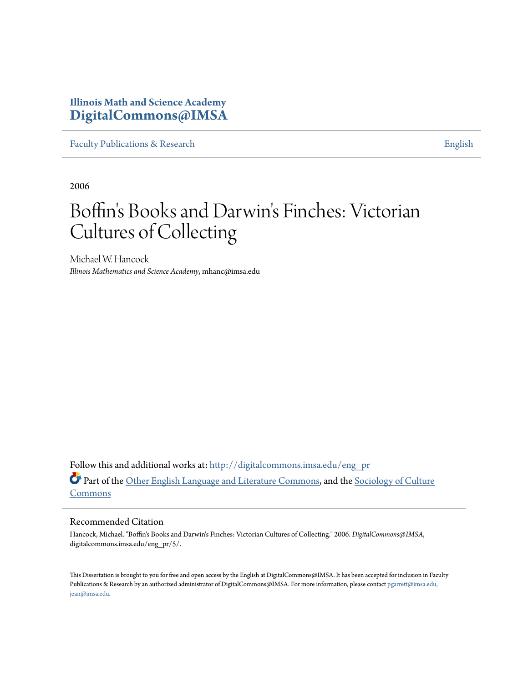## **Illinois Math and Science Academy [DigitalCommons@IMSA](http://digitalcommons.imsa.edu?utm_source=digitalcommons.imsa.edu%2Feng_pr%2F5&utm_medium=PDF&utm_campaign=PDFCoverPages)**

[Faculty Publications & Research](http://digitalcommons.imsa.edu/eng_pr?utm_source=digitalcommons.imsa.edu%2Feng_pr%2F5&utm_medium=PDF&utm_campaign=PDFCoverPages) [English](http://digitalcommons.imsa.edu/eng?utm_source=digitalcommons.imsa.edu%2Feng_pr%2F5&utm_medium=PDF&utm_campaign=PDFCoverPages)

2006

# Boffin's Books and Darwin's Finches: Victorian Cultures of Collecting

Michael W. Hancock *Illinois Mathematics and Science Academy*, mhanc@imsa.edu

Follow this and additional works at: [http://digitalcommons.imsa.edu/eng\\_pr](http://digitalcommons.imsa.edu/eng_pr?utm_source=digitalcommons.imsa.edu%2Feng_pr%2F5&utm_medium=PDF&utm_campaign=PDFCoverPages) Part of the [Other English Language and Literature Commons,](http://network.bepress.com/hgg/discipline/462?utm_source=digitalcommons.imsa.edu%2Feng_pr%2F5&utm_medium=PDF&utm_campaign=PDFCoverPages) and the [Sociology of Culture](http://network.bepress.com/hgg/discipline/431?utm_source=digitalcommons.imsa.edu%2Feng_pr%2F5&utm_medium=PDF&utm_campaign=PDFCoverPages) [Commons](http://network.bepress.com/hgg/discipline/431?utm_source=digitalcommons.imsa.edu%2Feng_pr%2F5&utm_medium=PDF&utm_campaign=PDFCoverPages)

### Recommended Citation

Hancock, Michael. "Boffin's Books and Darwin's Finches: Victorian Cultures of Collecting." 2006. *DigitalCommons@IMSA*, digitalcommons.imsa.edu/eng\_pr/5/.

This Dissertation is brought to you for free and open access by the English at DigitalCommons@IMSA. It has been accepted for inclusion in Faculty Publications & Research by an authorized administrator of DigitalCommons@IMSA. For more information, please contact [pgarrett@imsa.edu,](mailto:pgarrett@imsa.edu,%20jean@imsa.edu) [jean@imsa.edu.](mailto:pgarrett@imsa.edu,%20jean@imsa.edu)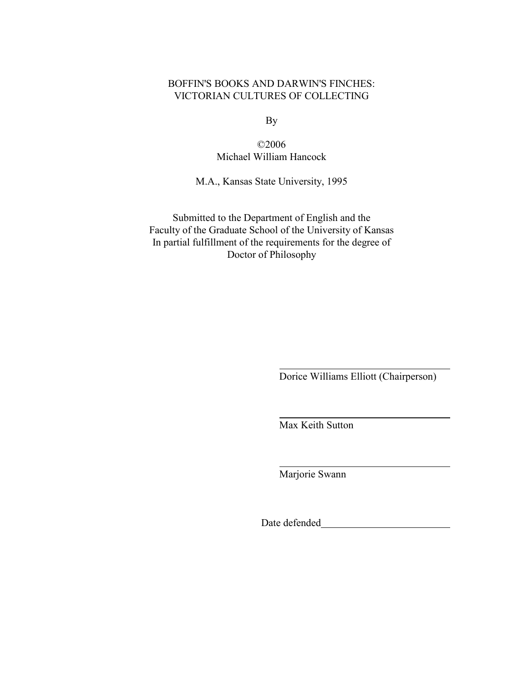## BOFFIN'S BOOKS AND DARWIN'S FINCHES: VICTORIAN CULTURES OF COLLECTING

By

©2006 Michael William Hancock

M.A., Kansas State University, 1995

Submitted to the Department of English and the Faculty of the Graduate School of the University of Kansas In partial fulfillment of the requirements for the degree of Doctor of Philosophy

Dorice Williams Elliott (Chairperson)

Max Keith Sutton

Marjorie Swann

Date defended **Exercise 2018**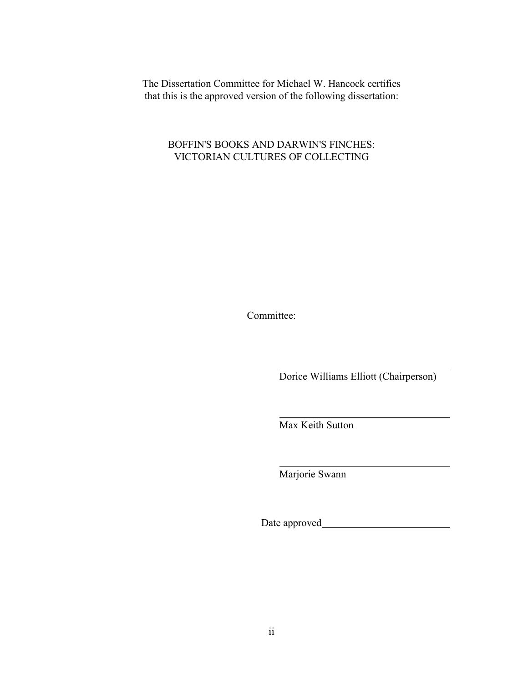The Dissertation Committee for Michael W. Hancock certifies that this is the approved version of the following dissertation:

BOFFIN'S BOOKS AND DARWIN'S FINCHES: VICTORIAN CULTURES OF COLLECTING

Committee:

Dorice Williams Elliott (Chairperson)

Max Keith Sutton

Marjorie Swann

Date approved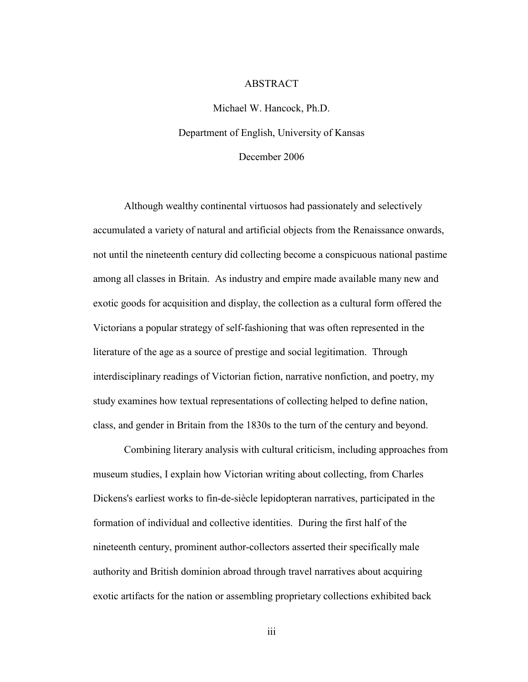#### ABSTRACT

Michael W. Hancock, Ph.D. Department of English, University of Kansas December 2006

Although wealthy continental virtuosos had passionately and selectively accumulated a variety of natural and artificial objects from the Renaissance onwards, not until the nineteenth century did collecting become a conspicuous national pastime among all classes in Britain. As industry and empire made available many new and exotic goods for acquisition and display, the collection as a cultural form offered the Victorians a popular strategy of self-fashioning that was often represented in the literature of the age as a source of prestige and social legitimation. Through interdisciplinary readings of Victorian fiction, narrative nonfiction, and poetry, my study examines how textual representations of collecting helped to define nation, class, and gender in Britain from the 1830s to the turn of the century and beyond.

Combining literary analysis with cultural criticism, including approaches from museum studies, I explain how Victorian writing about collecting, from Charles Dickens's earliest works to fin-de-siècle lepidopteran narratives, participated in the formation of individual and collective identities. During the first half of the nineteenth century, prominent author-collectors asserted their specifically male authority and British dominion abroad through travel narratives about acquiring exotic artifacts for the nation or assembling proprietary collections exhibited back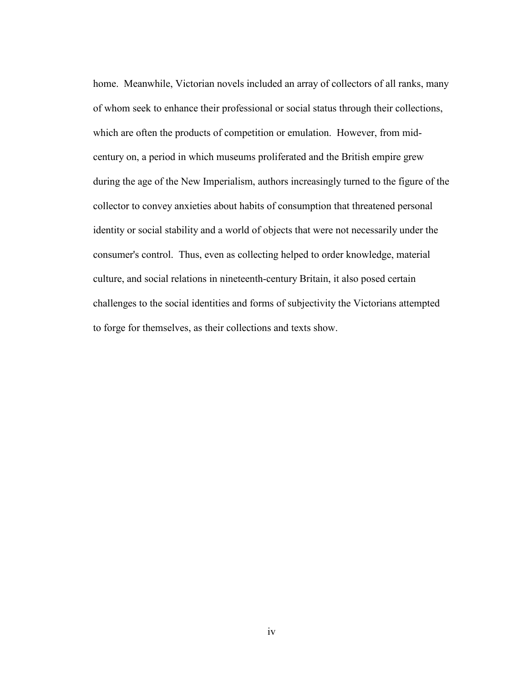home. Meanwhile, Victorian novels included an array of collectors of all ranks, many of whom seek to enhance their professional or social status through their collections, which are often the products of competition or emulation. However, from midcentury on, a period in which museums proliferated and the British empire grew during the age of the New Imperialism, authors increasingly turned to the figure of the collector to convey anxieties about habits of consumption that threatened personal identity or social stability and a world of objects that were not necessarily under the consumer's control. Thus, even as collecting helped to order knowledge, material culture, and social relations in nineteenth-century Britain, it also posed certain challenges to the social identities and forms of subjectivity the Victorians attempted to forge for themselves, as their collections and texts show.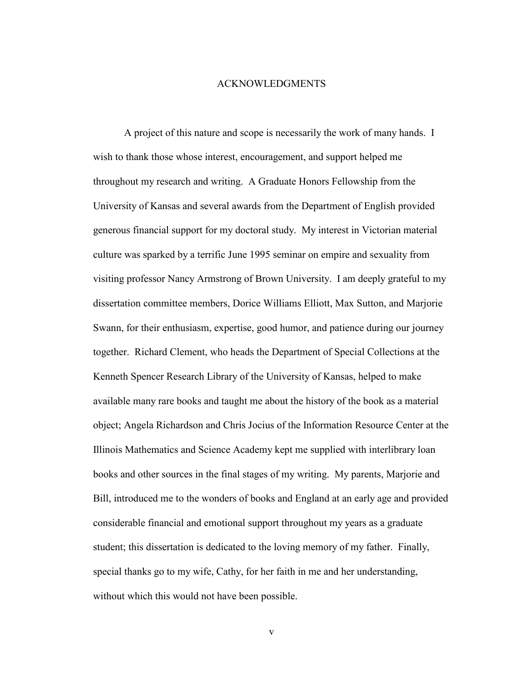#### ACKNOWLEDGMENTS

A project of this nature and scope is necessarily the work of many hands. I wish to thank those whose interest, encouragement, and support helped me throughout my research and writing. A Graduate Honors Fellowship from the University of Kansas and several awards from the Department of English provided generous financial support for my doctoral study. My interest in Victorian material culture was sparked by a terrific June 1995 seminar on empire and sexuality from visiting professor Nancy Armstrong of Brown University. I am deeply grateful to my dissertation committee members, Dorice Williams Elliott, Max Sutton, and Marjorie Swann, for their enthusiasm, expertise, good humor, and patience during our journey together. Richard Clement, who heads the Department of Special Collections at the Kenneth Spencer Research Library of the University of Kansas, helped to make available many rare books and taught me about the history of the book as a material object; Angela Richardson and Chris Jocius of the Information Resource Center at the Illinois Mathematics and Science Academy kept me supplied with interlibrary loan books and other sources in the final stages of my writing. My parents, Marjorie and Bill, introduced me to the wonders of books and England at an early age and provided considerable financial and emotional support throughout my years as a graduate student; this dissertation is dedicated to the loving memory of my father. Finally, special thanks go to my wife, Cathy, for her faith in me and her understanding, without which this would not have been possible.

v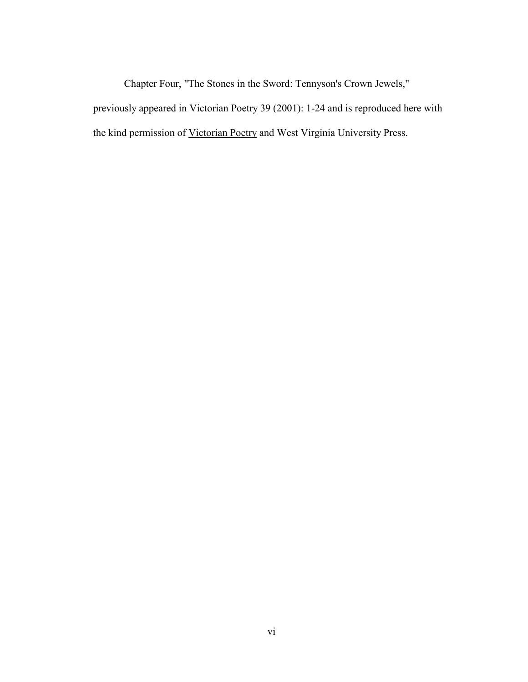Chapter Four, "The Stones in the Sword: Tennyson's Crown Jewels,"

previously appeared in Victorian Poetry 39 (2001): 1-24 and is reproduced here with the kind permission of Victorian Poetry and West Virginia University Press.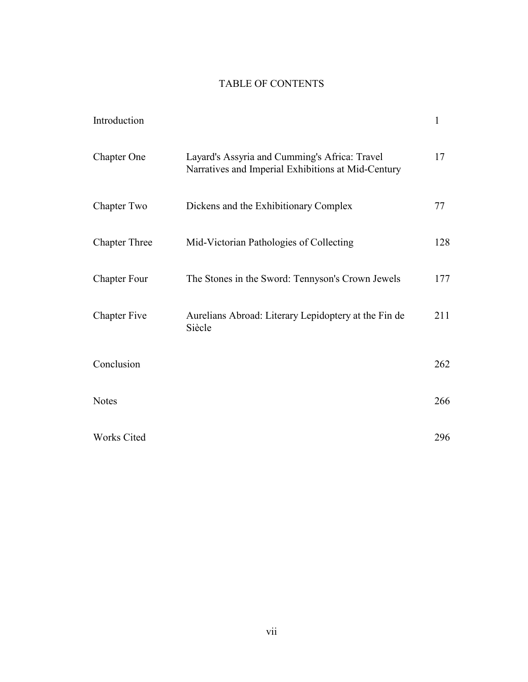## TABLE OF CONTENTS

| Introduction         |                                                                                                     | $\mathbf{1}$ |
|----------------------|-----------------------------------------------------------------------------------------------------|--------------|
| Chapter One          | Layard's Assyria and Cumming's Africa: Travel<br>Narratives and Imperial Exhibitions at Mid-Century | 17           |
| Chapter Two          | Dickens and the Exhibitionary Complex                                                               | 77           |
| <b>Chapter Three</b> | Mid-Victorian Pathologies of Collecting                                                             | 128          |
| <b>Chapter Four</b>  | The Stones in the Sword: Tennyson's Crown Jewels                                                    | 177          |
| <b>Chapter Five</b>  | Aurelians Abroad: Literary Lepidoptery at the Fin de<br>Siècle                                      | 211          |
| Conclusion           |                                                                                                     | 262          |
| <b>Notes</b>         |                                                                                                     | 266          |
| Works Cited          |                                                                                                     | 296          |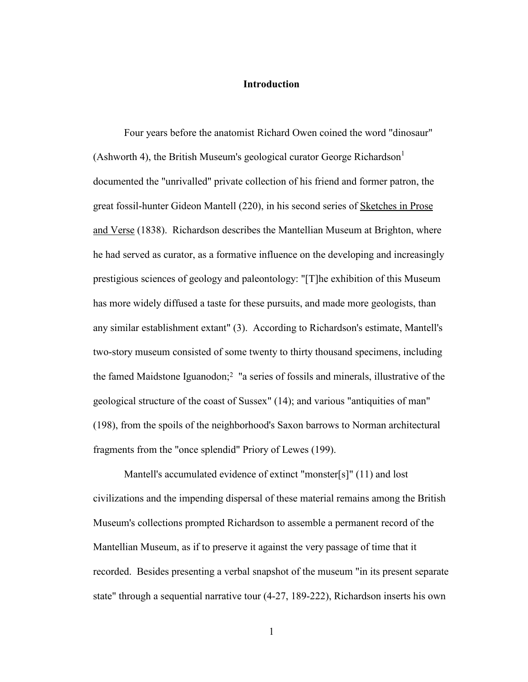## **Introduction**

Four years before the anatomist Richard Owen coined the word "dinosaur" (Ashworth 4), the British Museum's geological curator George Richardson<sup>1</sup> documented the "unrivalled" private collection of his friend and former patron, the great fossil-hunter Gideon Mantell (220), in his second series of Sketches in Prose and Verse (1838). Richardson describes the Mantellian Museum at Brighton, where he had served as curator, as a formative influence on the developing and increasingly prestigious sciences of geology and paleontology: "[T]he exhibition of this Museum has more widely diffused a taste for these pursuits, and made more geologists, than any similar establishment extant" (3). According to Richardson's estimate, Mantell's two-story museum consisted of some twenty to thirty thousand specimens, including the famed Maidstone Iguanodon;2 "a series of fossils and minerals, illustrative of the geological structure of the coast of Sussex" (14); and various "antiquities of man" (198), from the spoils of the neighborhood's Saxon barrows to Norman architectural fragments from the "once splendid" Priory of Lewes (199).

Mantell's accumulated evidence of extinct "monster[s]" (11) and lost civilizations and the impending dispersal of these material remains among the British Museum's collections prompted Richardson to assemble a permanent record of the Mantellian Museum, as if to preserve it against the very passage of time that it recorded. Besides presenting a verbal snapshot of the museum "in its present separate state" through a sequential narrative tour (4-27, 189-222), Richardson inserts his own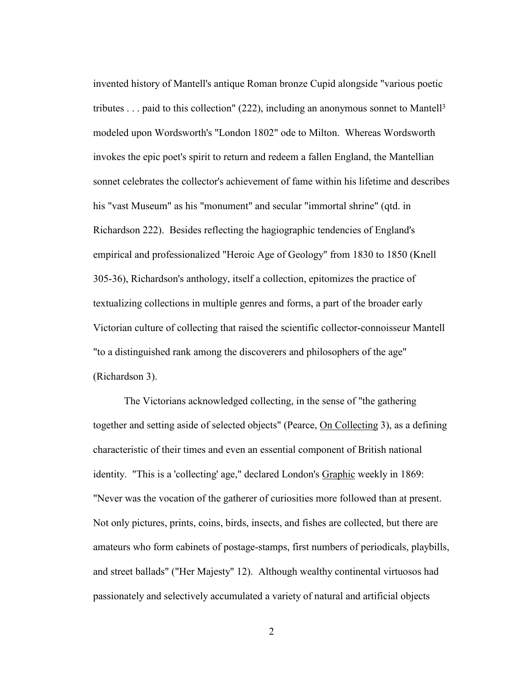invented history of Mantell's antique Roman bronze Cupid alongside "various poetic tributes . . . paid to this collection" (222), including an anonymous sonnet to Mantell3 modeled upon Wordsworth's "London 1802" ode to Milton. Whereas Wordsworth invokes the epic poet's spirit to return and redeem a fallen England, the Mantellian sonnet celebrates the collector's achievement of fame within his lifetime and describes his "vast Museum" as his "monument" and secular "immortal shrine" (qtd. in Richardson 222). Besides reflecting the hagiographic tendencies of England's empirical and professionalized "Heroic Age of Geology" from 1830 to 1850 (Knell 305-36), Richardson's anthology, itself a collection, epitomizes the practice of textualizing collections in multiple genres and forms, a part of the broader early Victorian culture of collecting that raised the scientific collector-connoisseur Mantell "to a distinguished rank among the discoverers and philosophers of the age" (Richardson 3).

The Victorians acknowledged collecting, in the sense of "the gathering together and setting aside of selected objects" (Pearce, On Collecting 3), as a defining characteristic of their times and even an essential component of British national identity. "This is a 'collecting' age," declared London's Graphic weekly in 1869: "Never was the vocation of the gatherer of curiosities more followed than at present. Not only pictures, prints, coins, birds, insects, and fishes are collected, but there are amateurs who form cabinets of postage-stamps, first numbers of periodicals, playbills, and street ballads" ("Her Majesty" 12). Although wealthy continental virtuosos had passionately and selectively accumulated a variety of natural and artificial objects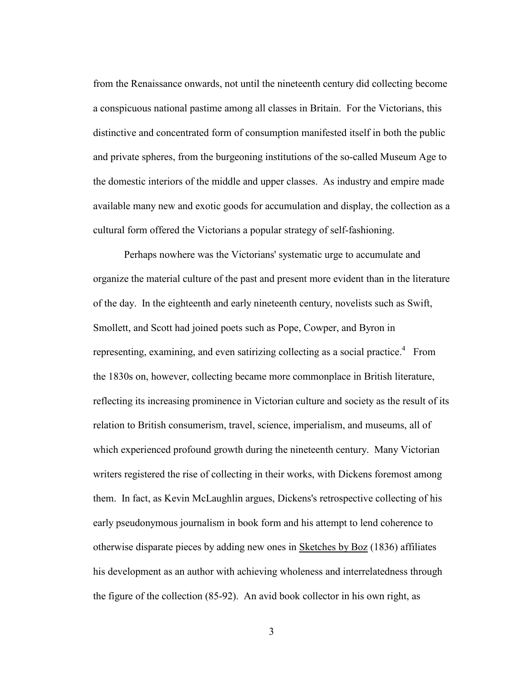from the Renaissance onwards, not until the nineteenth century did collecting become a conspicuous national pastime among all classes in Britain. For the Victorians, this distinctive and concentrated form of consumption manifested itself in both the public and private spheres, from the burgeoning institutions of the so-called Museum Age to the domestic interiors of the middle and upper classes. As industry and empire made available many new and exotic goods for accumulation and display, the collection as a cultural form offered the Victorians a popular strategy of self-fashioning.

Perhaps nowhere was the Victorians' systematic urge to accumulate and organize the material culture of the past and present more evident than in the literature of the day. In the eighteenth and early nineteenth century, novelists such as Swift, Smollett, and Scott had joined poets such as Pope, Cowper, and Byron in representing, examining, and even satirizing collecting as a social practice.<sup>4</sup> From the 1830s on, however, collecting became more commonplace in British literature, reflecting its increasing prominence in Victorian culture and society as the result of its relation to British consumerism, travel, science, imperialism, and museums, all of which experienced profound growth during the nineteenth century. Many Victorian writers registered the rise of collecting in their works, with Dickens foremost among them. In fact, as Kevin McLaughlin argues, Dickens's retrospective collecting of his early pseudonymous journalism in book form and his attempt to lend coherence to otherwise disparate pieces by adding new ones in Sketches by Boz (1836) affiliates his development as an author with achieving wholeness and interrelatedness through the figure of the collection (85-92). An avid book collector in his own right, as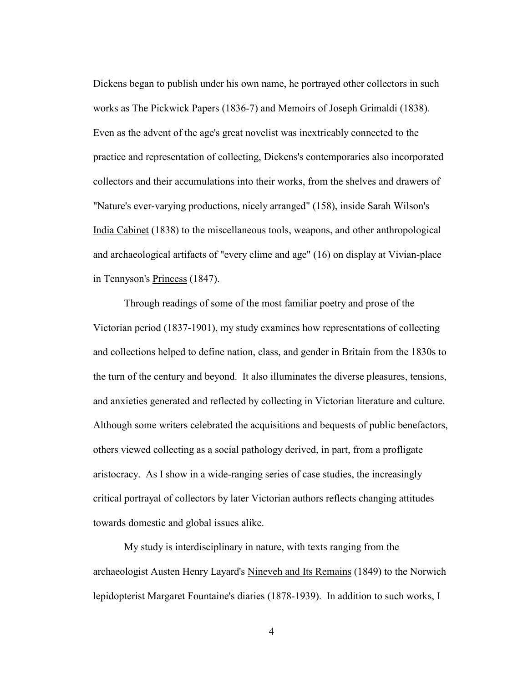Dickens began to publish under his own name, he portrayed other collectors in such works as The Pickwick Papers (1836-7) and Memoirs of Joseph Grimaldi (1838). Even as the advent of the age's great novelist was inextricably connected to the practice and representation of collecting, Dickens's contemporaries also incorporated collectors and their accumulations into their works, from the shelves and drawers of "Nature's ever-varying productions, nicely arranged" (158), inside Sarah Wilson's India Cabinet (1838) to the miscellaneous tools, weapons, and other anthropological and archaeological artifacts of "every clime and age" (16) on display at Vivian-place in Tennyson's Princess (1847).

Through readings of some of the most familiar poetry and prose of the Victorian period (1837-1901), my study examines how representations of collecting and collections helped to define nation, class, and gender in Britain from the 1830s to the turn of the century and beyond. It also illuminates the diverse pleasures, tensions, and anxieties generated and reflected by collecting in Victorian literature and culture. Although some writers celebrated the acquisitions and bequests of public benefactors, others viewed collecting as a social pathology derived, in part, from a profligate aristocracy. As I show in a wide-ranging series of case studies, the increasingly critical portrayal of collectors by later Victorian authors reflects changing attitudes towards domestic and global issues alike.

 My study is interdisciplinary in nature, with texts ranging from the archaeologist Austen Henry Layard's Nineveh and Its Remains (1849) to the Norwich lepidopterist Margaret Fountaine's diaries (1878-1939). In addition to such works, I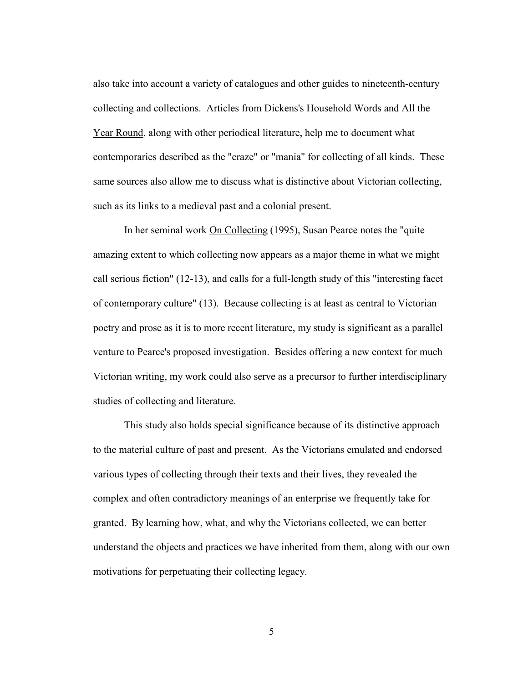also take into account a variety of catalogues and other guides to nineteenth-century collecting and collections. Articles from Dickens's Household Words and All the Year Round, along with other periodical literature, help me to document what contemporaries described as the "craze" or "mania" for collecting of all kinds. These same sources also allow me to discuss what is distinctive about Victorian collecting, such as its links to a medieval past and a colonial present.

 In her seminal work On Collecting (1995), Susan Pearce notes the "quite amazing extent to which collecting now appears as a major theme in what we might call serious fiction" (12-13), and calls for a full-length study of this "interesting facet of contemporary culture" (13). Because collecting is at least as central to Victorian poetry and prose as it is to more recent literature, my study is significant as a parallel venture to Pearce's proposed investigation. Besides offering a new context for much Victorian writing, my work could also serve as a precursor to further interdisciplinary studies of collecting and literature.

 This study also holds special significance because of its distinctive approach to the material culture of past and present. As the Victorians emulated and endorsed various types of collecting through their texts and their lives, they revealed the complex and often contradictory meanings of an enterprise we frequently take for granted. By learning how, what, and why the Victorians collected, we can better understand the objects and practices we have inherited from them, along with our own motivations for perpetuating their collecting legacy.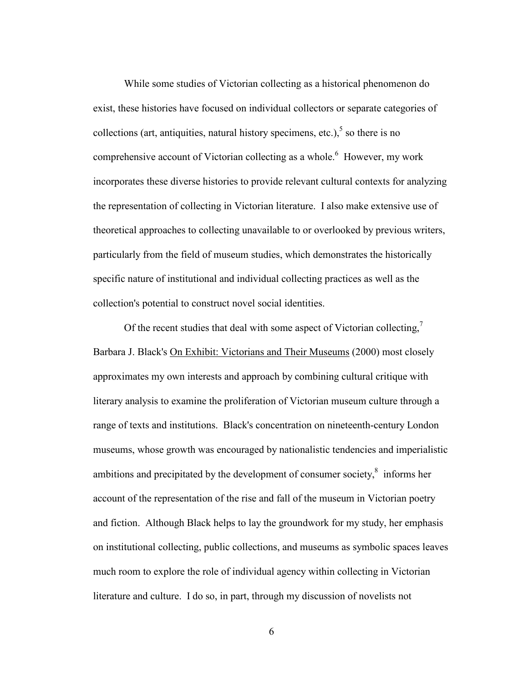While some studies of Victorian collecting as a historical phenomenon do exist, these histories have focused on individual collectors or separate categories of collections (art, antiquities, natural history specimens, etc.), $5$  so there is no comprehensive account of Victorian collecting as a whole.<sup>6</sup> However, my work incorporates these diverse histories to provide relevant cultural contexts for analyzing the representation of collecting in Victorian literature. I also make extensive use of theoretical approaches to collecting unavailable to or overlooked by previous writers, particularly from the field of museum studies, which demonstrates the historically specific nature of institutional and individual collecting practices as well as the collection's potential to construct novel social identities.

Of the recent studies that deal with some aspect of Victorian collecting, $\frac{7}{2}$ Barbara J. Black's On Exhibit: Victorians and Their Museums (2000) most closely approximates my own interests and approach by combining cultural critique with literary analysis to examine the proliferation of Victorian museum culture through a range of texts and institutions. Black's concentration on nineteenth-century London museums, whose growth was encouraged by nationalistic tendencies and imperialistic ambitions and precipitated by the development of consumer society, $\frac{8}{3}$  informs her account of the representation of the rise and fall of the museum in Victorian poetry and fiction. Although Black helps to lay the groundwork for my study, her emphasis on institutional collecting, public collections, and museums as symbolic spaces leaves much room to explore the role of individual agency within collecting in Victorian literature and culture. I do so, in part, through my discussion of novelists not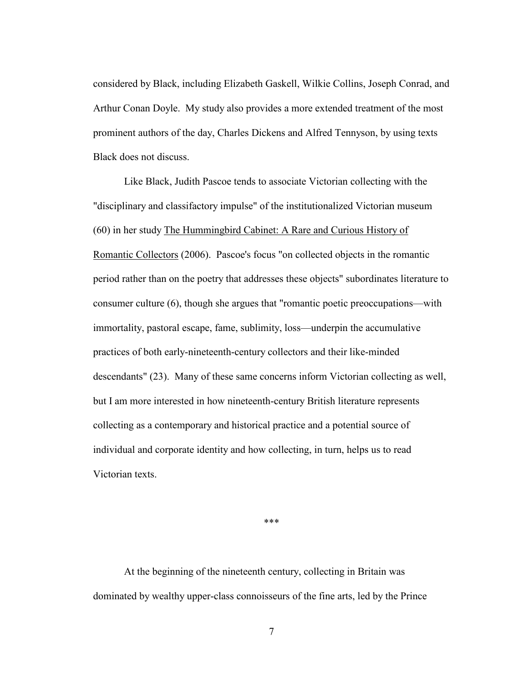considered by Black, including Elizabeth Gaskell, Wilkie Collins, Joseph Conrad, and Arthur Conan Doyle. My study also provides a more extended treatment of the most prominent authors of the day, Charles Dickens and Alfred Tennyson, by using texts Black does not discuss.

 Like Black, Judith Pascoe tends to associate Victorian collecting with the "disciplinary and classifactory impulse" of the institutionalized Victorian museum (60) in her study The Hummingbird Cabinet: A Rare and Curious History of Romantic Collectors (2006). Pascoe's focus "on collected objects in the romantic period rather than on the poetry that addresses these objects" subordinates literature to consumer culture (6), though she argues that "romantic poetic preoccupations—with immortality, pastoral escape, fame, sublimity, loss—underpin the accumulative practices of both early-nineteenth-century collectors and their like-minded descendants" (23). Many of these same concerns inform Victorian collecting as well, but I am more interested in how nineteenth-century British literature represents collecting as a contemporary and historical practice and a potential source of individual and corporate identity and how collecting, in turn, helps us to read Victorian texts.

\*\*\*

At the beginning of the nineteenth century, collecting in Britain was dominated by wealthy upper-class connoisseurs of the fine arts, led by the Prince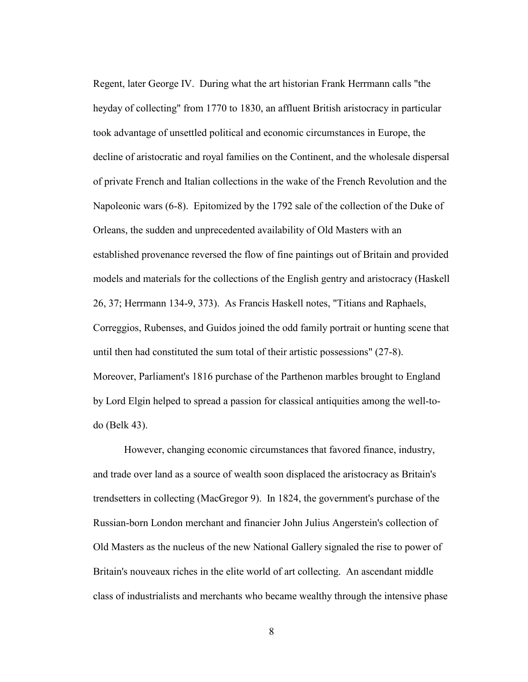Regent, later George IV. During what the art historian Frank Herrmann calls "the heyday of collecting" from 1770 to 1830, an affluent British aristocracy in particular took advantage of unsettled political and economic circumstances in Europe, the decline of aristocratic and royal families on the Continent, and the wholesale dispersal of private French and Italian collections in the wake of the French Revolution and the Napoleonic wars (6-8). Epitomized by the 1792 sale of the collection of the Duke of Orleans, the sudden and unprecedented availability of Old Masters with an established provenance reversed the flow of fine paintings out of Britain and provided models and materials for the collections of the English gentry and aristocracy (Haskell 26, 37; Herrmann 134-9, 373). As Francis Haskell notes, "Titians and Raphaels, Correggios, Rubenses, and Guidos joined the odd family portrait or hunting scene that until then had constituted the sum total of their artistic possessions" (27-8). Moreover, Parliament's 1816 purchase of the Parthenon marbles brought to England by Lord Elgin helped to spread a passion for classical antiquities among the well-todo (Belk 43).

 However, changing economic circumstances that favored finance, industry, and trade over land as a source of wealth soon displaced the aristocracy as Britain's trendsetters in collecting (MacGregor 9). In 1824, the government's purchase of the Russian-born London merchant and financier John Julius Angerstein's collection of Old Masters as the nucleus of the new National Gallery signaled the rise to power of Britain's nouveaux riches in the elite world of art collecting. An ascendant middle class of industrialists and merchants who became wealthy through the intensive phase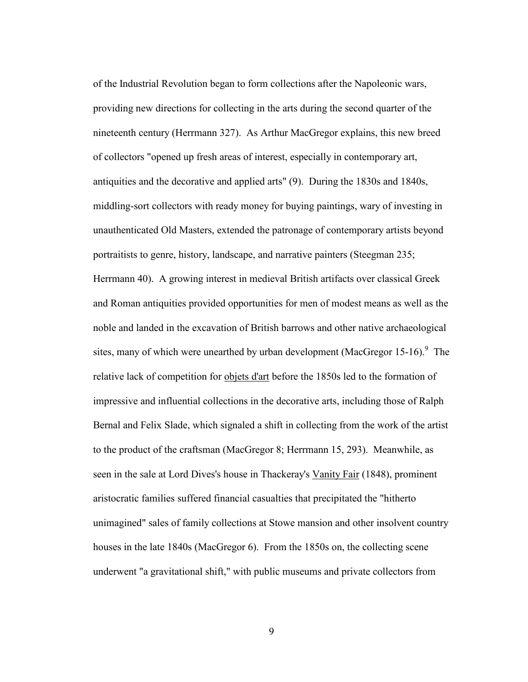of the Industrial Revolution began to form collections after the Napoleonic wars, providing new directions for collecting in the arts during the second quarter of the nineteenth century (Herrmann 327). As Arthur MacGregor explains, this new breed of collectors "opened up fresh areas of interest, especially in contemporary art, antiquities and the decorative and applied arts" (9). During the 1830s and 1840s, middling-sort collectors with ready money for buying paintings, wary of investing in unauthenticated Old Masters, extended the patronage of contemporary artists beyond portraitists to genre, history, landscape, and narrative painters (Steegman 235; Herrmann 40). A growing interest in medieval British artifacts over classical Greek and Roman antiquities provided opportunities for men of modest means as well as the noble and landed in the excavation of British barrows and other native archaeological sites, many of which were unearthed by urban development (MacGregor 15-16).<sup>9</sup> The relative lack of competition for objets d'art before the 1850s led to the formation of impressive and influential collections in the decorative arts, including those of Ralph Bernal and Felix Slade, which signaled a shift in collecting from the work of the artist to the product of the craftsman (MacGregor 8; Herrmann 15, 293). Meanwhile, as seen in the sale at Lord Dives's house in Thackeray's Vanity Fair (1848), prominent aristocratic families suffered financial casualties that precipitated the "hitherto unimagined" sales of family collections at Stowe mansion and other insolvent country houses in the late 1840s (MacGregor 6). From the 1850s on, the collecting scene underwent "a gravitational shift," with public museums and private collectors from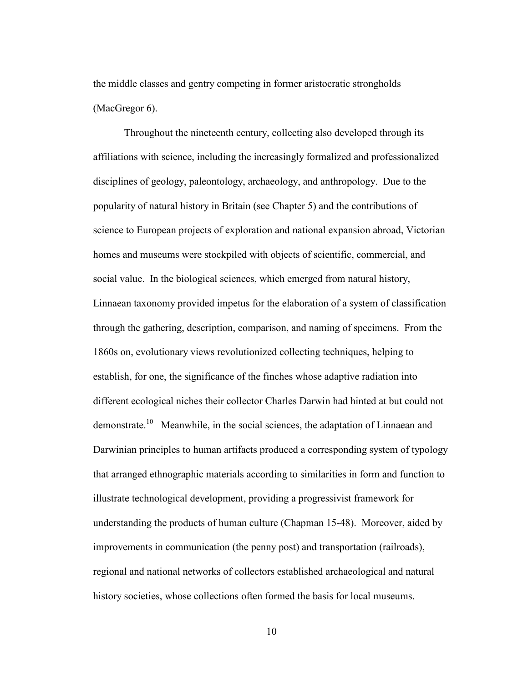the middle classes and gentry competing in former aristocratic strongholds (MacGregor 6).

 Throughout the nineteenth century, collecting also developed through its affiliations with science, including the increasingly formalized and professionalized disciplines of geology, paleontology, archaeology, and anthropology. Due to the popularity of natural history in Britain (see Chapter 5) and the contributions of science to European projects of exploration and national expansion abroad, Victorian homes and museums were stockpiled with objects of scientific, commercial, and social value. In the biological sciences, which emerged from natural history, Linnaean taxonomy provided impetus for the elaboration of a system of classification through the gathering, description, comparison, and naming of specimens. From the 1860s on, evolutionary views revolutionized collecting techniques, helping to establish, for one, the significance of the finches whose adaptive radiation into different ecological niches their collector Charles Darwin had hinted at but could not demonstrate.<sup>10</sup> Meanwhile, in the social sciences, the adaptation of Linnaean and Darwinian principles to human artifacts produced a corresponding system of typology that arranged ethnographic materials according to similarities in form and function to illustrate technological development, providing a progressivist framework for understanding the products of human culture (Chapman 15-48). Moreover, aided by improvements in communication (the penny post) and transportation (railroads), regional and national networks of collectors established archaeological and natural history societies, whose collections often formed the basis for local museums.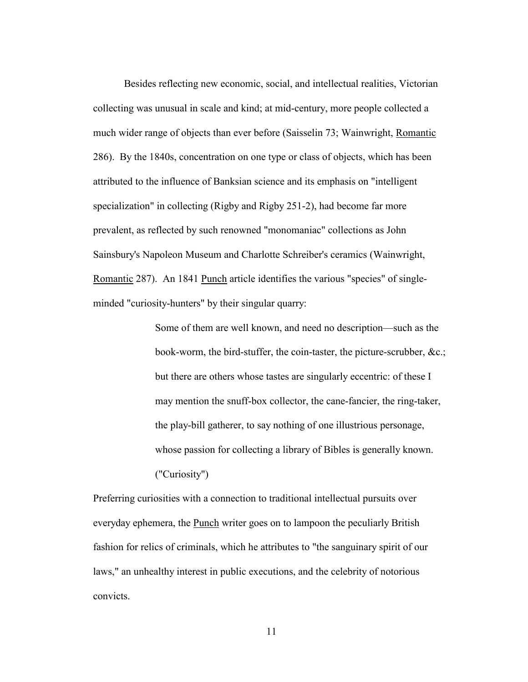Besides reflecting new economic, social, and intellectual realities, Victorian collecting was unusual in scale and kind; at mid-century, more people collected a much wider range of objects than ever before (Saisselin 73; Wainwright, Romantic 286). By the 1840s, concentration on one type or class of objects, which has been attributed to the influence of Banksian science and its emphasis on "intelligent specialization" in collecting (Rigby and Rigby 251-2), had become far more prevalent, as reflected by such renowned "monomaniac" collections as John Sainsbury's Napoleon Museum and Charlotte Schreiber's ceramics (Wainwright, Romantic 287). An 1841 Punch article identifies the various "species" of singleminded "curiosity-hunters" by their singular quarry:

> Some of them are well known, and need no description—such as the book-worm, the bird-stuffer, the coin-taster, the picture-scrubber, &c.; but there are others whose tastes are singularly eccentric: of these I may mention the snuff-box collector, the cane-fancier, the ring-taker, the play-bill gatherer, to say nothing of one illustrious personage, whose passion for collecting a library of Bibles is generally known. ("Curiosity")

Preferring curiosities with a connection to traditional intellectual pursuits over everyday ephemera, the Punch writer goes on to lampoon the peculiarly British fashion for relics of criminals, which he attributes to "the sanguinary spirit of our laws," an unhealthy interest in public executions, and the celebrity of notorious convicts.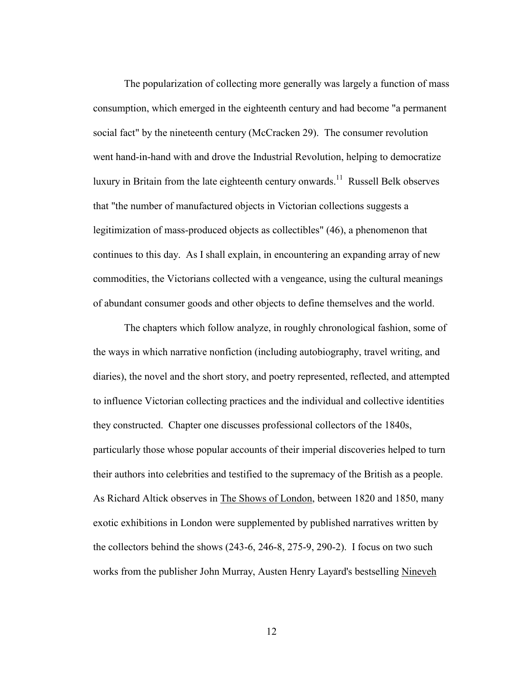The popularization of collecting more generally was largely a function of mass consumption, which emerged in the eighteenth century and had become "a permanent social fact" by the nineteenth century (McCracken 29). The consumer revolution went hand-in-hand with and drove the Industrial Revolution, helping to democratize luxury in Britain from the late eighteenth century onwards.<sup>11</sup> Russell Belk observes that "the number of manufactured objects in Victorian collections suggests a legitimization of mass-produced objects as collectibles" (46), a phenomenon that continues to this day. As I shall explain, in encountering an expanding array of new commodities, the Victorians collected with a vengeance, using the cultural meanings of abundant consumer goods and other objects to define themselves and the world.

 The chapters which follow analyze, in roughly chronological fashion, some of the ways in which narrative nonfiction (including autobiography, travel writing, and diaries), the novel and the short story, and poetry represented, reflected, and attempted to influence Victorian collecting practices and the individual and collective identities they constructed. Chapter one discusses professional collectors of the 1840s, particularly those whose popular accounts of their imperial discoveries helped to turn their authors into celebrities and testified to the supremacy of the British as a people. As Richard Altick observes in The Shows of London, between 1820 and 1850, many exotic exhibitions in London were supplemented by published narratives written by the collectors behind the shows (243-6, 246-8, 275-9, 290-2). I focus on two such works from the publisher John Murray, Austen Henry Layard's bestselling Nineveh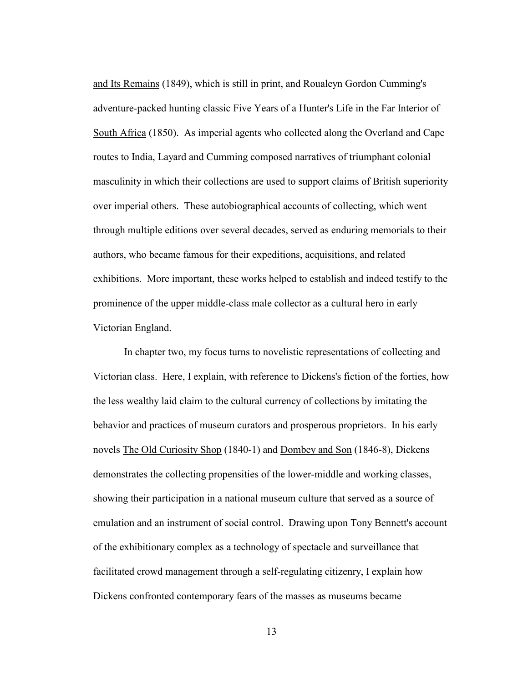and Its Remains (1849), which is still in print, and Roualeyn Gordon Cumming's adventure-packed hunting classic Five Years of a Hunter's Life in the Far Interior of South Africa (1850). As imperial agents who collected along the Overland and Cape routes to India, Layard and Cumming composed narratives of triumphant colonial masculinity in which their collections are used to support claims of British superiority over imperial others. These autobiographical accounts of collecting, which went through multiple editions over several decades, served as enduring memorials to their authors, who became famous for their expeditions, acquisitions, and related exhibitions. More important, these works helped to establish and indeed testify to the prominence of the upper middle-class male collector as a cultural hero in early Victorian England.

In chapter two, my focus turns to novelistic representations of collecting and Victorian class. Here, I explain, with reference to Dickens's fiction of the forties, how the less wealthy laid claim to the cultural currency of collections by imitating the behavior and practices of museum curators and prosperous proprietors. In his early novels The Old Curiosity Shop (1840-1) and Dombey and Son (1846-8), Dickens demonstrates the collecting propensities of the lower-middle and working classes, showing their participation in a national museum culture that served as a source of emulation and an instrument of social control. Drawing upon Tony Bennett's account of the exhibitionary complex as a technology of spectacle and surveillance that facilitated crowd management through a self-regulating citizenry, I explain how Dickens confronted contemporary fears of the masses as museums became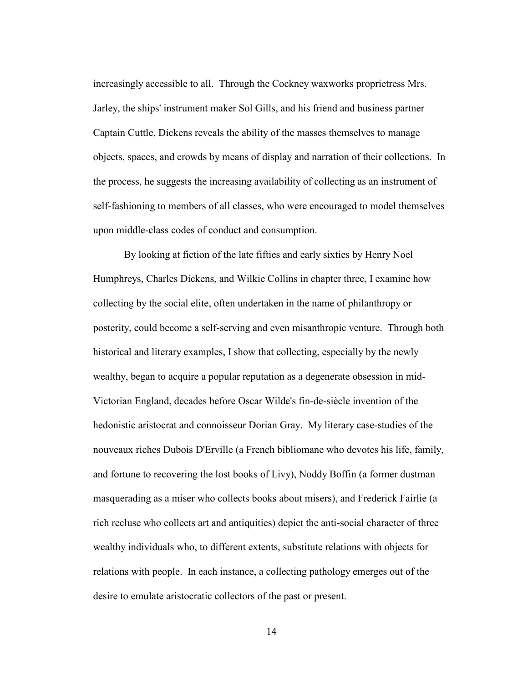increasingly accessible to all. Through the Cockney waxworks proprietress Mrs. Jarley, the ships' instrument maker Sol Gills, and his friend and business partner Captain Cuttle, Dickens reveals the ability of the masses themselves to manage objects, spaces, and crowds by means of display and narration of their collections. In the process, he suggests the increasing availability of collecting as an instrument of self-fashioning to members of all classes, who were encouraged to model themselves upon middle-class codes of conduct and consumption.

 By looking at fiction of the late fifties and early sixties by Henry Noel Humphreys, Charles Dickens, and Wilkie Collins in chapter three, I examine how collecting by the social elite, often undertaken in the name of philanthropy or posterity, could become a self-serving and even misanthropic venture. Through both historical and literary examples, I show that collecting, especially by the newly wealthy, began to acquire a popular reputation as a degenerate obsession in mid-Victorian England, decades before Oscar Wilde's fin-de-siècle invention of the hedonistic aristocrat and connoisseur Dorian Gray. My literary case-studies of the nouveaux riches Dubois D'Erville (a French bibliomane who devotes his life, family, and fortune to recovering the lost books of Livy), Noddy Boffin (a former dustman masquerading as a miser who collects books about misers), and Frederick Fairlie (a rich recluse who collects art and antiquities) depict the anti-social character of three wealthy individuals who, to different extents, substitute relations with objects for relations with people. In each instance, a collecting pathology emerges out of the desire to emulate aristocratic collectors of the past or present.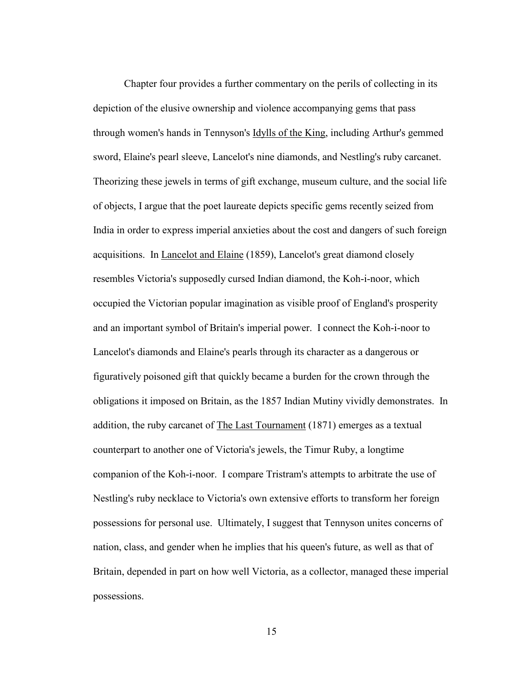Chapter four provides a further commentary on the perils of collecting in its depiction of the elusive ownership and violence accompanying gems that pass through women's hands in Tennyson's Idylls of the King, including Arthur's gemmed sword, Elaine's pearl sleeve, Lancelot's nine diamonds, and Nestling's ruby carcanet. Theorizing these jewels in terms of gift exchange, museum culture, and the social life of objects, I argue that the poet laureate depicts specific gems recently seized from India in order to express imperial anxieties about the cost and dangers of such foreign acquisitions. In **Lancelot and Elaine** (1859), Lancelot's great diamond closely resembles Victoria's supposedly cursed Indian diamond, the Koh-i-noor, which occupied the Victorian popular imagination as visible proof of England's prosperity and an important symbol of Britain's imperial power. I connect the Koh-i-noor to Lancelot's diamonds and Elaine's pearls through its character as a dangerous or figuratively poisoned gift that quickly became a burden for the crown through the obligations it imposed on Britain, as the 1857 Indian Mutiny vividly demonstrates. In addition, the ruby carcanet of The Last Tournament (1871) emerges as a textual counterpart to another one of Victoria's jewels, the Timur Ruby, a longtime companion of the Koh-i-noor. I compare Tristram's attempts to arbitrate the use of Nestling's ruby necklace to Victoria's own extensive efforts to transform her foreign possessions for personal use. Ultimately, I suggest that Tennyson unites concerns of nation, class, and gender when he implies that his queen's future, as well as that of Britain, depended in part on how well Victoria, as a collector, managed these imperial possessions.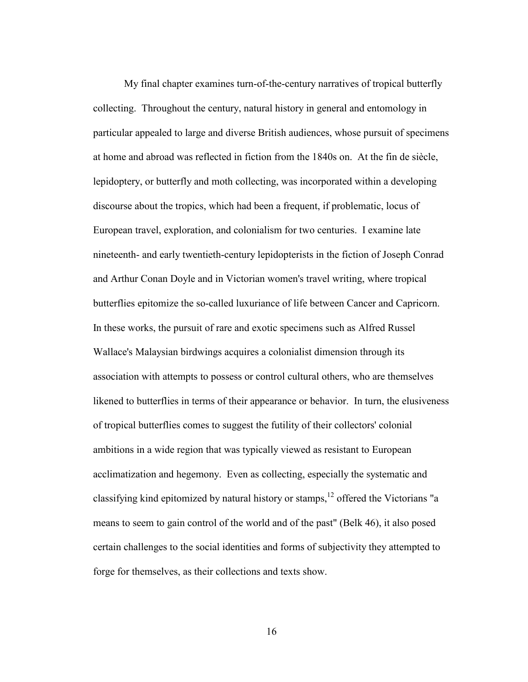My final chapter examines turn-of-the-century narratives of tropical butterfly collecting. Throughout the century, natural history in general and entomology in particular appealed to large and diverse British audiences, whose pursuit of specimens at home and abroad was reflected in fiction from the 1840s on. At the fin de siècle, lepidoptery, or butterfly and moth collecting, was incorporated within a developing discourse about the tropics, which had been a frequent, if problematic, locus of European travel, exploration, and colonialism for two centuries. I examine late nineteenth- and early twentieth-century lepidopterists in the fiction of Joseph Conrad and Arthur Conan Doyle and in Victorian women's travel writing, where tropical butterflies epitomize the so-called luxuriance of life between Cancer and Capricorn. In these works, the pursuit of rare and exotic specimens such as Alfred Russel Wallace's Malaysian birdwings acquires a colonialist dimension through its association with attempts to possess or control cultural others, who are themselves likened to butterflies in terms of their appearance or behavior. In turn, the elusiveness of tropical butterflies comes to suggest the futility of their collectors' colonial ambitions in a wide region that was typically viewed as resistant to European acclimatization and hegemony. Even as collecting, especially the systematic and classifying kind epitomized by natural history or stamps,12 offered the Victorians "a means to seem to gain control of the world and of the past" (Belk 46), it also posed certain challenges to the social identities and forms of subjectivity they attempted to forge for themselves, as their collections and texts show.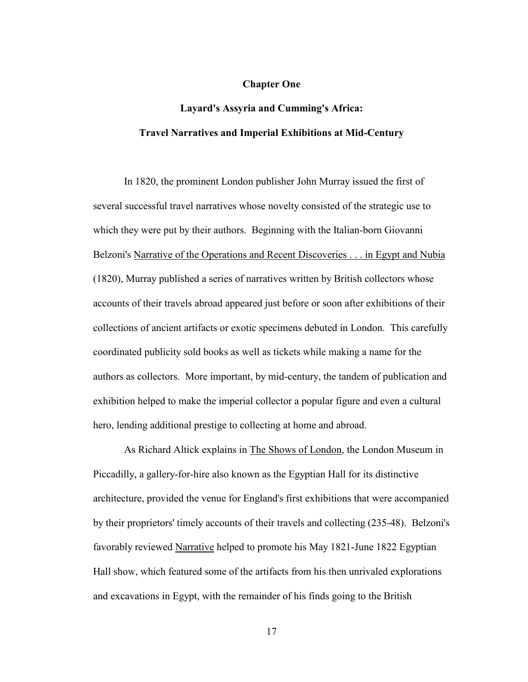### **Chapter One**

## **Layard's Assyria and Cumming's Africa: Travel Narratives and Imperial Exhibitions at Mid-Century**

In 1820, the prominent London publisher John Murray issued the first of several successful travel narratives whose novelty consisted of the strategic use to which they were put by their authors. Beginning with the Italian-born Giovanni Belzoni's Narrative of the Operations and Recent Discoveries . . . in Egypt and Nubia (1820), Murray published a series of narratives written by British collectors whose accounts of their travels abroad appeared just before or soon after exhibitions of their collections of ancient artifacts or exotic specimens debuted in London. This carefully coordinated publicity sold books as well as tickets while making a name for the authors as collectors. More important, by mid-century, the tandem of publication and exhibition helped to make the imperial collector a popular figure and even a cultural hero, lending additional prestige to collecting at home and abroad.

 As Richard Altick explains in The Shows of London, the London Museum in Piccadilly, a gallery-for-hire also known as the Egyptian Hall for its distinctive architecture, provided the venue for England's first exhibitions that were accompanied by their proprietors' timely accounts of their travels and collecting (235-48). Belzoni's favorably reviewed Narrative helped to promote his May 1821-June 1822 Egyptian Hall show, which featured some of the artifacts from his then unrivaled explorations and excavations in Egypt, with the remainder of his finds going to the British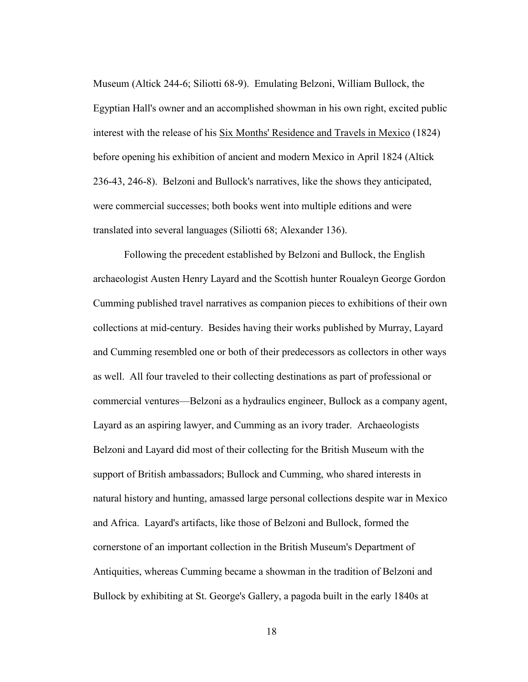Museum (Altick 244-6; Siliotti 68-9). Emulating Belzoni, William Bullock, the Egyptian Hall's owner and an accomplished showman in his own right, excited public interest with the release of his Six Months' Residence and Travels in Mexico (1824) before opening his exhibition of ancient and modern Mexico in April 1824 (Altick 236-43, 246-8). Belzoni and Bullock's narratives, like the shows they anticipated, were commercial successes; both books went into multiple editions and were translated into several languages (Siliotti 68; Alexander 136).

 Following the precedent established by Belzoni and Bullock, the English archaeologist Austen Henry Layard and the Scottish hunter Roualeyn George Gordon Cumming published travel narratives as companion pieces to exhibitions of their own collections at mid-century. Besides having their works published by Murray, Layard and Cumming resembled one or both of their predecessors as collectors in other ways as well. All four traveled to their collecting destinations as part of professional or commercial ventures—Belzoni as a hydraulics engineer, Bullock as a company agent, Layard as an aspiring lawyer, and Cumming as an ivory trader. Archaeologists Belzoni and Layard did most of their collecting for the British Museum with the support of British ambassadors; Bullock and Cumming, who shared interests in natural history and hunting, amassed large personal collections despite war in Mexico and Africa. Layard's artifacts, like those of Belzoni and Bullock, formed the cornerstone of an important collection in the British Museum's Department of Antiquities, whereas Cumming became a showman in the tradition of Belzoni and Bullock by exhibiting at St. George's Gallery, a pagoda built in the early 1840s at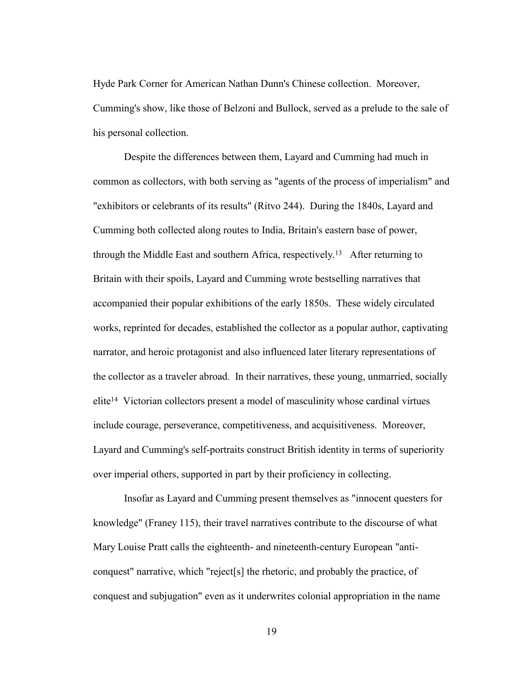Hyde Park Corner for American Nathan Dunn's Chinese collection. Moreover, Cumming's show, like those of Belzoni and Bullock, served as a prelude to the sale of his personal collection.

 Despite the differences between them, Layard and Cumming had much in common as collectors, with both serving as "agents of the process of imperialism" and "exhibitors or celebrants of its results" (Ritvo 244). During the 1840s, Layard and Cumming both collected along routes to India, Britain's eastern base of power, through the Middle East and southern Africa, respectively.13 After returning to Britain with their spoils, Layard and Cumming wrote bestselling narratives that accompanied their popular exhibitions of the early 1850s. These widely circulated works, reprinted for decades, established the collector as a popular author, captivating narrator, and heroic protagonist and also influenced later literary representations of the collector as a traveler abroad. In their narratives, these young, unmarried, socially elite14 Victorian collectors present a model of masculinity whose cardinal virtues include courage, perseverance, competitiveness, and acquisitiveness. Moreover, Layard and Cumming's self-portraits construct British identity in terms of superiority over imperial others, supported in part by their proficiency in collecting.

 Insofar as Layard and Cumming present themselves as "innocent questers for knowledge" (Franey 115), their travel narratives contribute to the discourse of what Mary Louise Pratt calls the eighteenth- and nineteenth-century European "anticonquest" narrative, which "reject[s] the rhetoric, and probably the practice, of conquest and subjugation" even as it underwrites colonial appropriation in the name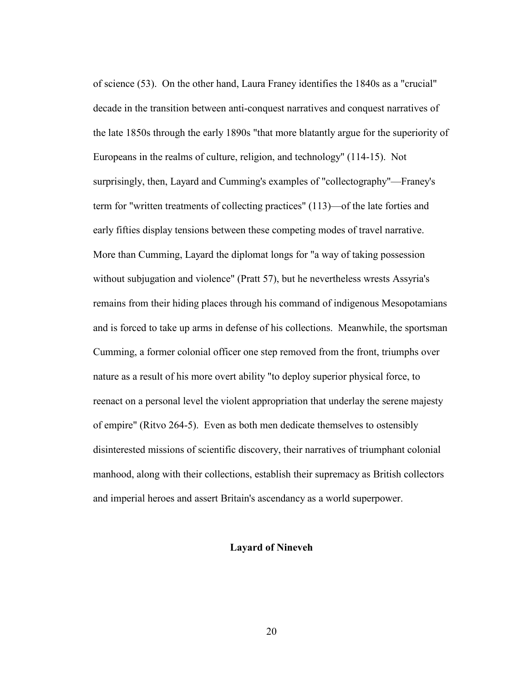of science (53). On the other hand, Laura Franey identifies the 1840s as a "crucial" decade in the transition between anti-conquest narratives and conquest narratives of the late 1850s through the early 1890s "that more blatantly argue for the superiority of Europeans in the realms of culture, religion, and technology" (114-15). Not surprisingly, then, Layard and Cumming's examples of "collectography"—Franey's term for "written treatments of collecting practices" (113)—of the late forties and early fifties display tensions between these competing modes of travel narrative. More than Cumming, Layard the diplomat longs for "a way of taking possession without subjugation and violence" (Pratt 57), but he nevertheless wrests Assyria's remains from their hiding places through his command of indigenous Mesopotamians and is forced to take up arms in defense of his collections. Meanwhile, the sportsman Cumming, a former colonial officer one step removed from the front, triumphs over nature as a result of his more overt ability "to deploy superior physical force, to reenact on a personal level the violent appropriation that underlay the serene majesty of empire" (Ritvo 264-5). Even as both men dedicate themselves to ostensibly disinterested missions of scientific discovery, their narratives of triumphant colonial manhood, along with their collections, establish their supremacy as British collectors and imperial heroes and assert Britain's ascendancy as a world superpower.

## **Layard of Nineveh**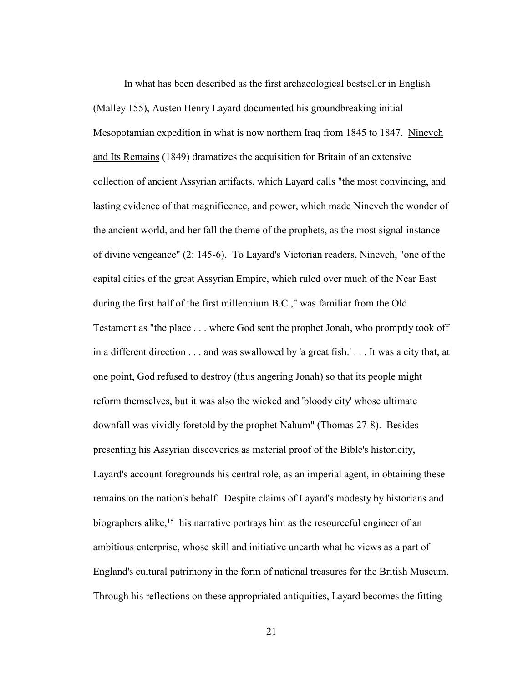In what has been described as the first archaeological bestseller in English (Malley 155), Austen Henry Layard documented his groundbreaking initial Mesopotamian expedition in what is now northern Iraq from 1845 to 1847. Nineveh and Its Remains (1849) dramatizes the acquisition for Britain of an extensive collection of ancient Assyrian artifacts, which Layard calls "the most convincing, and lasting evidence of that magnificence, and power, which made Nineveh the wonder of the ancient world, and her fall the theme of the prophets, as the most signal instance of divine vengeance" (2: 145-6). To Layard's Victorian readers, Nineveh, "one of the capital cities of the great Assyrian Empire, which ruled over much of the Near East during the first half of the first millennium B.C.," was familiar from the Old Testament as "the place . . . where God sent the prophet Jonah, who promptly took off in a different direction . . . and was swallowed by 'a great fish.' . . . It was a city that, at one point, God refused to destroy (thus angering Jonah) so that its people might reform themselves, but it was also the wicked and 'bloody city' whose ultimate downfall was vividly foretold by the prophet Nahum" (Thomas 27-8). Besides presenting his Assyrian discoveries as material proof of the Bible's historicity, Layard's account foregrounds his central role, as an imperial agent, in obtaining these remains on the nation's behalf. Despite claims of Layard's modesty by historians and biographers alike,15 his narrative portrays him as the resourceful engineer of an ambitious enterprise, whose skill and initiative unearth what he views as a part of England's cultural patrimony in the form of national treasures for the British Museum. Through his reflections on these appropriated antiquities, Layard becomes the fitting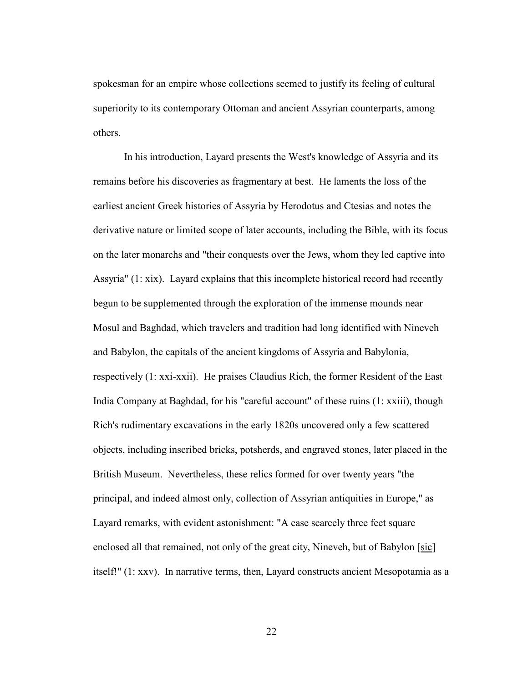spokesman for an empire whose collections seemed to justify its feeling of cultural superiority to its contemporary Ottoman and ancient Assyrian counterparts, among others.

 In his introduction, Layard presents the West's knowledge of Assyria and its remains before his discoveries as fragmentary at best. He laments the loss of the earliest ancient Greek histories of Assyria by Herodotus and Ctesias and notes the derivative nature or limited scope of later accounts, including the Bible, with its focus on the later monarchs and "their conquests over the Jews, whom they led captive into Assyria" (1: xix). Layard explains that this incomplete historical record had recently begun to be supplemented through the exploration of the immense mounds near Mosul and Baghdad, which travelers and tradition had long identified with Nineveh and Babylon, the capitals of the ancient kingdoms of Assyria and Babylonia, respectively (1: xxi-xxii). He praises Claudius Rich, the former Resident of the East India Company at Baghdad, for his "careful account" of these ruins (1: xxiii), though Rich's rudimentary excavations in the early 1820s uncovered only a few scattered objects, including inscribed bricks, potsherds, and engraved stones, later placed in the British Museum. Nevertheless, these relics formed for over twenty years "the principal, and indeed almost only, collection of Assyrian antiquities in Europe," as Layard remarks, with evident astonishment: "A case scarcely three feet square enclosed all that remained, not only of the great city, Nineveh, but of Babylon [sic] itself!" (1: xxv). In narrative terms, then, Layard constructs ancient Mesopotamia as a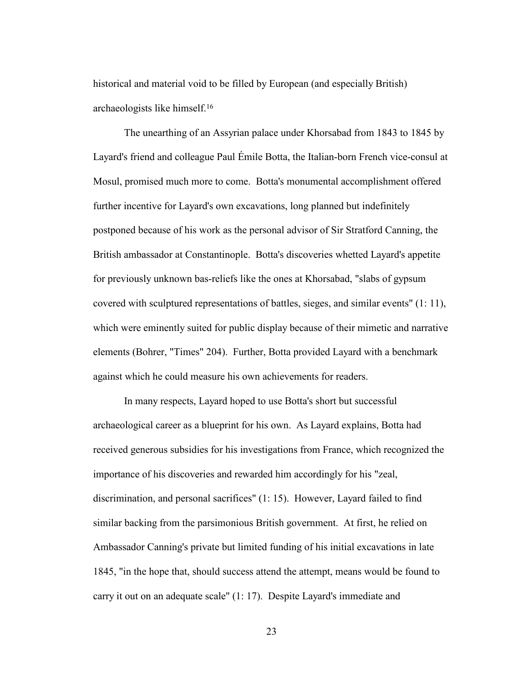historical and material void to be filled by European (and especially British) archaeologists like himself.16

The unearthing of an Assyrian palace under Khorsabad from 1843 to 1845 by Layard's friend and colleague Paul Émile Botta, the Italian-born French vice-consul at Mosul, promised much more to come. Botta's monumental accomplishment offered further incentive for Layard's own excavations, long planned but indefinitely postponed because of his work as the personal advisor of Sir Stratford Canning, the British ambassador at Constantinople. Botta's discoveries whetted Layard's appetite for previously unknown bas-reliefs like the ones at Khorsabad, "slabs of gypsum covered with sculptured representations of battles, sieges, and similar events" (1: 11), which were eminently suited for public display because of their mimetic and narrative elements (Bohrer, "Times" 204). Further, Botta provided Layard with a benchmark against which he could measure his own achievements for readers.

 In many respects, Layard hoped to use Botta's short but successful archaeological career as a blueprint for his own. As Layard explains, Botta had received generous subsidies for his investigations from France, which recognized the importance of his discoveries and rewarded him accordingly for his "zeal, discrimination, and personal sacrifices" (1: 15). However, Layard failed to find similar backing from the parsimonious British government. At first, he relied on Ambassador Canning's private but limited funding of his initial excavations in late 1845, "in the hope that, should success attend the attempt, means would be found to carry it out on an adequate scale" (1: 17). Despite Layard's immediate and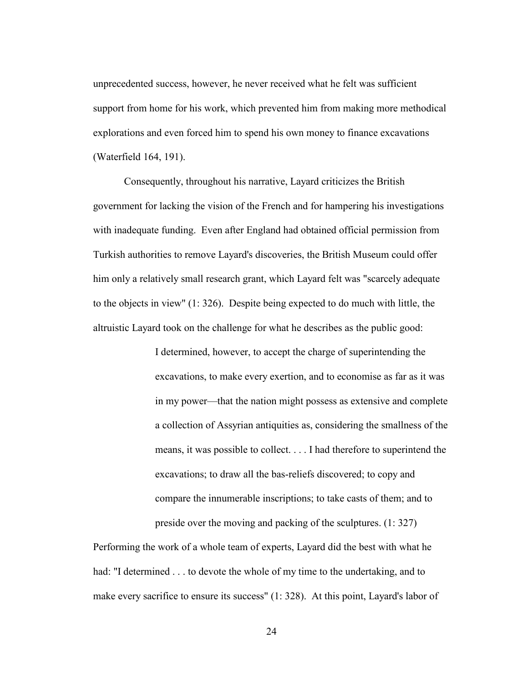unprecedented success, however, he never received what he felt was sufficient support from home for his work, which prevented him from making more methodical explorations and even forced him to spend his own money to finance excavations (Waterfield 164, 191).

 Consequently, throughout his narrative, Layard criticizes the British government for lacking the vision of the French and for hampering his investigations with inadequate funding. Even after England had obtained official permission from Turkish authorities to remove Layard's discoveries, the British Museum could offer him only a relatively small research grant, which Layard felt was "scarcely adequate to the objects in view" (1: 326). Despite being expected to do much with little, the altruistic Layard took on the challenge for what he describes as the public good:

> I determined, however, to accept the charge of superintending the excavations, to make every exertion, and to economise as far as it was in my power—that the nation might possess as extensive and complete a collection of Assyrian antiquities as, considering the smallness of the means, it was possible to collect. . . . I had therefore to superintend the excavations; to draw all the bas-reliefs discovered; to copy and compare the innumerable inscriptions; to take casts of them; and to preside over the moving and packing of the sculptures. (1: 327)

Performing the work of a whole team of experts, Layard did the best with what he had: "I determined . . . to devote the whole of my time to the undertaking, and to make every sacrifice to ensure its success" (1: 328). At this point, Layard's labor of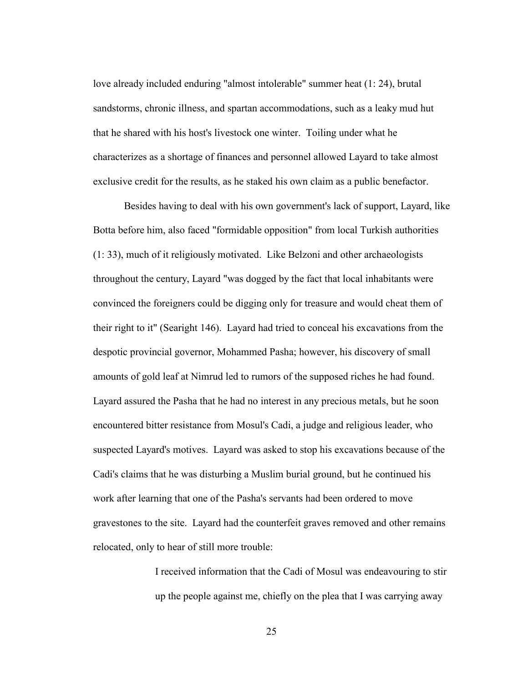love already included enduring "almost intolerable" summer heat (1: 24), brutal sandstorms, chronic illness, and spartan accommodations, such as a leaky mud hut that he shared with his host's livestock one winter. Toiling under what he characterizes as a shortage of finances and personnel allowed Layard to take almost exclusive credit for the results, as he staked his own claim as a public benefactor.

 Besides having to deal with his own government's lack of support, Layard, like Botta before him, also faced "formidable opposition" from local Turkish authorities (1: 33), much of it religiously motivated. Like Belzoni and other archaeologists throughout the century, Layard "was dogged by the fact that local inhabitants were convinced the foreigners could be digging only for treasure and would cheat them of their right to it" (Searight 146). Layard had tried to conceal his excavations from the despotic provincial governor, Mohammed Pasha; however, his discovery of small amounts of gold leaf at Nimrud led to rumors of the supposed riches he had found. Layard assured the Pasha that he had no interest in any precious metals, but he soon encountered bitter resistance from Mosul's Cadi, a judge and religious leader, who suspected Layard's motives. Layard was asked to stop his excavations because of the Cadi's claims that he was disturbing a Muslim burial ground, but he continued his work after learning that one of the Pasha's servants had been ordered to move gravestones to the site. Layard had the counterfeit graves removed and other remains relocated, only to hear of still more trouble:

> I received information that the Cadi of Mosul was endeavouring to stir up the people against me, chiefly on the plea that I was carrying away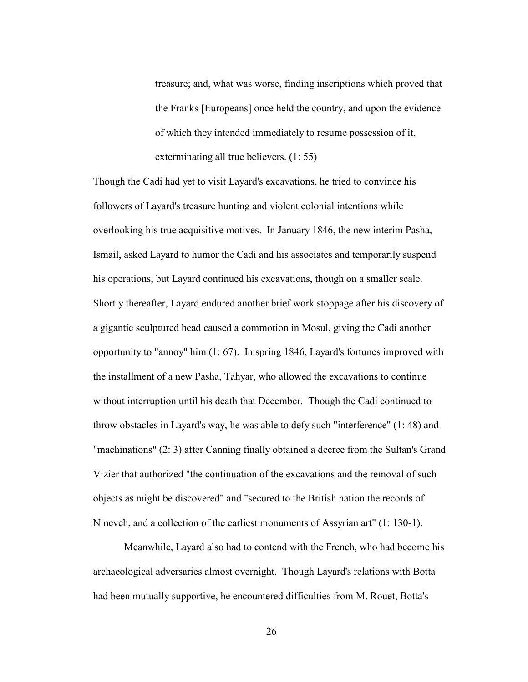treasure; and, what was worse, finding inscriptions which proved that the Franks [Europeans] once held the country, and upon the evidence of which they intended immediately to resume possession of it, exterminating all true believers. (1: 55)

Though the Cadi had yet to visit Layard's excavations, he tried to convince his followers of Layard's treasure hunting and violent colonial intentions while overlooking his true acquisitive motives. In January 1846, the new interim Pasha, Ismail, asked Layard to humor the Cadi and his associates and temporarily suspend his operations, but Layard continued his excavations, though on a smaller scale. Shortly thereafter, Layard endured another brief work stoppage after his discovery of a gigantic sculptured head caused a commotion in Mosul, giving the Cadi another opportunity to "annoy" him (1: 67). In spring 1846, Layard's fortunes improved with the installment of a new Pasha, Tahyar, who allowed the excavations to continue without interruption until his death that December. Though the Cadi continued to throw obstacles in Layard's way, he was able to defy such "interference" (1: 48) and "machinations" (2: 3) after Canning finally obtained a decree from the Sultan's Grand Vizier that authorized "the continuation of the excavations and the removal of such objects as might be discovered" and "secured to the British nation the records of Nineveh, and a collection of the earliest monuments of Assyrian art" (1: 130-1).

 Meanwhile, Layard also had to contend with the French, who had become his archaeological adversaries almost overnight. Though Layard's relations with Botta had been mutually supportive, he encountered difficulties from M. Rouet, Botta's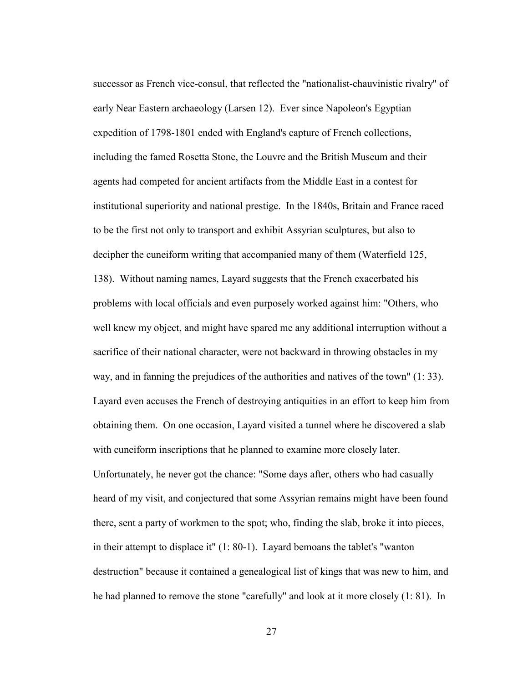successor as French vice-consul, that reflected the "nationalist-chauvinistic rivalry" of early Near Eastern archaeology (Larsen 12). Ever since Napoleon's Egyptian expedition of 1798-1801 ended with England's capture of French collections, including the famed Rosetta Stone, the Louvre and the British Museum and their agents had competed for ancient artifacts from the Middle East in a contest for institutional superiority and national prestige. In the 1840s, Britain and France raced to be the first not only to transport and exhibit Assyrian sculptures, but also to decipher the cuneiform writing that accompanied many of them (Waterfield 125, 138). Without naming names, Layard suggests that the French exacerbated his problems with local officials and even purposely worked against him: "Others, who well knew my object, and might have spared me any additional interruption without a sacrifice of their national character, were not backward in throwing obstacles in my way, and in fanning the prejudices of the authorities and natives of the town" (1: 33). Layard even accuses the French of destroying antiquities in an effort to keep him from obtaining them. On one occasion, Layard visited a tunnel where he discovered a slab with cuneiform inscriptions that he planned to examine more closely later. Unfortunately, he never got the chance: "Some days after, others who had casually heard of my visit, and conjectured that some Assyrian remains might have been found there, sent a party of workmen to the spot; who, finding the slab, broke it into pieces, in their attempt to displace it" (1: 80-1). Layard bemoans the tablet's "wanton destruction" because it contained a genealogical list of kings that was new to him, and he had planned to remove the stone "carefully" and look at it more closely (1: 81). In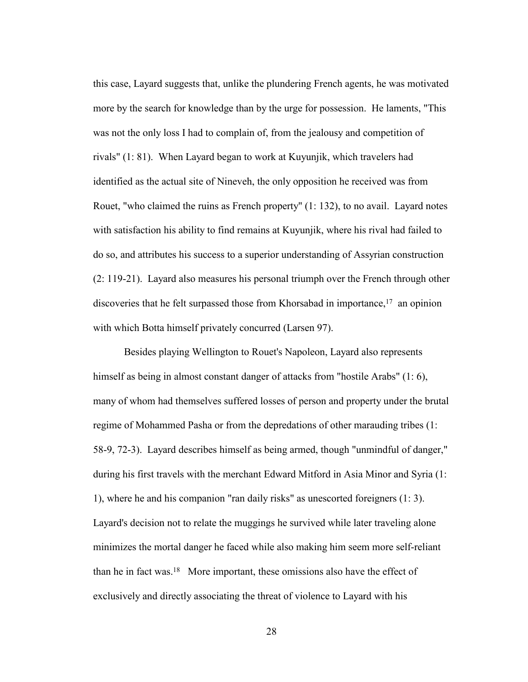this case, Layard suggests that, unlike the plundering French agents, he was motivated more by the search for knowledge than by the urge for possession. He laments, "This was not the only loss I had to complain of, from the jealousy and competition of rivals" (1: 81). When Layard began to work at Kuyunjik, which travelers had identified as the actual site of Nineveh, the only opposition he received was from Rouet, "who claimed the ruins as French property" (1: 132), to no avail. Layard notes with satisfaction his ability to find remains at Kuyunjik, where his rival had failed to do so, and attributes his success to a superior understanding of Assyrian construction (2: 119-21). Layard also measures his personal triumph over the French through other discoveries that he felt surpassed those from Khorsabad in importance,17 an opinion with which Botta himself privately concurred (Larsen 97).

 Besides playing Wellington to Rouet's Napoleon, Layard also represents himself as being in almost constant danger of attacks from "hostile Arabs" (1: 6), many of whom had themselves suffered losses of person and property under the brutal regime of Mohammed Pasha or from the depredations of other marauding tribes (1: 58-9, 72-3). Layard describes himself as being armed, though "unmindful of danger," during his first travels with the merchant Edward Mitford in Asia Minor and Syria (1: 1), where he and his companion "ran daily risks" as unescorted foreigners (1: 3). Layard's decision not to relate the muggings he survived while later traveling alone minimizes the mortal danger he faced while also making him seem more self-reliant than he in fact was.18 More important, these omissions also have the effect of exclusively and directly associating the threat of violence to Layard with his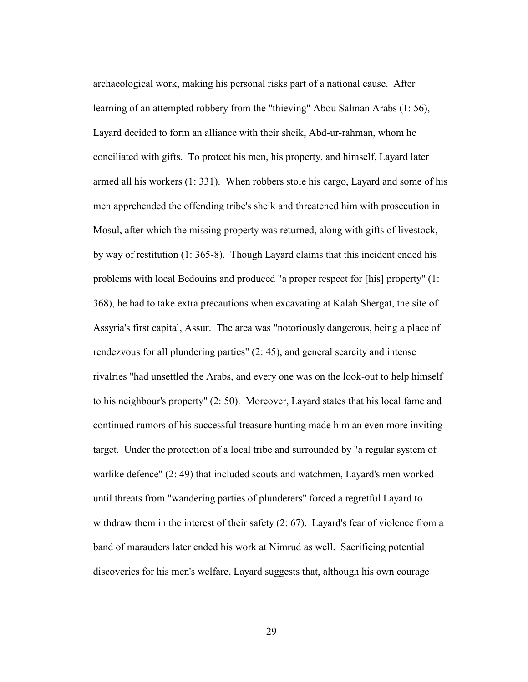archaeological work, making his personal risks part of a national cause. After learning of an attempted robbery from the "thieving" Abou Salman Arabs (1: 56), Layard decided to form an alliance with their sheik, Abd-ur-rahman, whom he conciliated with gifts. To protect his men, his property, and himself, Layard later armed all his workers (1: 331). When robbers stole his cargo, Layard and some of his men apprehended the offending tribe's sheik and threatened him with prosecution in Mosul, after which the missing property was returned, along with gifts of livestock, by way of restitution (1: 365-8). Though Layard claims that this incident ended his problems with local Bedouins and produced "a proper respect for [his] property" (1: 368), he had to take extra precautions when excavating at Kalah Shergat, the site of Assyria's first capital, Assur. The area was "notoriously dangerous, being a place of rendezvous for all plundering parties" (2: 45), and general scarcity and intense rivalries "had unsettled the Arabs, and every one was on the look-out to help himself to his neighbour's property" (2: 50). Moreover, Layard states that his local fame and continued rumors of his successful treasure hunting made him an even more inviting target. Under the protection of a local tribe and surrounded by "a regular system of warlike defence" (2: 49) that included scouts and watchmen, Layard's men worked until threats from "wandering parties of plunderers" forced a regretful Layard to withdraw them in the interest of their safety (2: 67). Layard's fear of violence from a band of marauders later ended his work at Nimrud as well. Sacrificing potential discoveries for his men's welfare, Layard suggests that, although his own courage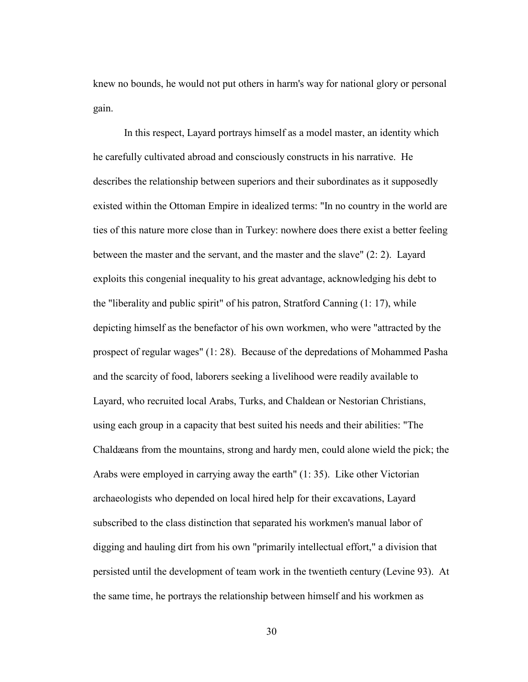knew no bounds, he would not put others in harm's way for national glory or personal gain.

 In this respect, Layard portrays himself as a model master, an identity which he carefully cultivated abroad and consciously constructs in his narrative. He describes the relationship between superiors and their subordinates as it supposedly existed within the Ottoman Empire in idealized terms: "In no country in the world are ties of this nature more close than in Turkey: nowhere does there exist a better feeling between the master and the servant, and the master and the slave" (2: 2). Layard exploits this congenial inequality to his great advantage, acknowledging his debt to the "liberality and public spirit" of his patron, Stratford Canning (1: 17), while depicting himself as the benefactor of his own workmen, who were "attracted by the prospect of regular wages" (1: 28). Because of the depredations of Mohammed Pasha and the scarcity of food, laborers seeking a livelihood were readily available to Layard, who recruited local Arabs, Turks, and Chaldean or Nestorian Christians, using each group in a capacity that best suited his needs and their abilities: "The Chaldæans from the mountains, strong and hardy men, could alone wield the pick; the Arabs were employed in carrying away the earth" (1: 35). Like other Victorian archaeologists who depended on local hired help for their excavations, Layard subscribed to the class distinction that separated his workmen's manual labor of digging and hauling dirt from his own "primarily intellectual effort," a division that persisted until the development of team work in the twentieth century (Levine 93). At the same time, he portrays the relationship between himself and his workmen as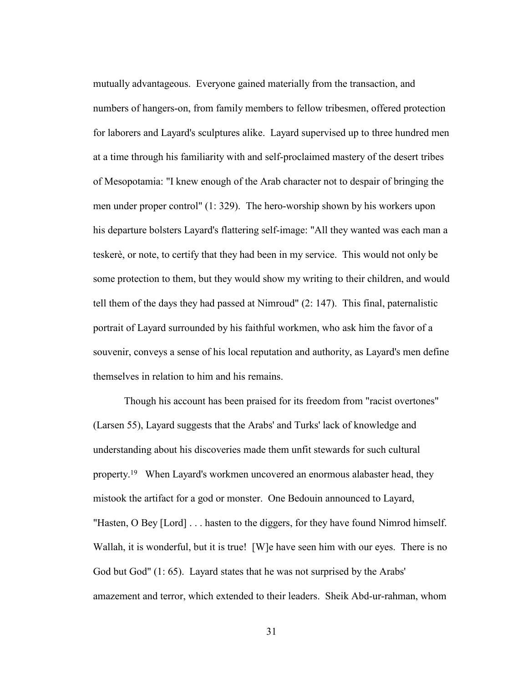mutually advantageous. Everyone gained materially from the transaction, and numbers of hangers-on, from family members to fellow tribesmen, offered protection for laborers and Layard's sculptures alike. Layard supervised up to three hundred men at a time through his familiarity with and self-proclaimed mastery of the desert tribes of Mesopotamia: "I knew enough of the Arab character not to despair of bringing the men under proper control" (1: 329). The hero-worship shown by his workers upon his departure bolsters Layard's flattering self-image: "All they wanted was each man a teskerè, or note, to certify that they had been in my service. This would not only be some protection to them, but they would show my writing to their children, and would tell them of the days they had passed at Nimroud" (2: 147). This final, paternalistic portrait of Layard surrounded by his faithful workmen, who ask him the favor of a souvenir, conveys a sense of his local reputation and authority, as Layard's men define themselves in relation to him and his remains.

 Though his account has been praised for its freedom from "racist overtones" (Larsen 55), Layard suggests that the Arabs' and Turks' lack of knowledge and understanding about his discoveries made them unfit stewards for such cultural property.19 When Layard's workmen uncovered an enormous alabaster head, they mistook the artifact for a god or monster. One Bedouin announced to Layard, "Hasten, O Bey [Lord] . . . hasten to the diggers, for they have found Nimrod himself. Wallah, it is wonderful, but it is true! [W]e have seen him with our eyes. There is no God but God" (1: 65). Layard states that he was not surprised by the Arabs' amazement and terror, which extended to their leaders. Sheik Abd-ur-rahman, whom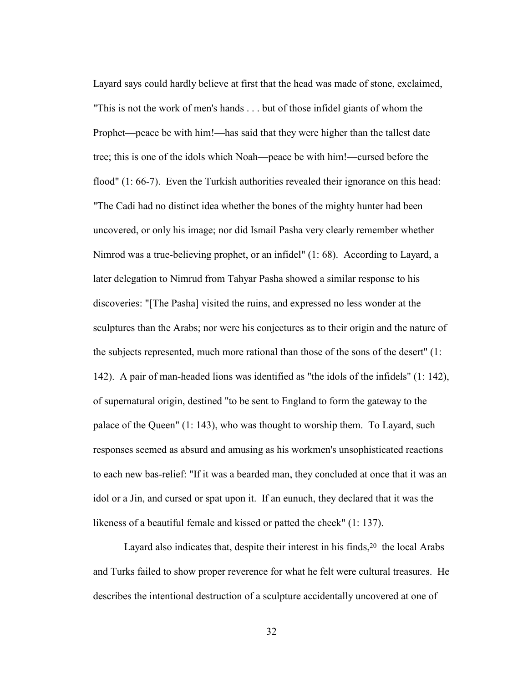Layard says could hardly believe at first that the head was made of stone, exclaimed, "This is not the work of men's hands . . . but of those infidel giants of whom the Prophet—peace be with him!—has said that they were higher than the tallest date tree; this is one of the idols which Noah—peace be with him!—cursed before the flood" (1: 66-7). Even the Turkish authorities revealed their ignorance on this head: "The Cadi had no distinct idea whether the bones of the mighty hunter had been uncovered, or only his image; nor did Ismail Pasha very clearly remember whether Nimrod was a true-believing prophet, or an infidel" (1: 68). According to Layard, a later delegation to Nimrud from Tahyar Pasha showed a similar response to his discoveries: "[The Pasha] visited the ruins, and expressed no less wonder at the sculptures than the Arabs; nor were his conjectures as to their origin and the nature of the subjects represented, much more rational than those of the sons of the desert" (1: 142). A pair of man-headed lions was identified as "the idols of the infidels" (1: 142), of supernatural origin, destined "to be sent to England to form the gateway to the palace of the Queen" (1: 143), who was thought to worship them. To Layard, such responses seemed as absurd and amusing as his workmen's unsophisticated reactions to each new bas-relief: "If it was a bearded man, they concluded at once that it was an idol or a Jin, and cursed or spat upon it. If an eunuch, they declared that it was the likeness of a beautiful female and kissed or patted the cheek" (1: 137).

Layard also indicates that, despite their interest in his finds,<sup>20</sup> the local Arabs and Turks failed to show proper reverence for what he felt were cultural treasures. He describes the intentional destruction of a sculpture accidentally uncovered at one of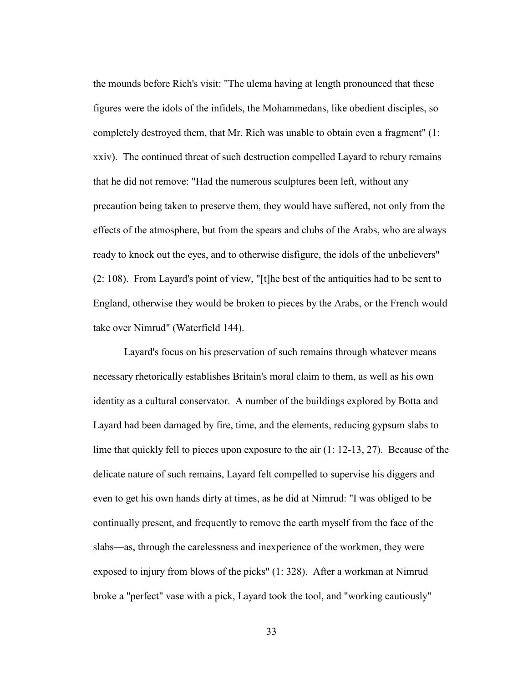the mounds before Rich's visit: "The ulema having at length pronounced that these figures were the idols of the infidels, the Mohammedans, like obedient disciples, so completely destroyed them, that Mr. Rich was unable to obtain even a fragment" (1: xxiv). The continued threat of such destruction compelled Layard to rebury remains that he did not remove: "Had the numerous sculptures been left, without any precaution being taken to preserve them, they would have suffered, not only from the effects of the atmosphere, but from the spears and clubs of the Arabs, who are always ready to knock out the eyes, and to otherwise disfigure, the idols of the unbelievers" (2: 108). From Layard's point of view, "[t]he best of the antiquities had to be sent to England, otherwise they would be broken to pieces by the Arabs, or the French would take over Nimrud" (Waterfield 144).

 Layard's focus on his preservation of such remains through whatever means necessary rhetorically establishes Britain's moral claim to them, as well as his own identity as a cultural conservator. A number of the buildings explored by Botta and Layard had been damaged by fire, time, and the elements, reducing gypsum slabs to lime that quickly fell to pieces upon exposure to the air (1: 12-13, 27). Because of the delicate nature of such remains, Layard felt compelled to supervise his diggers and even to get his own hands dirty at times, as he did at Nimrud: "I was obliged to be continually present, and frequently to remove the earth myself from the face of the slabs—as, through the carelessness and inexperience of the workmen, they were exposed to injury from blows of the picks" (1: 328). After a workman at Nimrud broke a "perfect" vase with a pick, Layard took the tool, and "working cautiously"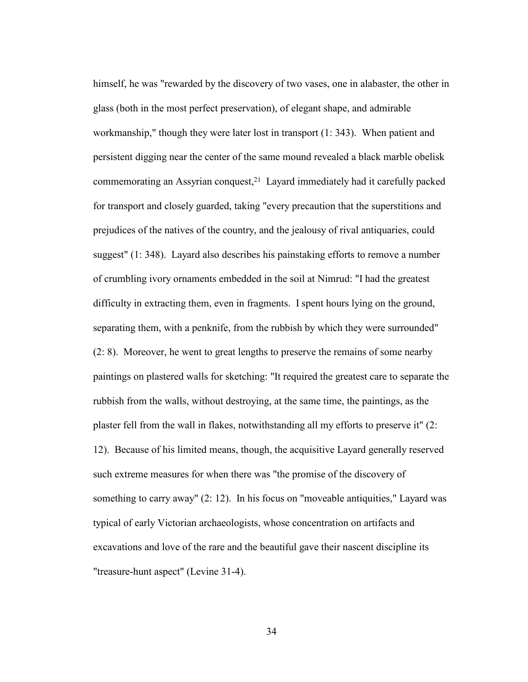himself, he was "rewarded by the discovery of two vases, one in alabaster, the other in glass (both in the most perfect preservation), of elegant shape, and admirable workmanship," though they were later lost in transport (1: 343). When patient and persistent digging near the center of the same mound revealed a black marble obelisk commemorating an Assyrian conquest,21 Layard immediately had it carefully packed for transport and closely guarded, taking "every precaution that the superstitions and prejudices of the natives of the country, and the jealousy of rival antiquaries, could suggest" (1: 348). Layard also describes his painstaking efforts to remove a number of crumbling ivory ornaments embedded in the soil at Nimrud: "I had the greatest difficulty in extracting them, even in fragments. I spent hours lying on the ground, separating them, with a penknife, from the rubbish by which they were surrounded" (2: 8). Moreover, he went to great lengths to preserve the remains of some nearby paintings on plastered walls for sketching: "It required the greatest care to separate the rubbish from the walls, without destroying, at the same time, the paintings, as the plaster fell from the wall in flakes, notwithstanding all my efforts to preserve it" (2: 12). Because of his limited means, though, the acquisitive Layard generally reserved such extreme measures for when there was "the promise of the discovery of something to carry away" (2: 12). In his focus on "moveable antiquities," Layard was typical of early Victorian archaeologists, whose concentration on artifacts and excavations and love of the rare and the beautiful gave their nascent discipline its "treasure-hunt aspect" (Levine 31-4).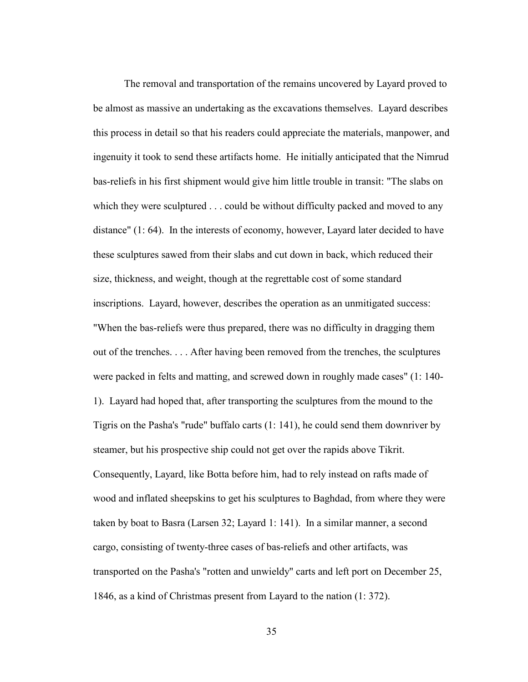The removal and transportation of the remains uncovered by Layard proved to be almost as massive an undertaking as the excavations themselves. Layard describes this process in detail so that his readers could appreciate the materials, manpower, and ingenuity it took to send these artifacts home. He initially anticipated that the Nimrud bas-reliefs in his first shipment would give him little trouble in transit: "The slabs on which they were sculptured . . . could be without difficulty packed and moved to any distance" (1: 64). In the interests of economy, however, Layard later decided to have these sculptures sawed from their slabs and cut down in back, which reduced their size, thickness, and weight, though at the regrettable cost of some standard inscriptions. Layard, however, describes the operation as an unmitigated success: "When the bas-reliefs were thus prepared, there was no difficulty in dragging them out of the trenches. . . . After having been removed from the trenches, the sculptures were packed in felts and matting, and screwed down in roughly made cases" (1: 140- 1). Layard had hoped that, after transporting the sculptures from the mound to the Tigris on the Pasha's "rude" buffalo carts (1: 141), he could send them downriver by steamer, but his prospective ship could not get over the rapids above Tikrit. Consequently, Layard, like Botta before him, had to rely instead on rafts made of wood and inflated sheepskins to get his sculptures to Baghdad, from where they were taken by boat to Basra (Larsen 32; Layard 1: 141). In a similar manner, a second cargo, consisting of twenty-three cases of bas-reliefs and other artifacts, was transported on the Pasha's "rotten and unwieldy" carts and left port on December 25, 1846, as a kind of Christmas present from Layard to the nation (1: 372).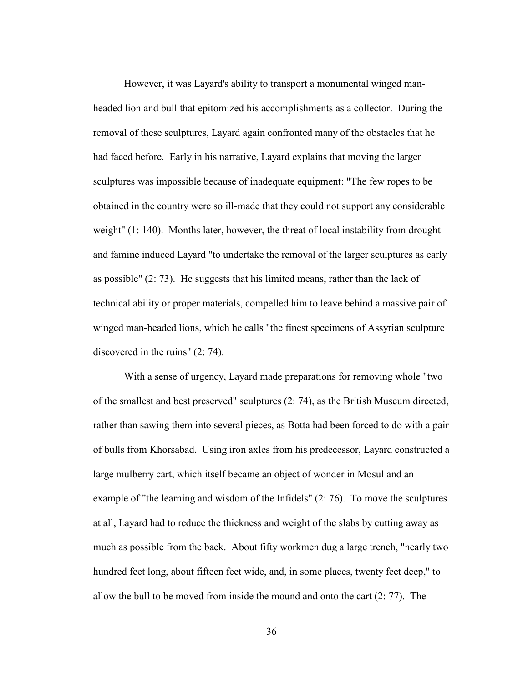However, it was Layard's ability to transport a monumental winged manheaded lion and bull that epitomized his accomplishments as a collector. During the removal of these sculptures, Layard again confronted many of the obstacles that he had faced before. Early in his narrative, Layard explains that moving the larger sculptures was impossible because of inadequate equipment: "The few ropes to be obtained in the country were so ill-made that they could not support any considerable weight" (1: 140). Months later, however, the threat of local instability from drought and famine induced Layard "to undertake the removal of the larger sculptures as early as possible" (2: 73). He suggests that his limited means, rather than the lack of technical ability or proper materials, compelled him to leave behind a massive pair of winged man-headed lions, which he calls "the finest specimens of Assyrian sculpture discovered in the ruins" (2: 74).

With a sense of urgency, Layard made preparations for removing whole "two of the smallest and best preserved" sculptures (2: 74), as the British Museum directed, rather than sawing them into several pieces, as Botta had been forced to do with a pair of bulls from Khorsabad. Using iron axles from his predecessor, Layard constructed a large mulberry cart, which itself became an object of wonder in Mosul and an example of "the learning and wisdom of the Infidels" (2: 76). To move the sculptures at all, Layard had to reduce the thickness and weight of the slabs by cutting away as much as possible from the back. About fifty workmen dug a large trench, "nearly two hundred feet long, about fifteen feet wide, and, in some places, twenty feet deep," to allow the bull to be moved from inside the mound and onto the cart (2: 77). The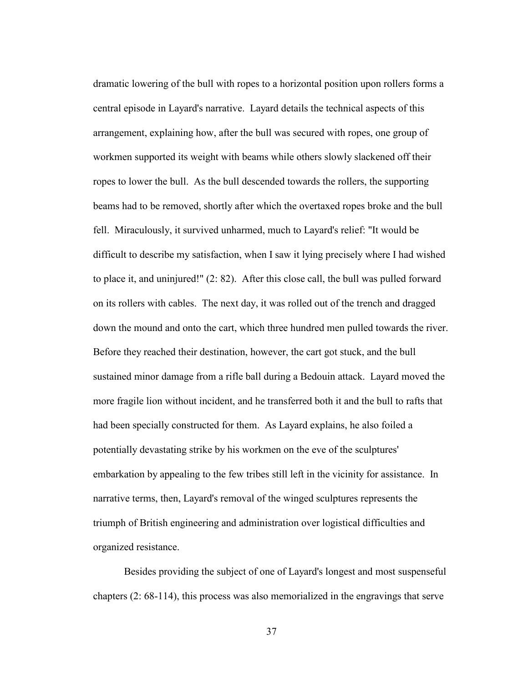dramatic lowering of the bull with ropes to a horizontal position upon rollers forms a central episode in Layard's narrative. Layard details the technical aspects of this arrangement, explaining how, after the bull was secured with ropes, one group of workmen supported its weight with beams while others slowly slackened off their ropes to lower the bull. As the bull descended towards the rollers, the supporting beams had to be removed, shortly after which the overtaxed ropes broke and the bull fell. Miraculously, it survived unharmed, much to Layard's relief: "It would be difficult to describe my satisfaction, when I saw it lying precisely where I had wished to place it, and uninjured!" (2: 82). After this close call, the bull was pulled forward on its rollers with cables. The next day, it was rolled out of the trench and dragged down the mound and onto the cart, which three hundred men pulled towards the river. Before they reached their destination, however, the cart got stuck, and the bull sustained minor damage from a rifle ball during a Bedouin attack. Layard moved the more fragile lion without incident, and he transferred both it and the bull to rafts that had been specially constructed for them. As Layard explains, he also foiled a potentially devastating strike by his workmen on the eve of the sculptures' embarkation by appealing to the few tribes still left in the vicinity for assistance. In narrative terms, then, Layard's removal of the winged sculptures represents the triumph of British engineering and administration over logistical difficulties and organized resistance.

 Besides providing the subject of one of Layard's longest and most suspenseful chapters (2: 68-114), this process was also memorialized in the engravings that serve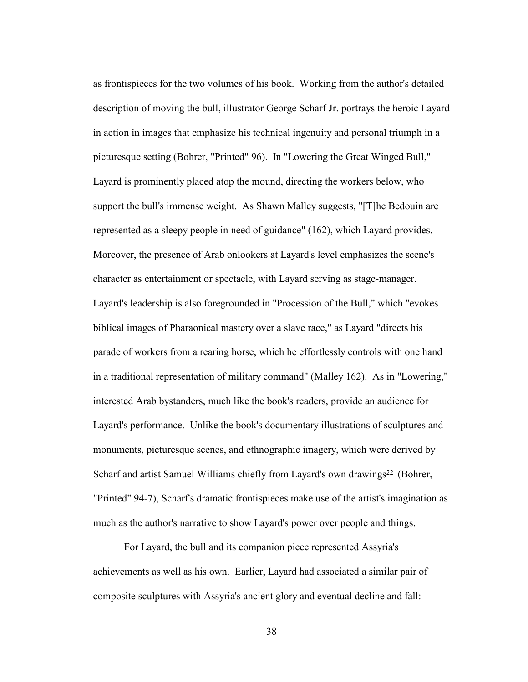as frontispieces for the two volumes of his book. Working from the author's detailed description of moving the bull, illustrator George Scharf Jr. portrays the heroic Layard in action in images that emphasize his technical ingenuity and personal triumph in a picturesque setting (Bohrer, "Printed" 96). In "Lowering the Great Winged Bull," Layard is prominently placed atop the mound, directing the workers below, who support the bull's immense weight. As Shawn Malley suggests, "[T]he Bedouin are represented as a sleepy people in need of guidance" (162), which Layard provides. Moreover, the presence of Arab onlookers at Layard's level emphasizes the scene's character as entertainment or spectacle, with Layard serving as stage-manager. Layard's leadership is also foregrounded in "Procession of the Bull," which "evokes biblical images of Pharaonical mastery over a slave race," as Layard "directs his parade of workers from a rearing horse, which he effortlessly controls with one hand in a traditional representation of military command" (Malley 162). As in "Lowering," interested Arab bystanders, much like the book's readers, provide an audience for Layard's performance. Unlike the book's documentary illustrations of sculptures and monuments, picturesque scenes, and ethnographic imagery, which were derived by Scharf and artist Samuel Williams chiefly from Layard's own drawings<sup>22</sup> (Bohrer, "Printed" 94-7), Scharf's dramatic frontispieces make use of the artist's imagination as much as the author's narrative to show Layard's power over people and things.

For Layard, the bull and its companion piece represented Assyria's achievements as well as his own. Earlier, Layard had associated a similar pair of composite sculptures with Assyria's ancient glory and eventual decline and fall: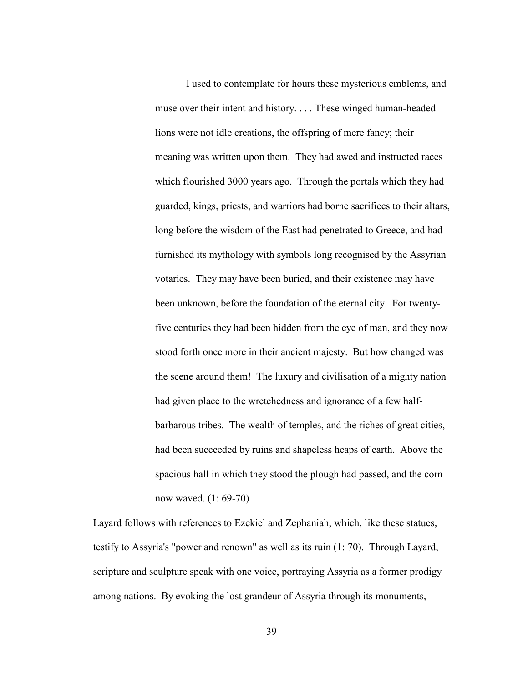I used to contemplate for hours these mysterious emblems, and muse over their intent and history. . . . These winged human-headed lions were not idle creations, the offspring of mere fancy; their meaning was written upon them. They had awed and instructed races which flourished 3000 years ago. Through the portals which they had guarded, kings, priests, and warriors had borne sacrifices to their altars, long before the wisdom of the East had penetrated to Greece, and had furnished its mythology with symbols long recognised by the Assyrian votaries. They may have been buried, and their existence may have been unknown, before the foundation of the eternal city. For twentyfive centuries they had been hidden from the eye of man, and they now stood forth once more in their ancient majesty. But how changed was the scene around them! The luxury and civilisation of a mighty nation had given place to the wretchedness and ignorance of a few halfbarbarous tribes. The wealth of temples, and the riches of great cities, had been succeeded by ruins and shapeless heaps of earth. Above the spacious hall in which they stood the plough had passed, and the corn now waved. (1: 69-70)

Layard follows with references to Ezekiel and Zephaniah, which, like these statues, testify to Assyria's "power and renown" as well as its ruin (1: 70). Through Layard, scripture and sculpture speak with one voice, portraying Assyria as a former prodigy among nations. By evoking the lost grandeur of Assyria through its monuments,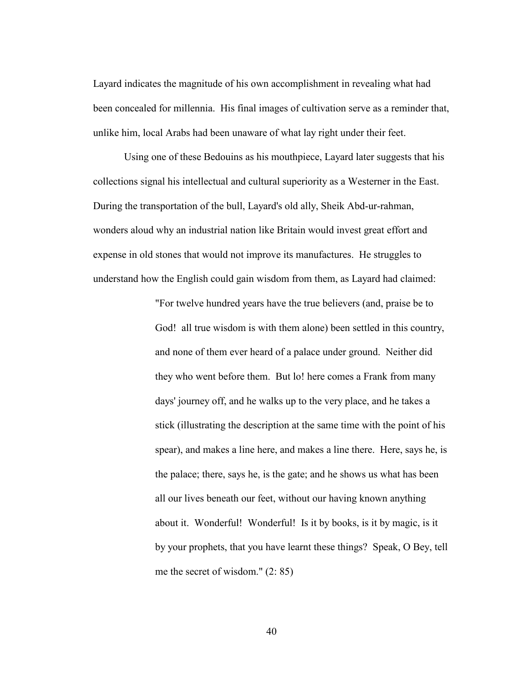Layard indicates the magnitude of his own accomplishment in revealing what had been concealed for millennia. His final images of cultivation serve as a reminder that, unlike him, local Arabs had been unaware of what lay right under their feet.

 Using one of these Bedouins as his mouthpiece, Layard later suggests that his collections signal his intellectual and cultural superiority as a Westerner in the East. During the transportation of the bull, Layard's old ally, Sheik Abd-ur-rahman, wonders aloud why an industrial nation like Britain would invest great effort and expense in old stones that would not improve its manufactures. He struggles to understand how the English could gain wisdom from them, as Layard had claimed:

> "For twelve hundred years have the true believers (and, praise be to God! all true wisdom is with them alone) been settled in this country, and none of them ever heard of a palace under ground. Neither did they who went before them. But lo! here comes a Frank from many days' journey off, and he walks up to the very place, and he takes a stick (illustrating the description at the same time with the point of his spear), and makes a line here, and makes a line there. Here, says he, is the palace; there, says he, is the gate; and he shows us what has been all our lives beneath our feet, without our having known anything about it. Wonderful! Wonderful! Is it by books, is it by magic, is it by your prophets, that you have learnt these things? Speak, O Bey, tell me the secret of wisdom." (2: 85)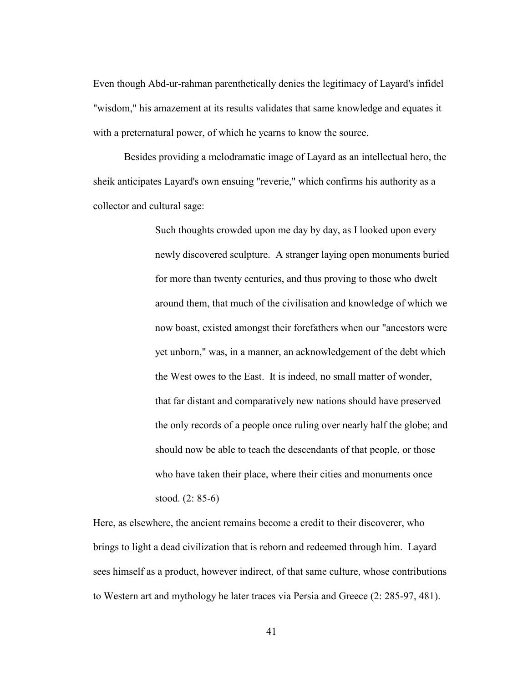Even though Abd-ur-rahman parenthetically denies the legitimacy of Layard's infidel "wisdom," his amazement at its results validates that same knowledge and equates it with a preternatural power, of which he yearns to know the source.

 Besides providing a melodramatic image of Layard as an intellectual hero, the sheik anticipates Layard's own ensuing "reverie," which confirms his authority as a collector and cultural sage:

> Such thoughts crowded upon me day by day, as I looked upon every newly discovered sculpture. A stranger laying open monuments buried for more than twenty centuries, and thus proving to those who dwelt around them, that much of the civilisation and knowledge of which we now boast, existed amongst their forefathers when our "ancestors were yet unborn," was, in a manner, an acknowledgement of the debt which the West owes to the East. It is indeed, no small matter of wonder, that far distant and comparatively new nations should have preserved the only records of a people once ruling over nearly half the globe; and should now be able to teach the descendants of that people, or those who have taken their place, where their cities and monuments once stood. (2: 85-6)

Here, as elsewhere, the ancient remains become a credit to their discoverer, who brings to light a dead civilization that is reborn and redeemed through him. Layard sees himself as a product, however indirect, of that same culture, whose contributions to Western art and mythology he later traces via Persia and Greece (2: 285-97, 481).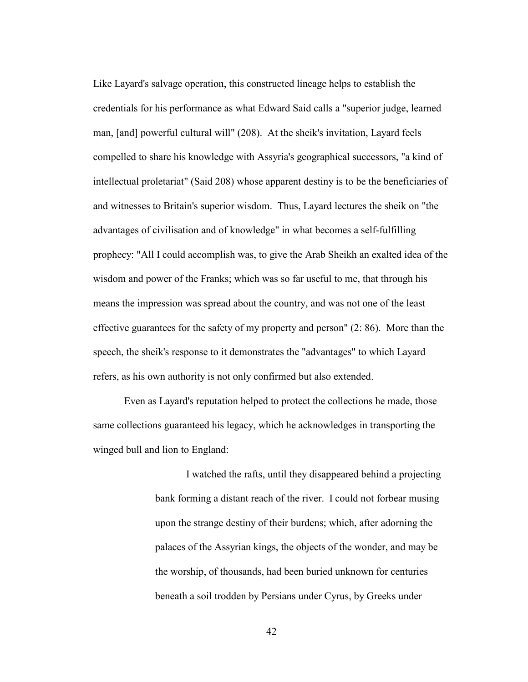Like Layard's salvage operation, this constructed lineage helps to establish the credentials for his performance as what Edward Said calls a "superior judge, learned man, [and] powerful cultural will" (208). At the sheik's invitation, Layard feels compelled to share his knowledge with Assyria's geographical successors, "a kind of intellectual proletariat" (Said 208) whose apparent destiny is to be the beneficiaries of and witnesses to Britain's superior wisdom. Thus, Layard lectures the sheik on "the advantages of civilisation and of knowledge" in what becomes a self-fulfilling prophecy: "All I could accomplish was, to give the Arab Sheikh an exalted idea of the wisdom and power of the Franks; which was so far useful to me, that through his means the impression was spread about the country, and was not one of the least effective guarantees for the safety of my property and person" (2: 86). More than the speech, the sheik's response to it demonstrates the "advantages" to which Layard refers, as his own authority is not only confirmed but also extended.

 Even as Layard's reputation helped to protect the collections he made, those same collections guaranteed his legacy, which he acknowledges in transporting the winged bull and lion to England:

> I watched the rafts, until they disappeared behind a projecting bank forming a distant reach of the river. I could not forbear musing upon the strange destiny of their burdens; which, after adorning the palaces of the Assyrian kings, the objects of the wonder, and may be the worship, of thousands, had been buried unknown for centuries beneath a soil trodden by Persians under Cyrus, by Greeks under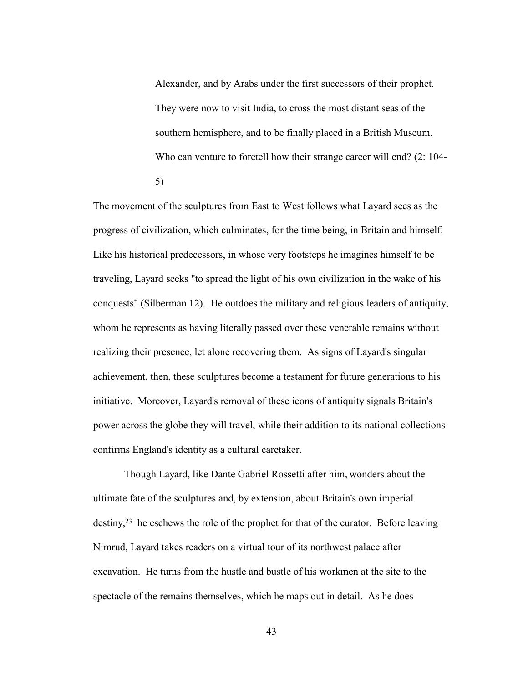Alexander, and by Arabs under the first successors of their prophet. They were now to visit India, to cross the most distant seas of the southern hemisphere, and to be finally placed in a British Museum. Who can venture to foretell how their strange career will end? (2: 104-5)

The movement of the sculptures from East to West follows what Layard sees as the progress of civilization, which culminates, for the time being, in Britain and himself. Like his historical predecessors, in whose very footsteps he imagines himself to be traveling, Layard seeks "to spread the light of his own civilization in the wake of his conquests" (Silberman 12). He outdoes the military and religious leaders of antiquity, whom he represents as having literally passed over these venerable remains without realizing their presence, let alone recovering them. As signs of Layard's singular achievement, then, these sculptures become a testament for future generations to his initiative. Moreover, Layard's removal of these icons of antiquity signals Britain's power across the globe they will travel, while their addition to its national collections confirms England's identity as a cultural caretaker.

 Though Layard, like Dante Gabriel Rossetti after him, wonders about the ultimate fate of the sculptures and, by extension, about Britain's own imperial destiny,23 he eschews the role of the prophet for that of the curator. Before leaving Nimrud, Layard takes readers on a virtual tour of its northwest palace after excavation. He turns from the hustle and bustle of his workmen at the site to the spectacle of the remains themselves, which he maps out in detail. As he does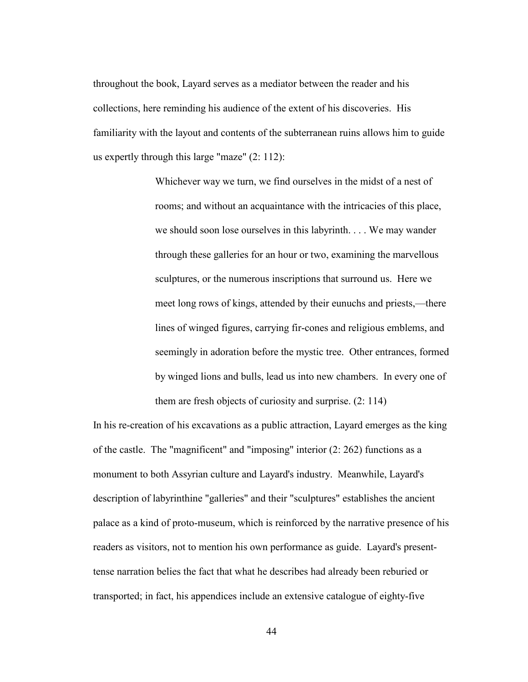throughout the book, Layard serves as a mediator between the reader and his collections, here reminding his audience of the extent of his discoveries. His familiarity with the layout and contents of the subterranean ruins allows him to guide us expertly through this large "maze" (2: 112):

> Whichever way we turn, we find ourselves in the midst of a nest of rooms; and without an acquaintance with the intricacies of this place, we should soon lose ourselves in this labyrinth. . . . We may wander through these galleries for an hour or two, examining the marvellous sculptures, or the numerous inscriptions that surround us. Here we meet long rows of kings, attended by their eunuchs and priests,—there lines of winged figures, carrying fir-cones and religious emblems, and seemingly in adoration before the mystic tree. Other entrances, formed by winged lions and bulls, lead us into new chambers. In every one of them are fresh objects of curiosity and surprise. (2: 114)

In his re-creation of his excavations as a public attraction, Layard emerges as the king of the castle. The "magnificent" and "imposing" interior (2: 262) functions as a monument to both Assyrian culture and Layard's industry. Meanwhile, Layard's description of labyrinthine "galleries" and their "sculptures" establishes the ancient palace as a kind of proto-museum, which is reinforced by the narrative presence of his readers as visitors, not to mention his own performance as guide. Layard's presenttense narration belies the fact that what he describes had already been reburied or transported; in fact, his appendices include an extensive catalogue of eighty-five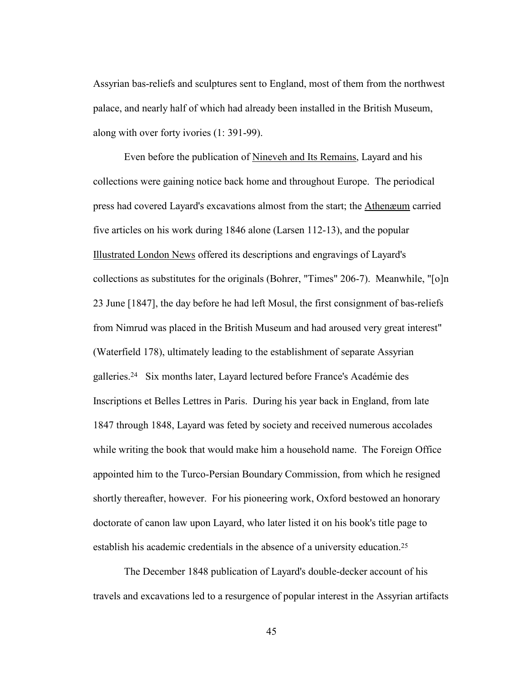Assyrian bas-reliefs and sculptures sent to England, most of them from the northwest palace, and nearly half of which had already been installed in the British Museum, along with over forty ivories (1: 391-99).

 Even before the publication of Nineveh and Its Remains, Layard and his collections were gaining notice back home and throughout Europe. The periodical press had covered Layard's excavations almost from the start; the Athenæum carried five articles on his work during 1846 alone (Larsen 112-13), and the popular Illustrated London News offered its descriptions and engravings of Layard's collections as substitutes for the originals (Bohrer, "Times" 206-7). Meanwhile, "[o]n 23 June [1847], the day before he had left Mosul, the first consignment of bas-reliefs from Nimrud was placed in the British Museum and had aroused very great interest" (Waterfield 178), ultimately leading to the establishment of separate Assyrian galleries.24 Six months later, Layard lectured before France's Académie des Inscriptions et Belles Lettres in Paris. During his year back in England, from late 1847 through 1848, Layard was feted by society and received numerous accolades while writing the book that would make him a household name. The Foreign Office appointed him to the Turco-Persian Boundary Commission, from which he resigned shortly thereafter, however. For his pioneering work, Oxford bestowed an honorary doctorate of canon law upon Layard, who later listed it on his book's title page to establish his academic credentials in the absence of a university education.25

The December 1848 publication of Layard's double-decker account of his travels and excavations led to a resurgence of popular interest in the Assyrian artifacts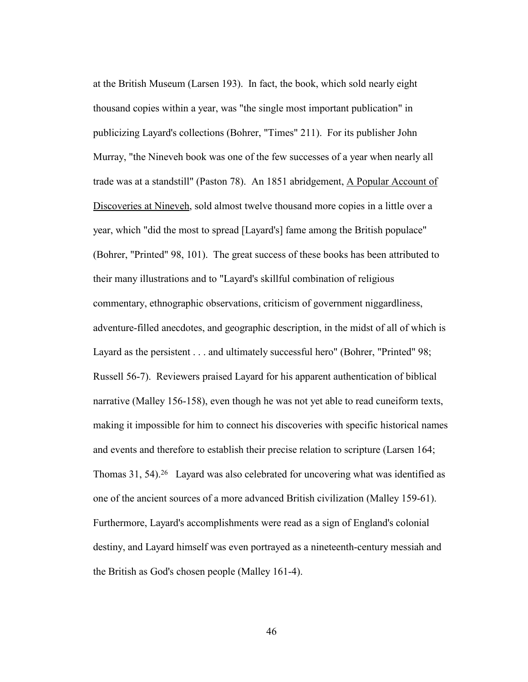at the British Museum (Larsen 193). In fact, the book, which sold nearly eight thousand copies within a year, was "the single most important publication" in publicizing Layard's collections (Bohrer, "Times" 211). For its publisher John Murray, "the Nineveh book was one of the few successes of a year when nearly all trade was at a standstill" (Paston 78). An 1851 abridgement, A Popular Account of Discoveries at Nineveh, sold almost twelve thousand more copies in a little over a year, which "did the most to spread [Layard's] fame among the British populace" (Bohrer, "Printed" 98, 101). The great success of these books has been attributed to their many illustrations and to "Layard's skillful combination of religious commentary, ethnographic observations, criticism of government niggardliness, adventure-filled anecdotes, and geographic description, in the midst of all of which is Layard as the persistent . . . and ultimately successful hero" (Bohrer, "Printed" 98; Russell 56-7). Reviewers praised Layard for his apparent authentication of biblical narrative (Malley 156-158), even though he was not yet able to read cuneiform texts, making it impossible for him to connect his discoveries with specific historical names and events and therefore to establish their precise relation to scripture (Larsen 164; Thomas 31, 54).26 Layard was also celebrated for uncovering what was identified as one of the ancient sources of a more advanced British civilization (Malley 159-61). Furthermore, Layard's accomplishments were read as a sign of England's colonial destiny, and Layard himself was even portrayed as a nineteenth-century messiah and the British as God's chosen people (Malley 161-4).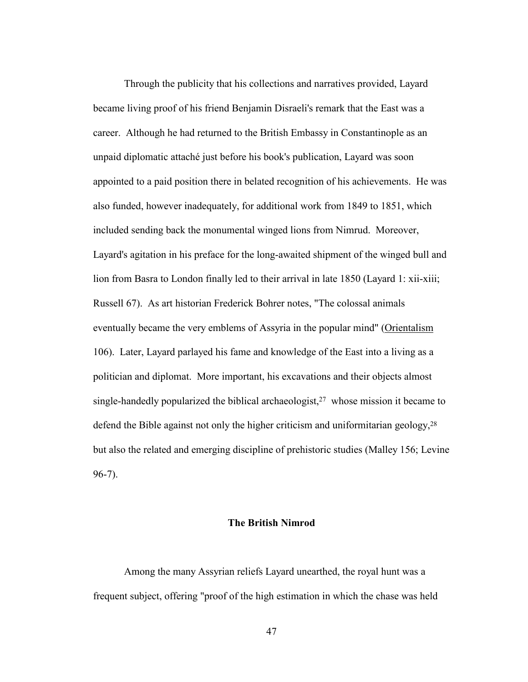Through the publicity that his collections and narratives provided, Layard became living proof of his friend Benjamin Disraeli's remark that the East was a career. Although he had returned to the British Embassy in Constantinople as an unpaid diplomatic attaché just before his book's publication, Layard was soon appointed to a paid position there in belated recognition of his achievements. He was also funded, however inadequately, for additional work from 1849 to 1851, which included sending back the monumental winged lions from Nimrud. Moreover, Layard's agitation in his preface for the long-awaited shipment of the winged bull and lion from Basra to London finally led to their arrival in late 1850 (Layard 1: xii-xiii; Russell 67). As art historian Frederick Bohrer notes, "The colossal animals eventually became the very emblems of Assyria in the popular mind" (Orientalism 106). Later, Layard parlayed his fame and knowledge of the East into a living as a politician and diplomat. More important, his excavations and their objects almost single-handedly popularized the biblical archaeologist,<sup>27</sup> whose mission it became to defend the Bible against not only the higher criticism and uniformitarian geology,  $2^8$ but also the related and emerging discipline of prehistoric studies (Malley 156; Levine 96-7).

## **The British Nimrod**

Among the many Assyrian reliefs Layard unearthed, the royal hunt was a frequent subject, offering "proof of the high estimation in which the chase was held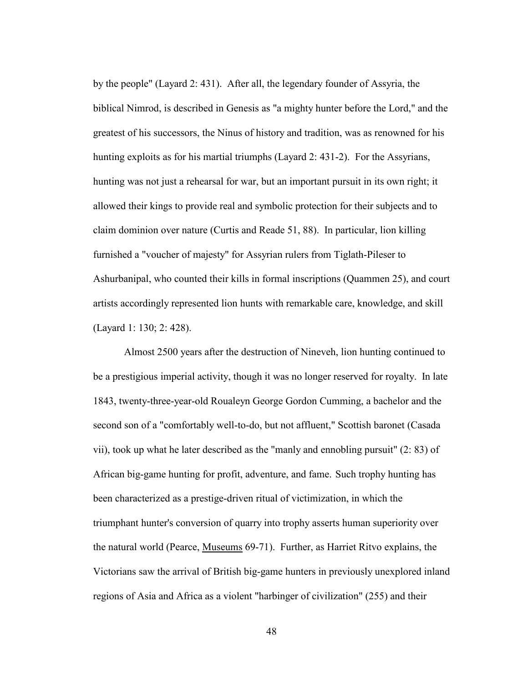by the people" (Layard 2: 431). After all, the legendary founder of Assyria, the biblical Nimrod, is described in Genesis as "a mighty hunter before the Lord," and the greatest of his successors, the Ninus of history and tradition, was as renowned for his hunting exploits as for his martial triumphs (Layard 2: 431-2). For the Assyrians, hunting was not just a rehearsal for war, but an important pursuit in its own right; it allowed their kings to provide real and symbolic protection for their subjects and to claim dominion over nature (Curtis and Reade 51, 88). In particular, lion killing furnished a "voucher of majesty" for Assyrian rulers from Tiglath-Pileser to Ashurbanipal, who counted their kills in formal inscriptions (Quammen 25), and court artists accordingly represented lion hunts with remarkable care, knowledge, and skill (Layard 1: 130; 2: 428).

 Almost 2500 years after the destruction of Nineveh, lion hunting continued to be a prestigious imperial activity, though it was no longer reserved for royalty. In late 1843, twenty-three-year-old Roualeyn George Gordon Cumming, a bachelor and the second son of a "comfortably well-to-do, but not affluent," Scottish baronet (Casada vii), took up what he later described as the "manly and ennobling pursuit" (2: 83) of African big-game hunting for profit, adventure, and fame. Such trophy hunting has been characterized as a prestige-driven ritual of victimization, in which the triumphant hunter's conversion of quarry into trophy asserts human superiority over the natural world (Pearce, Museums 69-71). Further, as Harriet Ritvo explains, the Victorians saw the arrival of British big-game hunters in previously unexplored inland regions of Asia and Africa as a violent "harbinger of civilization" (255) and their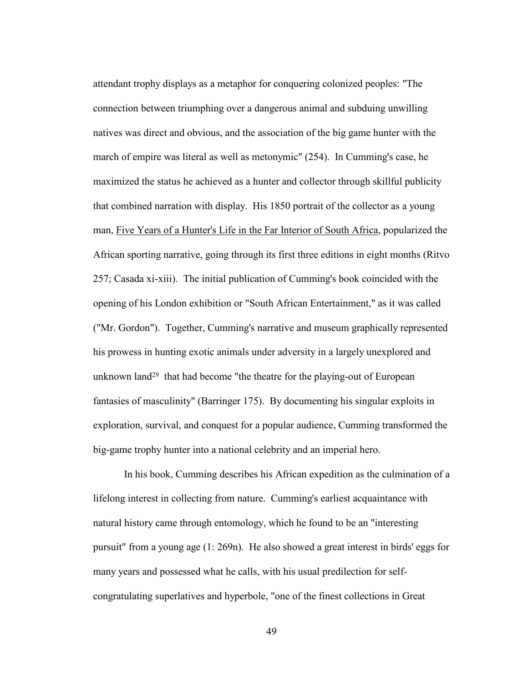attendant trophy displays as a metaphor for conquering colonized peoples: "The connection between triumphing over a dangerous animal and subduing unwilling natives was direct and obvious, and the association of the big game hunter with the march of empire was literal as well as metonymic" (254). In Cumming's case, he maximized the status he achieved as a hunter and collector through skillful publicity that combined narration with display. His 1850 portrait of the collector as a young man, Five Years of a Hunter's Life in the Far Interior of South Africa, popularized the African sporting narrative, going through its first three editions in eight months (Ritvo 257; Casada xi-xiii). The initial publication of Cumming's book coincided with the opening of his London exhibition or "South African Entertainment," as it was called ("Mr. Gordon"). Together, Cumming's narrative and museum graphically represented his prowess in hunting exotic animals under adversity in a largely unexplored and unknown land<sup>29</sup> that had become "the theatre for the playing-out of European fantasies of masculinity" (Barringer 175). By documenting his singular exploits in exploration, survival, and conquest for a popular audience, Cumming transformed the big-game trophy hunter into a national celebrity and an imperial hero.

 In his book, Cumming describes his African expedition as the culmination of a lifelong interest in collecting from nature. Cumming's earliest acquaintance with natural history came through entomology, which he found to be an "interesting pursuit" from a young age (1: 269n). He also showed a great interest in birds' eggs for many years and possessed what he calls, with his usual predilection for selfcongratulating superlatives and hyperbole, "one of the finest collections in Great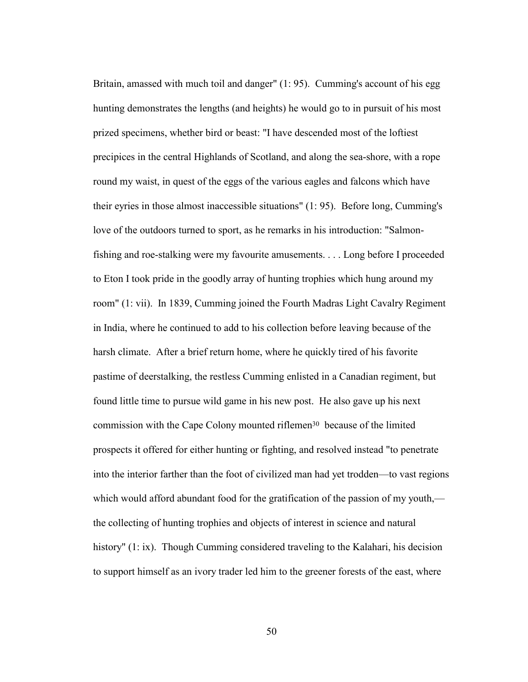Britain, amassed with much toil and danger" (1: 95). Cumming's account of his egg hunting demonstrates the lengths (and heights) he would go to in pursuit of his most prized specimens, whether bird or beast: "I have descended most of the loftiest precipices in the central Highlands of Scotland, and along the sea-shore, with a rope round my waist, in quest of the eggs of the various eagles and falcons which have their eyries in those almost inaccessible situations" (1: 95). Before long, Cumming's love of the outdoors turned to sport, as he remarks in his introduction: "Salmonfishing and roe-stalking were my favourite amusements. . . . Long before I proceeded to Eton I took pride in the goodly array of hunting trophies which hung around my room" (1: vii). In 1839, Cumming joined the Fourth Madras Light Cavalry Regiment in India, where he continued to add to his collection before leaving because of the harsh climate. After a brief return home, where he quickly tired of his favorite pastime of deerstalking, the restless Cumming enlisted in a Canadian regiment, but found little time to pursue wild game in his new post. He also gave up his next commission with the Cape Colony mounted riflemen30 because of the limited prospects it offered for either hunting or fighting, and resolved instead "to penetrate into the interior farther than the foot of civilized man had yet trodden—to vast regions which would afford abundant food for the gratification of the passion of my youth, the collecting of hunting trophies and objects of interest in science and natural history" (1: ix). Though Cumming considered traveling to the Kalahari, his decision to support himself as an ivory trader led him to the greener forests of the east, where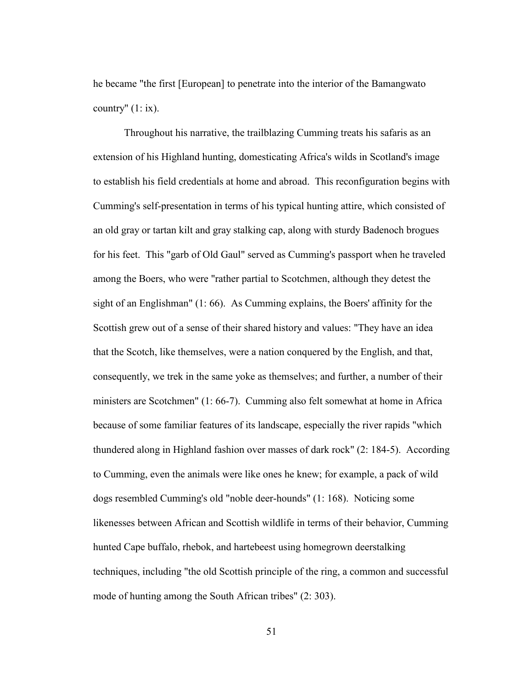he became "the first [European] to penetrate into the interior of the Bamangwato country"  $(1: ix)$ .

 Throughout his narrative, the trailblazing Cumming treats his safaris as an extension of his Highland hunting, domesticating Africa's wilds in Scotland's image to establish his field credentials at home and abroad. This reconfiguration begins with Cumming's self-presentation in terms of his typical hunting attire, which consisted of an old gray or tartan kilt and gray stalking cap, along with sturdy Badenoch brogues for his feet. This "garb of Old Gaul" served as Cumming's passport when he traveled among the Boers, who were "rather partial to Scotchmen, although they detest the sight of an Englishman" (1: 66). As Cumming explains, the Boers' affinity for the Scottish grew out of a sense of their shared history and values: "They have an idea that the Scotch, like themselves, were a nation conquered by the English, and that, consequently, we trek in the same yoke as themselves; and further, a number of their ministers are Scotchmen" (1: 66-7). Cumming also felt somewhat at home in Africa because of some familiar features of its landscape, especially the river rapids "which thundered along in Highland fashion over masses of dark rock" (2: 184-5). According to Cumming, even the animals were like ones he knew; for example, a pack of wild dogs resembled Cumming's old "noble deer-hounds" (1: 168). Noticing some likenesses between African and Scottish wildlife in terms of their behavior, Cumming hunted Cape buffalo, rhebok, and hartebeest using homegrown deerstalking techniques, including "the old Scottish principle of the ring, a common and successful mode of hunting among the South African tribes" (2: 303).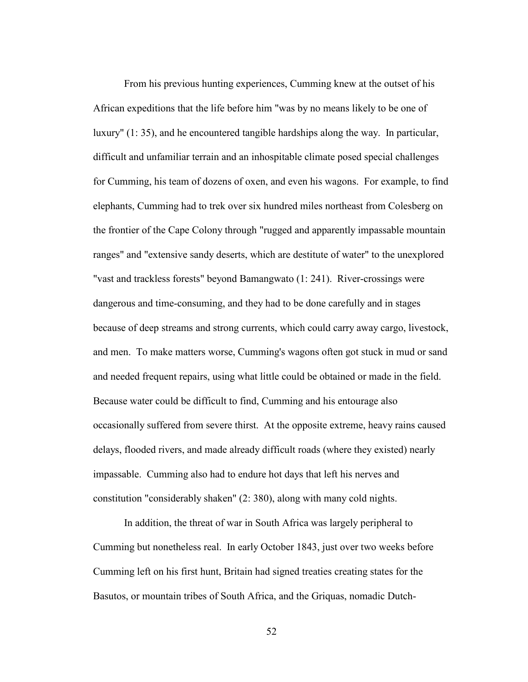From his previous hunting experiences, Cumming knew at the outset of his African expeditions that the life before him "was by no means likely to be one of luxury" (1: 35), and he encountered tangible hardships along the way. In particular, difficult and unfamiliar terrain and an inhospitable climate posed special challenges for Cumming, his team of dozens of oxen, and even his wagons. For example, to find elephants, Cumming had to trek over six hundred miles northeast from Colesberg on the frontier of the Cape Colony through "rugged and apparently impassable mountain ranges" and "extensive sandy deserts, which are destitute of water" to the unexplored "vast and trackless forests" beyond Bamangwato (1: 241). River-crossings were dangerous and time-consuming, and they had to be done carefully and in stages because of deep streams and strong currents, which could carry away cargo, livestock, and men. To make matters worse, Cumming's wagons often got stuck in mud or sand and needed frequent repairs, using what little could be obtained or made in the field. Because water could be difficult to find, Cumming and his entourage also occasionally suffered from severe thirst. At the opposite extreme, heavy rains caused delays, flooded rivers, and made already difficult roads (where they existed) nearly impassable. Cumming also had to endure hot days that left his nerves and constitution "considerably shaken" (2: 380), along with many cold nights.

 In addition, the threat of war in South Africa was largely peripheral to Cumming but nonetheless real. In early October 1843, just over two weeks before Cumming left on his first hunt, Britain had signed treaties creating states for the Basutos, or mountain tribes of South Africa, and the Griquas, nomadic Dutch-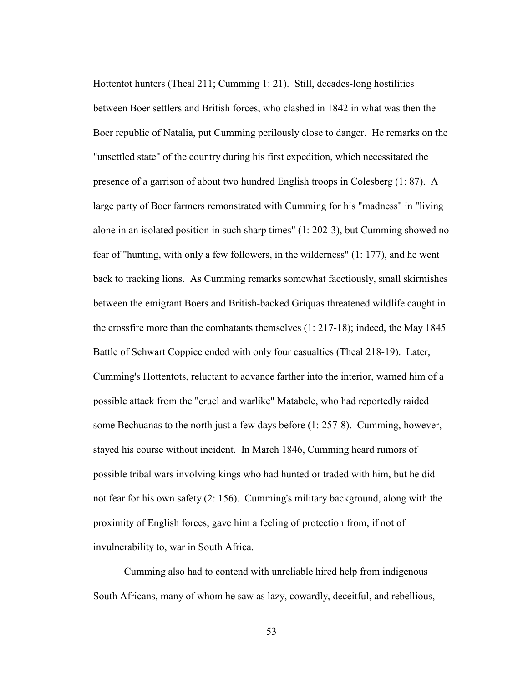Hottentot hunters (Theal 211; Cumming 1: 21). Still, decades-long hostilities between Boer settlers and British forces, who clashed in 1842 in what was then the Boer republic of Natalia, put Cumming perilously close to danger. He remarks on the "unsettled state" of the country during his first expedition, which necessitated the presence of a garrison of about two hundred English troops in Colesberg (1: 87). A large party of Boer farmers remonstrated with Cumming for his "madness" in "living alone in an isolated position in such sharp times" (1: 202-3), but Cumming showed no fear of "hunting, with only a few followers, in the wilderness" (1: 177), and he went back to tracking lions. As Cumming remarks somewhat facetiously, small skirmishes between the emigrant Boers and British-backed Griquas threatened wildlife caught in the crossfire more than the combatants themselves (1: 217-18); indeed, the May 1845 Battle of Schwart Coppice ended with only four casualties (Theal 218-19). Later, Cumming's Hottentots, reluctant to advance farther into the interior, warned him of a possible attack from the "cruel and warlike" Matabele, who had reportedly raided some Bechuanas to the north just a few days before (1: 257-8). Cumming, however, stayed his course without incident. In March 1846, Cumming heard rumors of possible tribal wars involving kings who had hunted or traded with him, but he did not fear for his own safety (2: 156). Cumming's military background, along with the proximity of English forces, gave him a feeling of protection from, if not of invulnerability to, war in South Africa.

 Cumming also had to contend with unreliable hired help from indigenous South Africans, many of whom he saw as lazy, cowardly, deceitful, and rebellious,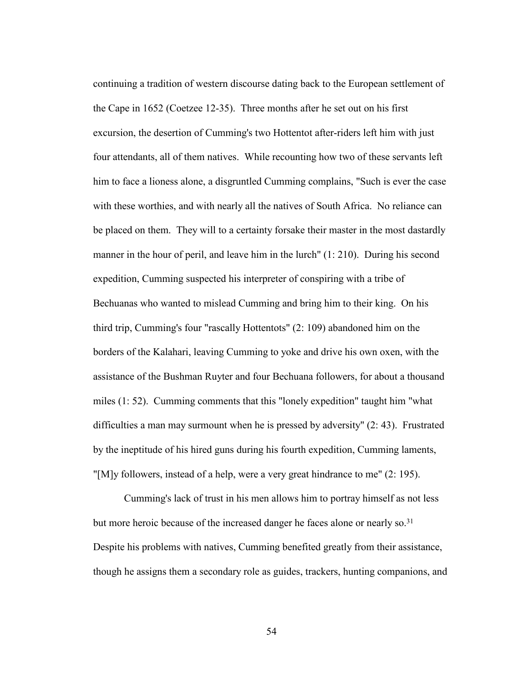continuing a tradition of western discourse dating back to the European settlement of the Cape in 1652 (Coetzee 12-35). Three months after he set out on his first excursion, the desertion of Cumming's two Hottentot after-riders left him with just four attendants, all of them natives. While recounting how two of these servants left him to face a lioness alone, a disgruntled Cumming complains, "Such is ever the case with these worthies, and with nearly all the natives of South Africa. No reliance can be placed on them. They will to a certainty forsake their master in the most dastardly manner in the hour of peril, and leave him in the lurch" (1: 210). During his second expedition, Cumming suspected his interpreter of conspiring with a tribe of Bechuanas who wanted to mislead Cumming and bring him to their king. On his third trip, Cumming's four "rascally Hottentots" (2: 109) abandoned him on the borders of the Kalahari, leaving Cumming to yoke and drive his own oxen, with the assistance of the Bushman Ruyter and four Bechuana followers, for about a thousand miles (1: 52). Cumming comments that this "lonely expedition" taught him "what difficulties a man may surmount when he is pressed by adversity" (2: 43). Frustrated by the ineptitude of his hired guns during his fourth expedition, Cumming laments, "[M]y followers, instead of a help, were a very great hindrance to me" (2: 195).

 Cumming's lack of trust in his men allows him to portray himself as not less but more heroic because of the increased danger he faces alone or nearly so.<sup>31</sup> Despite his problems with natives, Cumming benefited greatly from their assistance, though he assigns them a secondary role as guides, trackers, hunting companions, and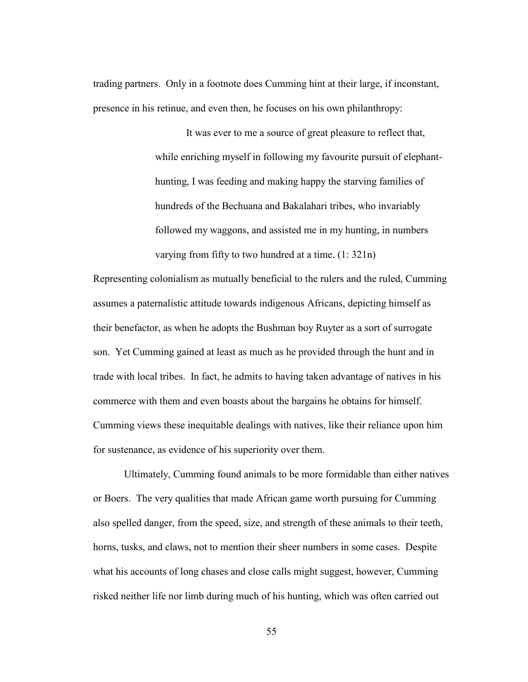trading partners. Only in a footnote does Cumming hint at their large, if inconstant, presence in his retinue, and even then, he focuses on his own philanthropy:

> It was ever to me a source of great pleasure to reflect that, while enriching myself in following my favourite pursuit of elephanthunting, I was feeding and making happy the starving families of hundreds of the Bechuana and Bakalahari tribes, who invariably followed my waggons, and assisted me in my hunting, in numbers varying from fifty to two hundred at a time. (1: 321n)

Representing colonialism as mutually beneficial to the rulers and the ruled, Cumming assumes a paternalistic attitude towards indigenous Africans, depicting himself as their benefactor, as when he adopts the Bushman boy Ruyter as a sort of surrogate son. Yet Cumming gained at least as much as he provided through the hunt and in trade with local tribes. In fact, he admits to having taken advantage of natives in his commerce with them and even boasts about the bargains he obtains for himself. Cumming views these inequitable dealings with natives, like their reliance upon him for sustenance, as evidence of his superiority over them.

 Ultimately, Cumming found animals to be more formidable than either natives or Boers. The very qualities that made African game worth pursuing for Cumming also spelled danger, from the speed, size, and strength of these animals to their teeth, horns, tusks, and claws, not to mention their sheer numbers in some cases. Despite what his accounts of long chases and close calls might suggest, however, Cumming risked neither life nor limb during much of his hunting, which was often carried out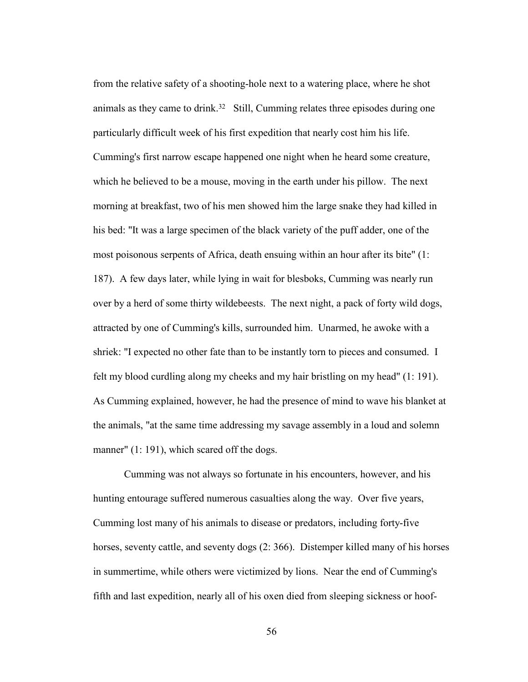from the relative safety of a shooting-hole next to a watering place, where he shot animals as they came to drink.32 Still, Cumming relates three episodes during one particularly difficult week of his first expedition that nearly cost him his life. Cumming's first narrow escape happened one night when he heard some creature, which he believed to be a mouse, moving in the earth under his pillow. The next morning at breakfast, two of his men showed him the large snake they had killed in his bed: "It was a large specimen of the black variety of the puff adder, one of the most poisonous serpents of Africa, death ensuing within an hour after its bite" (1: 187). A few days later, while lying in wait for blesboks, Cumming was nearly run over by a herd of some thirty wildebeests. The next night, a pack of forty wild dogs, attracted by one of Cumming's kills, surrounded him. Unarmed, he awoke with a shriek: "I expected no other fate than to be instantly torn to pieces and consumed. I felt my blood curdling along my cheeks and my hair bristling on my head" (1: 191). As Cumming explained, however, he had the presence of mind to wave his blanket at the animals, "at the same time addressing my savage assembly in a loud and solemn manner" (1: 191), which scared off the dogs.

 Cumming was not always so fortunate in his encounters, however, and his hunting entourage suffered numerous casualties along the way. Over five years, Cumming lost many of his animals to disease or predators, including forty-five horses, seventy cattle, and seventy dogs (2: 366). Distemper killed many of his horses in summertime, while others were victimized by lions. Near the end of Cumming's fifth and last expedition, nearly all of his oxen died from sleeping sickness or hoof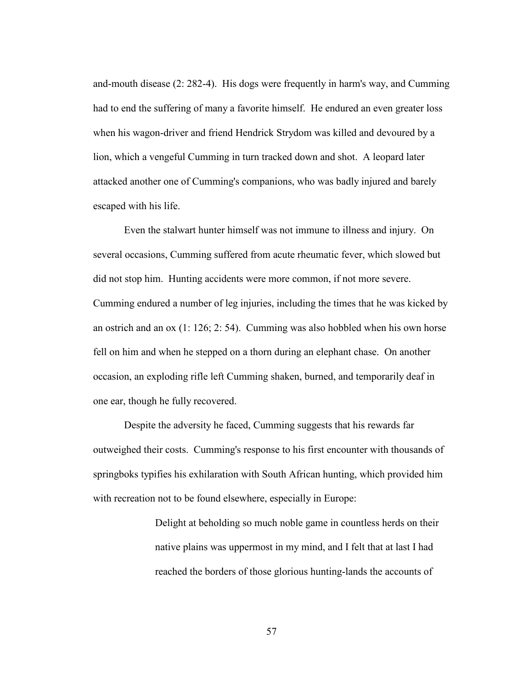and-mouth disease (2: 282-4). His dogs were frequently in harm's way, and Cumming had to end the suffering of many a favorite himself. He endured an even greater loss when his wagon-driver and friend Hendrick Strydom was killed and devoured by a lion, which a vengeful Cumming in turn tracked down and shot. A leopard later attacked another one of Cumming's companions, who was badly injured and barely escaped with his life.

 Even the stalwart hunter himself was not immune to illness and injury. On several occasions, Cumming suffered from acute rheumatic fever, which slowed but did not stop him. Hunting accidents were more common, if not more severe. Cumming endured a number of leg injuries, including the times that he was kicked by an ostrich and an ox (1: 126; 2: 54). Cumming was also hobbled when his own horse fell on him and when he stepped on a thorn during an elephant chase. On another occasion, an exploding rifle left Cumming shaken, burned, and temporarily deaf in one ear, though he fully recovered.

Despite the adversity he faced, Cumming suggests that his rewards far outweighed their costs. Cumming's response to his first encounter with thousands of springboks typifies his exhilaration with South African hunting, which provided him with recreation not to be found elsewhere, especially in Europe:

> Delight at beholding so much noble game in countless herds on their native plains was uppermost in my mind, and I felt that at last I had reached the borders of those glorious hunting-lands the accounts of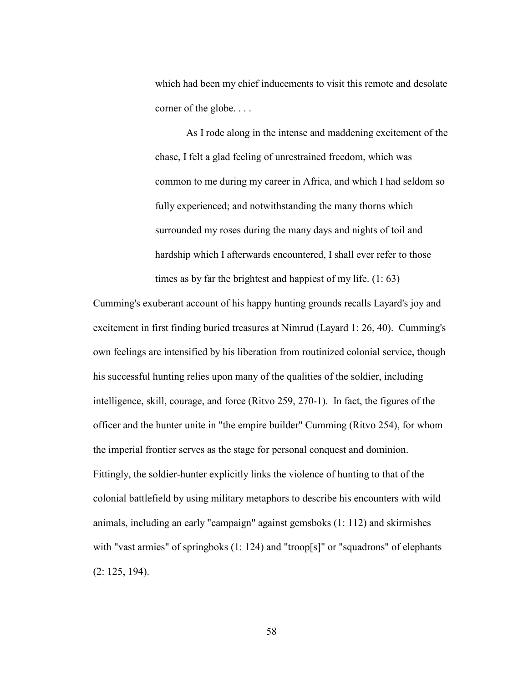which had been my chief inducements to visit this remote and desolate corner of the globe. . . .

As I rode along in the intense and maddening excitement of the chase, I felt a glad feeling of unrestrained freedom, which was common to me during my career in Africa, and which I had seldom so fully experienced; and notwithstanding the many thorns which surrounded my roses during the many days and nights of toil and hardship which I afterwards encountered, I shall ever refer to those times as by far the brightest and happiest of my life. (1: 63)

Cumming's exuberant account of his happy hunting grounds recalls Layard's joy and excitement in first finding buried treasures at Nimrud (Layard 1: 26, 40). Cumming's own feelings are intensified by his liberation from routinized colonial service, though his successful hunting relies upon many of the qualities of the soldier, including intelligence, skill, courage, and force (Ritvo 259, 270-1). In fact, the figures of the officer and the hunter unite in "the empire builder" Cumming (Ritvo 254), for whom the imperial frontier serves as the stage for personal conquest and dominion. Fittingly, the soldier-hunter explicitly links the violence of hunting to that of the colonial battlefield by using military metaphors to describe his encounters with wild animals, including an early "campaign" against gemsboks (1: 112) and skirmishes with "vast armies" of springboks (1: 124) and "troop[s]" or "squadrons" of elephants (2: 125, 194).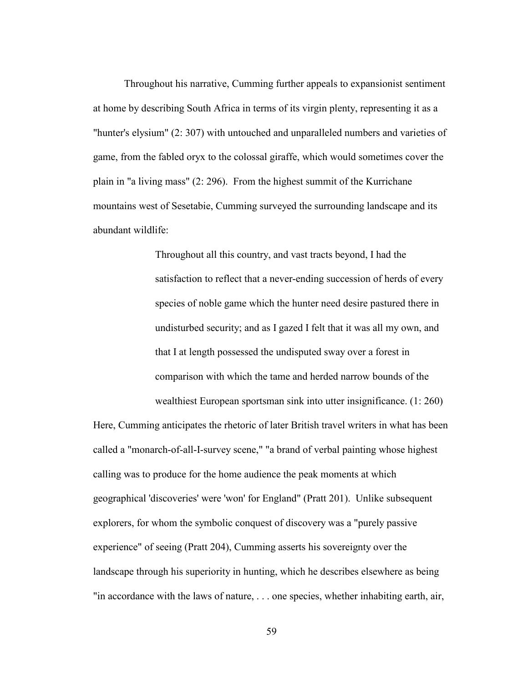Throughout his narrative, Cumming further appeals to expansionist sentiment at home by describing South Africa in terms of its virgin plenty, representing it as a "hunter's elysium" (2: 307) with untouched and unparalleled numbers and varieties of game, from the fabled oryx to the colossal giraffe, which would sometimes cover the plain in "a living mass" (2: 296). From the highest summit of the Kurrichane mountains west of Sesetabie, Cumming surveyed the surrounding landscape and its abundant wildlife:

> Throughout all this country, and vast tracts beyond, I had the satisfaction to reflect that a never-ending succession of herds of every species of noble game which the hunter need desire pastured there in undisturbed security; and as I gazed I felt that it was all my own, and that I at length possessed the undisputed sway over a forest in comparison with which the tame and herded narrow bounds of the wealthiest European sportsman sink into utter insignificance. (1: 260)

Here, Cumming anticipates the rhetoric of later British travel writers in what has been called a "monarch-of-all-I-survey scene," "a brand of verbal painting whose highest calling was to produce for the home audience the peak moments at which geographical 'discoveries' were 'won' for England" (Pratt 201). Unlike subsequent explorers, for whom the symbolic conquest of discovery was a "purely passive experience" of seeing (Pratt 204), Cumming asserts his sovereignty over the landscape through his superiority in hunting, which he describes elsewhere as being "in accordance with the laws of nature, . . . one species, whether inhabiting earth, air,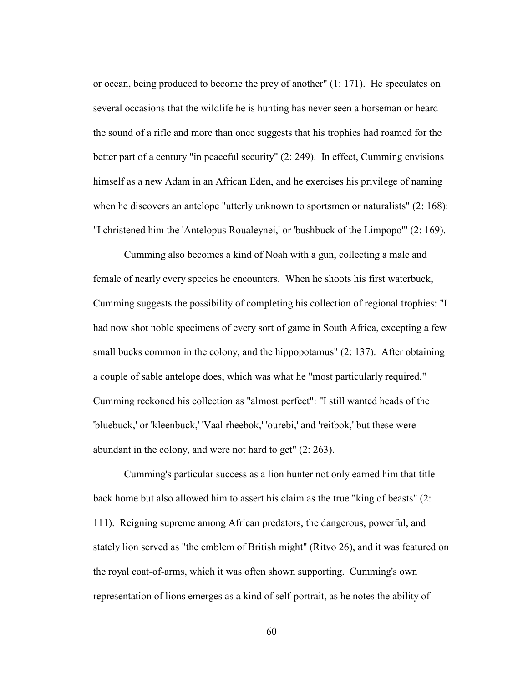or ocean, being produced to become the prey of another" (1: 171). He speculates on several occasions that the wildlife he is hunting has never seen a horseman or heard the sound of a rifle and more than once suggests that his trophies had roamed for the better part of a century "in peaceful security" (2: 249). In effect, Cumming envisions himself as a new Adam in an African Eden, and he exercises his privilege of naming when he discovers an antelope "utterly unknown to sportsmen or naturalists" (2: 168): "I christened him the 'Antelopus Roualeynei,' or 'bushbuck of the Limpopo'" (2: 169).

 Cumming also becomes a kind of Noah with a gun, collecting a male and female of nearly every species he encounters. When he shoots his first waterbuck, Cumming suggests the possibility of completing his collection of regional trophies: "I had now shot noble specimens of every sort of game in South Africa, excepting a few small bucks common in the colony, and the hippopotamus" (2: 137). After obtaining a couple of sable antelope does, which was what he "most particularly required," Cumming reckoned his collection as "almost perfect": "I still wanted heads of the 'bluebuck,' or 'kleenbuck,' 'Vaal rheebok,' 'ourebi,' and 'reitbok,' but these were abundant in the colony, and were not hard to get" (2: 263).

 Cumming's particular success as a lion hunter not only earned him that title back home but also allowed him to assert his claim as the true "king of beasts" (2: 111). Reigning supreme among African predators, the dangerous, powerful, and stately lion served as "the emblem of British might" (Ritvo 26), and it was featured on the royal coat-of-arms, which it was often shown supporting. Cumming's own representation of lions emerges as a kind of self-portrait, as he notes the ability of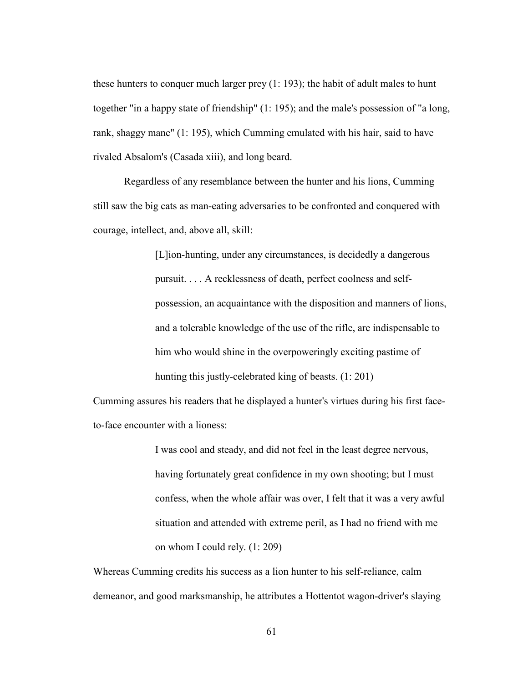these hunters to conquer much larger prey (1: 193); the habit of adult males to hunt together "in a happy state of friendship" (1: 195); and the male's possession of "a long, rank, shaggy mane" (1: 195), which Cumming emulated with his hair, said to have rivaled Absalom's (Casada xiii), and long beard.

 Regardless of any resemblance between the hunter and his lions, Cumming still saw the big cats as man-eating adversaries to be confronted and conquered with courage, intellect, and, above all, skill:

> [L]ion-hunting, under any circumstances, is decidedly a dangerous pursuit. . . . A recklessness of death, perfect coolness and selfpossession, an acquaintance with the disposition and manners of lions, and a tolerable knowledge of the use of the rifle, are indispensable to him who would shine in the overpoweringly exciting pastime of hunting this justly-celebrated king of beasts. (1: 201)

Cumming assures his readers that he displayed a hunter's virtues during his first faceto-face encounter with a lioness:

> I was cool and steady, and did not feel in the least degree nervous, having fortunately great confidence in my own shooting; but I must confess, when the whole affair was over, I felt that it was a very awful situation and attended with extreme peril, as I had no friend with me on whom I could rely. (1: 209)

Whereas Cumming credits his success as a lion hunter to his self-reliance, calm demeanor, and good marksmanship, he attributes a Hottentot wagon-driver's slaying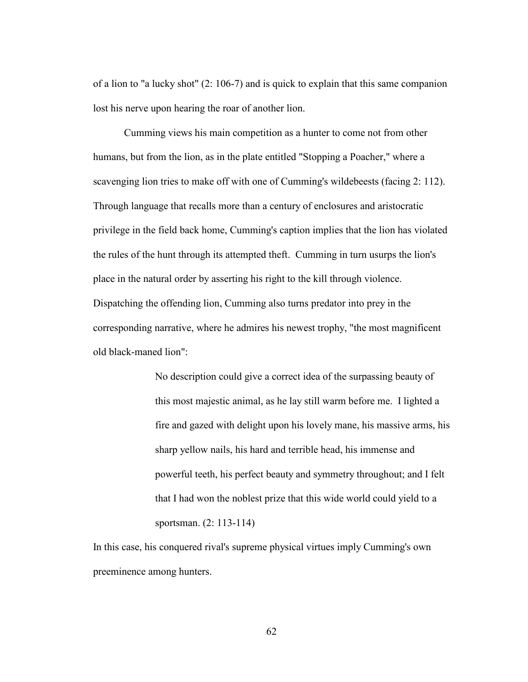of a lion to "a lucky shot" (2: 106-7) and is quick to explain that this same companion lost his nerve upon hearing the roar of another lion.

 Cumming views his main competition as a hunter to come not from other humans, but from the lion, as in the plate entitled "Stopping a Poacher," where a scavenging lion tries to make off with one of Cumming's wildebeests (facing 2: 112). Through language that recalls more than a century of enclosures and aristocratic privilege in the field back home, Cumming's caption implies that the lion has violated the rules of the hunt through its attempted theft. Cumming in turn usurps the lion's place in the natural order by asserting his right to the kill through violence. Dispatching the offending lion, Cumming also turns predator into prey in the corresponding narrative, where he admires his newest trophy, "the most magnificent old black-maned lion":

> No description could give a correct idea of the surpassing beauty of this most majestic animal, as he lay still warm before me. I lighted a fire and gazed with delight upon his lovely mane, his massive arms, his sharp yellow nails, his hard and terrible head, his immense and powerful teeth, his perfect beauty and symmetry throughout; and I felt that I had won the noblest prize that this wide world could yield to a sportsman. (2: 113-114)

In this case, his conquered rival's supreme physical virtues imply Cumming's own preeminence among hunters.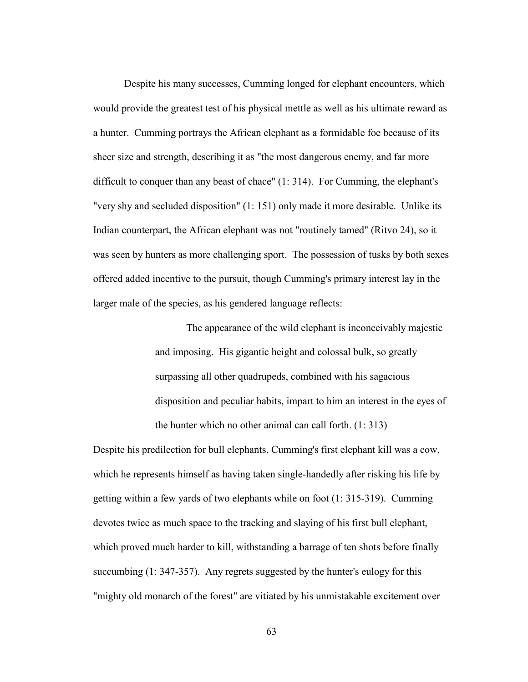Despite his many successes, Cumming longed for elephant encounters, which would provide the greatest test of his physical mettle as well as his ultimate reward as a hunter. Cumming portrays the African elephant as a formidable foe because of its sheer size and strength, describing it as "the most dangerous enemy, and far more difficult to conquer than any beast of chace" (1: 314). For Cumming, the elephant's "very shy and secluded disposition" (1: 151) only made it more desirable. Unlike its Indian counterpart, the African elephant was not "routinely tamed" (Ritvo 24), so it was seen by hunters as more challenging sport. The possession of tusks by both sexes offered added incentive to the pursuit, though Cumming's primary interest lay in the larger male of the species, as his gendered language reflects:

> The appearance of the wild elephant is inconceivably majestic and imposing. His gigantic height and colossal bulk, so greatly surpassing all other quadrupeds, combined with his sagacious disposition and peculiar habits, impart to him an interest in the eyes of the hunter which no other animal can call forth. (1: 313)

Despite his predilection for bull elephants, Cumming's first elephant kill was a cow, which he represents himself as having taken single-handedly after risking his life by getting within a few yards of two elephants while on foot (1: 315-319). Cumming devotes twice as much space to the tracking and slaying of his first bull elephant, which proved much harder to kill, withstanding a barrage of ten shots before finally succumbing (1: 347-357). Any regrets suggested by the hunter's eulogy for this "mighty old monarch of the forest" are vitiated by his unmistakable excitement over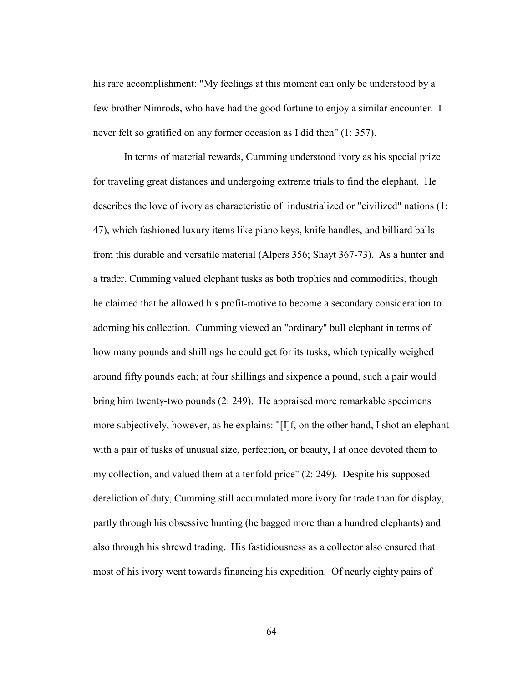his rare accomplishment: "My feelings at this moment can only be understood by a few brother Nimrods, who have had the good fortune to enjoy a similar encounter. I never felt so gratified on any former occasion as I did then" (1: 357).

 In terms of material rewards, Cumming understood ivory as his special prize for traveling great distances and undergoing extreme trials to find the elephant. He describes the love of ivory as characteristic of industrialized or "civilized" nations (1: 47), which fashioned luxury items like piano keys, knife handles, and billiard balls from this durable and versatile material (Alpers 356; Shayt 367-73). As a hunter and a trader, Cumming valued elephant tusks as both trophies and commodities, though he claimed that he allowed his profit-motive to become a secondary consideration to adorning his collection. Cumming viewed an "ordinary" bull elephant in terms of how many pounds and shillings he could get for its tusks, which typically weighed around fifty pounds each; at four shillings and sixpence a pound, such a pair would bring him twenty-two pounds (2: 249). He appraised more remarkable specimens more subjectively, however, as he explains: "[I]f, on the other hand, I shot an elephant with a pair of tusks of unusual size, perfection, or beauty, I at once devoted them to my collection, and valued them at a tenfold price" (2: 249). Despite his supposed dereliction of duty, Cumming still accumulated more ivory for trade than for display, partly through his obsessive hunting (he bagged more than a hundred elephants) and also through his shrewd trading. His fastidiousness as a collector also ensured that most of his ivory went towards financing his expedition. Of nearly eighty pairs of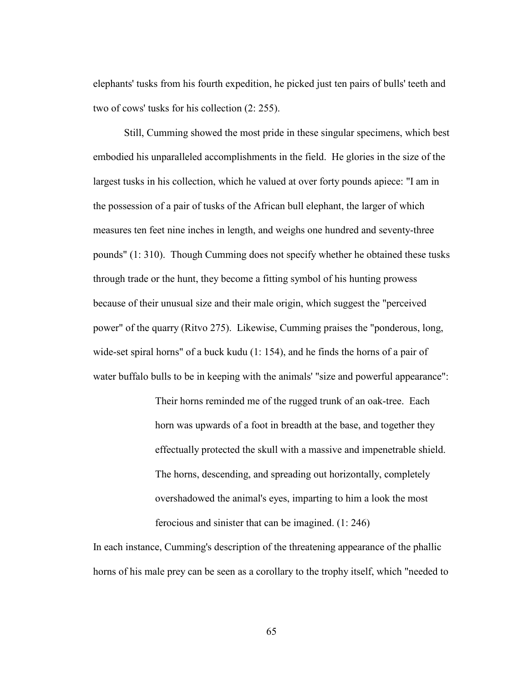elephants' tusks from his fourth expedition, he picked just ten pairs of bulls' teeth and two of cows' tusks for his collection (2: 255).

 Still, Cumming showed the most pride in these singular specimens, which best embodied his unparalleled accomplishments in the field. He glories in the size of the largest tusks in his collection, which he valued at over forty pounds apiece: "I am in the possession of a pair of tusks of the African bull elephant, the larger of which measures ten feet nine inches in length, and weighs one hundred and seventy-three pounds" (1: 310). Though Cumming does not specify whether he obtained these tusks through trade or the hunt, they become a fitting symbol of his hunting prowess because of their unusual size and their male origin, which suggest the "perceived power" of the quarry (Ritvo 275). Likewise, Cumming praises the "ponderous, long, wide-set spiral horns" of a buck kudu (1: 154), and he finds the horns of a pair of water buffalo bulls to be in keeping with the animals' "size and powerful appearance":

> Their horns reminded me of the rugged trunk of an oak-tree. Each horn was upwards of a foot in breadth at the base, and together they effectually protected the skull with a massive and impenetrable shield. The horns, descending, and spreading out horizontally, completely overshadowed the animal's eyes, imparting to him a look the most ferocious and sinister that can be imagined. (1: 246)

In each instance, Cumming's description of the threatening appearance of the phallic horns of his male prey can be seen as a corollary to the trophy itself, which "needed to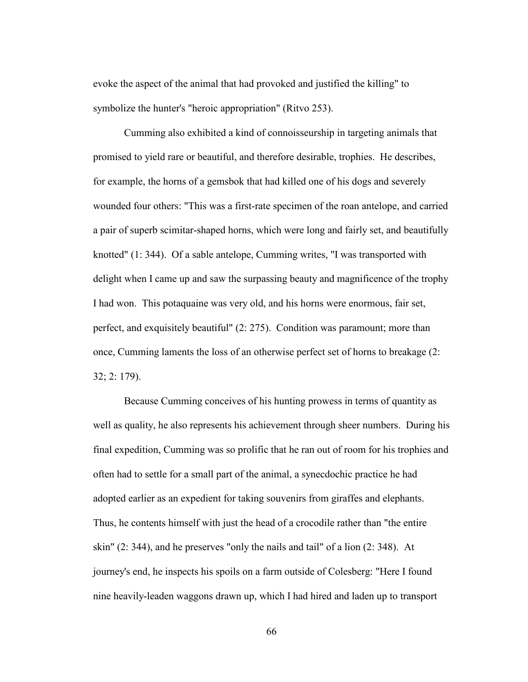evoke the aspect of the animal that had provoked and justified the killing" to symbolize the hunter's "heroic appropriation" (Ritvo 253).

 Cumming also exhibited a kind of connoisseurship in targeting animals that promised to yield rare or beautiful, and therefore desirable, trophies. He describes, for example, the horns of a gemsbok that had killed one of his dogs and severely wounded four others: "This was a first-rate specimen of the roan antelope, and carried a pair of superb scimitar-shaped horns, which were long and fairly set, and beautifully knotted" (1: 344). Of a sable antelope, Cumming writes, "I was transported with delight when I came up and saw the surpassing beauty and magnificence of the trophy I had won. This potaquaine was very old, and his horns were enormous, fair set, perfect, and exquisitely beautiful" (2: 275). Condition was paramount; more than once, Cumming laments the loss of an otherwise perfect set of horns to breakage (2: 32; 2: 179).

 Because Cumming conceives of his hunting prowess in terms of quantity as well as quality, he also represents his achievement through sheer numbers. During his final expedition, Cumming was so prolific that he ran out of room for his trophies and often had to settle for a small part of the animal, a synecdochic practice he had adopted earlier as an expedient for taking souvenirs from giraffes and elephants. Thus, he contents himself with just the head of a crocodile rather than "the entire skin" (2: 344), and he preserves "only the nails and tail" of a lion (2: 348). At journey's end, he inspects his spoils on a farm outside of Colesberg: "Here I found nine heavily-leaden waggons drawn up, which I had hired and laden up to transport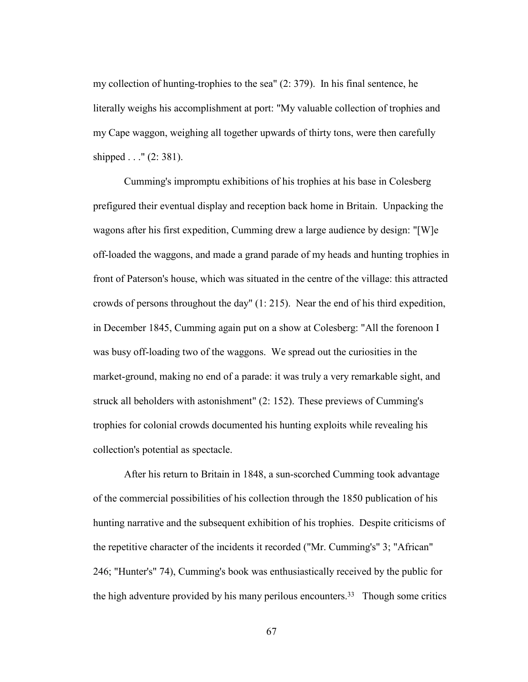my collection of hunting-trophies to the sea" (2: 379). In his final sentence, he literally weighs his accomplishment at port: "My valuable collection of trophies and my Cape waggon, weighing all together upwards of thirty tons, were then carefully shipped . . ." (2: 381).

 Cumming's impromptu exhibitions of his trophies at his base in Colesberg prefigured their eventual display and reception back home in Britain. Unpacking the wagons after his first expedition, Cumming drew a large audience by design: "[W]e off-loaded the waggons, and made a grand parade of my heads and hunting trophies in front of Paterson's house, which was situated in the centre of the village: this attracted crowds of persons throughout the day" (1: 215). Near the end of his third expedition, in December 1845, Cumming again put on a show at Colesberg: "All the forenoon I was busy off-loading two of the waggons. We spread out the curiosities in the market-ground, making no end of a parade: it was truly a very remarkable sight, and struck all beholders with astonishment" (2: 152). These previews of Cumming's trophies for colonial crowds documented his hunting exploits while revealing his collection's potential as spectacle.

 After his return to Britain in 1848, a sun-scorched Cumming took advantage of the commercial possibilities of his collection through the 1850 publication of his hunting narrative and the subsequent exhibition of his trophies. Despite criticisms of the repetitive character of the incidents it recorded ("Mr. Cumming's" 3; "African" 246; "Hunter's" 74), Cumming's book was enthusiastically received by the public for the high adventure provided by his many perilous encounters.33 Though some critics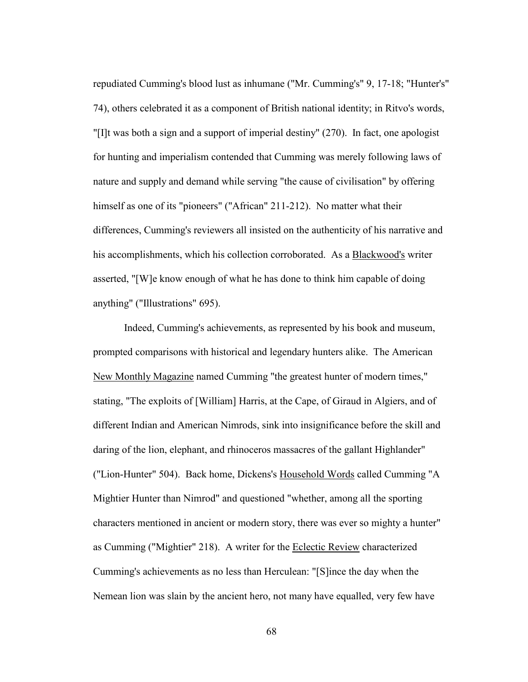repudiated Cumming's blood lust as inhumane ("Mr. Cumming's" 9, 17-18; "Hunter's" 74), others celebrated it as a component of British national identity; in Ritvo's words, "[I]t was both a sign and a support of imperial destiny" (270). In fact, one apologist for hunting and imperialism contended that Cumming was merely following laws of nature and supply and demand while serving "the cause of civilisation" by offering himself as one of its "pioneers" ("African" 211-212). No matter what their differences, Cumming's reviewers all insisted on the authenticity of his narrative and his accomplishments, which his collection corroborated. As a Blackwood's writer asserted, "[W]e know enough of what he has done to think him capable of doing anything" ("Illustrations" 695).

 Indeed, Cumming's achievements, as represented by his book and museum, prompted comparisons with historical and legendary hunters alike. The American New Monthly Magazine named Cumming "the greatest hunter of modern times," stating, "The exploits of [William] Harris, at the Cape, of Giraud in Algiers, and of different Indian and American Nimrods, sink into insignificance before the skill and daring of the lion, elephant, and rhinoceros massacres of the gallant Highlander" ("Lion-Hunter" 504). Back home, Dickens's Household Words called Cumming "A Mightier Hunter than Nimrod" and questioned "whether, among all the sporting characters mentioned in ancient or modern story, there was ever so mighty a hunter" as Cumming ("Mightier" 218). A writer for the Eclectic Review characterized Cumming's achievements as no less than Herculean: "[S]ince the day when the Nemean lion was slain by the ancient hero, not many have equalled, very few have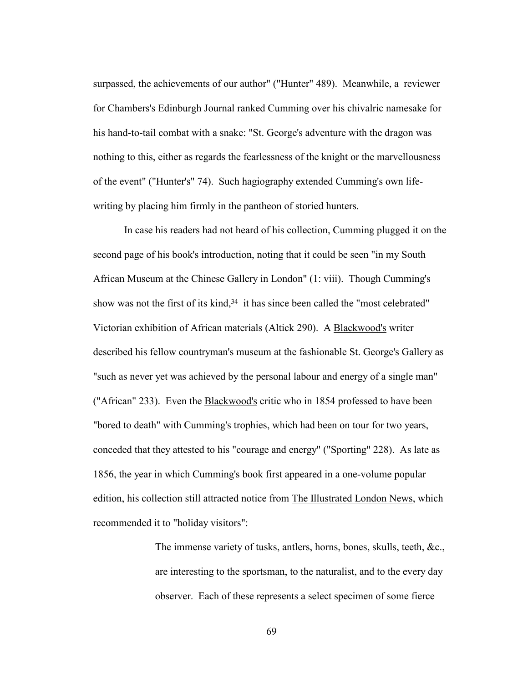surpassed, the achievements of our author" ("Hunter" 489). Meanwhile, a reviewer for Chambers's Edinburgh Journal ranked Cumming over his chivalric namesake for his hand-to-tail combat with a snake: "St. George's adventure with the dragon was nothing to this, either as regards the fearlessness of the knight or the marvellousness of the event" ("Hunter's" 74). Such hagiography extended Cumming's own lifewriting by placing him firmly in the pantheon of storied hunters.

 In case his readers had not heard of his collection, Cumming plugged it on the second page of his book's introduction, noting that it could be seen "in my South African Museum at the Chinese Gallery in London" (1: viii). Though Cumming's show was not the first of its kind,<sup>34</sup> it has since been called the "most celebrated" Victorian exhibition of African materials (Altick 290). A Blackwood's writer described his fellow countryman's museum at the fashionable St. George's Gallery as "such as never yet was achieved by the personal labour and energy of a single man" ("African" 233). Even the **Blackwood's** critic who in 1854 professed to have been "bored to death" with Cumming's trophies, which had been on tour for two years, conceded that they attested to his "courage and energy" ("Sporting" 228). As late as 1856, the year in which Cumming's book first appeared in a one-volume popular edition, his collection still attracted notice from The Illustrated London News, which recommended it to "holiday visitors":

> The immense variety of tusks, antlers, horns, bones, skulls, teeth, &c., are interesting to the sportsman, to the naturalist, and to the every day observer. Each of these represents a select specimen of some fierce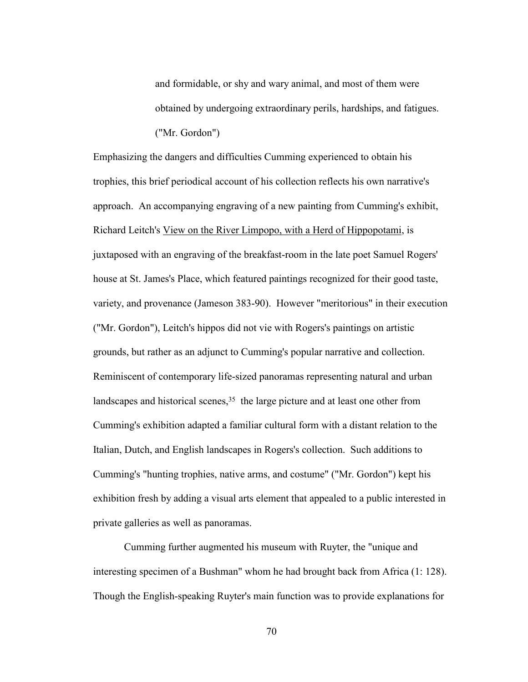and formidable, or shy and wary animal, and most of them were obtained by undergoing extraordinary perils, hardships, and fatigues. ("Mr. Gordon")

Emphasizing the dangers and difficulties Cumming experienced to obtain his trophies, this brief periodical account of his collection reflects his own narrative's approach. An accompanying engraving of a new painting from Cumming's exhibit, Richard Leitch's View on the River Limpopo, with a Herd of Hippopotami, is juxtaposed with an engraving of the breakfast-room in the late poet Samuel Rogers' house at St. James's Place, which featured paintings recognized for their good taste, variety, and provenance (Jameson 383-90). However "meritorious" in their execution ("Mr. Gordon"), Leitch's hippos did not vie with Rogers's paintings on artistic grounds, but rather as an adjunct to Cumming's popular narrative and collection. Reminiscent of contemporary life-sized panoramas representing natural and urban landscapes and historical scenes,  $35$  the large picture and at least one other from Cumming's exhibition adapted a familiar cultural form with a distant relation to the Italian, Dutch, and English landscapes in Rogers's collection. Such additions to Cumming's "hunting trophies, native arms, and costume" ("Mr. Gordon") kept his exhibition fresh by adding a visual arts element that appealed to a public interested in private galleries as well as panoramas.

 Cumming further augmented his museum with Ruyter, the "unique and interesting specimen of a Bushman" whom he had brought back from Africa (1: 128). Though the English-speaking Ruyter's main function was to provide explanations for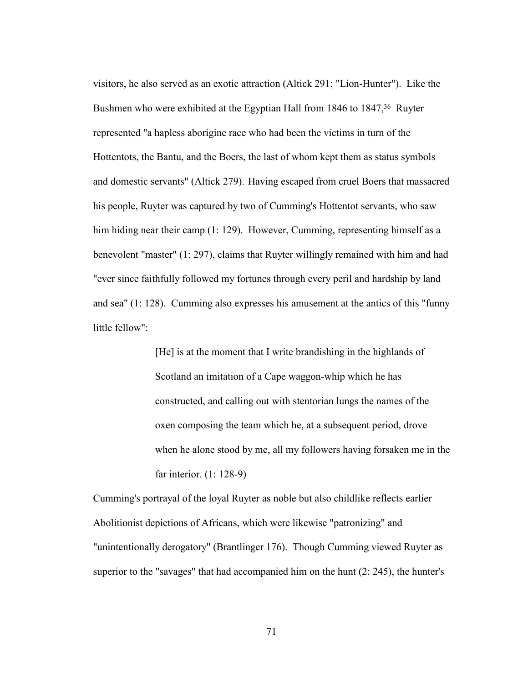visitors, he also served as an exotic attraction (Altick 291; "Lion-Hunter"). Like the Bushmen who were exhibited at the Egyptian Hall from 1846 to 1847,<sup>36</sup> Ruyter represented "a hapless aborigine race who had been the victims in turn of the Hottentots, the Bantu, and the Boers, the last of whom kept them as status symbols and domestic servants" (Altick 279). Having escaped from cruel Boers that massacred his people, Ruyter was captured by two of Cumming's Hottentot servants, who saw him hiding near their camp (1: 129). However, Cumming, representing himself as a benevolent "master" (1: 297), claims that Ruyter willingly remained with him and had "ever since faithfully followed my fortunes through every peril and hardship by land and sea" (1: 128). Cumming also expresses his amusement at the antics of this "funny little fellow":

> [He] is at the moment that I write brandishing in the highlands of Scotland an imitation of a Cape waggon-whip which he has constructed, and calling out with stentorian lungs the names of the oxen composing the team which he, at a subsequent period, drove when he alone stood by me, all my followers having forsaken me in the far interior. (1: 128-9)

Cumming's portrayal of the loyal Ruyter as noble but also childlike reflects earlier Abolitionist depictions of Africans, which were likewise "patronizing" and "unintentionally derogatory" (Brantlinger 176). Though Cumming viewed Ruyter as superior to the "savages" that had accompanied him on the hunt (2: 245), the hunter's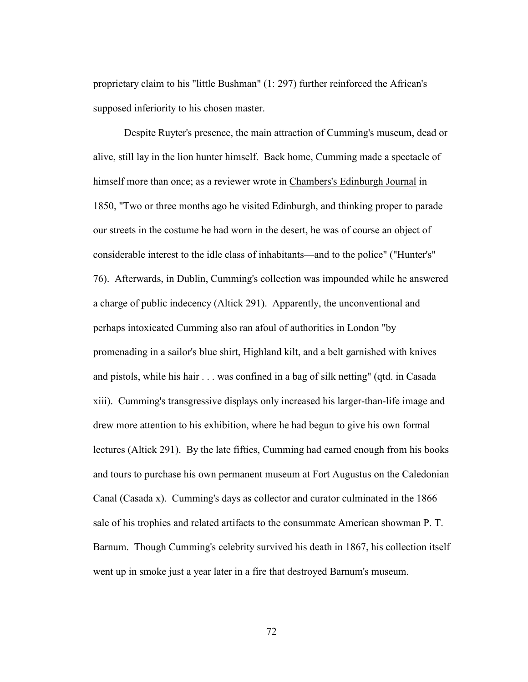proprietary claim to his "little Bushman" (1: 297) further reinforced the African's supposed inferiority to his chosen master.

 Despite Ruyter's presence, the main attraction of Cumming's museum, dead or alive, still lay in the lion hunter himself. Back home, Cumming made a spectacle of himself more than once; as a reviewer wrote in Chambers's Edinburgh Journal in 1850, "Two or three months ago he visited Edinburgh, and thinking proper to parade our streets in the costume he had worn in the desert, he was of course an object of considerable interest to the idle class of inhabitants—and to the police" ("Hunter's" 76). Afterwards, in Dublin, Cumming's collection was impounded while he answered a charge of public indecency (Altick 291). Apparently, the unconventional and perhaps intoxicated Cumming also ran afoul of authorities in London "by promenading in a sailor's blue shirt, Highland kilt, and a belt garnished with knives and pistols, while his hair . . . was confined in a bag of silk netting" (qtd. in Casada xiii). Cumming's transgressive displays only increased his larger-than-life image and drew more attention to his exhibition, where he had begun to give his own formal lectures (Altick 291). By the late fifties, Cumming had earned enough from his books and tours to purchase his own permanent museum at Fort Augustus on the Caledonian Canal (Casada x). Cumming's days as collector and curator culminated in the 1866 sale of his trophies and related artifacts to the consummate American showman P. T. Barnum. Though Cumming's celebrity survived his death in 1867, his collection itself went up in smoke just a year later in a fire that destroyed Barnum's museum.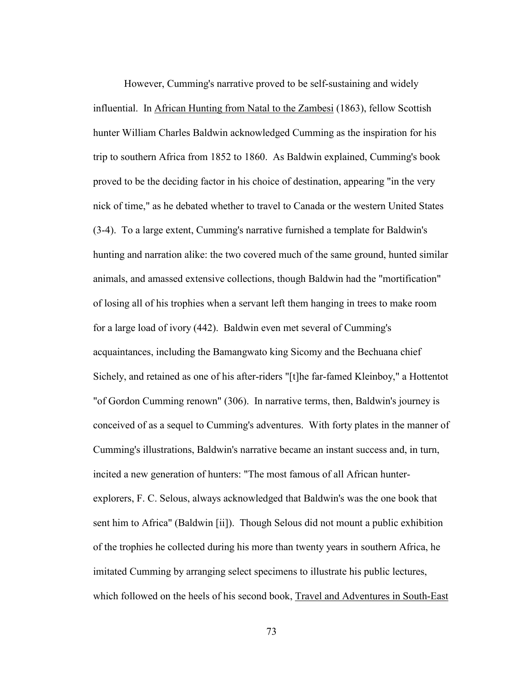However, Cumming's narrative proved to be self-sustaining and widely influential. In African Hunting from Natal to the Zambesi (1863), fellow Scottish hunter William Charles Baldwin acknowledged Cumming as the inspiration for his trip to southern Africa from 1852 to 1860. As Baldwin explained, Cumming's book proved to be the deciding factor in his choice of destination, appearing "in the very nick of time," as he debated whether to travel to Canada or the western United States (3-4). To a large extent, Cumming's narrative furnished a template for Baldwin's hunting and narration alike: the two covered much of the same ground, hunted similar animals, and amassed extensive collections, though Baldwin had the "mortification" of losing all of his trophies when a servant left them hanging in trees to make room for a large load of ivory (442). Baldwin even met several of Cumming's acquaintances, including the Bamangwato king Sicomy and the Bechuana chief Sichely, and retained as one of his after-riders "[t]he far-famed Kleinboy," a Hottentot "of Gordon Cumming renown" (306). In narrative terms, then, Baldwin's journey is conceived of as a sequel to Cumming's adventures. With forty plates in the manner of Cumming's illustrations, Baldwin's narrative became an instant success and, in turn, incited a new generation of hunters: "The most famous of all African hunterexplorers, F. C. Selous, always acknowledged that Baldwin's was the one book that sent him to Africa" (Baldwin [ii]). Though Selous did not mount a public exhibition of the trophies he collected during his more than twenty years in southern Africa, he imitated Cumming by arranging select specimens to illustrate his public lectures, which followed on the heels of his second book, Travel and Adventures in South-East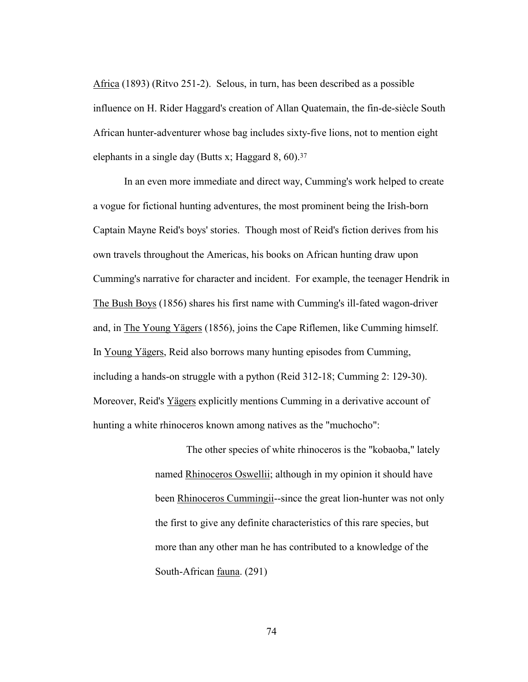Africa (1893) (Ritvo 251-2). Selous, in turn, has been described as a possible influence on H. Rider Haggard's creation of Allan Quatemain, the fin-de-siècle South African hunter-adventurer whose bag includes sixty-five lions, not to mention eight elephants in a single day (Butts x; Haggard  $8, 60$ ).<sup>37</sup>

In an even more immediate and direct way, Cumming's work helped to create a vogue for fictional hunting adventures, the most prominent being the Irish-born Captain Mayne Reid's boys' stories. Though most of Reid's fiction derives from his own travels throughout the Americas, his books on African hunting draw upon Cumming's narrative for character and incident. For example, the teenager Hendrik in The Bush Boys (1856) shares his first name with Cumming's ill-fated wagon-driver and, in The Young Yägers (1856), joins the Cape Riflemen, like Cumming himself. In Young Yägers, Reid also borrows many hunting episodes from Cumming, including a hands-on struggle with a python (Reid 312-18; Cumming 2: 129-30). Moreover, Reid's Yägers explicitly mentions Cumming in a derivative account of hunting a white rhinoceros known among natives as the "muchocho":

> The other species of white rhinoceros is the "kobaoba," lately named Rhinoceros Oswellii; although in my opinion it should have been Rhinoceros Cummingii--since the great lion-hunter was not only the first to give any definite characteristics of this rare species, but more than any other man he has contributed to a knowledge of the South-African fauna. (291)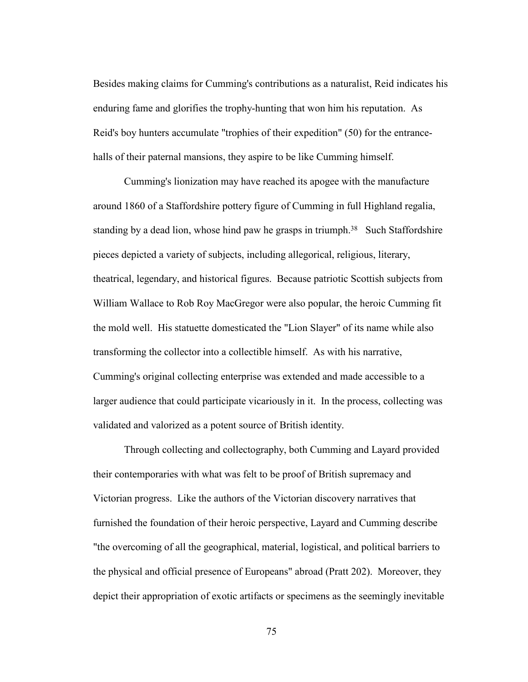Besides making claims for Cumming's contributions as a naturalist, Reid indicates his enduring fame and glorifies the trophy-hunting that won him his reputation. As Reid's boy hunters accumulate "trophies of their expedition" (50) for the entrancehalls of their paternal mansions, they aspire to be like Cumming himself.

 Cumming's lionization may have reached its apogee with the manufacture around 1860 of a Staffordshire pottery figure of Cumming in full Highland regalia, standing by a dead lion, whose hind paw he grasps in triumph.<sup>38</sup> Such Staffordshire pieces depicted a variety of subjects, including allegorical, religious, literary, theatrical, legendary, and historical figures. Because patriotic Scottish subjects from William Wallace to Rob Roy MacGregor were also popular, the heroic Cumming fit the mold well. His statuette domesticated the "Lion Slayer" of its name while also transforming the collector into a collectible himself. As with his narrative, Cumming's original collecting enterprise was extended and made accessible to a larger audience that could participate vicariously in it. In the process, collecting was validated and valorized as a potent source of British identity.

 Through collecting and collectography, both Cumming and Layard provided their contemporaries with what was felt to be proof of British supremacy and Victorian progress. Like the authors of the Victorian discovery narratives that furnished the foundation of their heroic perspective, Layard and Cumming describe "the overcoming of all the geographical, material, logistical, and political barriers to the physical and official presence of Europeans" abroad (Pratt 202). Moreover, they depict their appropriation of exotic artifacts or specimens as the seemingly inevitable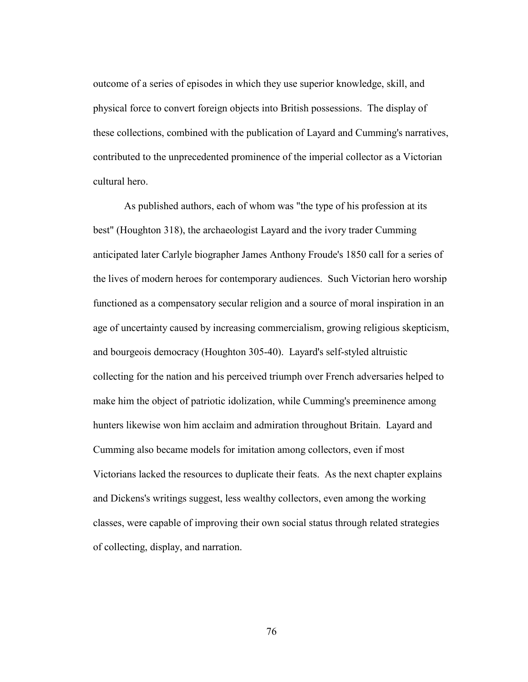outcome of a series of episodes in which they use superior knowledge, skill, and physical force to convert foreign objects into British possessions. The display of these collections, combined with the publication of Layard and Cumming's narratives, contributed to the unprecedented prominence of the imperial collector as a Victorian cultural hero.

As published authors, each of whom was "the type of his profession at its best" (Houghton 318), the archaeologist Layard and the ivory trader Cumming anticipated later Carlyle biographer James Anthony Froude's 1850 call for a series of the lives of modern heroes for contemporary audiences. Such Victorian hero worship functioned as a compensatory secular religion and a source of moral inspiration in an age of uncertainty caused by increasing commercialism, growing religious skepticism, and bourgeois democracy (Houghton 305-40). Layard's self-styled altruistic collecting for the nation and his perceived triumph over French adversaries helped to make him the object of patriotic idolization, while Cumming's preeminence among hunters likewise won him acclaim and admiration throughout Britain. Layard and Cumming also became models for imitation among collectors, even if most Victorians lacked the resources to duplicate their feats. As the next chapter explains and Dickens's writings suggest, less wealthy collectors, even among the working classes, were capable of improving their own social status through related strategies of collecting, display, and narration.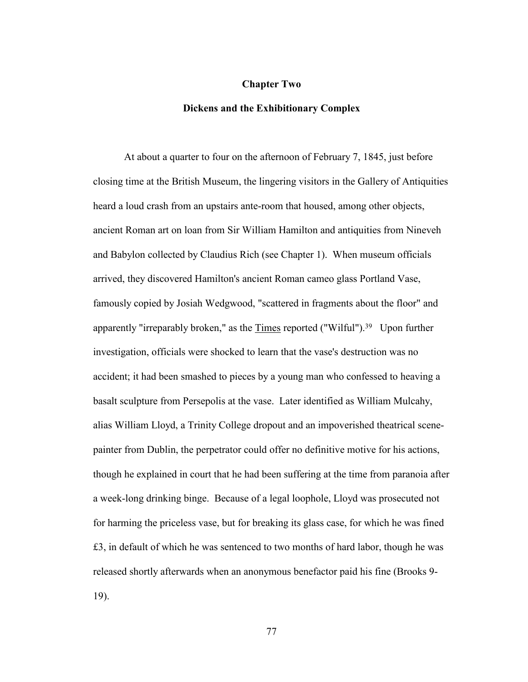## **Chapter Two**

## **Dickens and the Exhibitionary Complex**

At about a quarter to four on the afternoon of February 7, 1845, just before closing time at the British Museum, the lingering visitors in the Gallery of Antiquities heard a loud crash from an upstairs ante-room that housed, among other objects, ancient Roman art on loan from Sir William Hamilton and antiquities from Nineveh and Babylon collected by Claudius Rich (see Chapter 1). When museum officials arrived, they discovered Hamilton's ancient Roman cameo glass Portland Vase, famously copied by Josiah Wedgwood, "scattered in fragments about the floor" and apparently "irreparably broken," as the Times reported ("Wilful").39 Upon further investigation, officials were shocked to learn that the vase's destruction was no accident; it had been smashed to pieces by a young man who confessed to heaving a basalt sculpture from Persepolis at the vase. Later identified as William Mulcahy, alias William Lloyd, a Trinity College dropout and an impoverished theatrical scenepainter from Dublin, the perpetrator could offer no definitive motive for his actions, though he explained in court that he had been suffering at the time from paranoia after a week-long drinking binge. Because of a legal loophole, Lloyd was prosecuted not for harming the priceless vase, but for breaking its glass case, for which he was fined £3, in default of which he was sentenced to two months of hard labor, though he was released shortly afterwards when an anonymous benefactor paid his fine (Brooks 9- 19).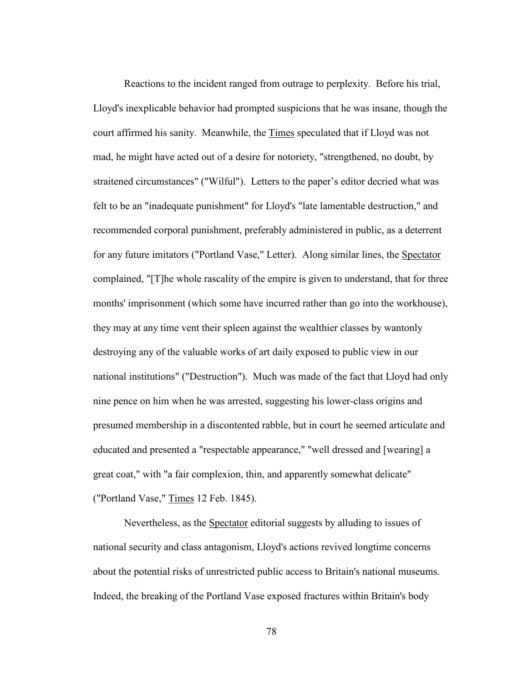Reactions to the incident ranged from outrage to perplexity. Before his trial, Lloyd's inexplicable behavior had prompted suspicions that he was insane, though the court affirmed his sanity. Meanwhile, the Times speculated that if Lloyd was not mad, he might have acted out of a desire for notoriety, "strengthened, no doubt, by straitened circumstances" ("Wilful"). Letters to the paper's editor decried what was felt to be an "inadequate punishment" for Lloyd's "late lamentable destruction," and recommended corporal punishment, preferably administered in public, as a deterrent for any future imitators ("Portland Vase," Letter). Along similar lines, the Spectator complained, "[T]he whole rascality of the empire is given to understand, that for three months' imprisonment (which some have incurred rather than go into the workhouse), they may at any time vent their spleen against the wealthier classes by wantonly destroying any of the valuable works of art daily exposed to public view in our national institutions" ("Destruction"). Much was made of the fact that Lloyd had only nine pence on him when he was arrested, suggesting his lower-class origins and presumed membership in a discontented rabble, but in court he seemed articulate and educated and presented a "respectable appearance," "well dressed and [wearing] a great coat," with "a fair complexion, thin, and apparently somewhat delicate" ("Portland Vase," Times 12 Feb. 1845).

 Nevertheless, as the Spectator editorial suggests by alluding to issues of national security and class antagonism, Lloyd's actions revived longtime concerns about the potential risks of unrestricted public access to Britain's national museums. Indeed, the breaking of the Portland Vase exposed fractures within Britain's body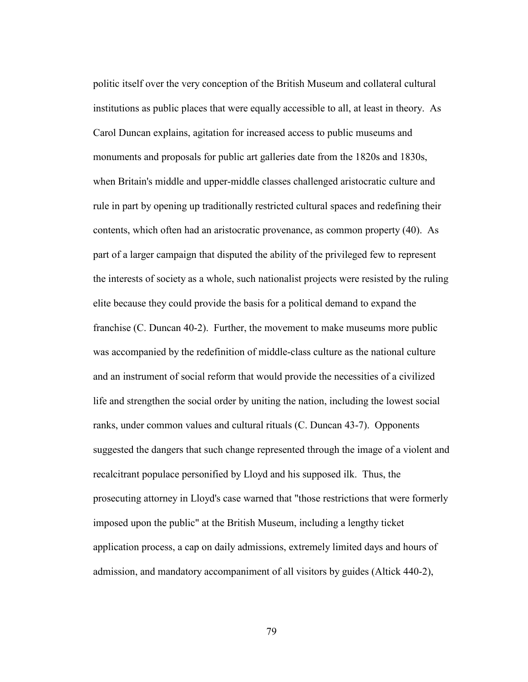politic itself over the very conception of the British Museum and collateral cultural institutions as public places that were equally accessible to all, at least in theory. As Carol Duncan explains, agitation for increased access to public museums and monuments and proposals for public art galleries date from the 1820s and 1830s, when Britain's middle and upper-middle classes challenged aristocratic culture and rule in part by opening up traditionally restricted cultural spaces and redefining their contents, which often had an aristocratic provenance, as common property (40). As part of a larger campaign that disputed the ability of the privileged few to represent the interests of society as a whole, such nationalist projects were resisted by the ruling elite because they could provide the basis for a political demand to expand the franchise (C. Duncan 40-2). Further, the movement to make museums more public was accompanied by the redefinition of middle-class culture as the national culture and an instrument of social reform that would provide the necessities of a civilized life and strengthen the social order by uniting the nation, including the lowest social ranks, under common values and cultural rituals (C. Duncan 43-7). Opponents suggested the dangers that such change represented through the image of a violent and recalcitrant populace personified by Lloyd and his supposed ilk. Thus, the prosecuting attorney in Lloyd's case warned that "those restrictions that were formerly imposed upon the public" at the British Museum, including a lengthy ticket application process, a cap on daily admissions, extremely limited days and hours of admission, and mandatory accompaniment of all visitors by guides (Altick 440-2),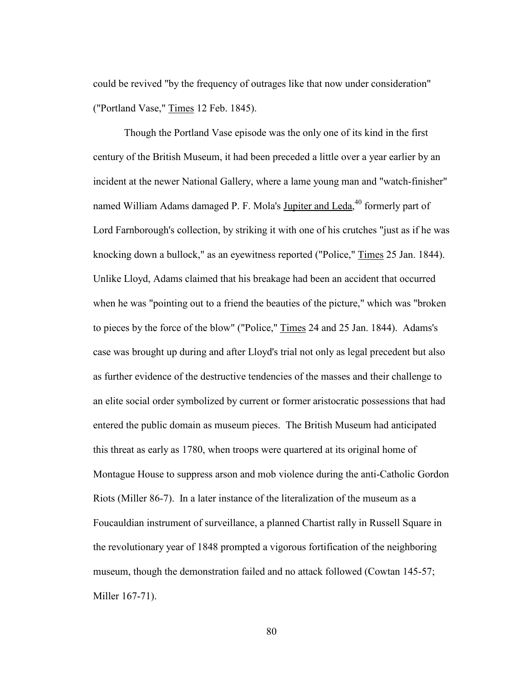could be revived "by the frequency of outrages like that now under consideration" ("Portland Vase," Times 12 Feb. 1845).

 Though the Portland Vase episode was the only one of its kind in the first century of the British Museum, it had been preceded a little over a year earlier by an incident at the newer National Gallery, where a lame young man and "watch-finisher" named William Adams damaged P. F. Mola's *Jupiter and Leda*,<sup>40</sup> formerly part of Lord Farnborough's collection, by striking it with one of his crutches "just as if he was knocking down a bullock," as an eyewitness reported ("Police," Times 25 Jan. 1844). Unlike Lloyd, Adams claimed that his breakage had been an accident that occurred when he was "pointing out to a friend the beauties of the picture," which was "broken to pieces by the force of the blow" ("Police," Times 24 and 25 Jan. 1844). Adams's case was brought up during and after Lloyd's trial not only as legal precedent but also as further evidence of the destructive tendencies of the masses and their challenge to an elite social order symbolized by current or former aristocratic possessions that had entered the public domain as museum pieces. The British Museum had anticipated this threat as early as 1780, when troops were quartered at its original home of Montague House to suppress arson and mob violence during the anti-Catholic Gordon Riots (Miller 86-7). In a later instance of the literalization of the museum as a Foucauldian instrument of surveillance, a planned Chartist rally in Russell Square in the revolutionary year of 1848 prompted a vigorous fortification of the neighboring museum, though the demonstration failed and no attack followed (Cowtan 145-57; Miller 167-71).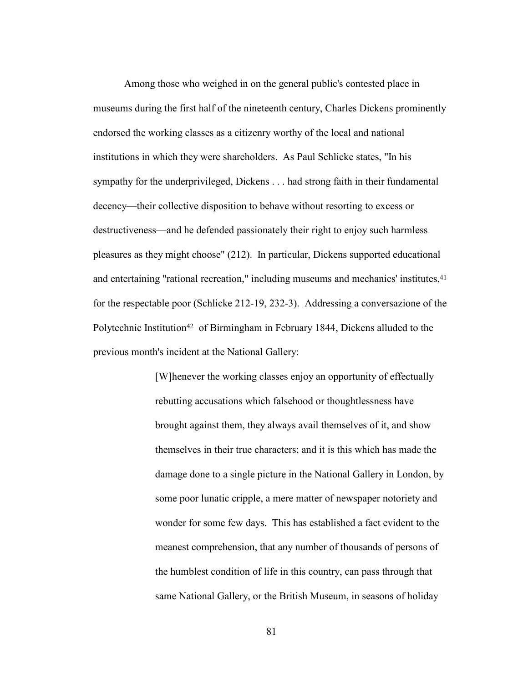Among those who weighed in on the general public's contested place in museums during the first half of the nineteenth century, Charles Dickens prominently endorsed the working classes as a citizenry worthy of the local and national institutions in which they were shareholders. As Paul Schlicke states, "In his sympathy for the underprivileged, Dickens . . . had strong faith in their fundamental decency—their collective disposition to behave without resorting to excess or destructiveness—and he defended passionately their right to enjoy such harmless pleasures as they might choose" (212). In particular, Dickens supported educational and entertaining "rational recreation," including museums and mechanics' institutes,<sup>41</sup> for the respectable poor (Schlicke 212-19, 232-3). Addressing a conversazione of the Polytechnic Institution<sup>42</sup> of Birmingham in February 1844, Dickens alluded to the previous month's incident at the National Gallery:

> [W]henever the working classes enjoy an opportunity of effectually rebutting accusations which falsehood or thoughtlessness have brought against them, they always avail themselves of it, and show themselves in their true characters; and it is this which has made the damage done to a single picture in the National Gallery in London, by some poor lunatic cripple, a mere matter of newspaper notoriety and wonder for some few days. This has established a fact evident to the meanest comprehension, that any number of thousands of persons of the humblest condition of life in this country, can pass through that same National Gallery, or the British Museum, in seasons of holiday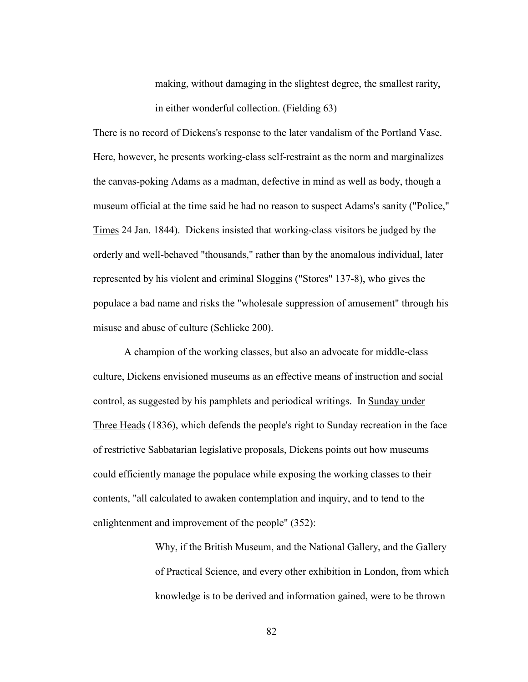making, without damaging in the slightest degree, the smallest rarity, in either wonderful collection. (Fielding 63)

There is no record of Dickens's response to the later vandalism of the Portland Vase. Here, however, he presents working-class self-restraint as the norm and marginalizes the canvas-poking Adams as a madman, defective in mind as well as body, though a museum official at the time said he had no reason to suspect Adams's sanity ("Police," Times 24 Jan. 1844). Dickens insisted that working-class visitors be judged by the orderly and well-behaved "thousands," rather than by the anomalous individual, later represented by his violent and criminal Sloggins ("Stores" 137-8), who gives the populace a bad name and risks the "wholesale suppression of amusement" through his misuse and abuse of culture (Schlicke 200).

A champion of the working classes, but also an advocate for middle-class culture, Dickens envisioned museums as an effective means of instruction and social control, as suggested by his pamphlets and periodical writings. In Sunday under Three Heads (1836), which defends the people's right to Sunday recreation in the face of restrictive Sabbatarian legislative proposals, Dickens points out how museums could efficiently manage the populace while exposing the working classes to their contents, "all calculated to awaken contemplation and inquiry, and to tend to the enlightenment and improvement of the people" (352):

> Why, if the British Museum, and the National Gallery, and the Gallery of Practical Science, and every other exhibition in London, from which knowledge is to be derived and information gained, were to be thrown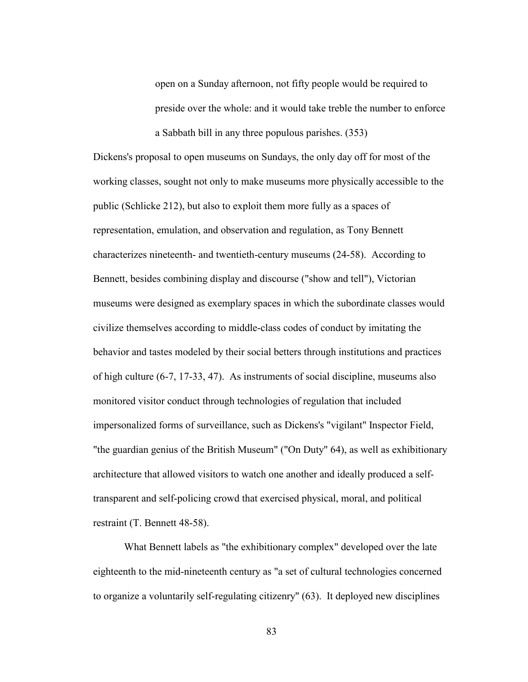open on a Sunday afternoon, not fifty people would be required to preside over the whole: and it would take treble the number to enforce a Sabbath bill in any three populous parishes. (353)

Dickens's proposal to open museums on Sundays, the only day off for most of the working classes, sought not only to make museums more physically accessible to the public (Schlicke 212), but also to exploit them more fully as a spaces of representation, emulation, and observation and regulation, as Tony Bennett characterizes nineteenth- and twentieth-century museums (24-58). According to Bennett, besides combining display and discourse ("show and tell"), Victorian museums were designed as exemplary spaces in which the subordinate classes would civilize themselves according to middle-class codes of conduct by imitating the behavior and tastes modeled by their social betters through institutions and practices of high culture (6-7, 17-33, 47). As instruments of social discipline, museums also monitored visitor conduct through technologies of regulation that included impersonalized forms of surveillance, such as Dickens's "vigilant" Inspector Field, "the guardian genius of the British Museum" ("On Duty" 64), as well as exhibitionary architecture that allowed visitors to watch one another and ideally produced a selftransparent and self-policing crowd that exercised physical, moral, and political restraint (T. Bennett 48-58).

 What Bennett labels as "the exhibitionary complex" developed over the late eighteenth to the mid-nineteenth century as "a set of cultural technologies concerned to organize a voluntarily self-regulating citizenry" (63). It deployed new disciplines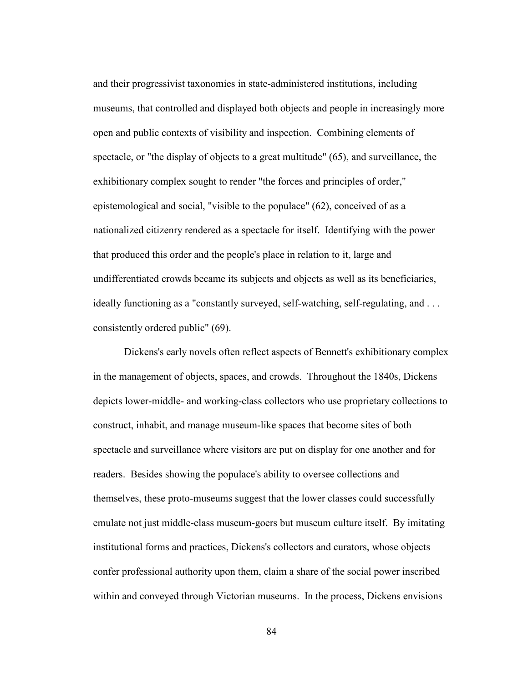and their progressivist taxonomies in state-administered institutions, including museums, that controlled and displayed both objects and people in increasingly more open and public contexts of visibility and inspection. Combining elements of spectacle, or "the display of objects to a great multitude" (65), and surveillance, the exhibitionary complex sought to render "the forces and principles of order," epistemological and social, "visible to the populace" (62), conceived of as a nationalized citizenry rendered as a spectacle for itself. Identifying with the power that produced this order and the people's place in relation to it, large and undifferentiated crowds became its subjects and objects as well as its beneficiaries, ideally functioning as a "constantly surveyed, self-watching, self-regulating, and . . . consistently ordered public" (69).

 Dickens's early novels often reflect aspects of Bennett's exhibitionary complex in the management of objects, spaces, and crowds. Throughout the 1840s, Dickens depicts lower-middle- and working-class collectors who use proprietary collections to construct, inhabit, and manage museum-like spaces that become sites of both spectacle and surveillance where visitors are put on display for one another and for readers. Besides showing the populace's ability to oversee collections and themselves, these proto-museums suggest that the lower classes could successfully emulate not just middle-class museum-goers but museum culture itself. By imitating institutional forms and practices, Dickens's collectors and curators, whose objects confer professional authority upon them, claim a share of the social power inscribed within and conveyed through Victorian museums. In the process, Dickens envisions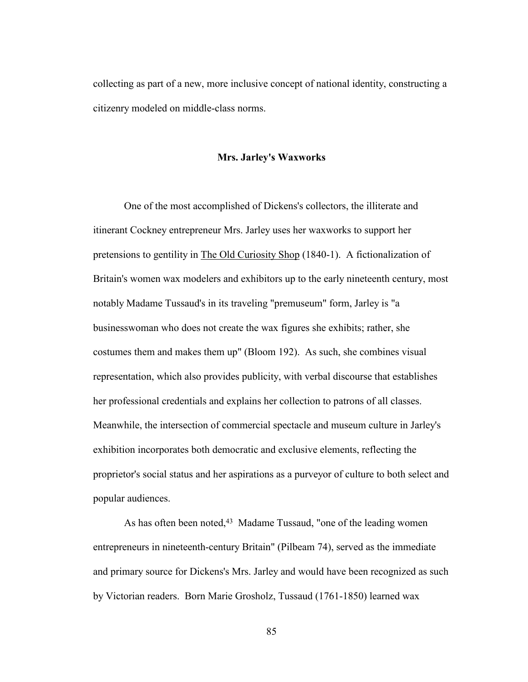collecting as part of a new, more inclusive concept of national identity, constructing a citizenry modeled on middle-class norms.

## **Mrs. Jarley's Waxworks**

One of the most accomplished of Dickens's collectors, the illiterate and itinerant Cockney entrepreneur Mrs. Jarley uses her waxworks to support her pretensions to gentility in The Old Curiosity Shop (1840-1). A fictionalization of Britain's women wax modelers and exhibitors up to the early nineteenth century, most notably Madame Tussaud's in its traveling "premuseum" form, Jarley is "a businesswoman who does not create the wax figures she exhibits; rather, she costumes them and makes them up" (Bloom 192). As such, she combines visual representation, which also provides publicity, with verbal discourse that establishes her professional credentials and explains her collection to patrons of all classes. Meanwhile, the intersection of commercial spectacle and museum culture in Jarley's exhibition incorporates both democratic and exclusive elements, reflecting the proprietor's social status and her aspirations as a purveyor of culture to both select and popular audiences.

As has often been noted,<sup>43</sup> Madame Tussaud, "one of the leading women entrepreneurs in nineteenth-century Britain" (Pilbeam 74), served as the immediate and primary source for Dickens's Mrs. Jarley and would have been recognized as such by Victorian readers. Born Marie Grosholz, Tussaud (1761-1850) learned wax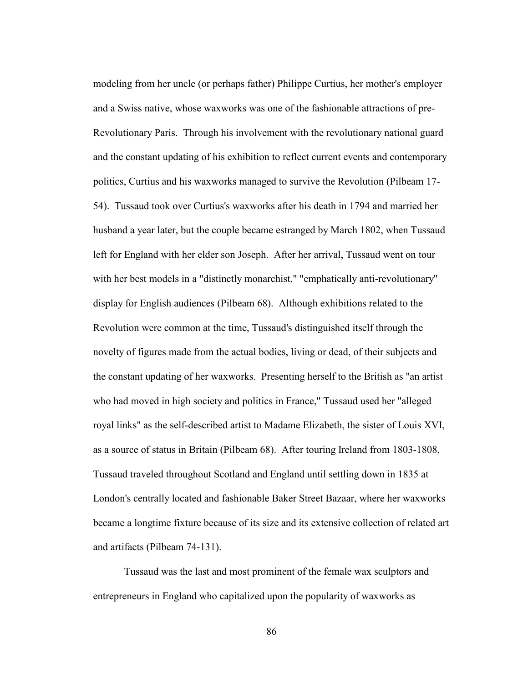modeling from her uncle (or perhaps father) Philippe Curtius, her mother's employer and a Swiss native, whose waxworks was one of the fashionable attractions of pre-Revolutionary Paris. Through his involvement with the revolutionary national guard and the constant updating of his exhibition to reflect current events and contemporary politics, Curtius and his waxworks managed to survive the Revolution (Pilbeam 17- 54). Tussaud took over Curtius's waxworks after his death in 1794 and married her husband a year later, but the couple became estranged by March 1802, when Tussaud left for England with her elder son Joseph. After her arrival, Tussaud went on tour with her best models in a "distinctly monarchist," "emphatically anti-revolutionary" display for English audiences (Pilbeam 68). Although exhibitions related to the Revolution were common at the time, Tussaud's distinguished itself through the novelty of figures made from the actual bodies, living or dead, of their subjects and the constant updating of her waxworks. Presenting herself to the British as "an artist who had moved in high society and politics in France," Tussaud used her "alleged royal links" as the self-described artist to Madame Elizabeth, the sister of Louis XVI, as a source of status in Britain (Pilbeam 68). After touring Ireland from 1803-1808, Tussaud traveled throughout Scotland and England until settling down in 1835 at London's centrally located and fashionable Baker Street Bazaar, where her waxworks became a longtime fixture because of its size and its extensive collection of related art and artifacts (Pilbeam 74-131).

 Tussaud was the last and most prominent of the female wax sculptors and entrepreneurs in England who capitalized upon the popularity of waxworks as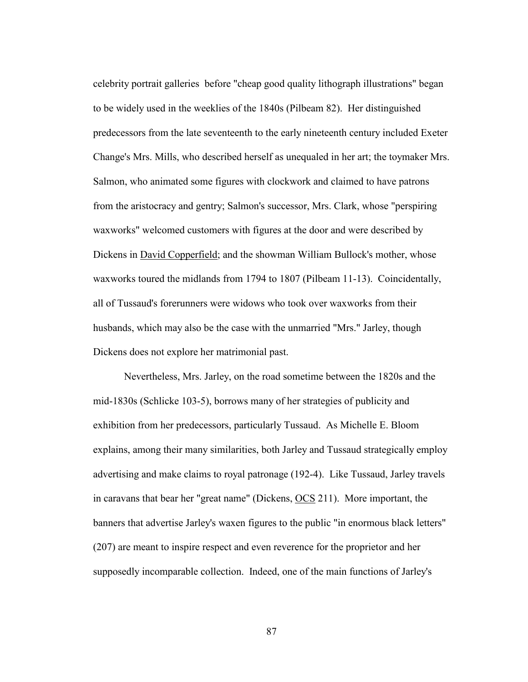celebrity portrait galleries before "cheap good quality lithograph illustrations" began to be widely used in the weeklies of the 1840s (Pilbeam 82). Her distinguished predecessors from the late seventeenth to the early nineteenth century included Exeter Change's Mrs. Mills, who described herself as unequaled in her art; the toymaker Mrs. Salmon, who animated some figures with clockwork and claimed to have patrons from the aristocracy and gentry; Salmon's successor, Mrs. Clark, whose "perspiring waxworks" welcomed customers with figures at the door and were described by Dickens in David Copperfield; and the showman William Bullock's mother, whose waxworks toured the midlands from 1794 to 1807 (Pilbeam 11-13). Coincidentally, all of Tussaud's forerunners were widows who took over waxworks from their husbands, which may also be the case with the unmarried "Mrs." Jarley, though Dickens does not explore her matrimonial past.

 Nevertheless, Mrs. Jarley, on the road sometime between the 1820s and the mid-1830s (Schlicke 103-5), borrows many of her strategies of publicity and exhibition from her predecessors, particularly Tussaud. As Michelle E. Bloom explains, among their many similarities, both Jarley and Tussaud strategically employ advertising and make claims to royal patronage (192-4). Like Tussaud, Jarley travels in caravans that bear her "great name" (Dickens, OCS 211). More important, the banners that advertise Jarley's waxen figures to the public "in enormous black letters" (207) are meant to inspire respect and even reverence for the proprietor and her supposedly incomparable collection. Indeed, one of the main functions of Jarley's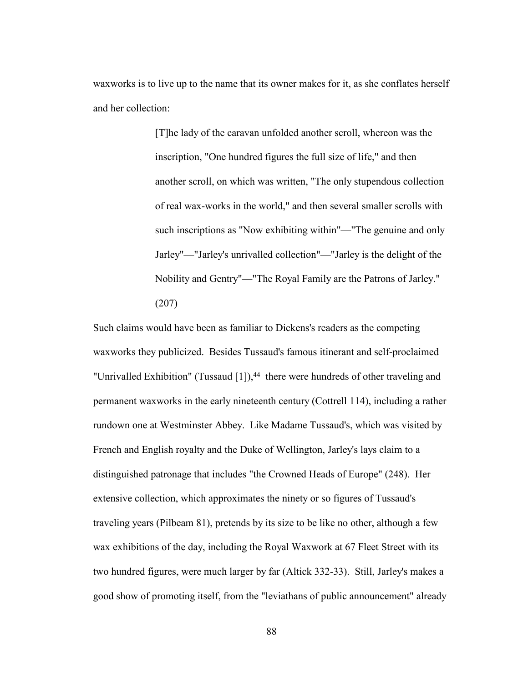waxworks is to live up to the name that its owner makes for it, as she conflates herself and her collection:

> [T]he lady of the caravan unfolded another scroll, whereon was the inscription, "One hundred figures the full size of life," and then another scroll, on which was written, "The only stupendous collection of real wax-works in the world," and then several smaller scrolls with such inscriptions as "Now exhibiting within"—"The genuine and only Jarley"—"Jarley's unrivalled collection"—"Jarley is the delight of the Nobility and Gentry"—"The Royal Family are the Patrons of Jarley." (207)

Such claims would have been as familiar to Dickens's readers as the competing waxworks they publicized. Besides Tussaud's famous itinerant and self-proclaimed "Unrivalled Exhibition" (Tussaud [1]),<sup>44</sup> there were hundreds of other traveling and permanent waxworks in the early nineteenth century (Cottrell 114), including a rather rundown one at Westminster Abbey. Like Madame Tussaud's, which was visited by French and English royalty and the Duke of Wellington, Jarley's lays claim to a distinguished patronage that includes "the Crowned Heads of Europe" (248). Her extensive collection, which approximates the ninety or so figures of Tussaud's traveling years (Pilbeam 81), pretends by its size to be like no other, although a few wax exhibitions of the day, including the Royal Waxwork at 67 Fleet Street with its two hundred figures, were much larger by far (Altick 332-33). Still, Jarley's makes a good show of promoting itself, from the "leviathans of public announcement" already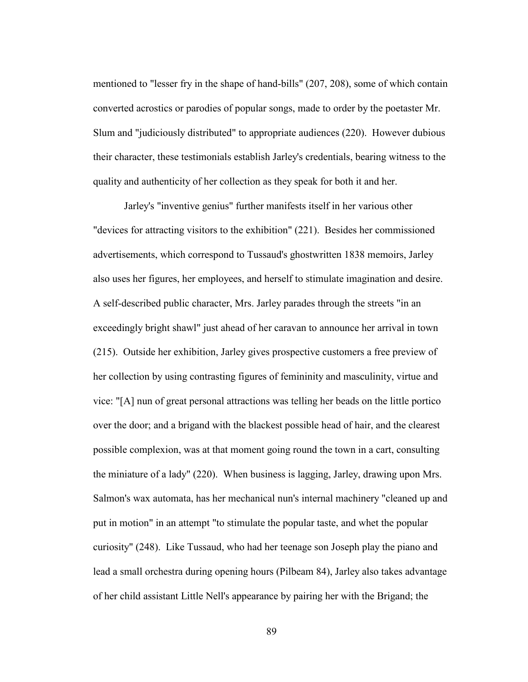mentioned to "lesser fry in the shape of hand-bills" (207, 208), some of which contain converted acrostics or parodies of popular songs, made to order by the poetaster Mr. Slum and "judiciously distributed" to appropriate audiences (220). However dubious their character, these testimonials establish Jarley's credentials, bearing witness to the quality and authenticity of her collection as they speak for both it and her.

 Jarley's "inventive genius" further manifests itself in her various other "devices for attracting visitors to the exhibition" (221). Besides her commissioned advertisements, which correspond to Tussaud's ghostwritten 1838 memoirs, Jarley also uses her figures, her employees, and herself to stimulate imagination and desire. A self-described public character, Mrs. Jarley parades through the streets "in an exceedingly bright shawl" just ahead of her caravan to announce her arrival in town (215). Outside her exhibition, Jarley gives prospective customers a free preview of her collection by using contrasting figures of femininity and masculinity, virtue and vice: "[A] nun of great personal attractions was telling her beads on the little portico over the door; and a brigand with the blackest possible head of hair, and the clearest possible complexion, was at that moment going round the town in a cart, consulting the miniature of a lady" (220). When business is lagging, Jarley, drawing upon Mrs. Salmon's wax automata, has her mechanical nun's internal machinery "cleaned up and put in motion" in an attempt "to stimulate the popular taste, and whet the popular curiosity" (248). Like Tussaud, who had her teenage son Joseph play the piano and lead a small orchestra during opening hours (Pilbeam 84), Jarley also takes advantage of her child assistant Little Nell's appearance by pairing her with the Brigand; the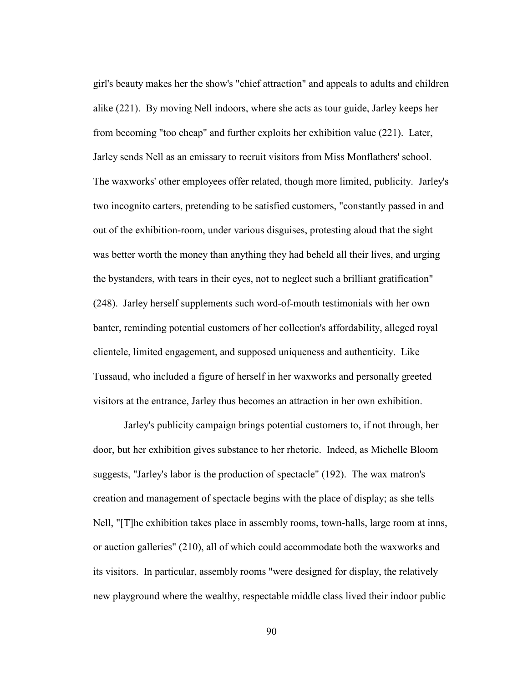girl's beauty makes her the show's "chief attraction" and appeals to adults and children alike (221). By moving Nell indoors, where she acts as tour guide, Jarley keeps her from becoming "too cheap" and further exploits her exhibition value (221). Later, Jarley sends Nell as an emissary to recruit visitors from Miss Monflathers' school. The waxworks' other employees offer related, though more limited, publicity. Jarley's two incognito carters, pretending to be satisfied customers, "constantly passed in and out of the exhibition-room, under various disguises, protesting aloud that the sight was better worth the money than anything they had beheld all their lives, and urging the bystanders, with tears in their eyes, not to neglect such a brilliant gratification" (248). Jarley herself supplements such word-of-mouth testimonials with her own banter, reminding potential customers of her collection's affordability, alleged royal clientele, limited engagement, and supposed uniqueness and authenticity. Like Tussaud, who included a figure of herself in her waxworks and personally greeted visitors at the entrance, Jarley thus becomes an attraction in her own exhibition.

 Jarley's publicity campaign brings potential customers to, if not through, her door, but her exhibition gives substance to her rhetoric. Indeed, as Michelle Bloom suggests, "Jarley's labor is the production of spectacle" (192). The wax matron's creation and management of spectacle begins with the place of display; as she tells Nell, "[T]he exhibition takes place in assembly rooms, town-halls, large room at inns, or auction galleries" (210), all of which could accommodate both the waxworks and its visitors. In particular, assembly rooms "were designed for display, the relatively new playground where the wealthy, respectable middle class lived their indoor public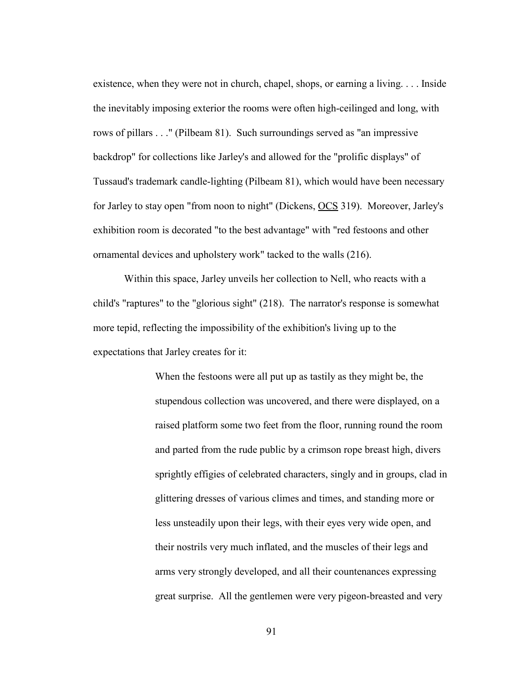existence, when they were not in church, chapel, shops, or earning a living. . . . Inside the inevitably imposing exterior the rooms were often high-ceilinged and long, with rows of pillars . . ." (Pilbeam 81). Such surroundings served as "an impressive backdrop" for collections like Jarley's and allowed for the "prolific displays" of Tussaud's trademark candle-lighting (Pilbeam 81), which would have been necessary for Jarley to stay open "from noon to night" (Dickens, OCS 319). Moreover, Jarley's exhibition room is decorated "to the best advantage" with "red festoons and other ornamental devices and upholstery work" tacked to the walls (216).

 Within this space, Jarley unveils her collection to Nell, who reacts with a child's "raptures" to the "glorious sight" (218). The narrator's response is somewhat more tepid, reflecting the impossibility of the exhibition's living up to the expectations that Jarley creates for it:

> When the festoons were all put up as tastily as they might be, the stupendous collection was uncovered, and there were displayed, on a raised platform some two feet from the floor, running round the room and parted from the rude public by a crimson rope breast high, divers sprightly effigies of celebrated characters, singly and in groups, clad in glittering dresses of various climes and times, and standing more or less unsteadily upon their legs, with their eyes very wide open, and their nostrils very much inflated, and the muscles of their legs and arms very strongly developed, and all their countenances expressing great surprise. All the gentlemen were very pigeon-breasted and very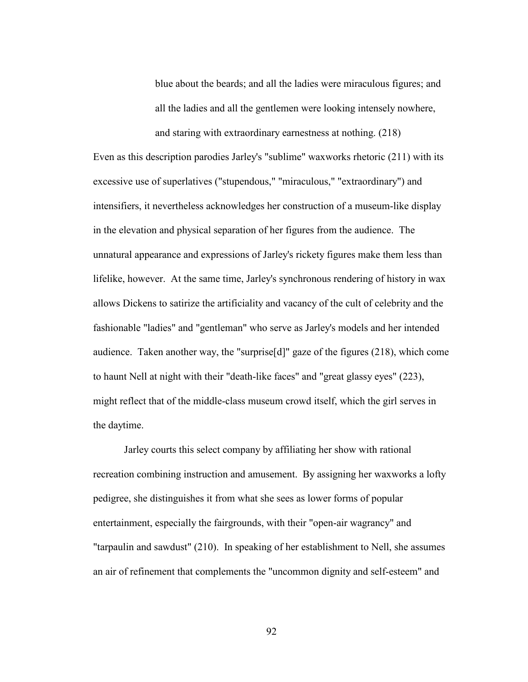blue about the beards; and all the ladies were miraculous figures; and all the ladies and all the gentlemen were looking intensely nowhere, and staring with extraordinary earnestness at nothing. (218)

Even as this description parodies Jarley's "sublime" waxworks rhetoric (211) with its excessive use of superlatives ("stupendous," "miraculous," "extraordinary") and intensifiers, it nevertheless acknowledges her construction of a museum-like display in the elevation and physical separation of her figures from the audience. The unnatural appearance and expressions of Jarley's rickety figures make them less than lifelike, however. At the same time, Jarley's synchronous rendering of history in wax allows Dickens to satirize the artificiality and vacancy of the cult of celebrity and the fashionable "ladies" and "gentleman" who serve as Jarley's models and her intended audience. Taken another way, the "surprise[d]" gaze of the figures (218), which come to haunt Nell at night with their "death-like faces" and "great glassy eyes" (223), might reflect that of the middle-class museum crowd itself, which the girl serves in the daytime.

 Jarley courts this select company by affiliating her show with rational recreation combining instruction and amusement. By assigning her waxworks a lofty pedigree, she distinguishes it from what she sees as lower forms of popular entertainment, especially the fairgrounds, with their "open-air wagrancy" and "tarpaulin and sawdust" (210). In speaking of her establishment to Nell, she assumes an air of refinement that complements the "uncommon dignity and self-esteem" and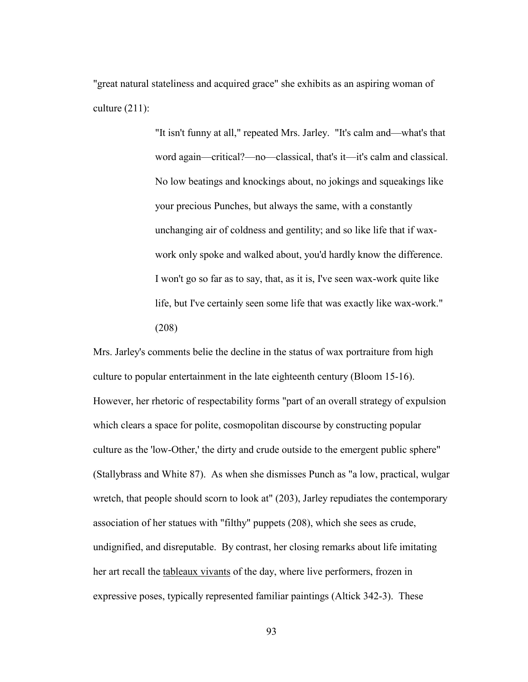"great natural stateliness and acquired grace" she exhibits as an aspiring woman of culture (211):

> "It isn't funny at all," repeated Mrs. Jarley. "It's calm and—what's that word again—critical?—no—classical, that's it—it's calm and classical. No low beatings and knockings about, no jokings and squeakings like your precious Punches, but always the same, with a constantly unchanging air of coldness and gentility; and so like life that if waxwork only spoke and walked about, you'd hardly know the difference. I won't go so far as to say, that, as it is, I've seen wax-work quite like life, but I've certainly seen some life that was exactly like wax-work." (208)

Mrs. Jarley's comments belie the decline in the status of wax portraiture from high culture to popular entertainment in the late eighteenth century (Bloom 15-16). However, her rhetoric of respectability forms "part of an overall strategy of expulsion which clears a space for polite, cosmopolitan discourse by constructing popular culture as the 'low-Other,' the dirty and crude outside to the emergent public sphere" (Stallybrass and White 87). As when she dismisses Punch as "a low, practical, wulgar wretch, that people should scorn to look at" (203), Jarley repudiates the contemporary association of her statues with "filthy" puppets (208), which she sees as crude, undignified, and disreputable. By contrast, her closing remarks about life imitating her art recall the tableaux vivants of the day, where live performers, frozen in expressive poses, typically represented familiar paintings (Altick 342-3). These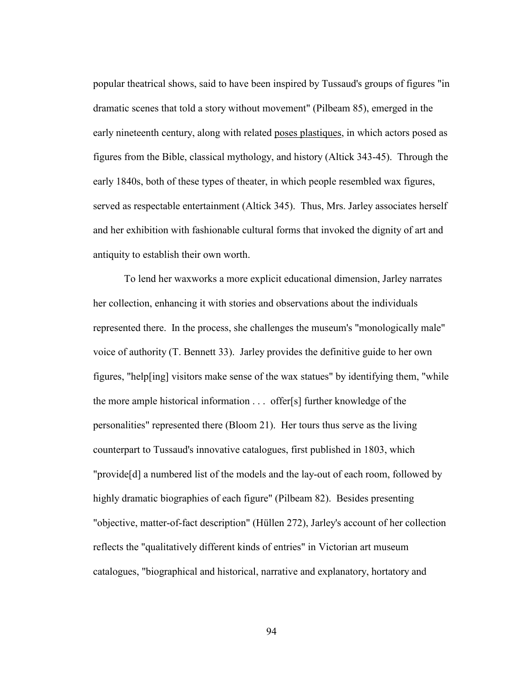popular theatrical shows, said to have been inspired by Tussaud's groups of figures "in dramatic scenes that told a story without movement" (Pilbeam 85), emerged in the early nineteenth century, along with related poses plastiques, in which actors posed as figures from the Bible, classical mythology, and history (Altick 343-45). Through the early 1840s, both of these types of theater, in which people resembled wax figures, served as respectable entertainment (Altick 345). Thus, Mrs. Jarley associates herself and her exhibition with fashionable cultural forms that invoked the dignity of art and antiquity to establish their own worth.

 To lend her waxworks a more explicit educational dimension, Jarley narrates her collection, enhancing it with stories and observations about the individuals represented there. In the process, she challenges the museum's "monologically male" voice of authority (T. Bennett 33). Jarley provides the definitive guide to her own figures, "help[ing] visitors make sense of the wax statues" by identifying them, "while the more ample historical information . . . offer[s] further knowledge of the personalities" represented there (Bloom 21). Her tours thus serve as the living counterpart to Tussaud's innovative catalogues, first published in 1803, which "provide[d] a numbered list of the models and the lay-out of each room, followed by highly dramatic biographies of each figure" (Pilbeam 82). Besides presenting "objective, matter-of-fact description" (Hüllen 272), Jarley's account of her collection reflects the "qualitatively different kinds of entries" in Victorian art museum catalogues, "biographical and historical, narrative and explanatory, hortatory and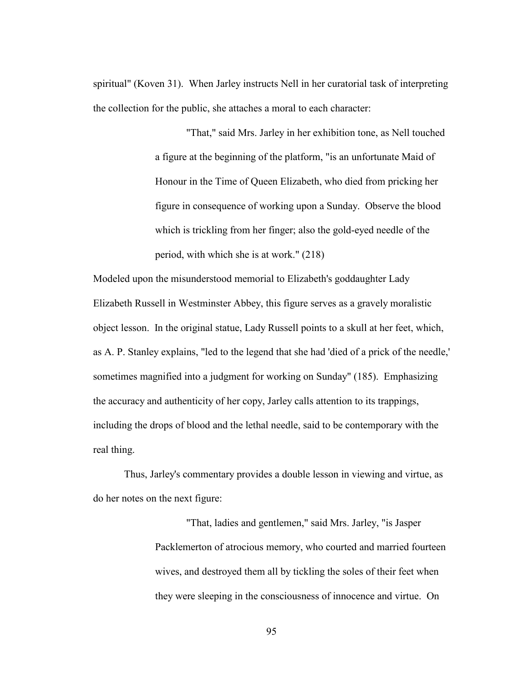spiritual" (Koven 31). When Jarley instructs Nell in her curatorial task of interpreting the collection for the public, she attaches a moral to each character:

> "That," said Mrs. Jarley in her exhibition tone, as Nell touched a figure at the beginning of the platform, "is an unfortunate Maid of Honour in the Time of Queen Elizabeth, who died from pricking her figure in consequence of working upon a Sunday. Observe the blood which is trickling from her finger; also the gold-eyed needle of the period, with which she is at work." (218)

Modeled upon the misunderstood memorial to Elizabeth's goddaughter Lady Elizabeth Russell in Westminster Abbey, this figure serves as a gravely moralistic object lesson. In the original statue, Lady Russell points to a skull at her feet, which, as A. P. Stanley explains, "led to the legend that she had 'died of a prick of the needle,' sometimes magnified into a judgment for working on Sunday" (185). Emphasizing the accuracy and authenticity of her copy, Jarley calls attention to its trappings, including the drops of blood and the lethal needle, said to be contemporary with the real thing.

Thus, Jarley's commentary provides a double lesson in viewing and virtue, as do her notes on the next figure:

> "That, ladies and gentlemen," said Mrs. Jarley, "is Jasper Packlemerton of atrocious memory, who courted and married fourteen wives, and destroyed them all by tickling the soles of their feet when they were sleeping in the consciousness of innocence and virtue. On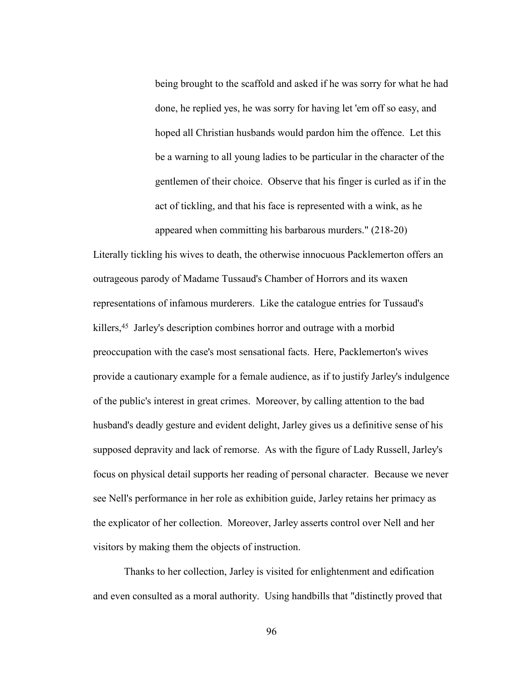being brought to the scaffold and asked if he was sorry for what he had done, he replied yes, he was sorry for having let 'em off so easy, and hoped all Christian husbands would pardon him the offence. Let this be a warning to all young ladies to be particular in the character of the gentlemen of their choice. Observe that his finger is curled as if in the act of tickling, and that his face is represented with a wink, as he appeared when committing his barbarous murders." (218-20)

Literally tickling his wives to death, the otherwise innocuous Packlemerton offers an outrageous parody of Madame Tussaud's Chamber of Horrors and its waxen representations of infamous murderers. Like the catalogue entries for Tussaud's killers,<sup>45</sup> Jarley's description combines horror and outrage with a morbid preoccupation with the case's most sensational facts. Here, Packlemerton's wives provide a cautionary example for a female audience, as if to justify Jarley's indulgence of the public's interest in great crimes. Moreover, by calling attention to the bad husband's deadly gesture and evident delight, Jarley gives us a definitive sense of his supposed depravity and lack of remorse. As with the figure of Lady Russell, Jarley's focus on physical detail supports her reading of personal character. Because we never see Nell's performance in her role as exhibition guide, Jarley retains her primacy as the explicator of her collection. Moreover, Jarley asserts control over Nell and her visitors by making them the objects of instruction.

 Thanks to her collection, Jarley is visited for enlightenment and edification and even consulted as a moral authority. Using handbills that "distinctly proved that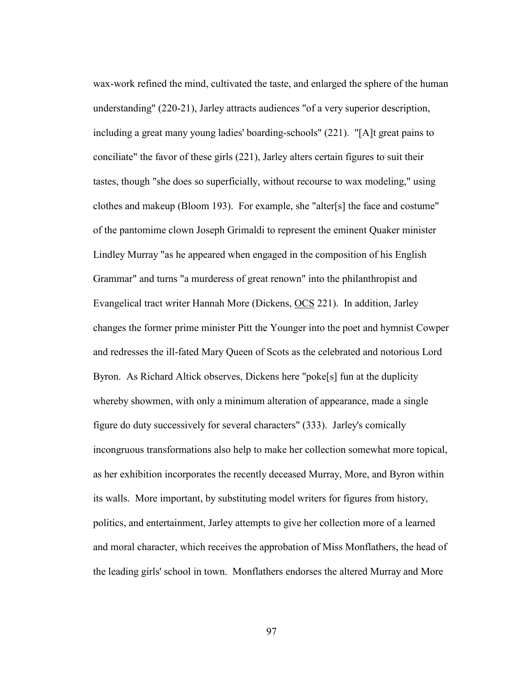wax-work refined the mind, cultivated the taste, and enlarged the sphere of the human understanding" (220-21), Jarley attracts audiences "of a very superior description, including a great many young ladies' boarding-schools" (221). "[A]t great pains to conciliate" the favor of these girls (221), Jarley alters certain figures to suit their tastes, though "she does so superficially, without recourse to wax modeling," using clothes and makeup (Bloom 193). For example, she "alter[s] the face and costume" of the pantomime clown Joseph Grimaldi to represent the eminent Quaker minister Lindley Murray "as he appeared when engaged in the composition of his English Grammar" and turns "a murderess of great renown" into the philanthropist and Evangelical tract writer Hannah More (Dickens, OCS 221). In addition, Jarley changes the former prime minister Pitt the Younger into the poet and hymnist Cowper and redresses the ill-fated Mary Queen of Scots as the celebrated and notorious Lord Byron. As Richard Altick observes, Dickens here "poke[s] fun at the duplicity whereby showmen, with only a minimum alteration of appearance, made a single figure do duty successively for several characters" (333). Jarley's comically incongruous transformations also help to make her collection somewhat more topical, as her exhibition incorporates the recently deceased Murray, More, and Byron within its walls. More important, by substituting model writers for figures from history, politics, and entertainment, Jarley attempts to give her collection more of a learned and moral character, which receives the approbation of Miss Monflathers, the head of the leading girls' school in town. Monflathers endorses the altered Murray and More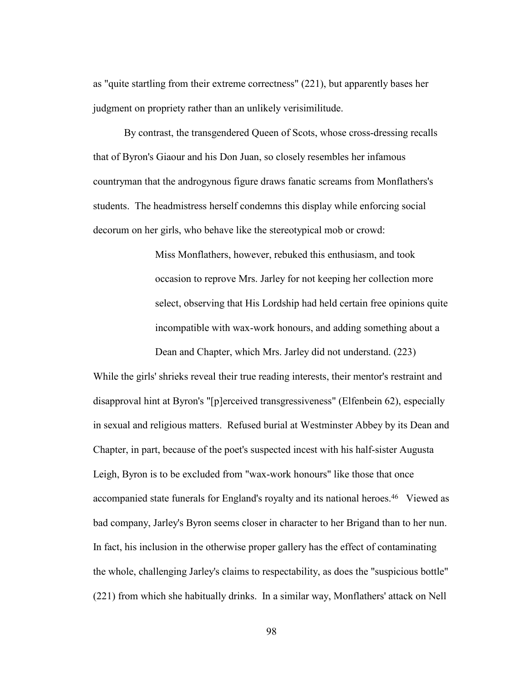as "quite startling from their extreme correctness" (221), but apparently bases her judgment on propriety rather than an unlikely verisimilitude.

 By contrast, the transgendered Queen of Scots, whose cross-dressing recalls that of Byron's Giaour and his Don Juan, so closely resembles her infamous countryman that the androgynous figure draws fanatic screams from Monflathers's students. The headmistress herself condemns this display while enforcing social decorum on her girls, who behave like the stereotypical mob or crowd:

> Miss Monflathers, however, rebuked this enthusiasm, and took occasion to reprove Mrs. Jarley for not keeping her collection more select, observing that His Lordship had held certain free opinions quite incompatible with wax-work honours, and adding something about a Dean and Chapter, which Mrs. Jarley did not understand. (223)

While the girls' shrieks reveal their true reading interests, their mentor's restraint and disapproval hint at Byron's "[p]erceived transgressiveness" (Elfenbein 62), especially in sexual and religious matters. Refused burial at Westminster Abbey by its Dean and Chapter, in part, because of the poet's suspected incest with his half-sister Augusta Leigh, Byron is to be excluded from "wax-work honours" like those that once accompanied state funerals for England's royalty and its national heroes.46 Viewed as bad company, Jarley's Byron seems closer in character to her Brigand than to her nun. In fact, his inclusion in the otherwise proper gallery has the effect of contaminating the whole, challenging Jarley's claims to respectability, as does the "suspicious bottle" (221) from which she habitually drinks. In a similar way, Monflathers' attack on Nell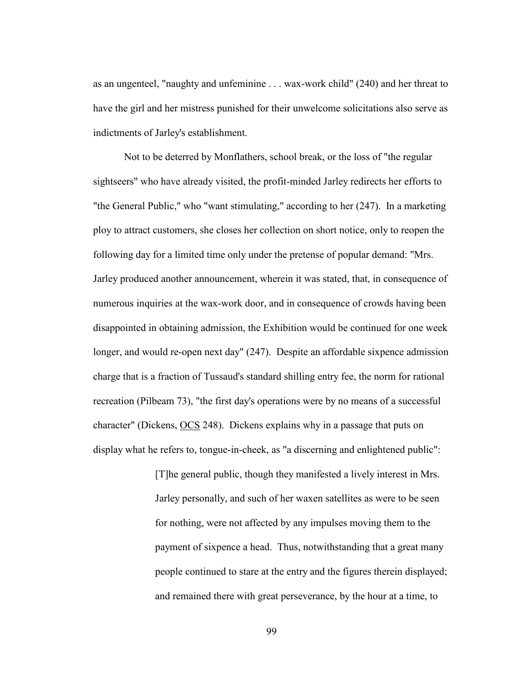as an ungenteel, "naughty and unfeminine . . . wax-work child" (240) and her threat to have the girl and her mistress punished for their unwelcome solicitations also serve as indictments of Jarley's establishment.

 Not to be deterred by Monflathers, school break, or the loss of "the regular sightseers" who have already visited, the profit-minded Jarley redirects her efforts to "the General Public," who "want stimulating," according to her (247). In a marketing ploy to attract customers, she closes her collection on short notice, only to reopen the following day for a limited time only under the pretense of popular demand: "Mrs. Jarley produced another announcement, wherein it was stated, that, in consequence of numerous inquiries at the wax-work door, and in consequence of crowds having been disappointed in obtaining admission, the Exhibition would be continued for one week longer, and would re-open next day" (247). Despite an affordable sixpence admission charge that is a fraction of Tussaud's standard shilling entry fee, the norm for rational recreation (Pilbeam 73), "the first day's operations were by no means of a successful character" (Dickens, OCS 248). Dickens explains why in a passage that puts on display what he refers to, tongue-in-cheek, as "a discerning and enlightened public":

> [T]he general public, though they manifested a lively interest in Mrs. Jarley personally, and such of her waxen satellites as were to be seen for nothing, were not affected by any impulses moving them to the payment of sixpence a head. Thus, notwithstanding that a great many people continued to stare at the entry and the figures therein displayed; and remained there with great perseverance, by the hour at a time, to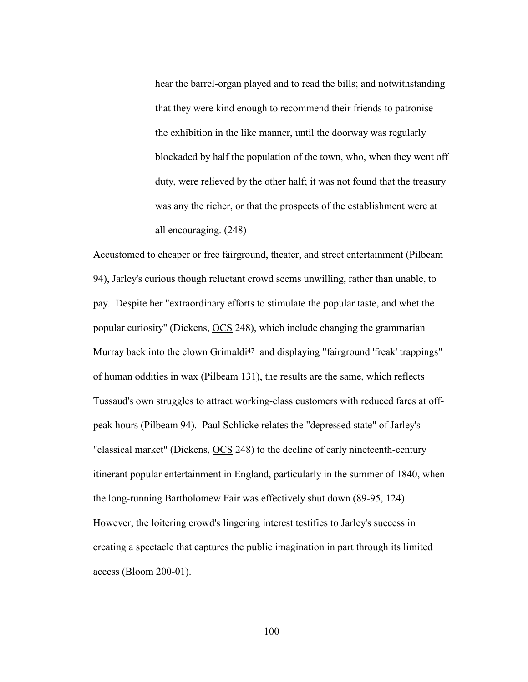hear the barrel-organ played and to read the bills; and notwithstanding that they were kind enough to recommend their friends to patronise the exhibition in the like manner, until the doorway was regularly blockaded by half the population of the town, who, when they went off duty, were relieved by the other half; it was not found that the treasury was any the richer, or that the prospects of the establishment were at all encouraging. (248)

Accustomed to cheaper or free fairground, theater, and street entertainment (Pilbeam 94), Jarley's curious though reluctant crowd seems unwilling, rather than unable, to pay. Despite her "extraordinary efforts to stimulate the popular taste, and whet the popular curiosity" (Dickens, OCS 248), which include changing the grammarian Murray back into the clown Grimaldi<sup>47</sup> and displaying "fairground 'freak' trappings" of human oddities in wax (Pilbeam 131), the results are the same, which reflects Tussaud's own struggles to attract working-class customers with reduced fares at offpeak hours (Pilbeam 94). Paul Schlicke relates the "depressed state" of Jarley's "classical market" (Dickens, OCS 248) to the decline of early nineteenth-century itinerant popular entertainment in England, particularly in the summer of 1840, when the long-running Bartholomew Fair was effectively shut down (89-95, 124). However, the loitering crowd's lingering interest testifies to Jarley's success in creating a spectacle that captures the public imagination in part through its limited access (Bloom 200-01).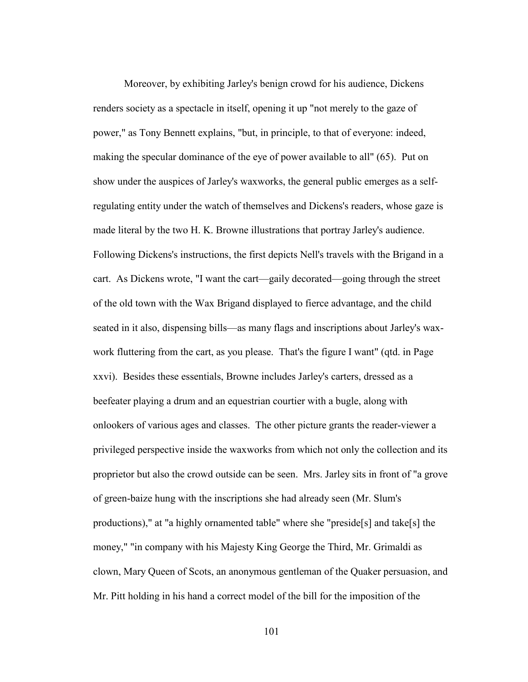Moreover, by exhibiting Jarley's benign crowd for his audience, Dickens renders society as a spectacle in itself, opening it up "not merely to the gaze of power," as Tony Bennett explains, "but, in principle, to that of everyone: indeed, making the specular dominance of the eye of power available to all" (65). Put on show under the auspices of Jarley's waxworks, the general public emerges as a selfregulating entity under the watch of themselves and Dickens's readers, whose gaze is made literal by the two H. K. Browne illustrations that portray Jarley's audience. Following Dickens's instructions, the first depicts Nell's travels with the Brigand in a cart. As Dickens wrote, "I want the cart—gaily decorated—going through the street of the old town with the Wax Brigand displayed to fierce advantage, and the child seated in it also, dispensing bills—as many flags and inscriptions about Jarley's waxwork fluttering from the cart, as you please. That's the figure I want" (qtd. in Page xxvi). Besides these essentials, Browne includes Jarley's carters, dressed as a beefeater playing a drum and an equestrian courtier with a bugle, along with onlookers of various ages and classes. The other picture grants the reader-viewer a privileged perspective inside the waxworks from which not only the collection and its proprietor but also the crowd outside can be seen. Mrs. Jarley sits in front of "a grove of green-baize hung with the inscriptions she had already seen (Mr. Slum's productions)," at "a highly ornamented table" where she "preside[s] and take[s] the money," "in company with his Majesty King George the Third, Mr. Grimaldi as clown, Mary Queen of Scots, an anonymous gentleman of the Quaker persuasion, and Mr. Pitt holding in his hand a correct model of the bill for the imposition of the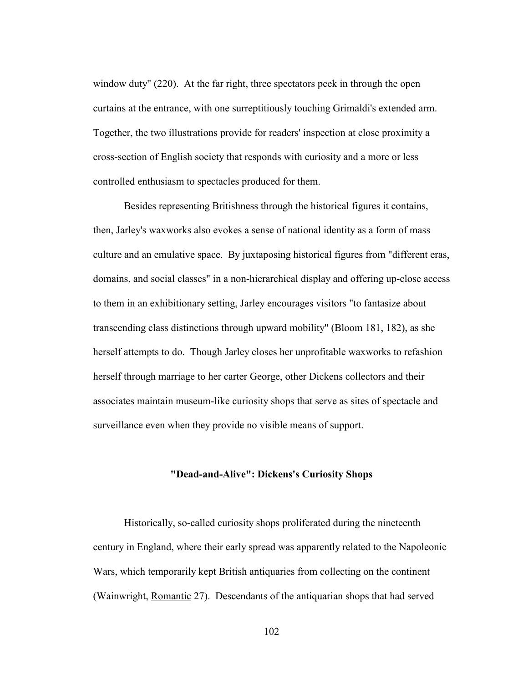window duty" (220). At the far right, three spectators peek in through the open curtains at the entrance, with one surreptitiously touching Grimaldi's extended arm. Together, the two illustrations provide for readers' inspection at close proximity a cross-section of English society that responds with curiosity and a more or less controlled enthusiasm to spectacles produced for them.

 Besides representing Britishness through the historical figures it contains, then, Jarley's waxworks also evokes a sense of national identity as a form of mass culture and an emulative space. By juxtaposing historical figures from "different eras, domains, and social classes" in a non-hierarchical display and offering up-close access to them in an exhibitionary setting, Jarley encourages visitors "to fantasize about transcending class distinctions through upward mobility" (Bloom 181, 182), as she herself attempts to do. Though Jarley closes her unprofitable waxworks to refashion herself through marriage to her carter George, other Dickens collectors and their associates maintain museum-like curiosity shops that serve as sites of spectacle and surveillance even when they provide no visible means of support.

## **"Dead-and-Alive": Dickens's Curiosity Shops**

Historically, so-called curiosity shops proliferated during the nineteenth century in England, where their early spread was apparently related to the Napoleonic Wars, which temporarily kept British antiquaries from collecting on the continent (Wainwright, Romantic 27). Descendants of the antiquarian shops that had served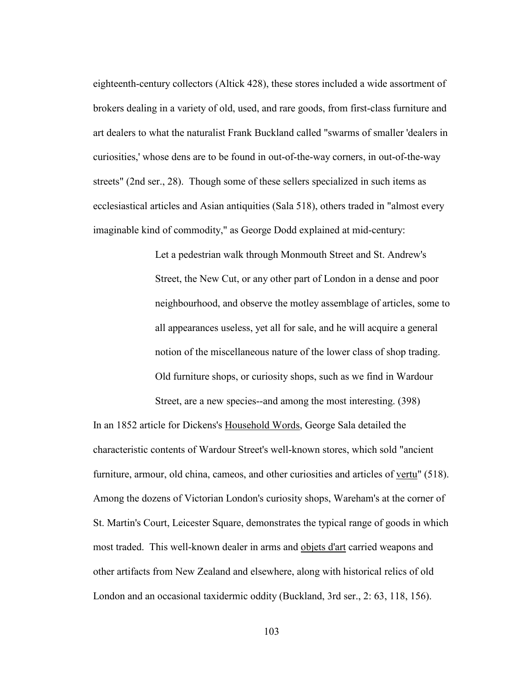eighteenth-century collectors (Altick 428), these stores included a wide assortment of brokers dealing in a variety of old, used, and rare goods, from first-class furniture and art dealers to what the naturalist Frank Buckland called "swarms of smaller 'dealers in curiosities,' whose dens are to be found in out-of-the-way corners, in out-of-the-way streets" (2nd ser., 28). Though some of these sellers specialized in such items as ecclesiastical articles and Asian antiquities (Sala 518), others traded in "almost every imaginable kind of commodity," as George Dodd explained at mid-century:

> Let a pedestrian walk through Monmouth Street and St. Andrew's Street, the New Cut, or any other part of London in a dense and poor neighbourhood, and observe the motley assemblage of articles, some to all appearances useless, yet all for sale, and he will acquire a general notion of the miscellaneous nature of the lower class of shop trading. Old furniture shops, or curiosity shops, such as we find in Wardour Street, are a new species--and among the most interesting. (398)

In an 1852 article for Dickens's Household Words, George Sala detailed the characteristic contents of Wardour Street's well-known stores, which sold "ancient furniture, armour, old china, cameos, and other curiosities and articles of vertu" (518). Among the dozens of Victorian London's curiosity shops, Wareham's at the corner of St. Martin's Court, Leicester Square, demonstrates the typical range of goods in which most traded. This well-known dealer in arms and objets d'art carried weapons and other artifacts from New Zealand and elsewhere, along with historical relics of old London and an occasional taxidermic oddity (Buckland, 3rd ser., 2: 63, 118, 156).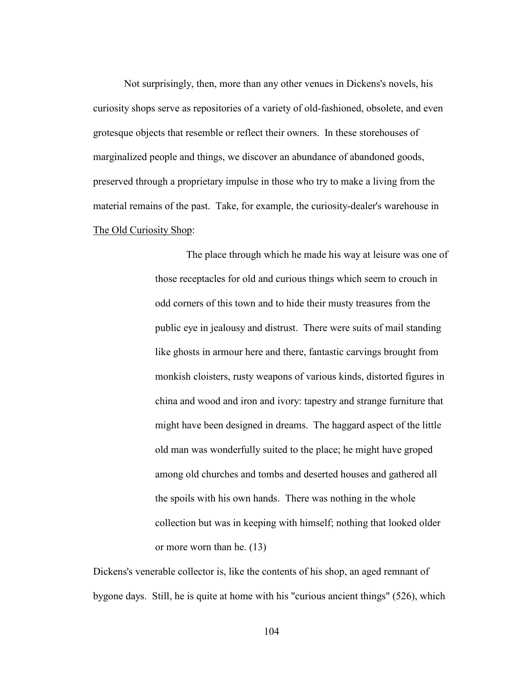Not surprisingly, then, more than any other venues in Dickens's novels, his curiosity shops serve as repositories of a variety of old-fashioned, obsolete, and even grotesque objects that resemble or reflect their owners. In these storehouses of marginalized people and things, we discover an abundance of abandoned goods, preserved through a proprietary impulse in those who try to make a living from the material remains of the past. Take, for example, the curiosity-dealer's warehouse in The Old Curiosity Shop:

> The place through which he made his way at leisure was one of those receptacles for old and curious things which seem to crouch in odd corners of this town and to hide their musty treasures from the public eye in jealousy and distrust. There were suits of mail standing like ghosts in armour here and there, fantastic carvings brought from monkish cloisters, rusty weapons of various kinds, distorted figures in china and wood and iron and ivory: tapestry and strange furniture that might have been designed in dreams. The haggard aspect of the little old man was wonderfully suited to the place; he might have groped among old churches and tombs and deserted houses and gathered all the spoils with his own hands. There was nothing in the whole collection but was in keeping with himself; nothing that looked older or more worn than he. (13)

Dickens's venerable collector is, like the contents of his shop, an aged remnant of bygone days. Still, he is quite at home with his "curious ancient things" (526), which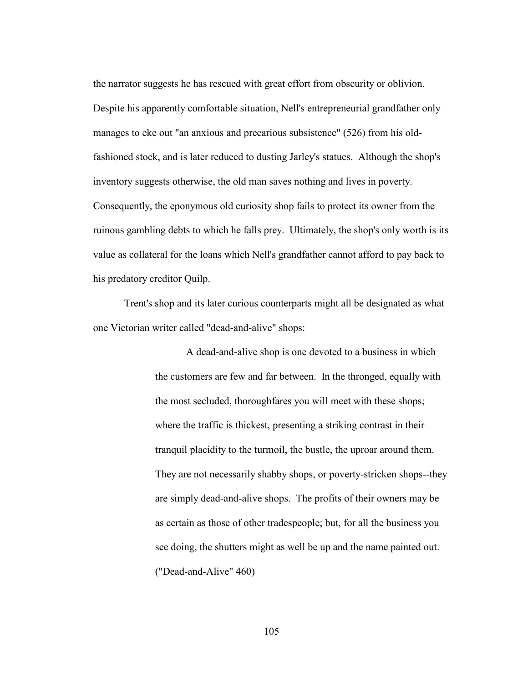the narrator suggests he has rescued with great effort from obscurity or oblivion. Despite his apparently comfortable situation, Nell's entrepreneurial grandfather only manages to eke out "an anxious and precarious subsistence" (526) from his oldfashioned stock, and is later reduced to dusting Jarley's statues. Although the shop's inventory suggests otherwise, the old man saves nothing and lives in poverty. Consequently, the eponymous old curiosity shop fails to protect its owner from the ruinous gambling debts to which he falls prey. Ultimately, the shop's only worth is its value as collateral for the loans which Nell's grandfather cannot afford to pay back to his predatory creditor Quilp.

 Trent's shop and its later curious counterparts might all be designated as what one Victorian writer called "dead-and-alive" shops:

> A dead-and-alive shop is one devoted to a business in which the customers are few and far between. In the thronged, equally with the most secluded, thoroughfares you will meet with these shops; where the traffic is thickest, presenting a striking contrast in their tranquil placidity to the turmoil, the bustle, the uproar around them. They are not necessarily shabby shops, or poverty-stricken shops--they are simply dead-and-alive shops. The profits of their owners may be as certain as those of other tradespeople; but, for all the business you see doing, the shutters might as well be up and the name painted out. ("Dead-and-Alive" 460)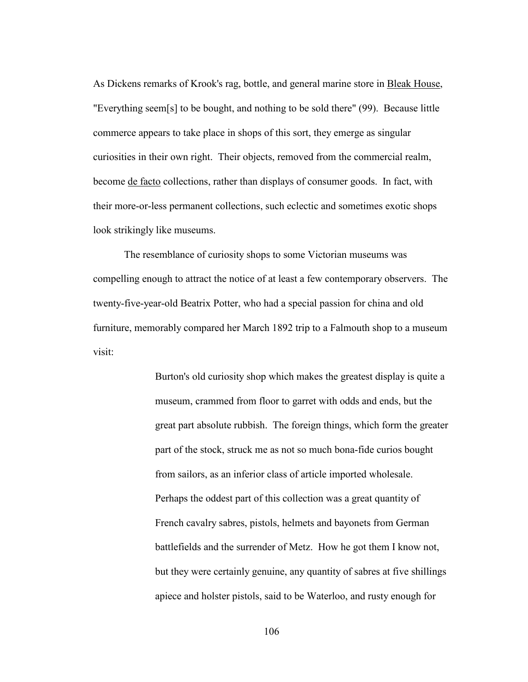As Dickens remarks of Krook's rag, bottle, and general marine store in Bleak House, "Everything seem[s] to be bought, and nothing to be sold there" (99). Because little commerce appears to take place in shops of this sort, they emerge as singular curiosities in their own right. Their objects, removed from the commercial realm, become de facto collections, rather than displays of consumer goods. In fact, with their more-or-less permanent collections, such eclectic and sometimes exotic shops look strikingly like museums.

 The resemblance of curiosity shops to some Victorian museums was compelling enough to attract the notice of at least a few contemporary observers. The twenty-five-year-old Beatrix Potter, who had a special passion for china and old furniture, memorably compared her March 1892 trip to a Falmouth shop to a museum visit:

> Burton's old curiosity shop which makes the greatest display is quite a museum, crammed from floor to garret with odds and ends, but the great part absolute rubbish. The foreign things, which form the greater part of the stock, struck me as not so much bona-fide curios bought from sailors, as an inferior class of article imported wholesale. Perhaps the oddest part of this collection was a great quantity of French cavalry sabres, pistols, helmets and bayonets from German battlefields and the surrender of Metz. How he got them I know not, but they were certainly genuine, any quantity of sabres at five shillings apiece and holster pistols, said to be Waterloo, and rusty enough for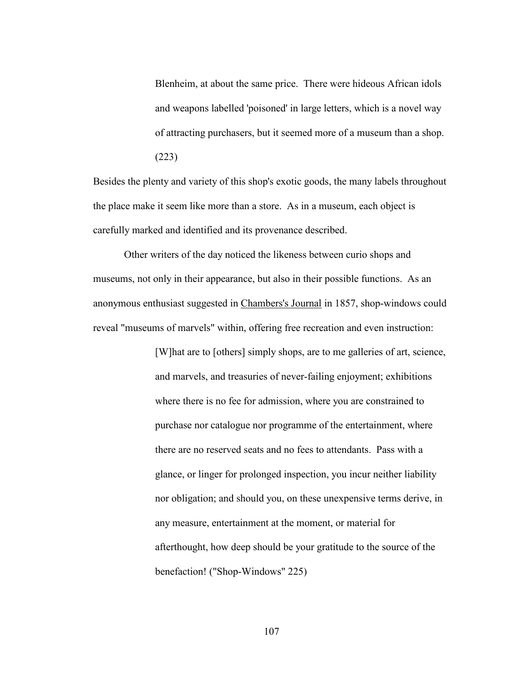Blenheim, at about the same price. There were hideous African idols and weapons labelled 'poisoned' in large letters, which is a novel way of attracting purchasers, but it seemed more of a museum than a shop. (223)

Besides the plenty and variety of this shop's exotic goods, the many labels throughout the place make it seem like more than a store. As in a museum, each object is carefully marked and identified and its provenance described.

 Other writers of the day noticed the likeness between curio shops and museums, not only in their appearance, but also in their possible functions. As an anonymous enthusiast suggested in Chambers's Journal in 1857, shop-windows could reveal "museums of marvels" within, offering free recreation and even instruction:

> [W]hat are to [others] simply shops, are to me galleries of art, science, and marvels, and treasuries of never-failing enjoyment; exhibitions where there is no fee for admission, where you are constrained to purchase nor catalogue nor programme of the entertainment, where there are no reserved seats and no fees to attendants. Pass with a glance, or linger for prolonged inspection, you incur neither liability nor obligation; and should you, on these unexpensive terms derive, in any measure, entertainment at the moment, or material for afterthought, how deep should be your gratitude to the source of the benefaction! ("Shop-Windows" 225)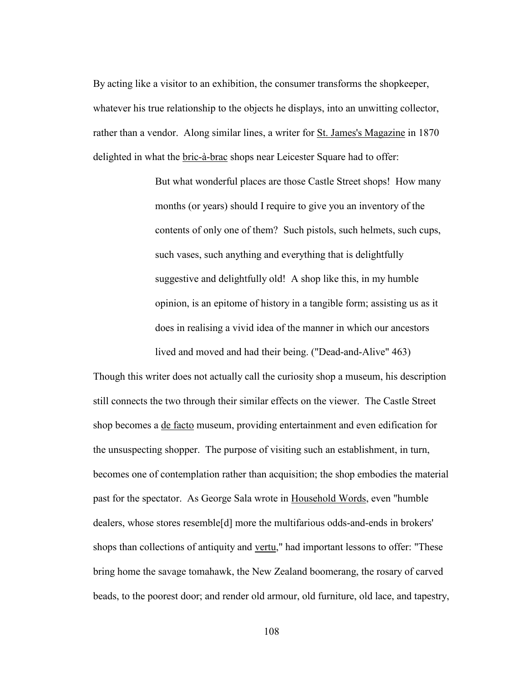By acting like a visitor to an exhibition, the consumer transforms the shopkeeper, whatever his true relationship to the objects he displays, into an unwitting collector, rather than a vendor. Along similar lines, a writer for St. James's Magazine in 1870 delighted in what the bric-à-brac shops near Leicester Square had to offer:

> But what wonderful places are those Castle Street shops! How many months (or years) should I require to give you an inventory of the contents of only one of them? Such pistols, such helmets, such cups, such vases, such anything and everything that is delightfully suggestive and delightfully old! A shop like this, in my humble opinion, is an epitome of history in a tangible form; assisting us as it does in realising a vivid idea of the manner in which our ancestors lived and moved and had their being. ("Dead-and-Alive" 463)

Though this writer does not actually call the curiosity shop a museum, his description still connects the two through their similar effects on the viewer. The Castle Street shop becomes a de facto museum, providing entertainment and even edification for the unsuspecting shopper. The purpose of visiting such an establishment, in turn, becomes one of contemplation rather than acquisition; the shop embodies the material past for the spectator. As George Sala wrote in Household Words, even "humble dealers, whose stores resemble[d] more the multifarious odds-and-ends in brokers' shops than collections of antiquity and vertu," had important lessons to offer: "These bring home the savage tomahawk, the New Zealand boomerang, the rosary of carved beads, to the poorest door; and render old armour, old furniture, old lace, and tapestry,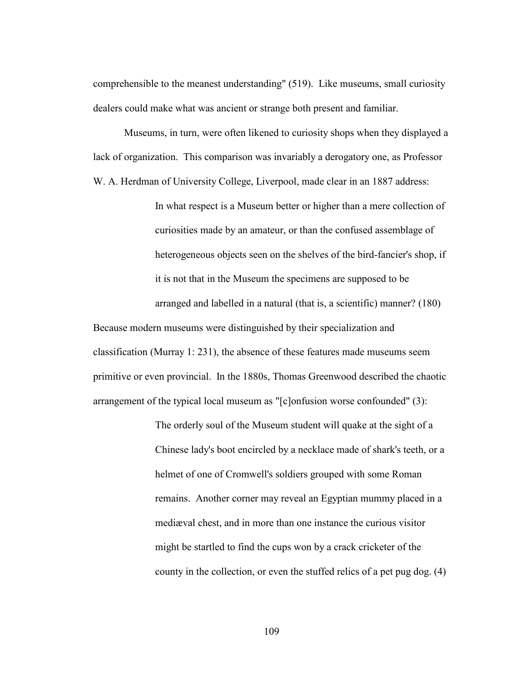comprehensible to the meanest understanding" (519). Like museums, small curiosity dealers could make what was ancient or strange both present and familiar.

 Museums, in turn, were often likened to curiosity shops when they displayed a lack of organization. This comparison was invariably a derogatory one, as Professor W. A. Herdman of University College, Liverpool, made clear in an 1887 address:

> In what respect is a Museum better or higher than a mere collection of curiosities made by an amateur, or than the confused assemblage of heterogeneous objects seen on the shelves of the bird-fancier's shop, if it is not that in the Museum the specimens are supposed to be arranged and labelled in a natural (that is, a scientific) manner? (180)

Because modern museums were distinguished by their specialization and classification (Murray 1: 231), the absence of these features made museums seem primitive or even provincial. In the 1880s, Thomas Greenwood described the chaotic arrangement of the typical local museum as "[c]onfusion worse confounded" (3):

> The orderly soul of the Museum student will quake at the sight of a Chinese lady's boot encircled by a necklace made of shark's teeth, or a helmet of one of Cromwell's soldiers grouped with some Roman remains. Another corner may reveal an Egyptian mummy placed in a mediæval chest, and in more than one instance the curious visitor might be startled to find the cups won by a crack cricketer of the county in the collection, or even the stuffed relics of a pet pug dog. (4)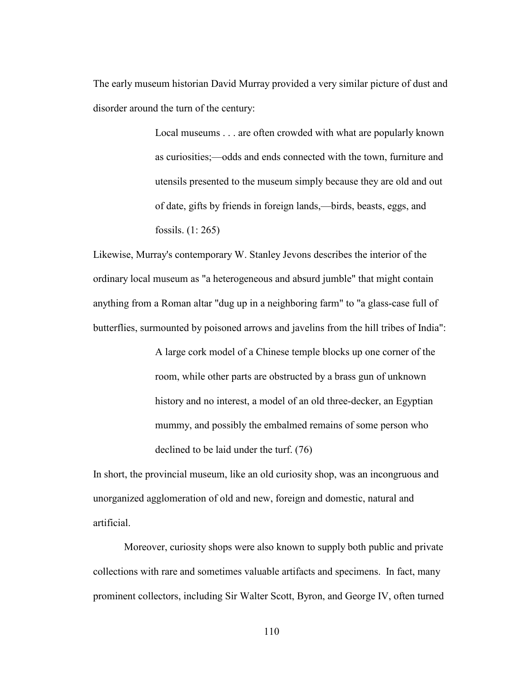The early museum historian David Murray provided a very similar picture of dust and disorder around the turn of the century:

> Local museums . . . are often crowded with what are popularly known as curiosities;—odds and ends connected with the town, furniture and utensils presented to the museum simply because they are old and out of date, gifts by friends in foreign lands,—birds, beasts, eggs, and fossils. (1: 265)

Likewise, Murray's contemporary W. Stanley Jevons describes the interior of the ordinary local museum as "a heterogeneous and absurd jumble" that might contain anything from a Roman altar "dug up in a neighboring farm" to "a glass-case full of butterflies, surmounted by poisoned arrows and javelins from the hill tribes of India":

> A large cork model of a Chinese temple blocks up one corner of the room, while other parts are obstructed by a brass gun of unknown history and no interest, a model of an old three-decker, an Egyptian mummy, and possibly the embalmed remains of some person who declined to be laid under the turf. (76)

In short, the provincial museum, like an old curiosity shop, was an incongruous and unorganized agglomeration of old and new, foreign and domestic, natural and artificial.

 Moreover, curiosity shops were also known to supply both public and private collections with rare and sometimes valuable artifacts and specimens. In fact, many prominent collectors, including Sir Walter Scott, Byron, and George IV, often turned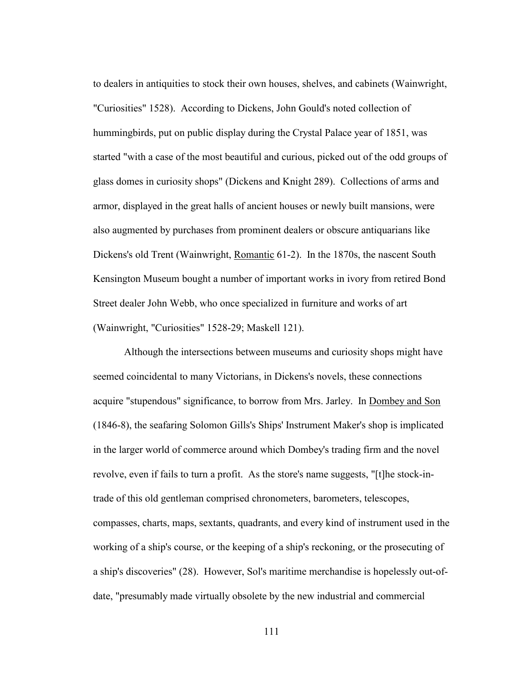to dealers in antiquities to stock their own houses, shelves, and cabinets (Wainwright, "Curiosities" 1528). According to Dickens, John Gould's noted collection of hummingbirds, put on public display during the Crystal Palace year of 1851, was started "with a case of the most beautiful and curious, picked out of the odd groups of glass domes in curiosity shops" (Dickens and Knight 289). Collections of arms and armor, displayed in the great halls of ancient houses or newly built mansions, were also augmented by purchases from prominent dealers or obscure antiquarians like Dickens's old Trent (Wainwright, Romantic 61-2). In the 1870s, the nascent South Kensington Museum bought a number of important works in ivory from retired Bond Street dealer John Webb, who once specialized in furniture and works of art (Wainwright, "Curiosities" 1528-29; Maskell 121).

 Although the intersections between museums and curiosity shops might have seemed coincidental to many Victorians, in Dickens's novels, these connections acquire "stupendous" significance, to borrow from Mrs. Jarley. In Dombey and Son (1846-8), the seafaring Solomon Gills's Ships' Instrument Maker's shop is implicated in the larger world of commerce around which Dombey's trading firm and the novel revolve, even if fails to turn a profit. As the store's name suggests, "[t]he stock-intrade of this old gentleman comprised chronometers, barometers, telescopes, compasses, charts, maps, sextants, quadrants, and every kind of instrument used in the working of a ship's course, or the keeping of a ship's reckoning, or the prosecuting of a ship's discoveries" (28). However, Sol's maritime merchandise is hopelessly out-ofdate, "presumably made virtually obsolete by the new industrial and commercial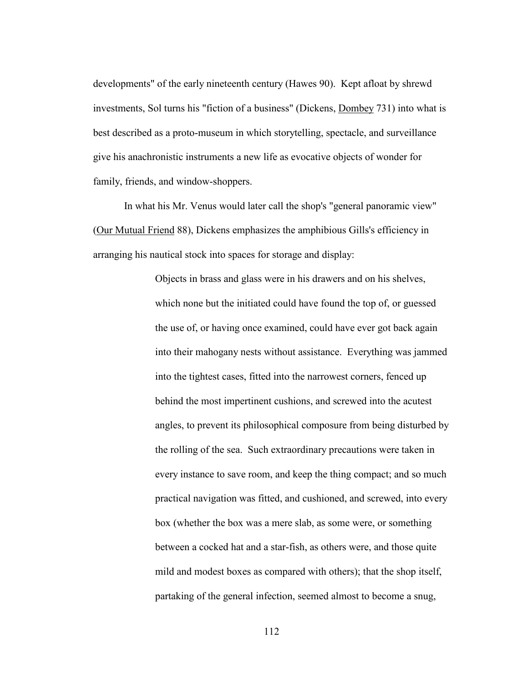developments" of the early nineteenth century (Hawes 90). Kept afloat by shrewd investments, Sol turns his "fiction of a business" (Dickens, Dombey 731) into what is best described as a proto-museum in which storytelling, spectacle, and surveillance give his anachronistic instruments a new life as evocative objects of wonder for family, friends, and window-shoppers.

 In what his Mr. Venus would later call the shop's "general panoramic view" (Our Mutual Friend 88), Dickens emphasizes the amphibious Gills's efficiency in arranging his nautical stock into spaces for storage and display:

> Objects in brass and glass were in his drawers and on his shelves, which none but the initiated could have found the top of, or guessed the use of, or having once examined, could have ever got back again into their mahogany nests without assistance. Everything was jammed into the tightest cases, fitted into the narrowest corners, fenced up behind the most impertinent cushions, and screwed into the acutest angles, to prevent its philosophical composure from being disturbed by the rolling of the sea. Such extraordinary precautions were taken in every instance to save room, and keep the thing compact; and so much practical navigation was fitted, and cushioned, and screwed, into every box (whether the box was a mere slab, as some were, or something between a cocked hat and a star-fish, as others were, and those quite mild and modest boxes as compared with others); that the shop itself, partaking of the general infection, seemed almost to become a snug,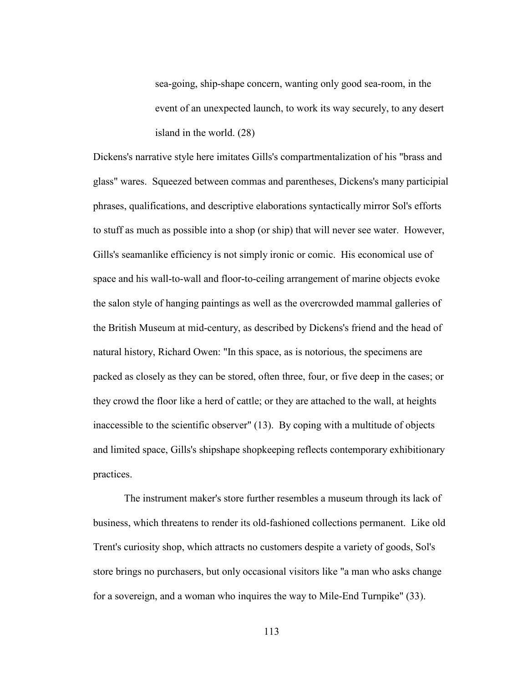sea-going, ship-shape concern, wanting only good sea-room, in the event of an unexpected launch, to work its way securely, to any desert island in the world. (28)

Dickens's narrative style here imitates Gills's compartmentalization of his "brass and glass" wares. Squeezed between commas and parentheses, Dickens's many participial phrases, qualifications, and descriptive elaborations syntactically mirror Sol's efforts to stuff as much as possible into a shop (or ship) that will never see water. However, Gills's seamanlike efficiency is not simply ironic or comic. His economical use of space and his wall-to-wall and floor-to-ceiling arrangement of marine objects evoke the salon style of hanging paintings as well as the overcrowded mammal galleries of the British Museum at mid-century, as described by Dickens's friend and the head of natural history, Richard Owen: "In this space, as is notorious, the specimens are packed as closely as they can be stored, often three, four, or five deep in the cases; or they crowd the floor like a herd of cattle; or they are attached to the wall, at heights inaccessible to the scientific observer" (13). By coping with a multitude of objects and limited space, Gills's shipshape shopkeeping reflects contemporary exhibitionary practices.

 The instrument maker's store further resembles a museum through its lack of business, which threatens to render its old-fashioned collections permanent. Like old Trent's curiosity shop, which attracts no customers despite a variety of goods, Sol's store brings no purchasers, but only occasional visitors like "a man who asks change for a sovereign, and a woman who inquires the way to Mile-End Turnpike" (33).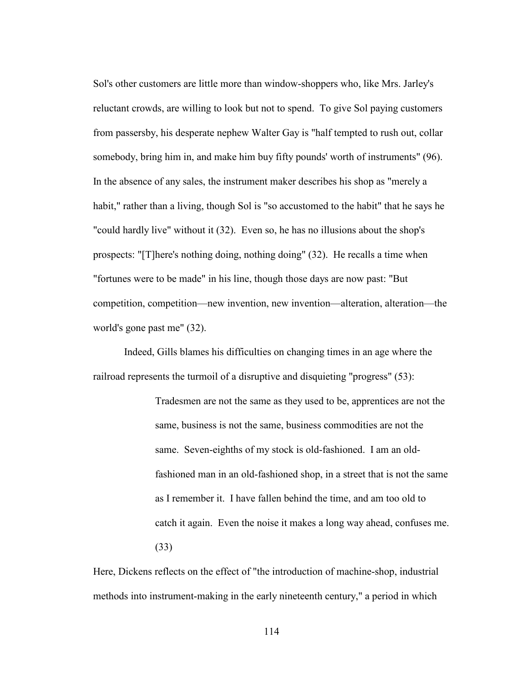Sol's other customers are little more than window-shoppers who, like Mrs. Jarley's reluctant crowds, are willing to look but not to spend. To give Sol paying customers from passersby, his desperate nephew Walter Gay is "half tempted to rush out, collar somebody, bring him in, and make him buy fifty pounds' worth of instruments" (96). In the absence of any sales, the instrument maker describes his shop as "merely a habit," rather than a living, though Sol is "so accustomed to the habit" that he says he "could hardly live" without it (32). Even so, he has no illusions about the shop's prospects: "[T]here's nothing doing, nothing doing" (32). He recalls a time when "fortunes were to be made" in his line, though those days are now past: "But competition, competition—new invention, new invention—alteration, alteration—the world's gone past me" (32).

Indeed, Gills blames his difficulties on changing times in an age where the railroad represents the turmoil of a disruptive and disquieting "progress" (53):

> Tradesmen are not the same as they used to be, apprentices are not the same, business is not the same, business commodities are not the same. Seven-eighths of my stock is old-fashioned. I am an oldfashioned man in an old-fashioned shop, in a street that is not the same as I remember it. I have fallen behind the time, and am too old to catch it again. Even the noise it makes a long way ahead, confuses me. (33)

Here, Dickens reflects on the effect of "the introduction of machine-shop, industrial methods into instrument-making in the early nineteenth century," a period in which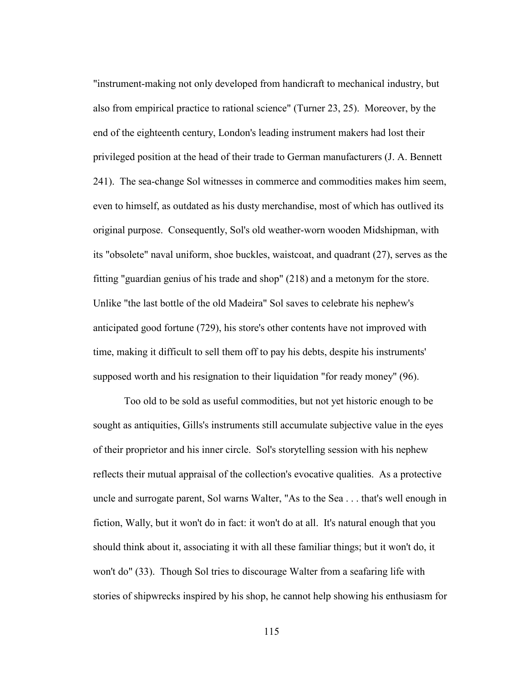"instrument-making not only developed from handicraft to mechanical industry, but also from empirical practice to rational science" (Turner 23, 25). Moreover, by the end of the eighteenth century, London's leading instrument makers had lost their privileged position at the head of their trade to German manufacturers (J. A. Bennett 241). The sea-change Sol witnesses in commerce and commodities makes him seem, even to himself, as outdated as his dusty merchandise, most of which has outlived its original purpose. Consequently, Sol's old weather-worn wooden Midshipman, with its "obsolete" naval uniform, shoe buckles, waistcoat, and quadrant (27), serves as the fitting "guardian genius of his trade and shop" (218) and a metonym for the store. Unlike "the last bottle of the old Madeira" Sol saves to celebrate his nephew's anticipated good fortune (729), his store's other contents have not improved with time, making it difficult to sell them off to pay his debts, despite his instruments' supposed worth and his resignation to their liquidation "for ready money" (96).

 Too old to be sold as useful commodities, but not yet historic enough to be sought as antiquities, Gills's instruments still accumulate subjective value in the eyes of their proprietor and his inner circle. Sol's storytelling session with his nephew reflects their mutual appraisal of the collection's evocative qualities. As a protective uncle and surrogate parent, Sol warns Walter, "As to the Sea . . . that's well enough in fiction, Wally, but it won't do in fact: it won't do at all. It's natural enough that you should think about it, associating it with all these familiar things; but it won't do, it won't do" (33). Though Sol tries to discourage Walter from a seafaring life with stories of shipwrecks inspired by his shop, he cannot help showing his enthusiasm for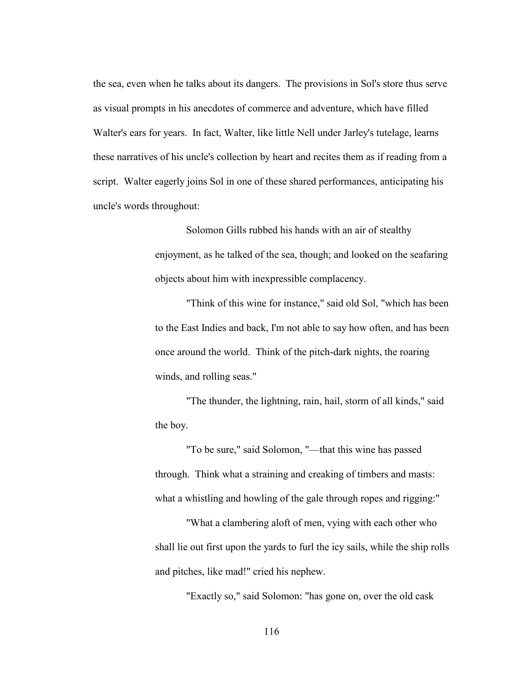the sea, even when he talks about its dangers. The provisions in Sol's store thus serve as visual prompts in his anecdotes of commerce and adventure, which have filled Walter's ears for years. In fact, Walter, like little Nell under Jarley's tutelage, learns these narratives of his uncle's collection by heart and recites them as if reading from a script. Walter eagerly joins Sol in one of these shared performances, anticipating his uncle's words throughout:

> Solomon Gills rubbed his hands with an air of stealthy enjoyment, as he talked of the sea, though; and looked on the seafaring objects about him with inexpressible complacency.

> "Think of this wine for instance," said old Sol, "which has been to the East Indies and back, I'm not able to say how often, and has been once around the world. Think of the pitch-dark nights, the roaring winds, and rolling seas."

"The thunder, the lightning, rain, hail, storm of all kinds," said the boy.

"To be sure," said Solomon, "—that this wine has passed through. Think what a straining and creaking of timbers and masts: what a whistling and howling of the gale through ropes and rigging:"

"What a clambering aloft of men, vying with each other who shall lie out first upon the yards to furl the icy sails, while the ship rolls and pitches, like mad!" cried his nephew.

"Exactly so," said Solomon: "has gone on, over the old cask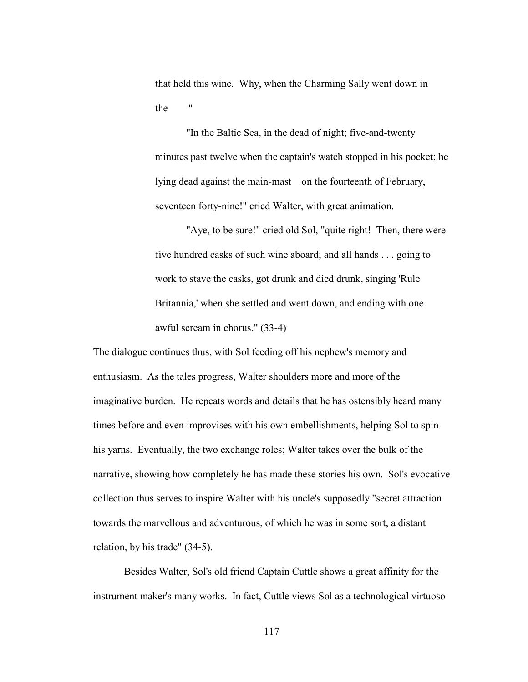that held this wine. Why, when the Charming Sally went down in the——"

"In the Baltic Sea, in the dead of night; five-and-twenty minutes past twelve when the captain's watch stopped in his pocket; he lying dead against the main-mast—on the fourteenth of February, seventeen forty-nine!" cried Walter, with great animation.

"Aye, to be sure!" cried old Sol, "quite right! Then, there were five hundred casks of such wine aboard; and all hands . . . going to work to stave the casks, got drunk and died drunk, singing 'Rule Britannia,' when she settled and went down, and ending with one awful scream in chorus." (33-4)

The dialogue continues thus, with Sol feeding off his nephew's memory and enthusiasm. As the tales progress, Walter shoulders more and more of the imaginative burden. He repeats words and details that he has ostensibly heard many times before and even improvises with his own embellishments, helping Sol to spin his yarns. Eventually, the two exchange roles; Walter takes over the bulk of the narrative, showing how completely he has made these stories his own. Sol's evocative collection thus serves to inspire Walter with his uncle's supposedly "secret attraction towards the marvellous and adventurous, of which he was in some sort, a distant relation, by his trade" (34-5).

 Besides Walter, Sol's old friend Captain Cuttle shows a great affinity for the instrument maker's many works. In fact, Cuttle views Sol as a technological virtuoso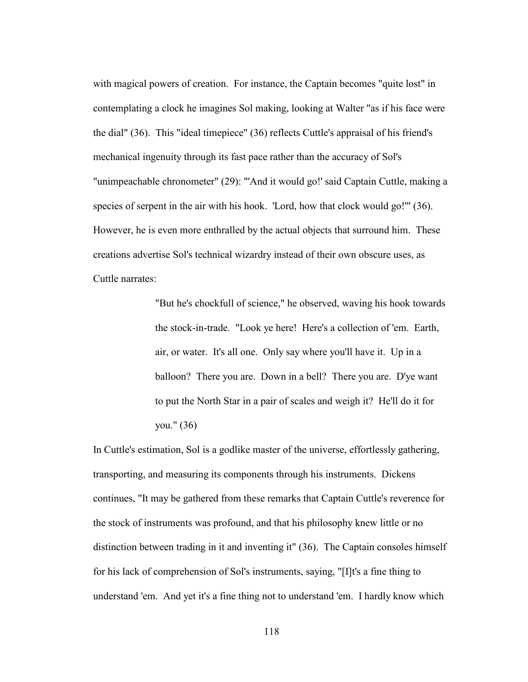with magical powers of creation. For instance, the Captain becomes "quite lost" in contemplating a clock he imagines Sol making, looking at Walter "as if his face were the dial" (36). This "ideal timepiece" (36) reflects Cuttle's appraisal of his friend's mechanical ingenuity through its fast pace rather than the accuracy of Sol's "unimpeachable chronometer" (29): "'And it would go!' said Captain Cuttle, making a species of serpent in the air with his hook. 'Lord, how that clock would go!'" (36). However, he is even more enthralled by the actual objects that surround him. These creations advertise Sol's technical wizardry instead of their own obscure uses, as Cuttle narrates:

> "But he's chockfull of science," he observed, waving his hook towards the stock-in-trade. "Look ye here! Here's a collection of 'em. Earth, air, or water. It's all one. Only say where you'll have it. Up in a balloon? There you are. Down in a bell? There you are. D'ye want to put the North Star in a pair of scales and weigh it? He'll do it for you." (36)

In Cuttle's estimation, Sol is a godlike master of the universe, effortlessly gathering, transporting, and measuring its components through his instruments. Dickens continues, "It may be gathered from these remarks that Captain Cuttle's reverence for the stock of instruments was profound, and that his philosophy knew little or no distinction between trading in it and inventing it" (36). The Captain consoles himself for his lack of comprehension of Sol's instruments, saying, "[I]t's a fine thing to understand 'em. And yet it's a fine thing not to understand 'em. I hardly know which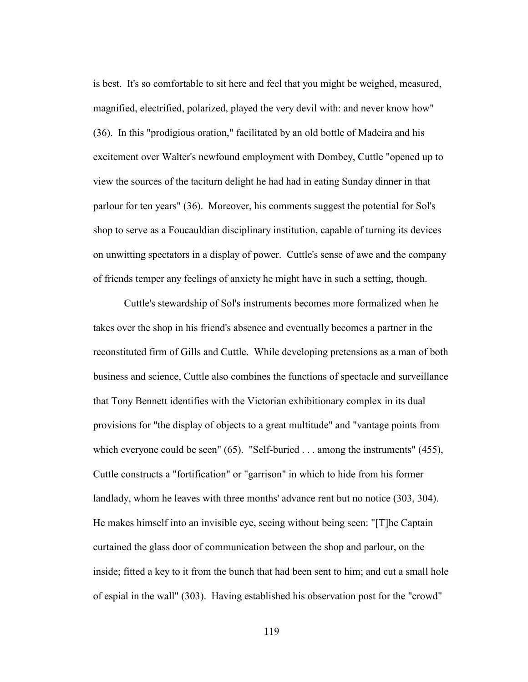is best. It's so comfortable to sit here and feel that you might be weighed, measured, magnified, electrified, polarized, played the very devil with: and never know how" (36). In this "prodigious oration," facilitated by an old bottle of Madeira and his excitement over Walter's newfound employment with Dombey, Cuttle "opened up to view the sources of the taciturn delight he had had in eating Sunday dinner in that parlour for ten years" (36). Moreover, his comments suggest the potential for Sol's shop to serve as a Foucauldian disciplinary institution, capable of turning its devices on unwitting spectators in a display of power. Cuttle's sense of awe and the company of friends temper any feelings of anxiety he might have in such a setting, though.

 Cuttle's stewardship of Sol's instruments becomes more formalized when he takes over the shop in his friend's absence and eventually becomes a partner in the reconstituted firm of Gills and Cuttle. While developing pretensions as a man of both business and science, Cuttle also combines the functions of spectacle and surveillance that Tony Bennett identifies with the Victorian exhibitionary complex in its dual provisions for "the display of objects to a great multitude" and "vantage points from which everyone could be seen" (65). "Self-buried . . . among the instruments" (455), Cuttle constructs a "fortification" or "garrison" in which to hide from his former landlady, whom he leaves with three months' advance rent but no notice (303, 304). He makes himself into an invisible eye, seeing without being seen: "[T]he Captain curtained the glass door of communication between the shop and parlour, on the inside; fitted a key to it from the bunch that had been sent to him; and cut a small hole of espial in the wall" (303). Having established his observation post for the "crowd"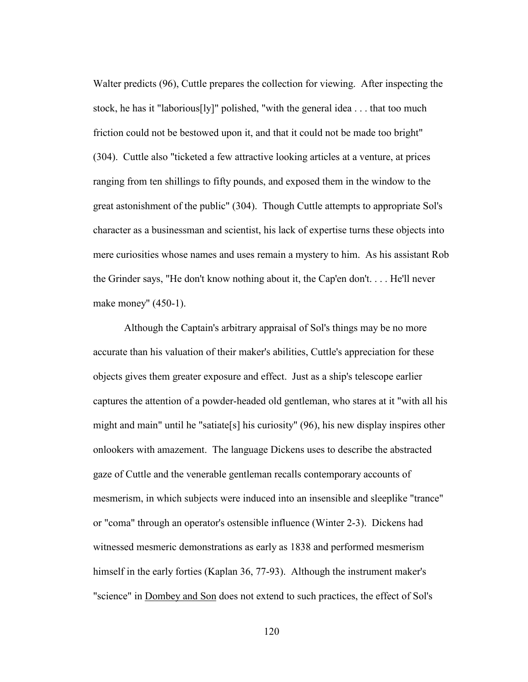Walter predicts (96), Cuttle prepares the collection for viewing. After inspecting the stock, he has it "laborious[ly]" polished, "with the general idea . . . that too much friction could not be bestowed upon it, and that it could not be made too bright" (304). Cuttle also "ticketed a few attractive looking articles at a venture, at prices ranging from ten shillings to fifty pounds, and exposed them in the window to the great astonishment of the public" (304). Though Cuttle attempts to appropriate Sol's character as a businessman and scientist, his lack of expertise turns these objects into mere curiosities whose names and uses remain a mystery to him. As his assistant Rob the Grinder says, "He don't know nothing about it, the Cap'en don't. . . . He'll never make money" (450-1).

 Although the Captain's arbitrary appraisal of Sol's things may be no more accurate than his valuation of their maker's abilities, Cuttle's appreciation for these objects gives them greater exposure and effect. Just as a ship's telescope earlier captures the attention of a powder-headed old gentleman, who stares at it "with all his might and main" until he "satiate[s] his curiosity" (96), his new display inspires other onlookers with amazement. The language Dickens uses to describe the abstracted gaze of Cuttle and the venerable gentleman recalls contemporary accounts of mesmerism, in which subjects were induced into an insensible and sleeplike "trance" or "coma" through an operator's ostensible influence (Winter 2-3). Dickens had witnessed mesmeric demonstrations as early as 1838 and performed mesmerism himself in the early forties (Kaplan 36, 77-93). Although the instrument maker's "science" in Dombey and Son does not extend to such practices, the effect of Sol's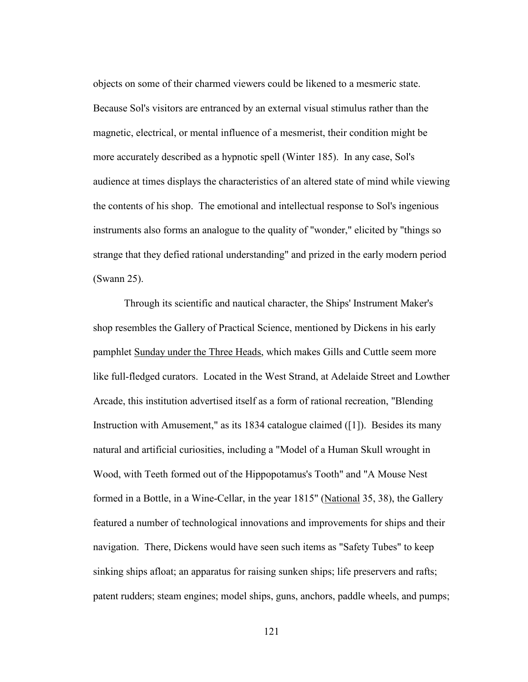objects on some of their charmed viewers could be likened to a mesmeric state. Because Sol's visitors are entranced by an external visual stimulus rather than the magnetic, electrical, or mental influence of a mesmerist, their condition might be more accurately described as a hypnotic spell (Winter 185). In any case, Sol's audience at times displays the characteristics of an altered state of mind while viewing the contents of his shop. The emotional and intellectual response to Sol's ingenious instruments also forms an analogue to the quality of "wonder," elicited by "things so strange that they defied rational understanding" and prized in the early modern period (Swann 25).

 Through its scientific and nautical character, the Ships' Instrument Maker's shop resembles the Gallery of Practical Science, mentioned by Dickens in his early pamphlet Sunday under the Three Heads, which makes Gills and Cuttle seem more like full-fledged curators. Located in the West Strand, at Adelaide Street and Lowther Arcade, this institution advertised itself as a form of rational recreation, "Blending Instruction with Amusement," as its 1834 catalogue claimed ([1]). Besides its many natural and artificial curiosities, including a "Model of a Human Skull wrought in Wood, with Teeth formed out of the Hippopotamus's Tooth" and "A Mouse Nest formed in a Bottle, in a Wine-Cellar, in the year 1815" (National 35, 38), the Gallery featured a number of technological innovations and improvements for ships and their navigation. There, Dickens would have seen such items as "Safety Tubes" to keep sinking ships afloat; an apparatus for raising sunken ships; life preservers and rafts; patent rudders; steam engines; model ships, guns, anchors, paddle wheels, and pumps;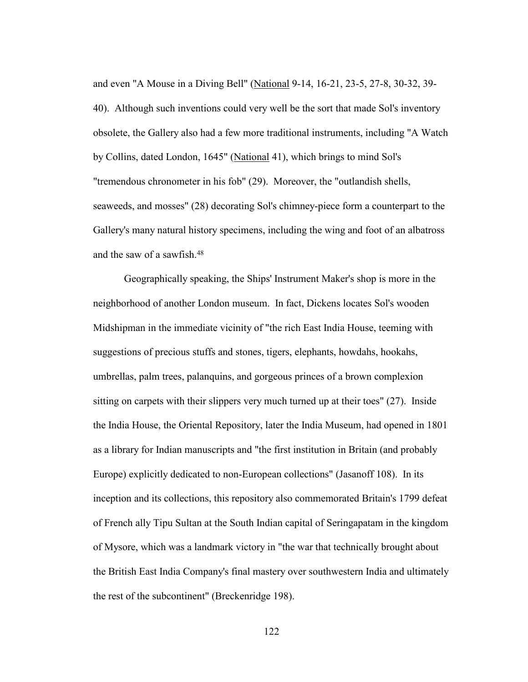and even "A Mouse in a Diving Bell" (National 9-14, 16-21, 23-5, 27-8, 30-32, 39- 40). Although such inventions could very well be the sort that made Sol's inventory obsolete, the Gallery also had a few more traditional instruments, including "A Watch by Collins, dated London, 1645" (National 41), which brings to mind Sol's "tremendous chronometer in his fob" (29). Moreover, the "outlandish shells, seaweeds, and mosses" (28) decorating Sol's chimney-piece form a counterpart to the Gallery's many natural history specimens, including the wing and foot of an albatross and the saw of a sawfish.48

Geographically speaking, the Ships' Instrument Maker's shop is more in the neighborhood of another London museum. In fact, Dickens locates Sol's wooden Midshipman in the immediate vicinity of "the rich East India House, teeming with suggestions of precious stuffs and stones, tigers, elephants, howdahs, hookahs, umbrellas, palm trees, palanquins, and gorgeous princes of a brown complexion sitting on carpets with their slippers very much turned up at their toes" (27). Inside the India House, the Oriental Repository, later the India Museum, had opened in 1801 as a library for Indian manuscripts and "the first institution in Britain (and probably Europe) explicitly dedicated to non-European collections" (Jasanoff 108). In its inception and its collections, this repository also commemorated Britain's 1799 defeat of French ally Tipu Sultan at the South Indian capital of Seringapatam in the kingdom of Mysore, which was a landmark victory in "the war that technically brought about the British East India Company's final mastery over southwestern India and ultimately the rest of the subcontinent" (Breckenridge 198).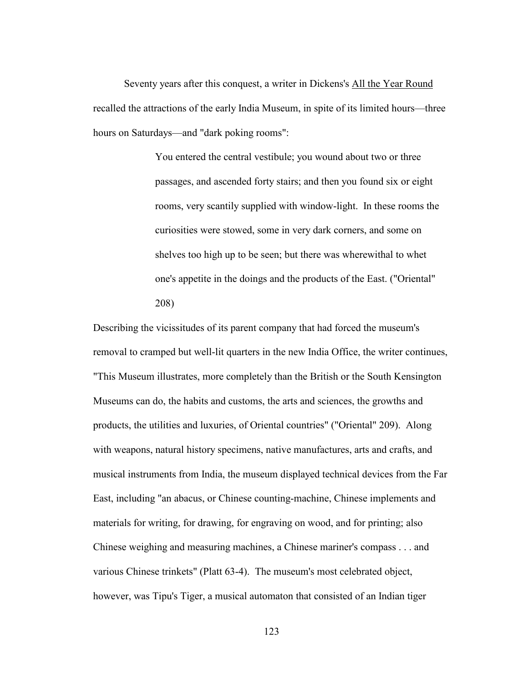Seventy years after this conquest, a writer in Dickens's All the Year Round recalled the attractions of the early India Museum, in spite of its limited hours—three hours on Saturdays—and "dark poking rooms":

> You entered the central vestibule; you wound about two or three passages, and ascended forty stairs; and then you found six or eight rooms, very scantily supplied with window-light. In these rooms the curiosities were stowed, some in very dark corners, and some on shelves too high up to be seen; but there was wherewithal to whet one's appetite in the doings and the products of the East. ("Oriental" 208)

Describing the vicissitudes of its parent company that had forced the museum's removal to cramped but well-lit quarters in the new India Office, the writer continues, "This Museum illustrates, more completely than the British or the South Kensington Museums can do, the habits and customs, the arts and sciences, the growths and products, the utilities and luxuries, of Oriental countries" ("Oriental" 209). Along with weapons, natural history specimens, native manufactures, arts and crafts, and musical instruments from India, the museum displayed technical devices from the Far East, including "an abacus, or Chinese counting-machine, Chinese implements and materials for writing, for drawing, for engraving on wood, and for printing; also Chinese weighing and measuring machines, a Chinese mariner's compass . . . and various Chinese trinkets" (Platt 63-4). The museum's most celebrated object, however, was Tipu's Tiger, a musical automaton that consisted of an Indian tiger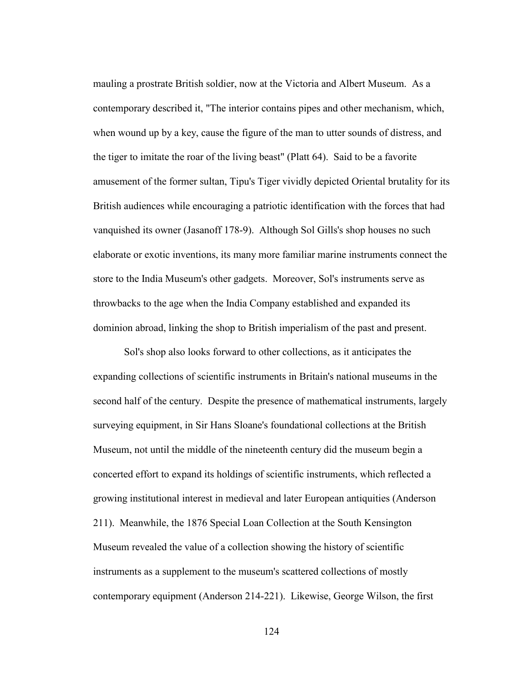mauling a prostrate British soldier, now at the Victoria and Albert Museum. As a contemporary described it, "The interior contains pipes and other mechanism, which, when wound up by a key, cause the figure of the man to utter sounds of distress, and the tiger to imitate the roar of the living beast" (Platt 64). Said to be a favorite amusement of the former sultan, Tipu's Tiger vividly depicted Oriental brutality for its British audiences while encouraging a patriotic identification with the forces that had vanquished its owner (Jasanoff 178-9). Although Sol Gills's shop houses no such elaborate or exotic inventions, its many more familiar marine instruments connect the store to the India Museum's other gadgets. Moreover, Sol's instruments serve as throwbacks to the age when the India Company established and expanded its dominion abroad, linking the shop to British imperialism of the past and present.

Sol's shop also looks forward to other collections, as it anticipates the expanding collections of scientific instruments in Britain's national museums in the second half of the century. Despite the presence of mathematical instruments, largely surveying equipment, in Sir Hans Sloane's foundational collections at the British Museum, not until the middle of the nineteenth century did the museum begin a concerted effort to expand its holdings of scientific instruments, which reflected a growing institutional interest in medieval and later European antiquities (Anderson 211). Meanwhile, the 1876 Special Loan Collection at the South Kensington Museum revealed the value of a collection showing the history of scientific instruments as a supplement to the museum's scattered collections of mostly contemporary equipment (Anderson 214-221). Likewise, George Wilson, the first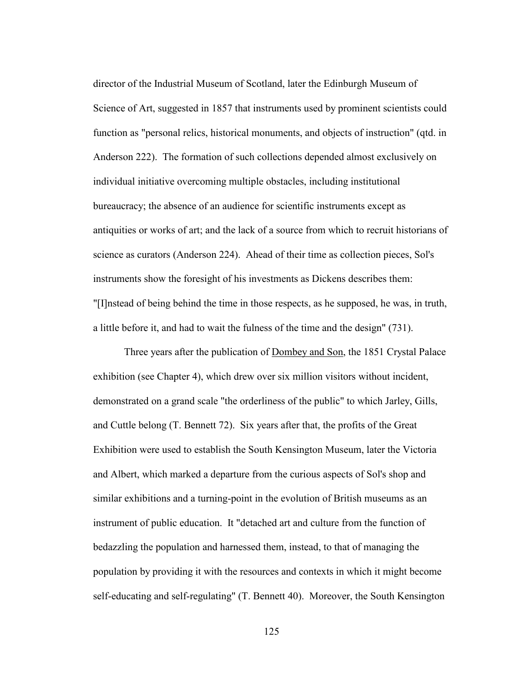director of the Industrial Museum of Scotland, later the Edinburgh Museum of Science of Art, suggested in 1857 that instruments used by prominent scientists could function as "personal relics, historical monuments, and objects of instruction" (qtd. in Anderson 222). The formation of such collections depended almost exclusively on individual initiative overcoming multiple obstacles, including institutional bureaucracy; the absence of an audience for scientific instruments except as antiquities or works of art; and the lack of a source from which to recruit historians of science as curators (Anderson 224). Ahead of their time as collection pieces, Sol's instruments show the foresight of his investments as Dickens describes them: "[I]nstead of being behind the time in those respects, as he supposed, he was, in truth, a little before it, and had to wait the fulness of the time and the design" (731).

 Three years after the publication of Dombey and Son, the 1851 Crystal Palace exhibition (see Chapter 4), which drew over six million visitors without incident, demonstrated on a grand scale "the orderliness of the public" to which Jarley, Gills, and Cuttle belong (T. Bennett 72). Six years after that, the profits of the Great Exhibition were used to establish the South Kensington Museum, later the Victoria and Albert, which marked a departure from the curious aspects of Sol's shop and similar exhibitions and a turning-point in the evolution of British museums as an instrument of public education. It "detached art and culture from the function of bedazzling the population and harnessed them, instead, to that of managing the population by providing it with the resources and contexts in which it might become self-educating and self-regulating" (T. Bennett 40). Moreover, the South Kensington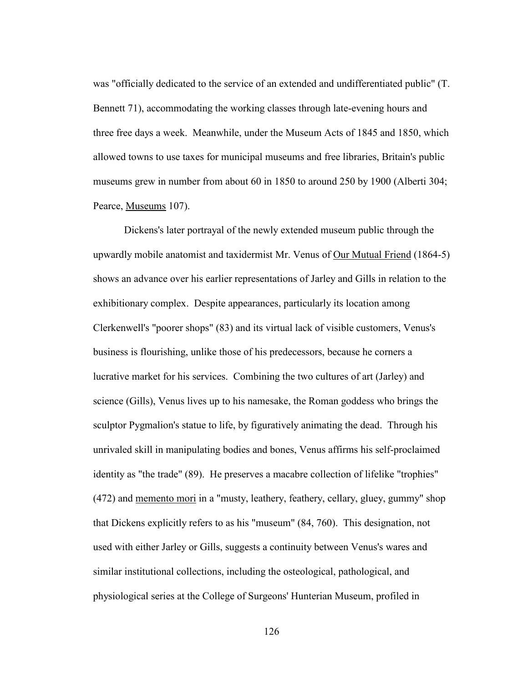was "officially dedicated to the service of an extended and undifferentiated public" (T. Bennett 71), accommodating the working classes through late-evening hours and three free days a week. Meanwhile, under the Museum Acts of 1845 and 1850, which allowed towns to use taxes for municipal museums and free libraries, Britain's public museums grew in number from about 60 in 1850 to around 250 by 1900 (Alberti 304; Pearce, Museums 107).

 Dickens's later portrayal of the newly extended museum public through the upwardly mobile anatomist and taxidermist Mr. Venus of Our Mutual Friend (1864-5) shows an advance over his earlier representations of Jarley and Gills in relation to the exhibitionary complex. Despite appearances, particularly its location among Clerkenwell's "poorer shops" (83) and its virtual lack of visible customers, Venus's business is flourishing, unlike those of his predecessors, because he corners a lucrative market for his services. Combining the two cultures of art (Jarley) and science (Gills), Venus lives up to his namesake, the Roman goddess who brings the sculptor Pygmalion's statue to life, by figuratively animating the dead. Through his unrivaled skill in manipulating bodies and bones, Venus affirms his self-proclaimed identity as "the trade" (89). He preserves a macabre collection of lifelike "trophies" (472) and memento mori in a "musty, leathery, feathery, cellary, gluey, gummy" shop that Dickens explicitly refers to as his "museum" (84, 760). This designation, not used with either Jarley or Gills, suggests a continuity between Venus's wares and similar institutional collections, including the osteological, pathological, and physiological series at the College of Surgeons' Hunterian Museum, profiled in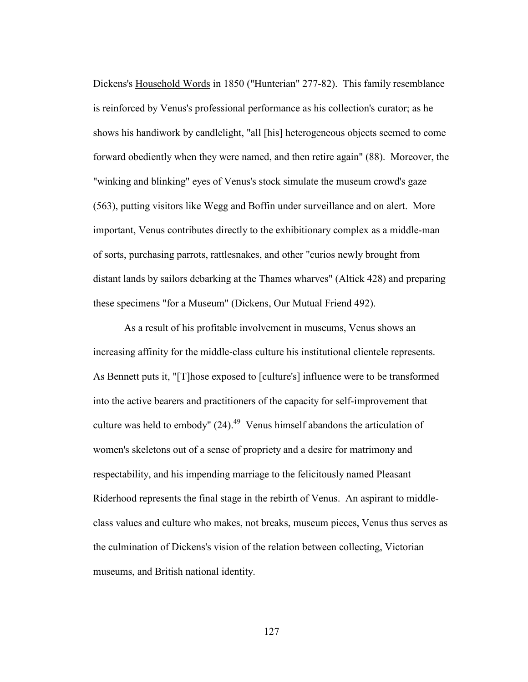Dickens's Household Words in 1850 ("Hunterian" 277-82). This family resemblance is reinforced by Venus's professional performance as his collection's curator; as he shows his handiwork by candlelight, "all [his] heterogeneous objects seemed to come forward obediently when they were named, and then retire again" (88). Moreover, the "winking and blinking" eyes of Venus's stock simulate the museum crowd's gaze (563), putting visitors like Wegg and Boffin under surveillance and on alert. More important, Venus contributes directly to the exhibitionary complex as a middle-man of sorts, purchasing parrots, rattlesnakes, and other "curios newly brought from distant lands by sailors debarking at the Thames wharves" (Altick 428) and preparing these specimens "for a Museum" (Dickens, Our Mutual Friend 492).

As a result of his profitable involvement in museums, Venus shows an increasing affinity for the middle-class culture his institutional clientele represents. As Bennett puts it, "[T]hose exposed to [culture's] influence were to be transformed into the active bearers and practitioners of the capacity for self-improvement that culture was held to embody"  $(24).<sup>49</sup>$  Venus himself abandons the articulation of women's skeletons out of a sense of propriety and a desire for matrimony and respectability, and his impending marriage to the felicitously named Pleasant Riderhood represents the final stage in the rebirth of Venus. An aspirant to middleclass values and culture who makes, not breaks, museum pieces, Venus thus serves as the culmination of Dickens's vision of the relation between collecting, Victorian museums, and British national identity.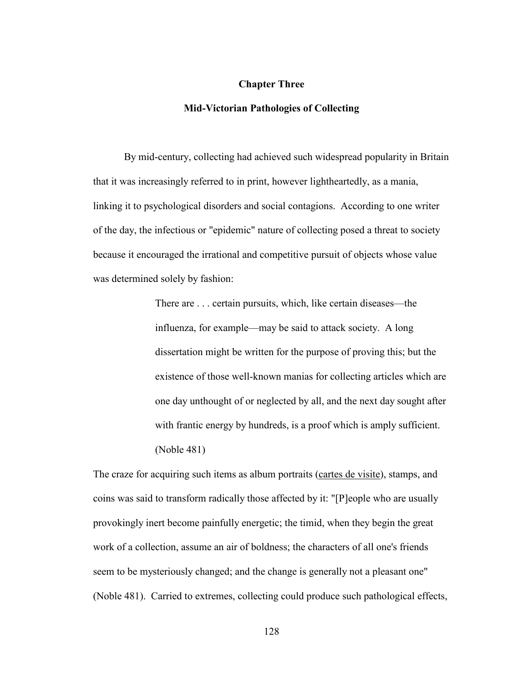## **Chapter Three**

## **Mid-Victorian Pathologies of Collecting**

By mid-century, collecting had achieved such widespread popularity in Britain that it was increasingly referred to in print, however lightheartedly, as a mania, linking it to psychological disorders and social contagions. According to one writer of the day, the infectious or "epidemic" nature of collecting posed a threat to society because it encouraged the irrational and competitive pursuit of objects whose value was determined solely by fashion:

> There are . . . certain pursuits, which, like certain diseases—the influenza, for example—may be said to attack society. A long dissertation might be written for the purpose of proving this; but the existence of those well-known manias for collecting articles which are one day unthought of or neglected by all, and the next day sought after with frantic energy by hundreds, is a proof which is amply sufficient. (Noble 481)

The craze for acquiring such items as album portraits (cartes de visite), stamps, and coins was said to transform radically those affected by it: "[P]eople who are usually provokingly inert become painfully energetic; the timid, when they begin the great work of a collection, assume an air of boldness; the characters of all one's friends seem to be mysteriously changed; and the change is generally not a pleasant one" (Noble 481). Carried to extremes, collecting could produce such pathological effects,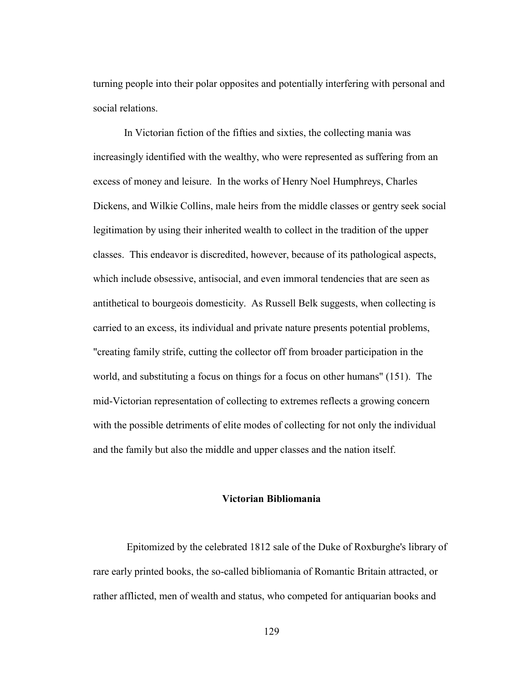turning people into their polar opposites and potentially interfering with personal and social relations.

 In Victorian fiction of the fifties and sixties, the collecting mania was increasingly identified with the wealthy, who were represented as suffering from an excess of money and leisure. In the works of Henry Noel Humphreys, Charles Dickens, and Wilkie Collins, male heirs from the middle classes or gentry seek social legitimation by using their inherited wealth to collect in the tradition of the upper classes. This endeavor is discredited, however, because of its pathological aspects, which include obsessive, antisocial, and even immoral tendencies that are seen as antithetical to bourgeois domesticity. As Russell Belk suggests, when collecting is carried to an excess, its individual and private nature presents potential problems, "creating family strife, cutting the collector off from broader participation in the world, and substituting a focus on things for a focus on other humans" (151). The mid-Victorian representation of collecting to extremes reflects a growing concern with the possible detriments of elite modes of collecting for not only the individual and the family but also the middle and upper classes and the nation itself.

## **Victorian Bibliomania**

Epitomized by the celebrated 1812 sale of the Duke of Roxburghe's library of rare early printed books, the so-called bibliomania of Romantic Britain attracted, or rather afflicted, men of wealth and status, who competed for antiquarian books and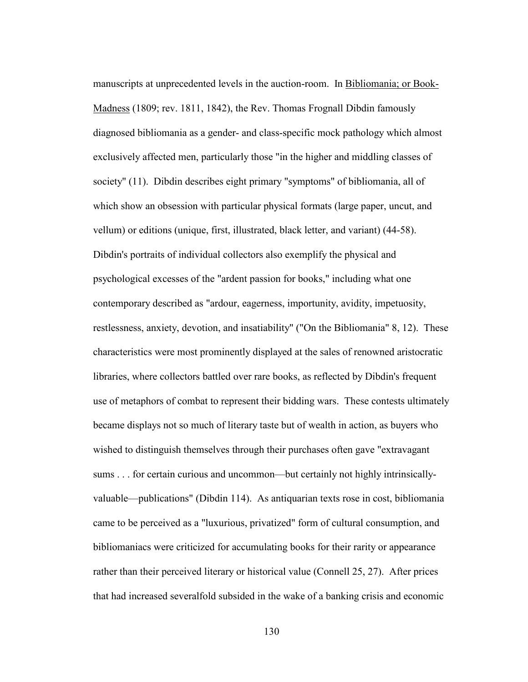manuscripts at unprecedented levels in the auction-room. In Bibliomania; or Book-Madness (1809; rev. 1811, 1842), the Rev. Thomas Frognall Dibdin famously diagnosed bibliomania as a gender- and class-specific mock pathology which almost exclusively affected men, particularly those "in the higher and middling classes of society" (11). Dibdin describes eight primary "symptoms" of bibliomania, all of which show an obsession with particular physical formats (large paper, uncut, and vellum) or editions (unique, first, illustrated, black letter, and variant) (44-58). Dibdin's portraits of individual collectors also exemplify the physical and psychological excesses of the "ardent passion for books," including what one contemporary described as "ardour, eagerness, importunity, avidity, impetuosity, restlessness, anxiety, devotion, and insatiability" ("On the Bibliomania" 8, 12). These characteristics were most prominently displayed at the sales of renowned aristocratic libraries, where collectors battled over rare books, as reflected by Dibdin's frequent use of metaphors of combat to represent their bidding wars. These contests ultimately became displays not so much of literary taste but of wealth in action, as buyers who wished to distinguish themselves through their purchases often gave "extravagant sums . . . for certain curious and uncommon—but certainly not highly intrinsicallyvaluable—publications" (Dibdin 114). As antiquarian texts rose in cost, bibliomania came to be perceived as a "luxurious, privatized" form of cultural consumption, and bibliomaniacs were criticized for accumulating books for their rarity or appearance rather than their perceived literary or historical value (Connell 25, 27). After prices that had increased severalfold subsided in the wake of a banking crisis and economic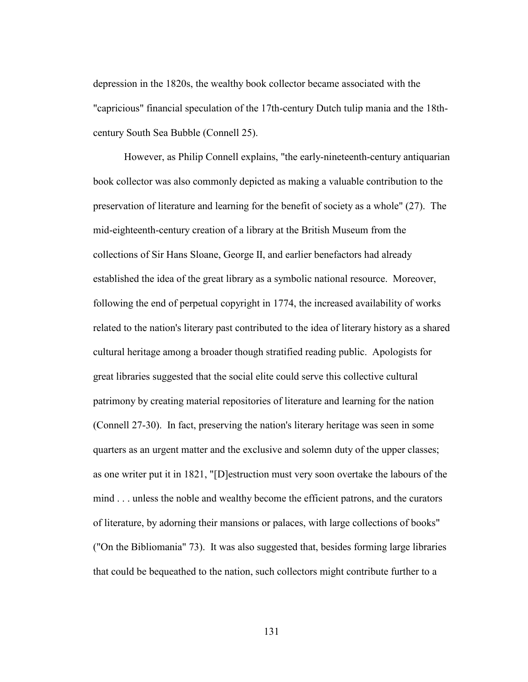depression in the 1820s, the wealthy book collector became associated with the "capricious" financial speculation of the 17th-century Dutch tulip mania and the 18thcentury South Sea Bubble (Connell 25).

 However, as Philip Connell explains, "the early-nineteenth-century antiquarian book collector was also commonly depicted as making a valuable contribution to the preservation of literature and learning for the benefit of society as a whole" (27). The mid-eighteenth-century creation of a library at the British Museum from the collections of Sir Hans Sloane, George II, and earlier benefactors had already established the idea of the great library as a symbolic national resource. Moreover, following the end of perpetual copyright in 1774, the increased availability of works related to the nation's literary past contributed to the idea of literary history as a shared cultural heritage among a broader though stratified reading public. Apologists for great libraries suggested that the social elite could serve this collective cultural patrimony by creating material repositories of literature and learning for the nation (Connell 27-30). In fact, preserving the nation's literary heritage was seen in some quarters as an urgent matter and the exclusive and solemn duty of the upper classes; as one writer put it in 1821, "[D]estruction must very soon overtake the labours of the mind . . . unless the noble and wealthy become the efficient patrons, and the curators of literature, by adorning their mansions or palaces, with large collections of books" ("On the Bibliomania" 73). It was also suggested that, besides forming large libraries that could be bequeathed to the nation, such collectors might contribute further to a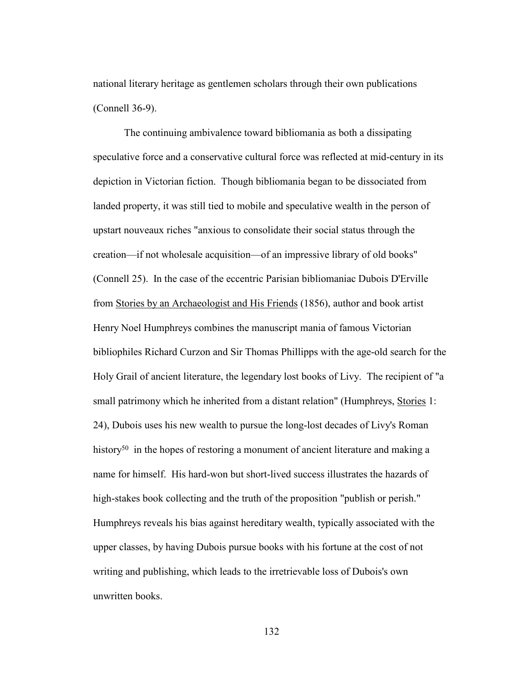national literary heritage as gentlemen scholars through their own publications (Connell 36-9).

 The continuing ambivalence toward bibliomania as both a dissipating speculative force and a conservative cultural force was reflected at mid-century in its depiction in Victorian fiction. Though bibliomania began to be dissociated from landed property, it was still tied to mobile and speculative wealth in the person of upstart nouveaux riches "anxious to consolidate their social status through the creation—if not wholesale acquisition—of an impressive library of old books" (Connell 25). In the case of the eccentric Parisian bibliomaniac Dubois D'Erville from Stories by an Archaeologist and His Friends (1856), author and book artist Henry Noel Humphreys combines the manuscript mania of famous Victorian bibliophiles Richard Curzon and Sir Thomas Phillipps with the age-old search for the Holy Grail of ancient literature, the legendary lost books of Livy. The recipient of "a small patrimony which he inherited from a distant relation" (Humphreys, Stories 1: 24), Dubois uses his new wealth to pursue the long-lost decades of Livy's Roman history<sup>50</sup> in the hopes of restoring a monument of ancient literature and making a name for himself. His hard-won but short-lived success illustrates the hazards of high-stakes book collecting and the truth of the proposition "publish or perish." Humphreys reveals his bias against hereditary wealth, typically associated with the upper classes, by having Dubois pursue books with his fortune at the cost of not writing and publishing, which leads to the irretrievable loss of Dubois's own unwritten books.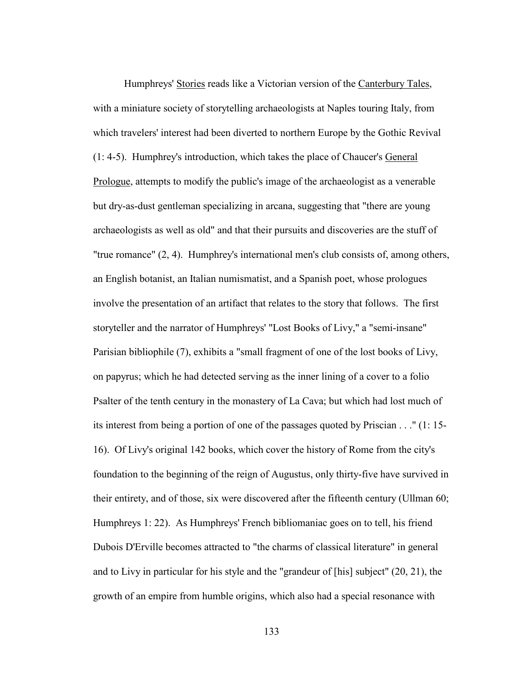Humphreys' Stories reads like a Victorian version of the Canterbury Tales, with a miniature society of storytelling archaeologists at Naples touring Italy, from which travelers' interest had been diverted to northern Europe by the Gothic Revival (1: 4-5). Humphrey's introduction, which takes the place of Chaucer's General Prologue, attempts to modify the public's image of the archaeologist as a venerable but dry-as-dust gentleman specializing in arcana, suggesting that "there are young archaeologists as well as old" and that their pursuits and discoveries are the stuff of "true romance" (2, 4). Humphrey's international men's club consists of, among others, an English botanist, an Italian numismatist, and a Spanish poet, whose prologues involve the presentation of an artifact that relates to the story that follows. The first storyteller and the narrator of Humphreys' "Lost Books of Livy," a "semi-insane" Parisian bibliophile (7), exhibits a "small fragment of one of the lost books of Livy, on papyrus; which he had detected serving as the inner lining of a cover to a folio Psalter of the tenth century in the monastery of La Cava; but which had lost much of its interest from being a portion of one of the passages quoted by Priscian . . ." (1: 15- 16). Of Livy's original 142 books, which cover the history of Rome from the city's foundation to the beginning of the reign of Augustus, only thirty-five have survived in their entirety, and of those, six were discovered after the fifteenth century (Ullman 60; Humphreys 1: 22). As Humphreys' French bibliomaniac goes on to tell, his friend Dubois D'Erville becomes attracted to "the charms of classical literature" in general and to Livy in particular for his style and the "grandeur of [his] subject" (20, 21), the growth of an empire from humble origins, which also had a special resonance with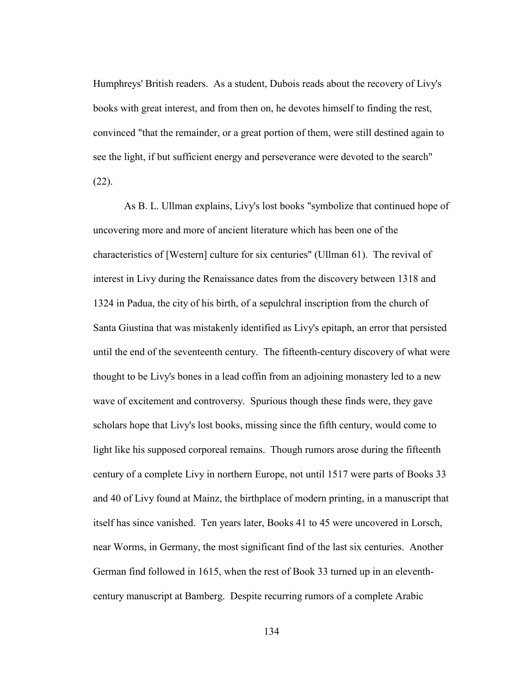Humphreys' British readers. As a student, Dubois reads about the recovery of Livy's books with great interest, and from then on, he devotes himself to finding the rest, convinced "that the remainder, or a great portion of them, were still destined again to see the light, if but sufficient energy and perseverance were devoted to the search"  $(22)$ .

 As B. L. Ullman explains, Livy's lost books "symbolize that continued hope of uncovering more and more of ancient literature which has been one of the characteristics of [Western] culture for six centuries" (Ullman 61). The revival of interest in Livy during the Renaissance dates from the discovery between 1318 and 1324 in Padua, the city of his birth, of a sepulchral inscription from the church of Santa Giustina that was mistakenly identified as Livy's epitaph, an error that persisted until the end of the seventeenth century. The fifteenth-century discovery of what were thought to be Livy's bones in a lead coffin from an adjoining monastery led to a new wave of excitement and controversy. Spurious though these finds were, they gave scholars hope that Livy's lost books, missing since the fifth century, would come to light like his supposed corporeal remains. Though rumors arose during the fifteenth century of a complete Livy in northern Europe, not until 1517 were parts of Books 33 and 40 of Livy found at Mainz, the birthplace of modern printing, in a manuscript that itself has since vanished. Ten years later, Books 41 to 45 were uncovered in Lorsch, near Worms, in Germany, the most significant find of the last six centuries. Another German find followed in 1615, when the rest of Book 33 turned up in an eleventhcentury manuscript at Bamberg. Despite recurring rumors of a complete Arabic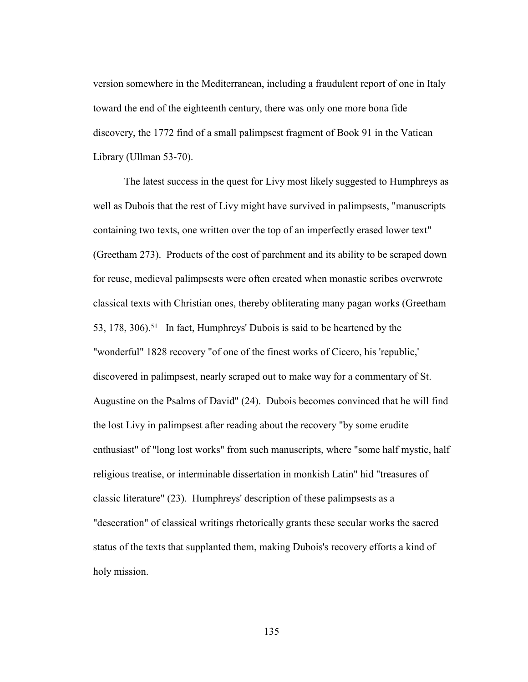version somewhere in the Mediterranean, including a fraudulent report of one in Italy toward the end of the eighteenth century, there was only one more bona fide discovery, the 1772 find of a small palimpsest fragment of Book 91 in the Vatican Library (Ullman 53-70).

 The latest success in the quest for Livy most likely suggested to Humphreys as well as Dubois that the rest of Livy might have survived in palimpsests, "manuscripts containing two texts, one written over the top of an imperfectly erased lower text" (Greetham 273). Products of the cost of parchment and its ability to be scraped down for reuse, medieval palimpsests were often created when monastic scribes overwrote classical texts with Christian ones, thereby obliterating many pagan works (Greetham 53, 178, 306).51 In fact, Humphreys' Dubois is said to be heartened by the "wonderful" 1828 recovery "of one of the finest works of Cicero, his 'republic,' discovered in palimpsest, nearly scraped out to make way for a commentary of St. Augustine on the Psalms of David" (24). Dubois becomes convinced that he will find the lost Livy in palimpsest after reading about the recovery "by some erudite enthusiast" of "long lost works" from such manuscripts, where "some half mystic, half religious treatise, or interminable dissertation in monkish Latin" hid "treasures of classic literature" (23). Humphreys' description of these palimpsests as a "desecration" of classical writings rhetorically grants these secular works the sacred status of the texts that supplanted them, making Dubois's recovery efforts a kind of holy mission.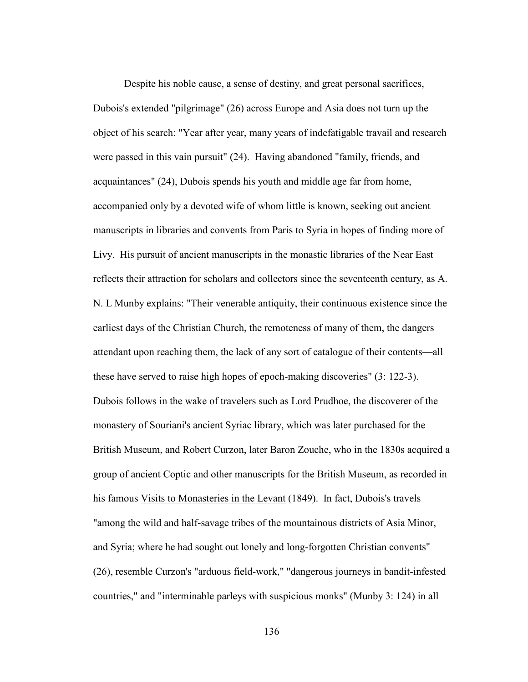Despite his noble cause, a sense of destiny, and great personal sacrifices, Dubois's extended "pilgrimage" (26) across Europe and Asia does not turn up the object of his search: "Year after year, many years of indefatigable travail and research were passed in this vain pursuit" (24). Having abandoned "family, friends, and acquaintances" (24), Dubois spends his youth and middle age far from home, accompanied only by a devoted wife of whom little is known, seeking out ancient manuscripts in libraries and convents from Paris to Syria in hopes of finding more of Livy. His pursuit of ancient manuscripts in the monastic libraries of the Near East reflects their attraction for scholars and collectors since the seventeenth century, as A. N. L Munby explains: "Their venerable antiquity, their continuous existence since the earliest days of the Christian Church, the remoteness of many of them, the dangers attendant upon reaching them, the lack of any sort of catalogue of their contents—all these have served to raise high hopes of epoch-making discoveries" (3: 122-3). Dubois follows in the wake of travelers such as Lord Prudhoe, the discoverer of the monastery of Souriani's ancient Syriac library, which was later purchased for the British Museum, and Robert Curzon, later Baron Zouche, who in the 1830s acquired a group of ancient Coptic and other manuscripts for the British Museum, as recorded in his famous Visits to Monasteries in the Levant (1849). In fact, Dubois's travels "among the wild and half-savage tribes of the mountainous districts of Asia Minor, and Syria; where he had sought out lonely and long-forgotten Christian convents" (26), resemble Curzon's "arduous field-work," "dangerous journeys in bandit-infested countries," and "interminable parleys with suspicious monks" (Munby 3: 124) in all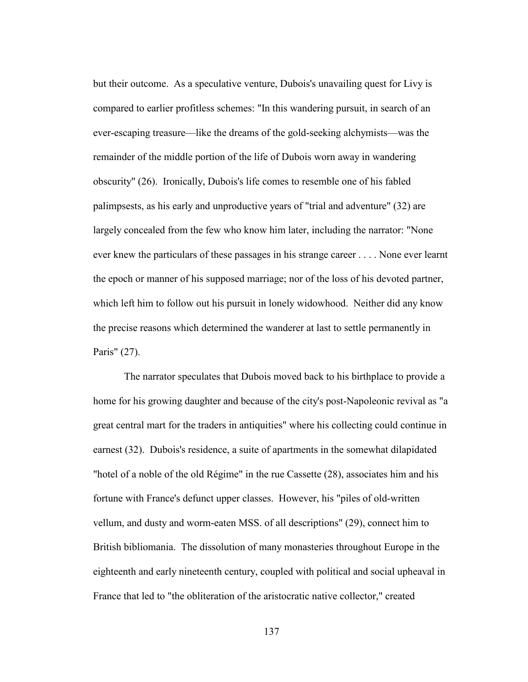but their outcome. As a speculative venture, Dubois's unavailing quest for Livy is compared to earlier profitless schemes: "In this wandering pursuit, in search of an ever-escaping treasure—like the dreams of the gold-seeking alchymists—was the remainder of the middle portion of the life of Dubois worn away in wandering obscurity" (26). Ironically, Dubois's life comes to resemble one of his fabled palimpsests, as his early and unproductive years of "trial and adventure" (32) are largely concealed from the few who know him later, including the narrator: "None ever knew the particulars of these passages in his strange career . . . . None ever learnt the epoch or manner of his supposed marriage; nor of the loss of his devoted partner, which left him to follow out his pursuit in lonely widowhood. Neither did any know the precise reasons which determined the wanderer at last to settle permanently in Paris" (27).

 The narrator speculates that Dubois moved back to his birthplace to provide a home for his growing daughter and because of the city's post-Napoleonic revival as "a great central mart for the traders in antiquities" where his collecting could continue in earnest (32). Dubois's residence, a suite of apartments in the somewhat dilapidated "hotel of a noble of the old Régime" in the rue Cassette (28), associates him and his fortune with France's defunct upper classes. However, his "piles of old-written vellum, and dusty and worm-eaten MSS. of all descriptions" (29), connect him to British bibliomania. The dissolution of many monasteries throughout Europe in the eighteenth and early nineteenth century, coupled with political and social upheaval in France that led to "the obliteration of the aristocratic native collector," created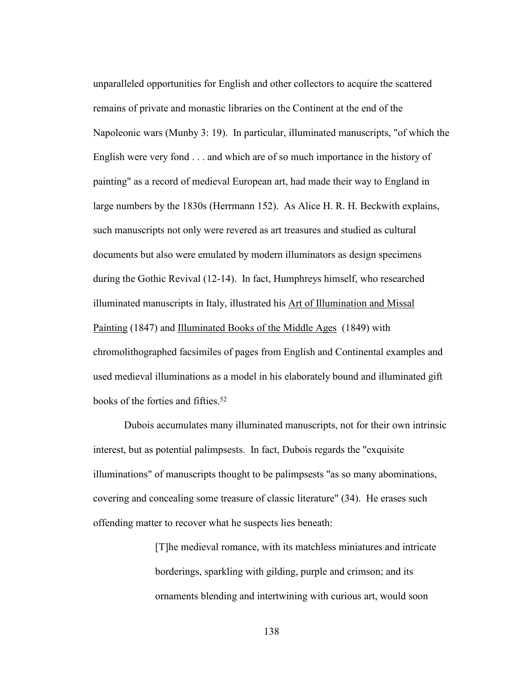unparalleled opportunities for English and other collectors to acquire the scattered remains of private and monastic libraries on the Continent at the end of the Napoleonic wars (Munby 3: 19). In particular, illuminated manuscripts, "of which the English were very fond . . . and which are of so much importance in the history of painting" as a record of medieval European art, had made their way to England in large numbers by the 1830s (Herrmann 152). As Alice H. R. H. Beckwith explains, such manuscripts not only were revered as art treasures and studied as cultural documents but also were emulated by modern illuminators as design specimens during the Gothic Revival (12-14). In fact, Humphreys himself, who researched illuminated manuscripts in Italy, illustrated his Art of Illumination and Missal Painting (1847) and Illuminated Books of the Middle Ages (1849) with chromolithographed facsimiles of pages from English and Continental examples and used medieval illuminations as a model in his elaborately bound and illuminated gift books of the forties and fifties.52

Dubois accumulates many illuminated manuscripts, not for their own intrinsic interest, but as potential palimpsests. In fact, Dubois regards the "exquisite illuminations" of manuscripts thought to be palimpsests "as so many abominations, covering and concealing some treasure of classic literature" (34). He erases such offending matter to recover what he suspects lies beneath:

> [T]he medieval romance, with its matchless miniatures and intricate borderings, sparkling with gilding, purple and crimson; and its ornaments blending and intertwining with curious art, would soon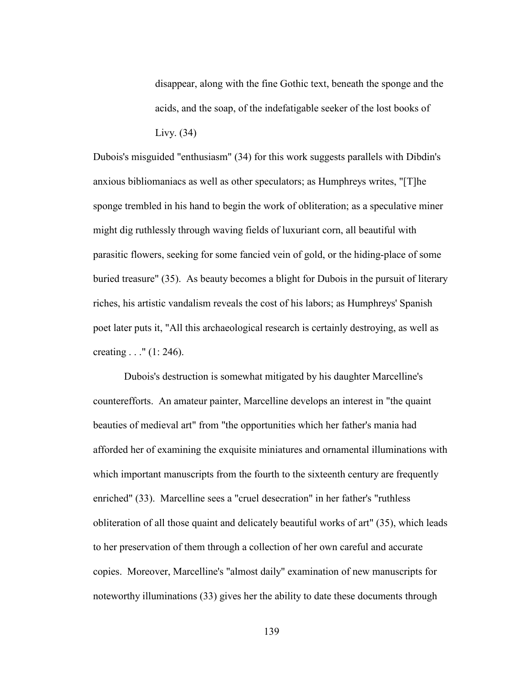disappear, along with the fine Gothic text, beneath the sponge and the acids, and the soap, of the indefatigable seeker of the lost books of Livy. (34)

Dubois's misguided "enthusiasm" (34) for this work suggests parallels with Dibdin's anxious bibliomaniacs as well as other speculators; as Humphreys writes, "[T]he sponge trembled in his hand to begin the work of obliteration; as a speculative miner might dig ruthlessly through waving fields of luxuriant corn, all beautiful with parasitic flowers, seeking for some fancied vein of gold, or the hiding-place of some buried treasure" (35). As beauty becomes a blight for Dubois in the pursuit of literary riches, his artistic vandalism reveals the cost of his labors; as Humphreys' Spanish poet later puts it, "All this archaeological research is certainly destroying, as well as creating . . ." (1: 246).

 Dubois's destruction is somewhat mitigated by his daughter Marcelline's counterefforts. An amateur painter, Marcelline develops an interest in "the quaint beauties of medieval art" from "the opportunities which her father's mania had afforded her of examining the exquisite miniatures and ornamental illuminations with which important manuscripts from the fourth to the sixteenth century are frequently enriched" (33). Marcelline sees a "cruel desecration" in her father's "ruthless obliteration of all those quaint and delicately beautiful works of art" (35), which leads to her preservation of them through a collection of her own careful and accurate copies. Moreover, Marcelline's "almost daily" examination of new manuscripts for noteworthy illuminations (33) gives her the ability to date these documents through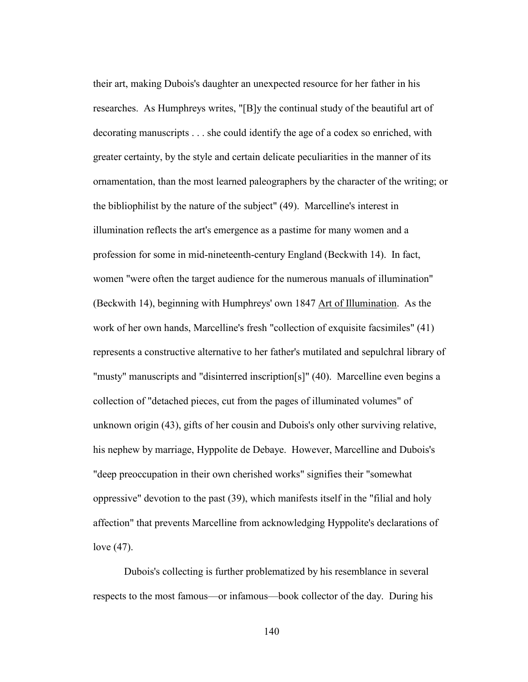their art, making Dubois's daughter an unexpected resource for her father in his researches. As Humphreys writes, "[B]y the continual study of the beautiful art of decorating manuscripts . . . she could identify the age of a codex so enriched, with greater certainty, by the style and certain delicate peculiarities in the manner of its ornamentation, than the most learned paleographers by the character of the writing; or the bibliophilist by the nature of the subject" (49). Marcelline's interest in illumination reflects the art's emergence as a pastime for many women and a profession for some in mid-nineteenth-century England (Beckwith 14). In fact, women "were often the target audience for the numerous manuals of illumination" (Beckwith 14), beginning with Humphreys' own 1847 Art of Illumination. As the work of her own hands, Marcelline's fresh "collection of exquisite facsimiles" (41) represents a constructive alternative to her father's mutilated and sepulchral library of "musty" manuscripts and "disinterred inscription[s]" (40). Marcelline even begins a collection of "detached pieces, cut from the pages of illuminated volumes" of unknown origin (43), gifts of her cousin and Dubois's only other surviving relative, his nephew by marriage, Hyppolite de Debaye. However, Marcelline and Dubois's "deep preoccupation in their own cherished works" signifies their "somewhat oppressive" devotion to the past (39), which manifests itself in the "filial and holy affection" that prevents Marcelline from acknowledging Hyppolite's declarations of love (47).

 Dubois's collecting is further problematized by his resemblance in several respects to the most famous—or infamous—book collector of the day. During his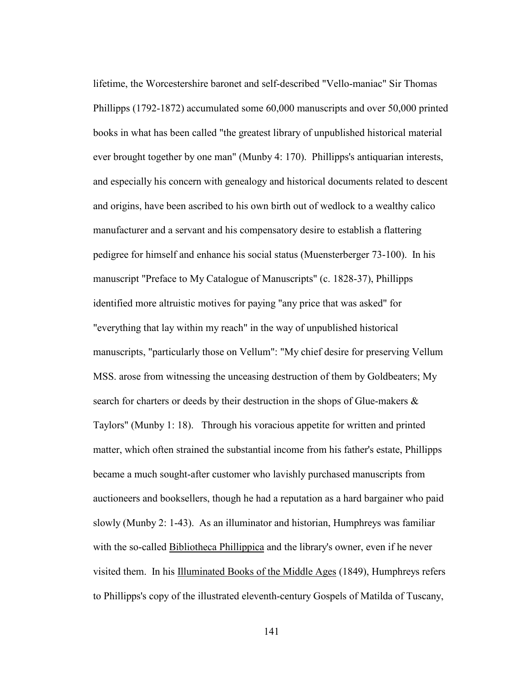lifetime, the Worcestershire baronet and self-described "Vello-maniac" Sir Thomas Phillipps (1792-1872) accumulated some 60,000 manuscripts and over 50,000 printed books in what has been called "the greatest library of unpublished historical material ever brought together by one man" (Munby 4: 170). Phillipps's antiquarian interests, and especially his concern with genealogy and historical documents related to descent and origins, have been ascribed to his own birth out of wedlock to a wealthy calico manufacturer and a servant and his compensatory desire to establish a flattering pedigree for himself and enhance his social status (Muensterberger 73-100). In his manuscript "Preface to My Catalogue of Manuscripts" (c. 1828-37), Phillipps identified more altruistic motives for paying "any price that was asked" for "everything that lay within my reach" in the way of unpublished historical manuscripts, "particularly those on Vellum": "My chief desire for preserving Vellum MSS. arose from witnessing the unceasing destruction of them by Goldbeaters; My search for charters or deeds by their destruction in the shops of Glue-makers & Taylors" (Munby 1: 18). Through his voracious appetite for written and printed matter, which often strained the substantial income from his father's estate, Phillipps became a much sought-after customer who lavishly purchased manuscripts from auctioneers and booksellers, though he had a reputation as a hard bargainer who paid slowly (Munby 2: 1-43). As an illuminator and historian, Humphreys was familiar with the so-called Bibliotheca Phillippica and the library's owner, even if he never visited them. In his Illuminated Books of the Middle Ages (1849), Humphreys refers to Phillipps's copy of the illustrated eleventh-century Gospels of Matilda of Tuscany,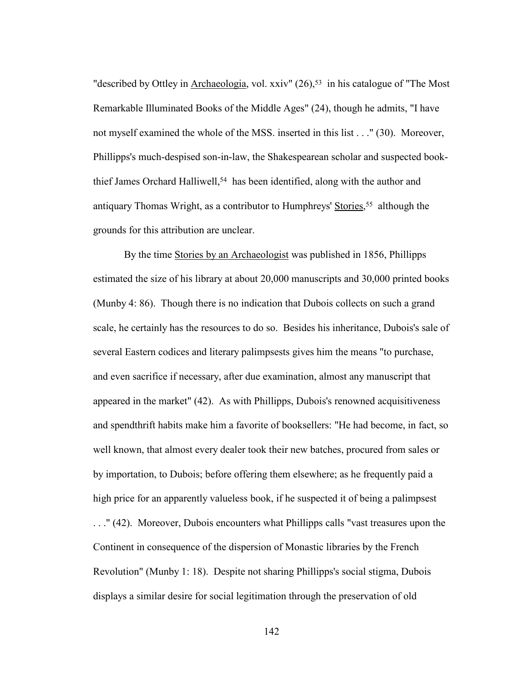"described by Ottley in Archaeologia, vol. xxiv" (26),<sup>53</sup> in his catalogue of "The Most Remarkable Illuminated Books of the Middle Ages" (24), though he admits, "I have not myself examined the whole of the MSS. inserted in this list . . ." (30). Moreover, Phillipps's much-despised son-in-law, the Shakespearean scholar and suspected bookthief James Orchard Halliwell,<sup>54</sup> has been identified, along with the author and antiquary Thomas Wright, as a contributor to Humphreys' Stories, <sup>55</sup> although the grounds for this attribution are unclear.

 By the time Stories by an Archaeologist was published in 1856, Phillipps estimated the size of his library at about 20,000 manuscripts and 30,000 printed books (Munby 4: 86). Though there is no indication that Dubois collects on such a grand scale, he certainly has the resources to do so. Besides his inheritance, Dubois's sale of several Eastern codices and literary palimpsests gives him the means "to purchase, and even sacrifice if necessary, after due examination, almost any manuscript that appeared in the market" (42). As with Phillipps, Dubois's renowned acquisitiveness and spendthrift habits make him a favorite of booksellers: "He had become, in fact, so well known, that almost every dealer took their new batches, procured from sales or by importation, to Dubois; before offering them elsewhere; as he frequently paid a high price for an apparently valueless book, if he suspected it of being a palimpsest

. . ." (42). Moreover, Dubois encounters what Phillipps calls "vast treasures upon the Continent in consequence of the dispersion of Monastic libraries by the French Revolution" (Munby 1: 18). Despite not sharing Phillipps's social stigma, Dubois displays a similar desire for social legitimation through the preservation of old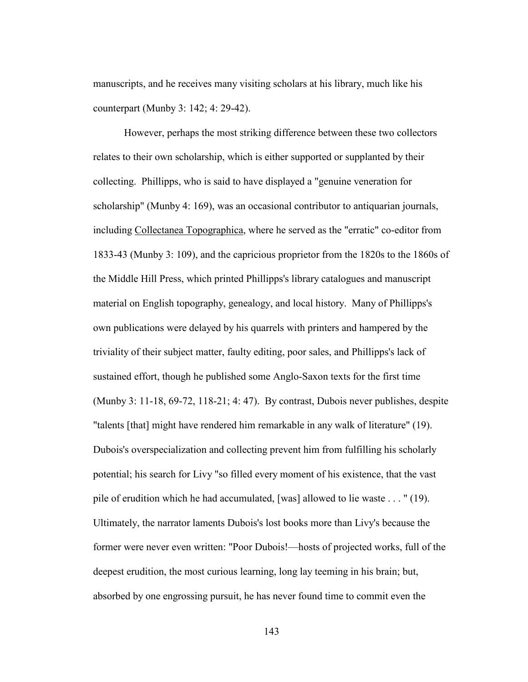manuscripts, and he receives many visiting scholars at his library, much like his counterpart (Munby 3: 142; 4: 29-42).

 However, perhaps the most striking difference between these two collectors relates to their own scholarship, which is either supported or supplanted by their collecting. Phillipps, who is said to have displayed a "genuine veneration for scholarship" (Munby 4: 169), was an occasional contributor to antiquarian journals, including Collectanea Topographica, where he served as the "erratic" co-editor from 1833-43 (Munby 3: 109), and the capricious proprietor from the 1820s to the 1860s of the Middle Hill Press, which printed Phillipps's library catalogues and manuscript material on English topography, genealogy, and local history. Many of Phillipps's own publications were delayed by his quarrels with printers and hampered by the triviality of their subject matter, faulty editing, poor sales, and Phillipps's lack of sustained effort, though he published some Anglo-Saxon texts for the first time (Munby 3: 11-18, 69-72, 118-21; 4: 47). By contrast, Dubois never publishes, despite "talents [that] might have rendered him remarkable in any walk of literature" (19). Dubois's overspecialization and collecting prevent him from fulfilling his scholarly potential; his search for Livy "so filled every moment of his existence, that the vast pile of erudition which he had accumulated, [was] allowed to lie waste . . . " (19). Ultimately, the narrator laments Dubois's lost books more than Livy's because the former were never even written: "Poor Dubois!—hosts of projected works, full of the deepest erudition, the most curious learning, long lay teeming in his brain; but, absorbed by one engrossing pursuit, he has never found time to commit even the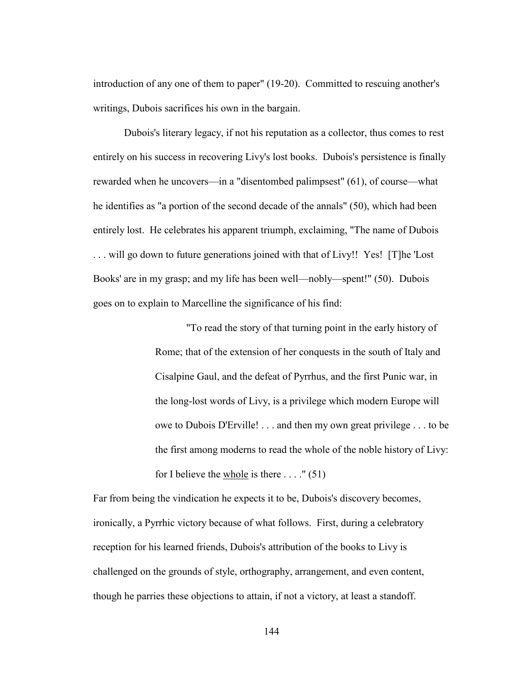introduction of any one of them to paper" (19-20). Committed to rescuing another's writings, Dubois sacrifices his own in the bargain.

 Dubois's literary legacy, if not his reputation as a collector, thus comes to rest entirely on his success in recovering Livy's lost books. Dubois's persistence is finally rewarded when he uncovers—in a "disentombed palimpsest" (61), of course—what he identifies as "a portion of the second decade of the annals" (50), which had been entirely lost. He celebrates his apparent triumph, exclaiming, "The name of Dubois . . . will go down to future generations joined with that of Livy!! Yes! [T]he 'Lost Books' are in my grasp; and my life has been well—nobly—spent!" (50). Dubois goes on to explain to Marcelline the significance of his find:

> "To read the story of that turning point in the early history of Rome; that of the extension of her conquests in the south of Italy and Cisalpine Gaul, and the defeat of Pyrrhus, and the first Punic war, in the long-lost words of Livy, is a privilege which modern Europe will owe to Dubois D'Erville! . . . and then my own great privilege . . . to be the first among moderns to read the whole of the noble history of Livy: for I believe the whole is there  $\dots$ ." (51)

Far from being the vindication he expects it to be, Dubois's discovery becomes, ironically, a Pyrrhic victory because of what follows. First, during a celebratory reception for his learned friends, Dubois's attribution of the books to Livy is challenged on the grounds of style, orthography, arrangement, and even content, though he parries these objections to attain, if not a victory, at least a standoff.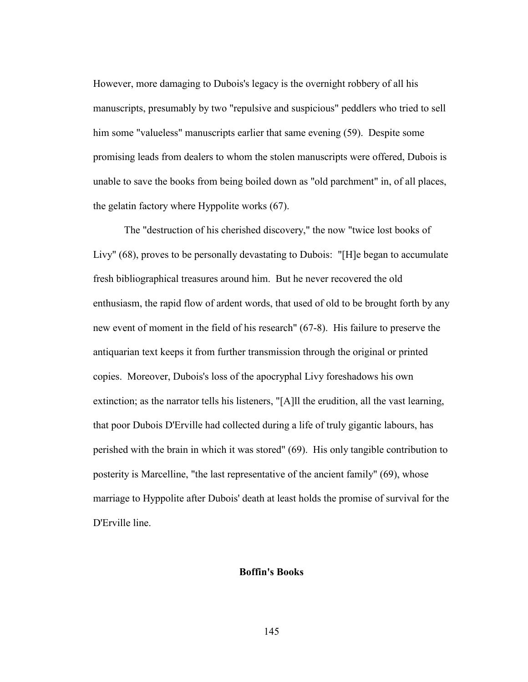However, more damaging to Dubois's legacy is the overnight robbery of all his manuscripts, presumably by two "repulsive and suspicious" peddlers who tried to sell him some "valueless" manuscripts earlier that same evening (59). Despite some promising leads from dealers to whom the stolen manuscripts were offered, Dubois is unable to save the books from being boiled down as "old parchment" in, of all places, the gelatin factory where Hyppolite works (67).

 The "destruction of his cherished discovery," the now "twice lost books of Livy" (68), proves to be personally devastating to Dubois: "[H]e began to accumulate fresh bibliographical treasures around him. But he never recovered the old enthusiasm, the rapid flow of ardent words, that used of old to be brought forth by any new event of moment in the field of his research" (67-8). His failure to preserve the antiquarian text keeps it from further transmission through the original or printed copies. Moreover, Dubois's loss of the apocryphal Livy foreshadows his own extinction; as the narrator tells his listeners, "[A]ll the erudition, all the vast learning, that poor Dubois D'Erville had collected during a life of truly gigantic labours, has perished with the brain in which it was stored" (69). His only tangible contribution to posterity is Marcelline, "the last representative of the ancient family" (69), whose marriage to Hyppolite after Dubois' death at least holds the promise of survival for the D'Erville line.

## **Boffin's Books**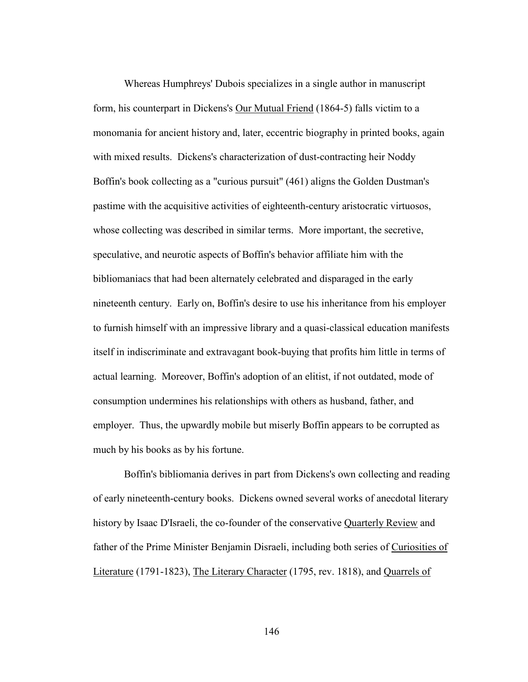Whereas Humphreys' Dubois specializes in a single author in manuscript form, his counterpart in Dickens's Our Mutual Friend (1864-5) falls victim to a monomania for ancient history and, later, eccentric biography in printed books, again with mixed results. Dickens's characterization of dust-contracting heir Noddy Boffin's book collecting as a "curious pursuit" (461) aligns the Golden Dustman's pastime with the acquisitive activities of eighteenth-century aristocratic virtuosos, whose collecting was described in similar terms. More important, the secretive, speculative, and neurotic aspects of Boffin's behavior affiliate him with the bibliomaniacs that had been alternately celebrated and disparaged in the early nineteenth century. Early on, Boffin's desire to use his inheritance from his employer to furnish himself with an impressive library and a quasi-classical education manifests itself in indiscriminate and extravagant book-buying that profits him little in terms of actual learning. Moreover, Boffin's adoption of an elitist, if not outdated, mode of consumption undermines his relationships with others as husband, father, and employer. Thus, the upwardly mobile but miserly Boffin appears to be corrupted as much by his books as by his fortune.

 Boffin's bibliomania derives in part from Dickens's own collecting and reading of early nineteenth-century books. Dickens owned several works of anecdotal literary history by Isaac D'Israeli, the co-founder of the conservative Quarterly Review and father of the Prime Minister Benjamin Disraeli, including both series of Curiosities of Literature (1791-1823), The Literary Character (1795, rev. 1818), and Quarrels of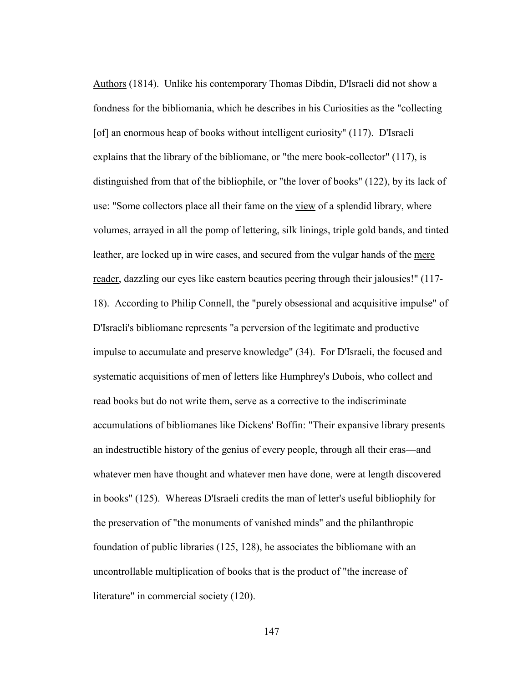Authors (1814). Unlike his contemporary Thomas Dibdin, D'Israeli did not show a fondness for the bibliomania, which he describes in his Curiosities as the "collecting [of] an enormous heap of books without intelligent curiosity" (117). D'Israeli explains that the library of the bibliomane, or "the mere book-collector" (117), is distinguished from that of the bibliophile, or "the lover of books" (122), by its lack of use: "Some collectors place all their fame on the view of a splendid library, where volumes, arrayed in all the pomp of lettering, silk linings, triple gold bands, and tinted leather, are locked up in wire cases, and secured from the vulgar hands of the mere reader, dazzling our eyes like eastern beauties peering through their jalousies!" (117- 18). According to Philip Connell, the "purely obsessional and acquisitive impulse" of D'Israeli's bibliomane represents "a perversion of the legitimate and productive impulse to accumulate and preserve knowledge" (34). For D'Israeli, the focused and systematic acquisitions of men of letters like Humphrey's Dubois, who collect and read books but do not write them, serve as a corrective to the indiscriminate accumulations of bibliomanes like Dickens' Boffin: "Their expansive library presents an indestructible history of the genius of every people, through all their eras—and whatever men have thought and whatever men have done, were at length discovered in books" (125). Whereas D'Israeli credits the man of letter's useful bibliophily for the preservation of "the monuments of vanished minds" and the philanthropic foundation of public libraries (125, 128), he associates the bibliomane with an uncontrollable multiplication of books that is the product of "the increase of literature" in commercial society (120).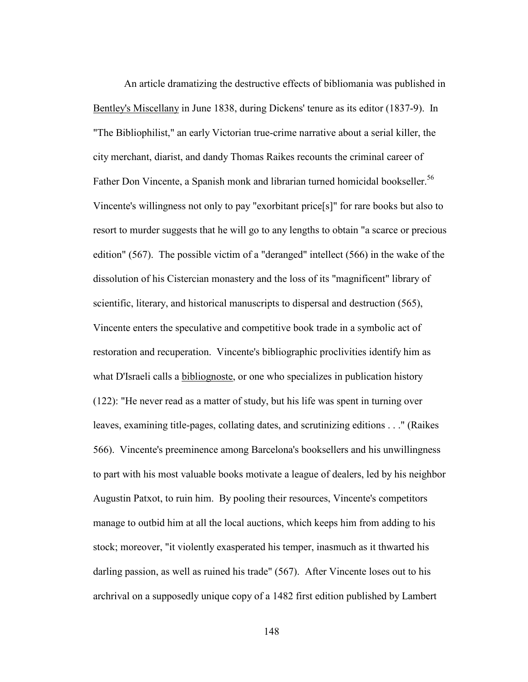An article dramatizing the destructive effects of bibliomania was published in Bentley's Miscellany in June 1838, during Dickens' tenure as its editor (1837-9). In "The Bibliophilist," an early Victorian true-crime narrative about a serial killer, the city merchant, diarist, and dandy Thomas Raikes recounts the criminal career of Father Don Vincente, a Spanish monk and librarian turned homicidal bookseller.<sup>56</sup> Vincente's willingness not only to pay "exorbitant price[s]" for rare books but also to resort to murder suggests that he will go to any lengths to obtain "a scarce or precious edition" (567). The possible victim of a "deranged" intellect (566) in the wake of the dissolution of his Cistercian monastery and the loss of its "magnificent" library of scientific, literary, and historical manuscripts to dispersal and destruction (565), Vincente enters the speculative and competitive book trade in a symbolic act of restoration and recuperation. Vincente's bibliographic proclivities identify him as what D'Israeli calls a bibliognoste, or one who specializes in publication history (122): "He never read as a matter of study, but his life was spent in turning over leaves, examining title-pages, collating dates, and scrutinizing editions . . ." (Raikes 566). Vincente's preeminence among Barcelona's booksellers and his unwillingness to part with his most valuable books motivate a league of dealers, led by his neighbor Augustin Patxot, to ruin him. By pooling their resources, Vincente's competitors manage to outbid him at all the local auctions, which keeps him from adding to his stock; moreover, "it violently exasperated his temper, inasmuch as it thwarted his darling passion, as well as ruined his trade" (567). After Vincente loses out to his archrival on a supposedly unique copy of a 1482 first edition published by Lambert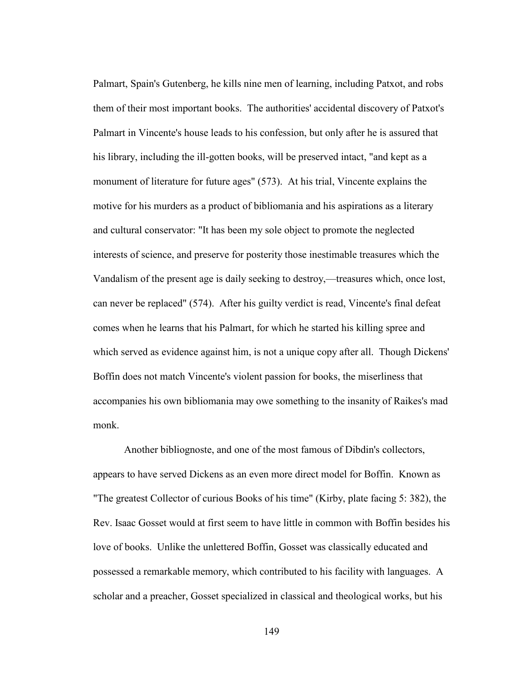Palmart, Spain's Gutenberg, he kills nine men of learning, including Patxot, and robs them of their most important books. The authorities' accidental discovery of Patxot's Palmart in Vincente's house leads to his confession, but only after he is assured that his library, including the ill-gotten books, will be preserved intact, "and kept as a monument of literature for future ages" (573). At his trial, Vincente explains the motive for his murders as a product of bibliomania and his aspirations as a literary and cultural conservator: "It has been my sole object to promote the neglected interests of science, and preserve for posterity those inestimable treasures which the Vandalism of the present age is daily seeking to destroy,—treasures which, once lost, can never be replaced" (574). After his guilty verdict is read, Vincente's final defeat comes when he learns that his Palmart, for which he started his killing spree and which served as evidence against him, is not a unique copy after all. Though Dickens' Boffin does not match Vincente's violent passion for books, the miserliness that accompanies his own bibliomania may owe something to the insanity of Raikes's mad monk.

 Another bibliognoste, and one of the most famous of Dibdin's collectors, appears to have served Dickens as an even more direct model for Boffin. Known as "The greatest Collector of curious Books of his time" (Kirby, plate facing 5: 382), the Rev. Isaac Gosset would at first seem to have little in common with Boffin besides his love of books. Unlike the unlettered Boffin, Gosset was classically educated and possessed a remarkable memory, which contributed to his facility with languages. A scholar and a preacher, Gosset specialized in classical and theological works, but his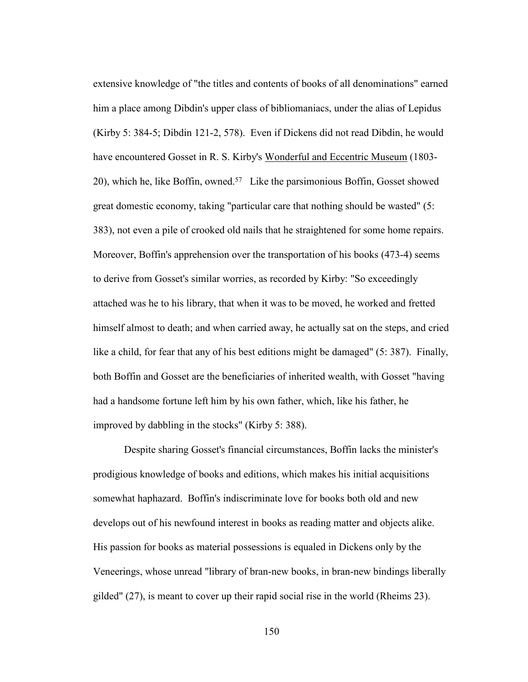extensive knowledge of "the titles and contents of books of all denominations" earned him a place among Dibdin's upper class of bibliomaniacs, under the alias of Lepidus (Kirby 5: 384-5; Dibdin 121-2, 578). Even if Dickens did not read Dibdin, he would have encountered Gosset in R. S. Kirby's Wonderful and Eccentric Museum (1803- 20), which he, like Boffin, owned.57 Like the parsimonious Boffin, Gosset showed great domestic economy, taking "particular care that nothing should be wasted" (5: 383), not even a pile of crooked old nails that he straightened for some home repairs. Moreover, Boffin's apprehension over the transportation of his books (473-4) seems to derive from Gosset's similar worries, as recorded by Kirby: "So exceedingly attached was he to his library, that when it was to be moved, he worked and fretted himself almost to death; and when carried away, he actually sat on the steps, and cried like a child, for fear that any of his best editions might be damaged" (5: 387). Finally, both Boffin and Gosset are the beneficiaries of inherited wealth, with Gosset "having had a handsome fortune left him by his own father, which, like his father, he improved by dabbling in the stocks" (Kirby 5: 388).

 Despite sharing Gosset's financial circumstances, Boffin lacks the minister's prodigious knowledge of books and editions, which makes his initial acquisitions somewhat haphazard. Boffin's indiscriminate love for books both old and new develops out of his newfound interest in books as reading matter and objects alike. His passion for books as material possessions is equaled in Dickens only by the Veneerings, whose unread "library of bran-new books, in bran-new bindings liberally gilded" (27), is meant to cover up their rapid social rise in the world (Rheims 23).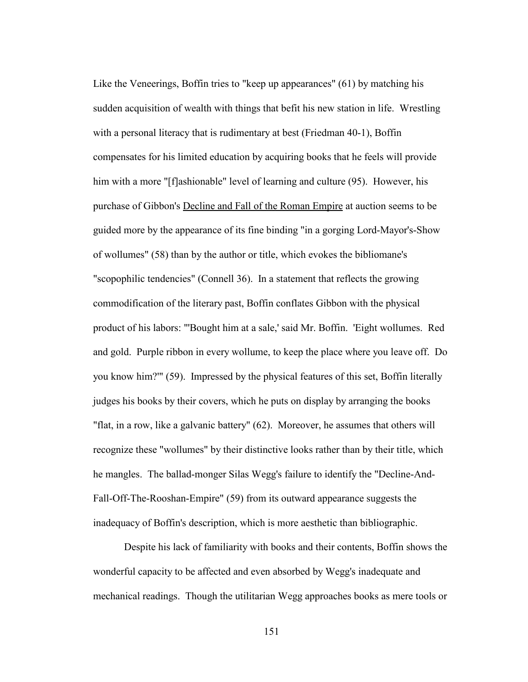Like the Veneerings, Boffin tries to "keep up appearances" (61) by matching his sudden acquisition of wealth with things that befit his new station in life. Wrestling with a personal literacy that is rudimentary at best (Friedman 40-1), Boffin compensates for his limited education by acquiring books that he feels will provide him with a more "[f]ashionable" level of learning and culture (95). However, his purchase of Gibbon's Decline and Fall of the Roman Empire at auction seems to be guided more by the appearance of its fine binding "in a gorging Lord-Mayor's-Show of wollumes" (58) than by the author or title, which evokes the bibliomane's "scopophilic tendencies" (Connell 36). In a statement that reflects the growing commodification of the literary past, Boffin conflates Gibbon with the physical product of his labors: "'Bought him at a sale,' said Mr. Boffin. 'Eight wollumes. Red and gold. Purple ribbon in every wollume, to keep the place where you leave off. Do you know him?'" (59). Impressed by the physical features of this set, Boffin literally judges his books by their covers, which he puts on display by arranging the books "flat, in a row, like a galvanic battery" (62). Moreover, he assumes that others will recognize these "wollumes" by their distinctive looks rather than by their title, which he mangles. The ballad-monger Silas Wegg's failure to identify the "Decline-And-Fall-Off-The-Rooshan-Empire" (59) from its outward appearance suggests the inadequacy of Boffin's description, which is more aesthetic than bibliographic.

 Despite his lack of familiarity with books and their contents, Boffin shows the wonderful capacity to be affected and even absorbed by Wegg's inadequate and mechanical readings. Though the utilitarian Wegg approaches books as mere tools or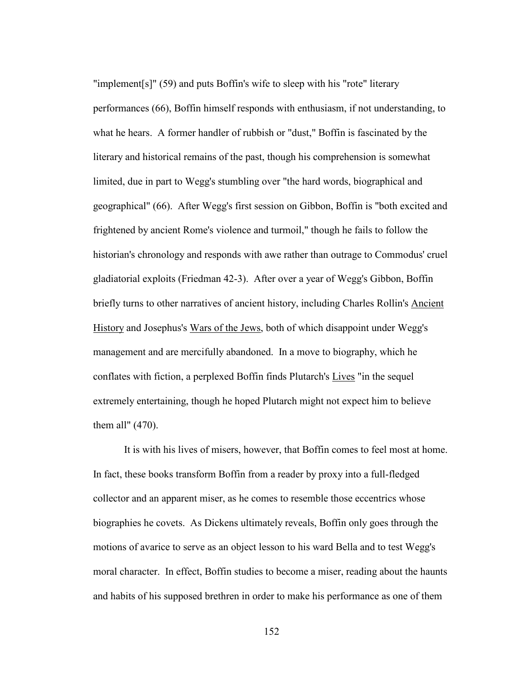"implement[s]" (59) and puts Boffin's wife to sleep with his "rote" literary performances (66), Boffin himself responds with enthusiasm, if not understanding, to what he hears. A former handler of rubbish or "dust," Boffin is fascinated by the literary and historical remains of the past, though his comprehension is somewhat limited, due in part to Wegg's stumbling over "the hard words, biographical and geographical" (66). After Wegg's first session on Gibbon, Boffin is "both excited and frightened by ancient Rome's violence and turmoil," though he fails to follow the historian's chronology and responds with awe rather than outrage to Commodus' cruel gladiatorial exploits (Friedman 42-3). After over a year of Wegg's Gibbon, Boffin briefly turns to other narratives of ancient history, including Charles Rollin's Ancient History and Josephus's Wars of the Jews, both of which disappoint under Wegg's management and are mercifully abandoned. In a move to biography, which he conflates with fiction, a perplexed Boffin finds Plutarch's Lives "in the sequel extremely entertaining, though he hoped Plutarch might not expect him to believe them all" (470).

 It is with his lives of misers, however, that Boffin comes to feel most at home. In fact, these books transform Boffin from a reader by proxy into a full-fledged collector and an apparent miser, as he comes to resemble those eccentrics whose biographies he covets. As Dickens ultimately reveals, Boffin only goes through the motions of avarice to serve as an object lesson to his ward Bella and to test Wegg's moral character. In effect, Boffin studies to become a miser, reading about the haunts and habits of his supposed brethren in order to make his performance as one of them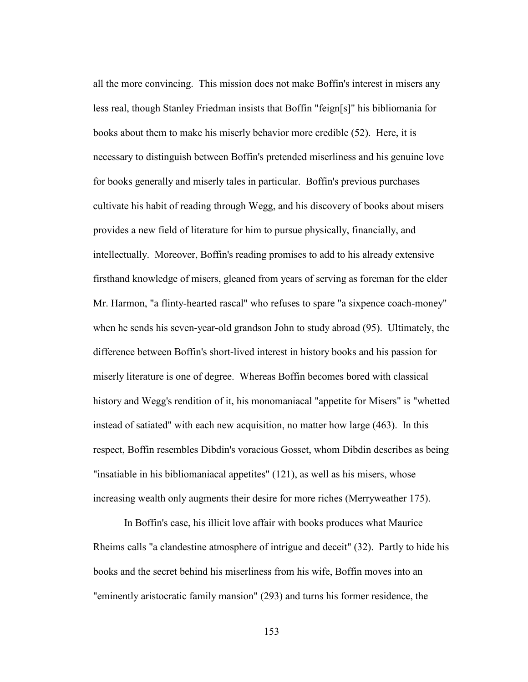all the more convincing. This mission does not make Boffin's interest in misers any less real, though Stanley Friedman insists that Boffin "feign[s]" his bibliomania for books about them to make his miserly behavior more credible (52). Here, it is necessary to distinguish between Boffin's pretended miserliness and his genuine love for books generally and miserly tales in particular. Boffin's previous purchases cultivate his habit of reading through Wegg, and his discovery of books about misers provides a new field of literature for him to pursue physically, financially, and intellectually. Moreover, Boffin's reading promises to add to his already extensive firsthand knowledge of misers, gleaned from years of serving as foreman for the elder Mr. Harmon, "a flinty-hearted rascal" who refuses to spare "a sixpence coach-money" when he sends his seven-year-old grandson John to study abroad (95). Ultimately, the difference between Boffin's short-lived interest in history books and his passion for miserly literature is one of degree. Whereas Boffin becomes bored with classical history and Wegg's rendition of it, his monomaniacal "appetite for Misers" is "whetted instead of satiated" with each new acquisition, no matter how large (463). In this respect, Boffin resembles Dibdin's voracious Gosset, whom Dibdin describes as being "insatiable in his bibliomaniacal appetites" (121), as well as his misers, whose increasing wealth only augments their desire for more riches (Merryweather 175).

 In Boffin's case, his illicit love affair with books produces what Maurice Rheims calls "a clandestine atmosphere of intrigue and deceit" (32). Partly to hide his books and the secret behind his miserliness from his wife, Boffin moves into an "eminently aristocratic family mansion" (293) and turns his former residence, the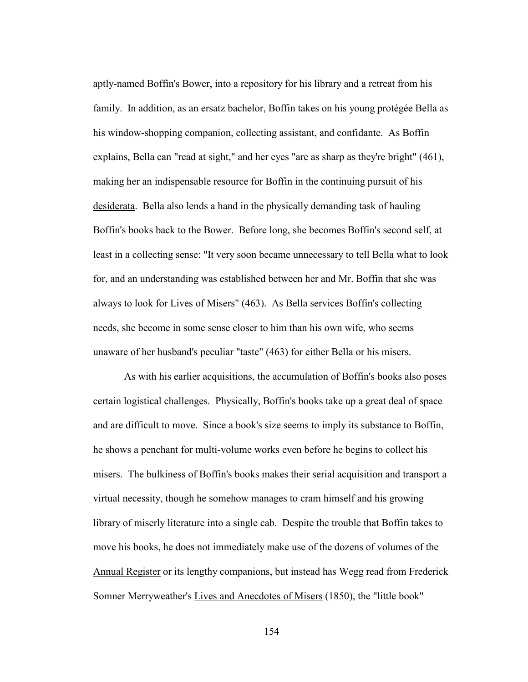aptly-named Boffin's Bower, into a repository for his library and a retreat from his family. In addition, as an ersatz bachelor, Boffin takes on his young protégée Bella as his window-shopping companion, collecting assistant, and confidante. As Boffin explains, Bella can "read at sight," and her eyes "are as sharp as they're bright" (461), making her an indispensable resource for Boffin in the continuing pursuit of his desiderata. Bella also lends a hand in the physically demanding task of hauling Boffin's books back to the Bower. Before long, she becomes Boffin's second self, at least in a collecting sense: "It very soon became unnecessary to tell Bella what to look for, and an understanding was established between her and Mr. Boffin that she was always to look for Lives of Misers" (463). As Bella services Boffin's collecting needs, she become in some sense closer to him than his own wife, who seems unaware of her husband's peculiar "taste" (463) for either Bella or his misers.

 As with his earlier acquisitions, the accumulation of Boffin's books also poses certain logistical challenges. Physically, Boffin's books take up a great deal of space and are difficult to move. Since a book's size seems to imply its substance to Boffin, he shows a penchant for multi-volume works even before he begins to collect his misers. The bulkiness of Boffin's books makes their serial acquisition and transport a virtual necessity, though he somehow manages to cram himself and his growing library of miserly literature into a single cab. Despite the trouble that Boffin takes to move his books, he does not immediately make use of the dozens of volumes of the Annual Register or its lengthy companions, but instead has Wegg read from Frederick Somner Merryweather's Lives and Anecdotes of Misers (1850), the "little book"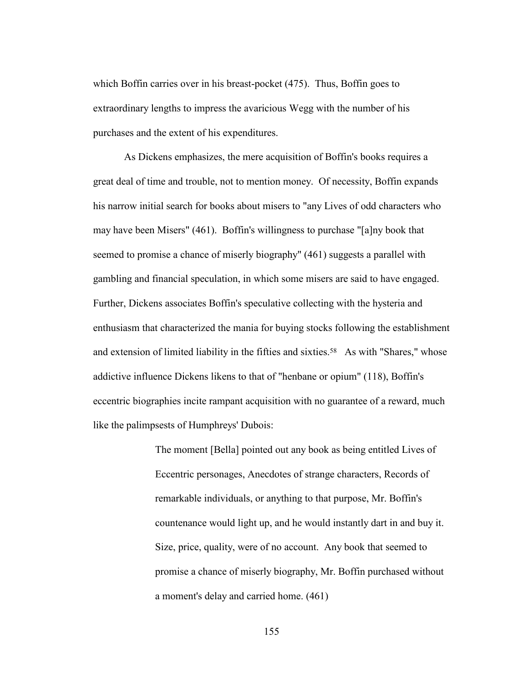which Boffin carries over in his breast-pocket (475). Thus, Boffin goes to extraordinary lengths to impress the avaricious Wegg with the number of his purchases and the extent of his expenditures.

 As Dickens emphasizes, the mere acquisition of Boffin's books requires a great deal of time and trouble, not to mention money. Of necessity, Boffin expands his narrow initial search for books about misers to "any Lives of odd characters who may have been Misers" (461). Boffin's willingness to purchase "[a]ny book that seemed to promise a chance of miserly biography" (461) suggests a parallel with gambling and financial speculation, in which some misers are said to have engaged. Further, Dickens associates Boffin's speculative collecting with the hysteria and enthusiasm that characterized the mania for buying stocks following the establishment and extension of limited liability in the fifties and sixties.<sup>58</sup> As with "Shares," whose addictive influence Dickens likens to that of "henbane or opium" (118), Boffin's eccentric biographies incite rampant acquisition with no guarantee of a reward, much like the palimpsests of Humphreys' Dubois:

> The moment [Bella] pointed out any book as being entitled Lives of Eccentric personages, Anecdotes of strange characters, Records of remarkable individuals, or anything to that purpose, Mr. Boffin's countenance would light up, and he would instantly dart in and buy it. Size, price, quality, were of no account. Any book that seemed to promise a chance of miserly biography, Mr. Boffin purchased without a moment's delay and carried home. (461)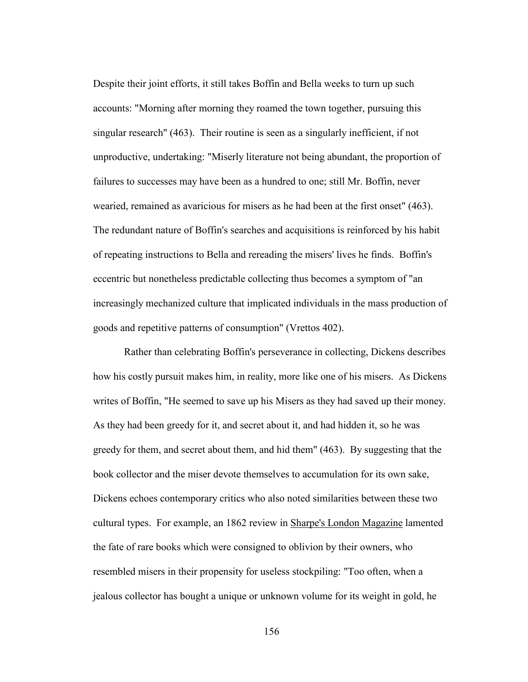Despite their joint efforts, it still takes Boffin and Bella weeks to turn up such accounts: "Morning after morning they roamed the town together, pursuing this singular research" (463). Their routine is seen as a singularly inefficient, if not unproductive, undertaking: "Miserly literature not being abundant, the proportion of failures to successes may have been as a hundred to one; still Mr. Boffin, never wearied, remained as avaricious for misers as he had been at the first onset" (463). The redundant nature of Boffin's searches and acquisitions is reinforced by his habit of repeating instructions to Bella and rereading the misers' lives he finds. Boffin's eccentric but nonetheless predictable collecting thus becomes a symptom of "an increasingly mechanized culture that implicated individuals in the mass production of goods and repetitive patterns of consumption" (Vrettos 402).

 Rather than celebrating Boffin's perseverance in collecting, Dickens describes how his costly pursuit makes him, in reality, more like one of his misers. As Dickens writes of Boffin, "He seemed to save up his Misers as they had saved up their money. As they had been greedy for it, and secret about it, and had hidden it, so he was greedy for them, and secret about them, and hid them" (463). By suggesting that the book collector and the miser devote themselves to accumulation for its own sake, Dickens echoes contemporary critics who also noted similarities between these two cultural types. For example, an 1862 review in Sharpe's London Magazine lamented the fate of rare books which were consigned to oblivion by their owners, who resembled misers in their propensity for useless stockpiling: "Too often, when a jealous collector has bought a unique or unknown volume for its weight in gold, he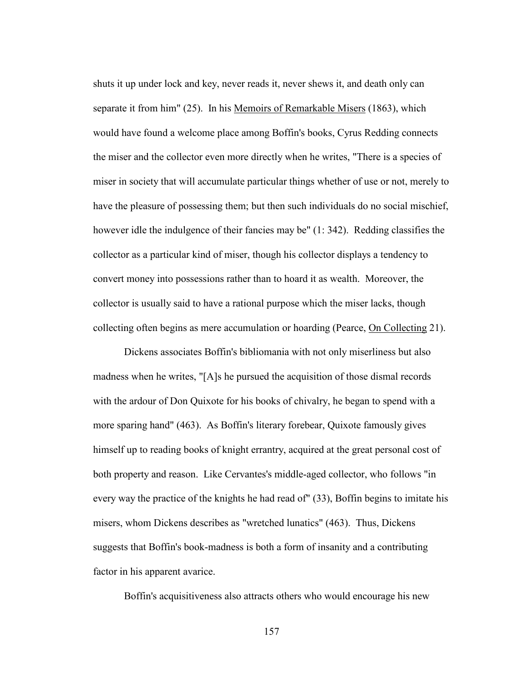shuts it up under lock and key, never reads it, never shews it, and death only can separate it from him" (25). In his Memoirs of Remarkable Misers (1863), which would have found a welcome place among Boffin's books, Cyrus Redding connects the miser and the collector even more directly when he writes, "There is a species of miser in society that will accumulate particular things whether of use or not, merely to have the pleasure of possessing them; but then such individuals do no social mischief, however idle the indulgence of their fancies may be" (1: 342). Redding classifies the collector as a particular kind of miser, though his collector displays a tendency to convert money into possessions rather than to hoard it as wealth. Moreover, the collector is usually said to have a rational purpose which the miser lacks, though collecting often begins as mere accumulation or hoarding (Pearce, On Collecting 21).

 Dickens associates Boffin's bibliomania with not only miserliness but also madness when he writes, "[A]s he pursued the acquisition of those dismal records with the ardour of Don Quixote for his books of chivalry, he began to spend with a more sparing hand" (463). As Boffin's literary forebear, Quixote famously gives himself up to reading books of knight errantry, acquired at the great personal cost of both property and reason. Like Cervantes's middle-aged collector, who follows "in every way the practice of the knights he had read of" (33), Boffin begins to imitate his misers, whom Dickens describes as "wretched lunatics" (463). Thus, Dickens suggests that Boffin's book-madness is both a form of insanity and a contributing factor in his apparent avarice.

Boffin's acquisitiveness also attracts others who would encourage his new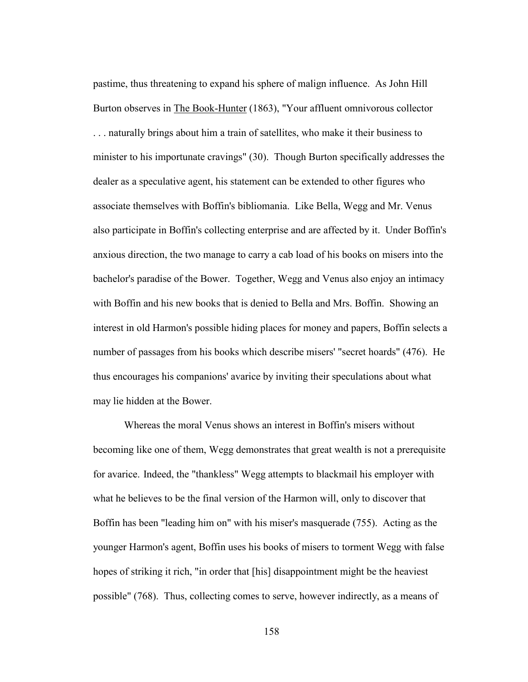pastime, thus threatening to expand his sphere of malign influence. As John Hill Burton observes in The Book-Hunter (1863), "Your affluent omnivorous collector . . . naturally brings about him a train of satellites, who make it their business to minister to his importunate cravings" (30). Though Burton specifically addresses the dealer as a speculative agent, his statement can be extended to other figures who associate themselves with Boffin's bibliomania. Like Bella, Wegg and Mr. Venus also participate in Boffin's collecting enterprise and are affected by it. Under Boffin's anxious direction, the two manage to carry a cab load of his books on misers into the bachelor's paradise of the Bower. Together, Wegg and Venus also enjoy an intimacy with Boffin and his new books that is denied to Bella and Mrs. Boffin. Showing an interest in old Harmon's possible hiding places for money and papers, Boffin selects a number of passages from his books which describe misers' "secret hoards" (476). He thus encourages his companions' avarice by inviting their speculations about what may lie hidden at the Bower.

 Whereas the moral Venus shows an interest in Boffin's misers without becoming like one of them, Wegg demonstrates that great wealth is not a prerequisite for avarice. Indeed, the "thankless" Wegg attempts to blackmail his employer with what he believes to be the final version of the Harmon will, only to discover that Boffin has been "leading him on" with his miser's masquerade (755). Acting as the younger Harmon's agent, Boffin uses his books of misers to torment Wegg with false hopes of striking it rich, "in order that [his] disappointment might be the heaviest possible" (768). Thus, collecting comes to serve, however indirectly, as a means of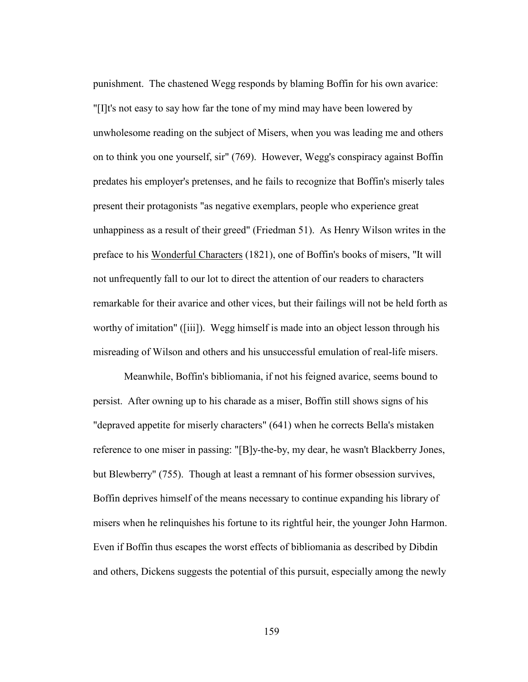punishment. The chastened Wegg responds by blaming Boffin for his own avarice: "[I]t's not easy to say how far the tone of my mind may have been lowered by unwholesome reading on the subject of Misers, when you was leading me and others on to think you one yourself, sir" (769). However, Wegg's conspiracy against Boffin predates his employer's pretenses, and he fails to recognize that Boffin's miserly tales present their protagonists "as negative exemplars, people who experience great unhappiness as a result of their greed" (Friedman 51). As Henry Wilson writes in the preface to his Wonderful Characters (1821), one of Boffin's books of misers, "It will not unfrequently fall to our lot to direct the attention of our readers to characters remarkable for their avarice and other vices, but their failings will not be held forth as worthy of imitation" ([iii]). Wegg himself is made into an object lesson through his misreading of Wilson and others and his unsuccessful emulation of real-life misers.

 Meanwhile, Boffin's bibliomania, if not his feigned avarice, seems bound to persist. After owning up to his charade as a miser, Boffin still shows signs of his "depraved appetite for miserly characters" (641) when he corrects Bella's mistaken reference to one miser in passing: "[B]y-the-by, my dear, he wasn't Blackberry Jones, but Blewberry" (755). Though at least a remnant of his former obsession survives, Boffin deprives himself of the means necessary to continue expanding his library of misers when he relinquishes his fortune to its rightful heir, the younger John Harmon. Even if Boffin thus escapes the worst effects of bibliomania as described by Dibdin and others, Dickens suggests the potential of this pursuit, especially among the newly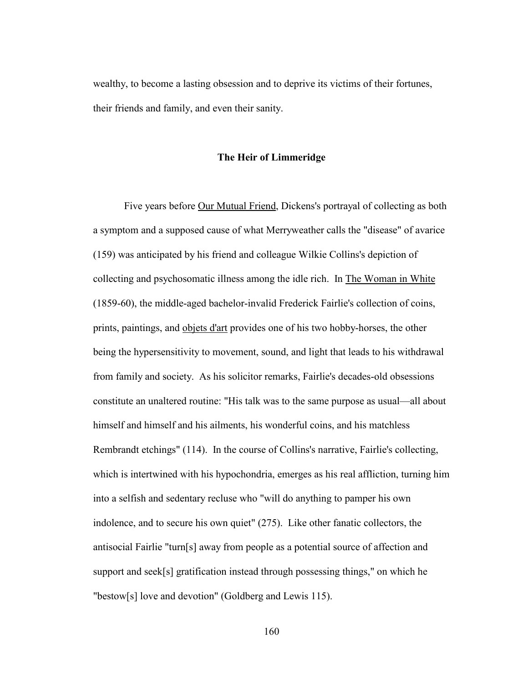wealthy, to become a lasting obsession and to deprive its victims of their fortunes, their friends and family, and even their sanity.

## **The Heir of Limmeridge**

Five years before Our Mutual Friend, Dickens's portrayal of collecting as both a symptom and a supposed cause of what Merryweather calls the "disease" of avarice (159) was anticipated by his friend and colleague Wilkie Collins's depiction of collecting and psychosomatic illness among the idle rich. In The Woman in White (1859-60), the middle-aged bachelor-invalid Frederick Fairlie's collection of coins, prints, paintings, and objets d'art provides one of his two hobby-horses, the other being the hypersensitivity to movement, sound, and light that leads to his withdrawal from family and society. As his solicitor remarks, Fairlie's decades-old obsessions constitute an unaltered routine: "His talk was to the same purpose as usual—all about himself and himself and his ailments, his wonderful coins, and his matchless Rembrandt etchings" (114). In the course of Collins's narrative, Fairlie's collecting, which is intertwined with his hypochondria, emerges as his real affliction, turning him into a selfish and sedentary recluse who "will do anything to pamper his own indolence, and to secure his own quiet" (275). Like other fanatic collectors, the antisocial Fairlie "turn[s] away from people as a potential source of affection and support and seek[s] gratification instead through possessing things," on which he "bestow[s] love and devotion" (Goldberg and Lewis 115).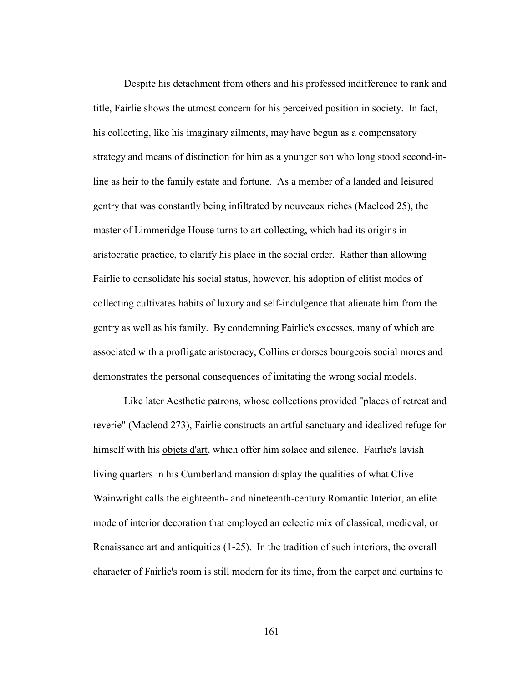Despite his detachment from others and his professed indifference to rank and title, Fairlie shows the utmost concern for his perceived position in society. In fact, his collecting, like his imaginary ailments, may have begun as a compensatory strategy and means of distinction for him as a younger son who long stood second-inline as heir to the family estate and fortune. As a member of a landed and leisured gentry that was constantly being infiltrated by nouveaux riches (Macleod 25), the master of Limmeridge House turns to art collecting, which had its origins in aristocratic practice, to clarify his place in the social order. Rather than allowing Fairlie to consolidate his social status, however, his adoption of elitist modes of collecting cultivates habits of luxury and self-indulgence that alienate him from the gentry as well as his family. By condemning Fairlie's excesses, many of which are associated with a profligate aristocracy, Collins endorses bourgeois social mores and demonstrates the personal consequences of imitating the wrong social models.

 Like later Aesthetic patrons, whose collections provided "places of retreat and reverie" (Macleod 273), Fairlie constructs an artful sanctuary and idealized refuge for himself with his objets d'art, which offer him solace and silence. Fairlie's lavish living quarters in his Cumberland mansion display the qualities of what Clive Wainwright calls the eighteenth- and nineteenth-century Romantic Interior, an elite mode of interior decoration that employed an eclectic mix of classical, medieval, or Renaissance art and antiquities (1-25). In the tradition of such interiors, the overall character of Fairlie's room is still modern for its time, from the carpet and curtains to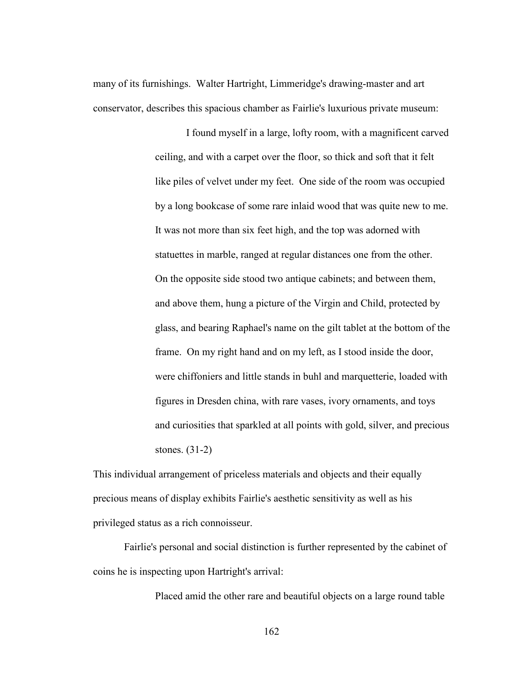many of its furnishings. Walter Hartright, Limmeridge's drawing-master and art conservator, describes this spacious chamber as Fairlie's luxurious private museum:

> I found myself in a large, lofty room, with a magnificent carved ceiling, and with a carpet over the floor, so thick and soft that it felt like piles of velvet under my feet. One side of the room was occupied by a long bookcase of some rare inlaid wood that was quite new to me. It was not more than six feet high, and the top was adorned with statuettes in marble, ranged at regular distances one from the other. On the opposite side stood two antique cabinets; and between them, and above them, hung a picture of the Virgin and Child, protected by glass, and bearing Raphael's name on the gilt tablet at the bottom of the frame. On my right hand and on my left, as I stood inside the door, were chiffoniers and little stands in buhl and marquetterie, loaded with figures in Dresden china, with rare vases, ivory ornaments, and toys and curiosities that sparkled at all points with gold, silver, and precious stones. (31-2)

This individual arrangement of priceless materials and objects and their equally precious means of display exhibits Fairlie's aesthetic sensitivity as well as his privileged status as a rich connoisseur.

 Fairlie's personal and social distinction is further represented by the cabinet of coins he is inspecting upon Hartright's arrival:

Placed amid the other rare and beautiful objects on a large round table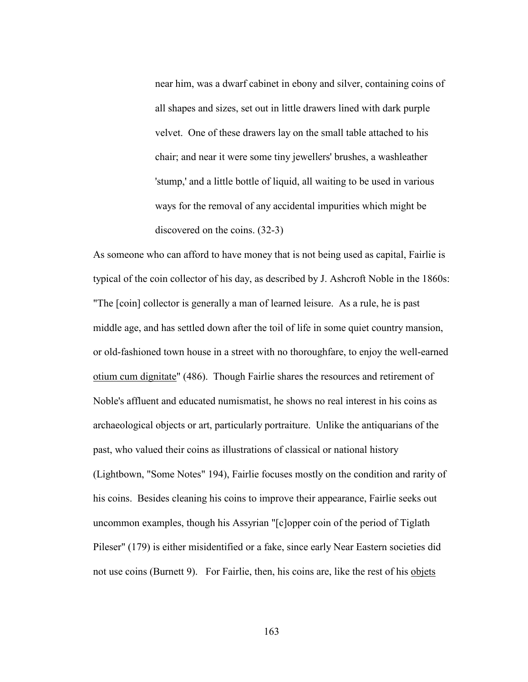near him, was a dwarf cabinet in ebony and silver, containing coins of all shapes and sizes, set out in little drawers lined with dark purple velvet. One of these drawers lay on the small table attached to his chair; and near it were some tiny jewellers' brushes, a washleather 'stump,' and a little bottle of liquid, all waiting to be used in various ways for the removal of any accidental impurities which might be discovered on the coins. (32-3)

As someone who can afford to have money that is not being used as capital, Fairlie is typical of the coin collector of his day, as described by J. Ashcroft Noble in the 1860s: "The [coin] collector is generally a man of learned leisure. As a rule, he is past middle age, and has settled down after the toil of life in some quiet country mansion, or old-fashioned town house in a street with no thoroughfare, to enjoy the well-earned otium cum dignitate" (486). Though Fairlie shares the resources and retirement of Noble's affluent and educated numismatist, he shows no real interest in his coins as archaeological objects or art, particularly portraiture. Unlike the antiquarians of the past, who valued their coins as illustrations of classical or national history (Lightbown, "Some Notes" 194), Fairlie focuses mostly on the condition and rarity of his coins. Besides cleaning his coins to improve their appearance, Fairlie seeks out uncommon examples, though his Assyrian "[c]opper coin of the period of Tiglath Pileser" (179) is either misidentified or a fake, since early Near Eastern societies did not use coins (Burnett 9). For Fairlie, then, his coins are, like the rest of his objets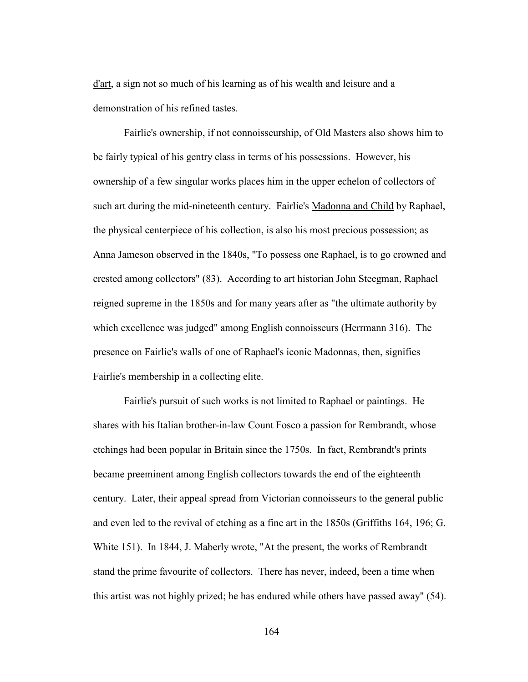d'art, a sign not so much of his learning as of his wealth and leisure and a demonstration of his refined tastes.

 Fairlie's ownership, if not connoisseurship, of Old Masters also shows him to be fairly typical of his gentry class in terms of his possessions. However, his ownership of a few singular works places him in the upper echelon of collectors of such art during the mid-nineteenth century. Fairlie's Madonna and Child by Raphael, the physical centerpiece of his collection, is also his most precious possession; as Anna Jameson observed in the 1840s, "To possess one Raphael, is to go crowned and crested among collectors" (83). According to art historian John Steegman, Raphael reigned supreme in the 1850s and for many years after as "the ultimate authority by which excellence was judged" among English connoisseurs (Herrmann 316). The presence on Fairlie's walls of one of Raphael's iconic Madonnas, then, signifies Fairlie's membership in a collecting elite.

 Fairlie's pursuit of such works is not limited to Raphael or paintings. He shares with his Italian brother-in-law Count Fosco a passion for Rembrandt, whose etchings had been popular in Britain since the 1750s. In fact, Rembrandt's prints became preeminent among English collectors towards the end of the eighteenth century. Later, their appeal spread from Victorian connoisseurs to the general public and even led to the revival of etching as a fine art in the 1850s (Griffiths 164, 196; G. White 151). In 1844, J. Maberly wrote, "At the present, the works of Rembrandt stand the prime favourite of collectors. There has never, indeed, been a time when this artist was not highly prized; he has endured while others have passed away" (54).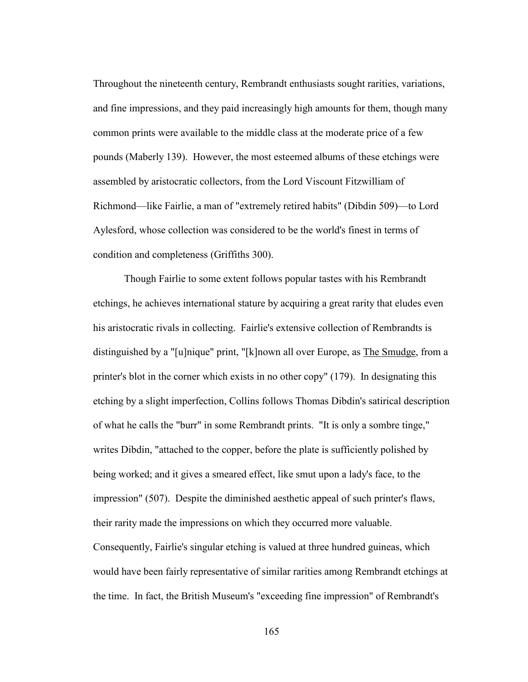Throughout the nineteenth century, Rembrandt enthusiasts sought rarities, variations, and fine impressions, and they paid increasingly high amounts for them, though many common prints were available to the middle class at the moderate price of a few pounds (Maberly 139). However, the most esteemed albums of these etchings were assembled by aristocratic collectors, from the Lord Viscount Fitzwilliam of Richmond—like Fairlie, a man of "extremely retired habits" (Dibdin 509)—to Lord Aylesford, whose collection was considered to be the world's finest in terms of condition and completeness (Griffiths 300).

 Though Fairlie to some extent follows popular tastes with his Rembrandt etchings, he achieves international stature by acquiring a great rarity that eludes even his aristocratic rivals in collecting. Fairlie's extensive collection of Rembrandts is distinguished by a "[u]nique" print, "[k]nown all over Europe, as The Smudge, from a printer's blot in the corner which exists in no other copy" (179). In designating this etching by a slight imperfection, Collins follows Thomas Dibdin's satirical description of what he calls the "burr" in some Rembrandt prints. "It is only a sombre tinge," writes Dibdin, "attached to the copper, before the plate is sufficiently polished by being worked; and it gives a smeared effect, like smut upon a lady's face, to the impression" (507). Despite the diminished aesthetic appeal of such printer's flaws, their rarity made the impressions on which they occurred more valuable. Consequently, Fairlie's singular etching is valued at three hundred guineas, which would have been fairly representative of similar rarities among Rembrandt etchings at the time. In fact, the British Museum's "exceeding fine impression" of Rembrandt's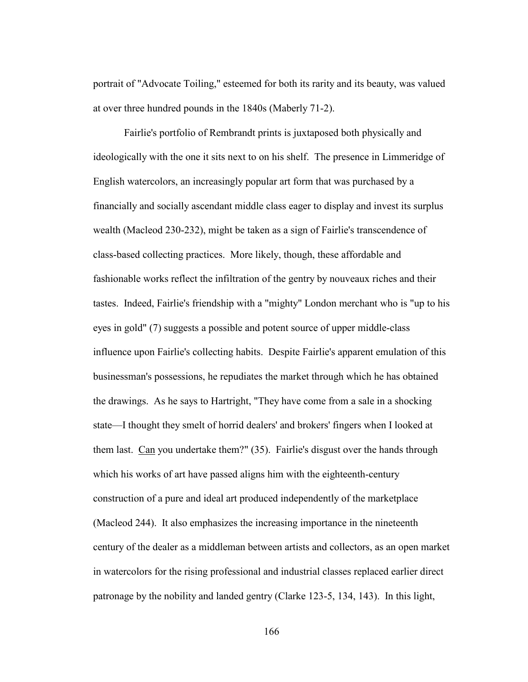portrait of "Advocate Toiling," esteemed for both its rarity and its beauty, was valued at over three hundred pounds in the 1840s (Maberly 71-2).

 Fairlie's portfolio of Rembrandt prints is juxtaposed both physically and ideologically with the one it sits next to on his shelf. The presence in Limmeridge of English watercolors, an increasingly popular art form that was purchased by a financially and socially ascendant middle class eager to display and invest its surplus wealth (Macleod 230-232), might be taken as a sign of Fairlie's transcendence of class-based collecting practices. More likely, though, these affordable and fashionable works reflect the infiltration of the gentry by nouveaux riches and their tastes. Indeed, Fairlie's friendship with a "mighty" London merchant who is "up to his eyes in gold" (7) suggests a possible and potent source of upper middle-class influence upon Fairlie's collecting habits. Despite Fairlie's apparent emulation of this businessman's possessions, he repudiates the market through which he has obtained the drawings. As he says to Hartright, "They have come from a sale in a shocking state—I thought they smelt of horrid dealers' and brokers' fingers when I looked at them last. Can you undertake them?" (35). Fairlie's disgust over the hands through which his works of art have passed aligns him with the eighteenth-century construction of a pure and ideal art produced independently of the marketplace (Macleod 244). It also emphasizes the increasing importance in the nineteenth century of the dealer as a middleman between artists and collectors, as an open market in watercolors for the rising professional and industrial classes replaced earlier direct patronage by the nobility and landed gentry (Clarke 123-5, 134, 143). In this light,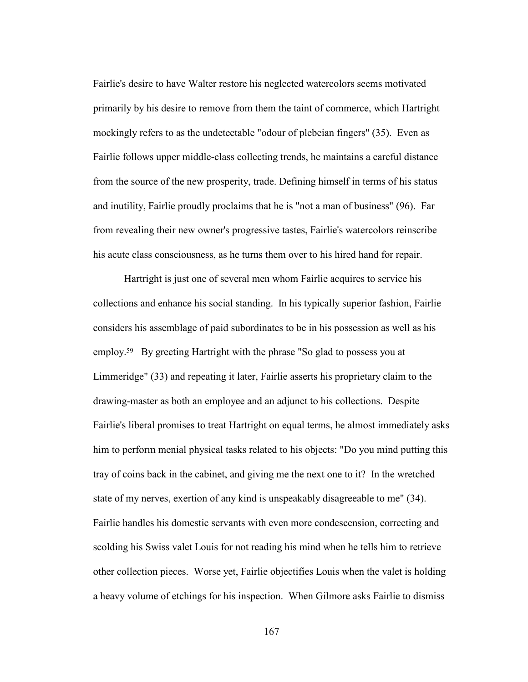Fairlie's desire to have Walter restore his neglected watercolors seems motivated primarily by his desire to remove from them the taint of commerce, which Hartright mockingly refers to as the undetectable "odour of plebeian fingers" (35). Even as Fairlie follows upper middle-class collecting trends, he maintains a careful distance from the source of the new prosperity, trade. Defining himself in terms of his status and inutility, Fairlie proudly proclaims that he is "not a man of business" (96). Far from revealing their new owner's progressive tastes, Fairlie's watercolors reinscribe his acute class consciousness, as he turns them over to his hired hand for repair.

Hartright is just one of several men whom Fairlie acquires to service his collections and enhance his social standing. In his typically superior fashion, Fairlie considers his assemblage of paid subordinates to be in his possession as well as his employ.<sup>59</sup> By greeting Hartright with the phrase "So glad to possess you at Limmeridge" (33) and repeating it later, Fairlie asserts his proprietary claim to the drawing-master as both an employee and an adjunct to his collections. Despite Fairlie's liberal promises to treat Hartright on equal terms, he almost immediately asks him to perform menial physical tasks related to his objects: "Do you mind putting this tray of coins back in the cabinet, and giving me the next one to it? In the wretched state of my nerves, exertion of any kind is unspeakably disagreeable to me" (34). Fairlie handles his domestic servants with even more condescension, correcting and scolding his Swiss valet Louis for not reading his mind when he tells him to retrieve other collection pieces. Worse yet, Fairlie objectifies Louis when the valet is holding a heavy volume of etchings for his inspection. When Gilmore asks Fairlie to dismiss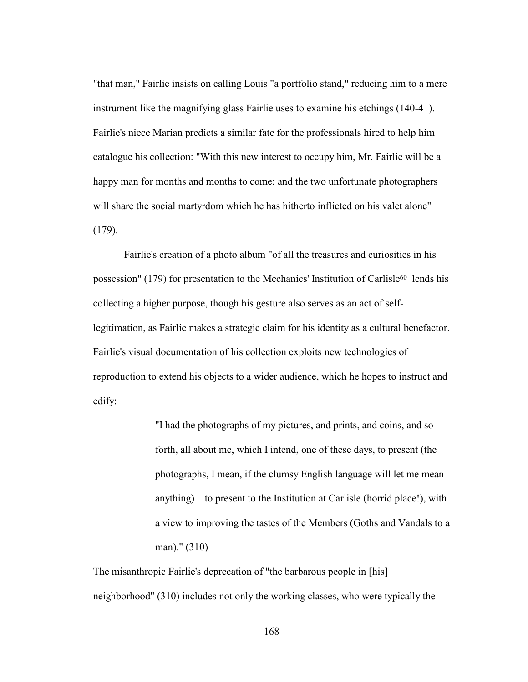"that man," Fairlie insists on calling Louis "a portfolio stand," reducing him to a mere instrument like the magnifying glass Fairlie uses to examine his etchings (140-41). Fairlie's niece Marian predicts a similar fate for the professionals hired to help him catalogue his collection: "With this new interest to occupy him, Mr. Fairlie will be a happy man for months and months to come; and the two unfortunate photographers will share the social martyrdom which he has hitherto inflicted on his valet alone" (179).

 Fairlie's creation of a photo album "of all the treasures and curiosities in his possession" (179) for presentation to the Mechanics' Institution of Carlisle<sup>60</sup> lends his collecting a higher purpose, though his gesture also serves as an act of selflegitimation, as Fairlie makes a strategic claim for his identity as a cultural benefactor. Fairlie's visual documentation of his collection exploits new technologies of reproduction to extend his objects to a wider audience, which he hopes to instruct and edify:

> "I had the photographs of my pictures, and prints, and coins, and so forth, all about me, which I intend, one of these days, to present (the photographs, I mean, if the clumsy English language will let me mean anything)—to present to the Institution at Carlisle (horrid place!), with a view to improving the tastes of the Members (Goths and Vandals to a man)." (310)

The misanthropic Fairlie's deprecation of "the barbarous people in [his] neighborhood" (310) includes not only the working classes, who were typically the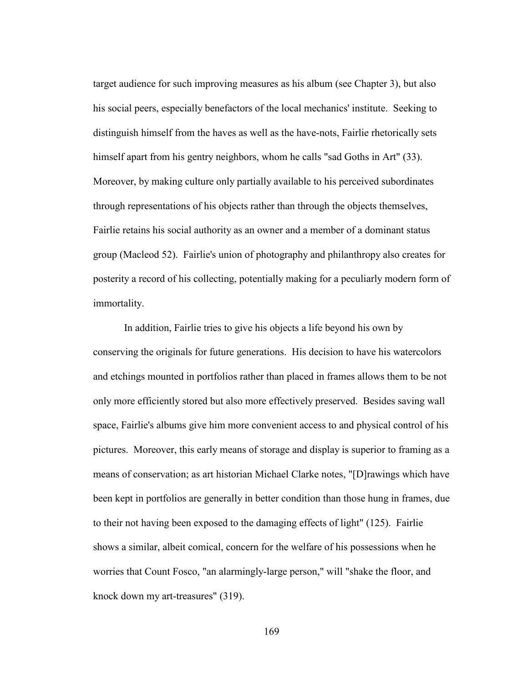target audience for such improving measures as his album (see Chapter 3), but also his social peers, especially benefactors of the local mechanics' institute. Seeking to distinguish himself from the haves as well as the have-nots, Fairlie rhetorically sets himself apart from his gentry neighbors, whom he calls "sad Goths in Art" (33). Moreover, by making culture only partially available to his perceived subordinates through representations of his objects rather than through the objects themselves, Fairlie retains his social authority as an owner and a member of a dominant status group (Macleod 52). Fairlie's union of photography and philanthropy also creates for posterity a record of his collecting, potentially making for a peculiarly modern form of immortality.

 In addition, Fairlie tries to give his objects a life beyond his own by conserving the originals for future generations. His decision to have his watercolors and etchings mounted in portfolios rather than placed in frames allows them to be not only more efficiently stored but also more effectively preserved. Besides saving wall space, Fairlie's albums give him more convenient access to and physical control of his pictures. Moreover, this early means of storage and display is superior to framing as a means of conservation; as art historian Michael Clarke notes, "[D]rawings which have been kept in portfolios are generally in better condition than those hung in frames, due to their not having been exposed to the damaging effects of light" (125). Fairlie shows a similar, albeit comical, concern for the welfare of his possessions when he worries that Count Fosco, "an alarmingly-large person," will "shake the floor, and knock down my art-treasures" (319).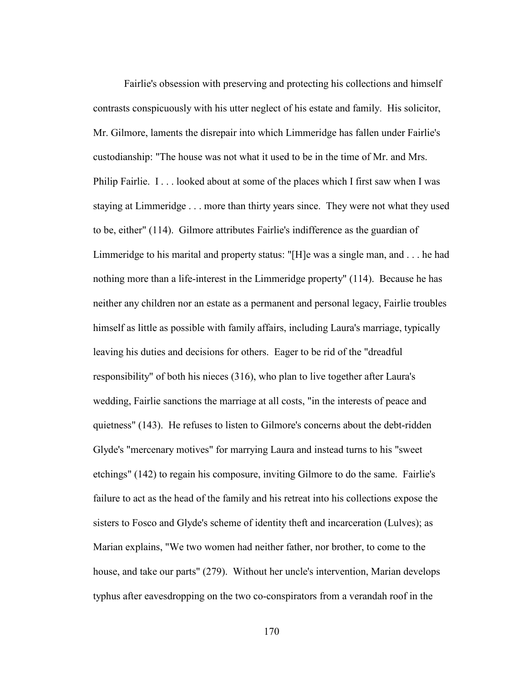Fairlie's obsession with preserving and protecting his collections and himself contrasts conspicuously with his utter neglect of his estate and family. His solicitor, Mr. Gilmore, laments the disrepair into which Limmeridge has fallen under Fairlie's custodianship: "The house was not what it used to be in the time of Mr. and Mrs. Philip Fairlie. I . . . looked about at some of the places which I first saw when I was staying at Limmeridge . . . more than thirty years since. They were not what they used to be, either" (114). Gilmore attributes Fairlie's indifference as the guardian of Limmeridge to his marital and property status: "[H]e was a single man, and . . . he had nothing more than a life-interest in the Limmeridge property" (114). Because he has neither any children nor an estate as a permanent and personal legacy, Fairlie troubles himself as little as possible with family affairs, including Laura's marriage, typically leaving his duties and decisions for others. Eager to be rid of the "dreadful responsibility" of both his nieces (316), who plan to live together after Laura's wedding, Fairlie sanctions the marriage at all costs, "in the interests of peace and quietness" (143). He refuses to listen to Gilmore's concerns about the debt-ridden Glyde's "mercenary motives" for marrying Laura and instead turns to his "sweet etchings" (142) to regain his composure, inviting Gilmore to do the same. Fairlie's failure to act as the head of the family and his retreat into his collections expose the sisters to Fosco and Glyde's scheme of identity theft and incarceration (Lulves); as Marian explains, "We two women had neither father, nor brother, to come to the house, and take our parts" (279). Without her uncle's intervention, Marian develops typhus after eavesdropping on the two co-conspirators from a verandah roof in the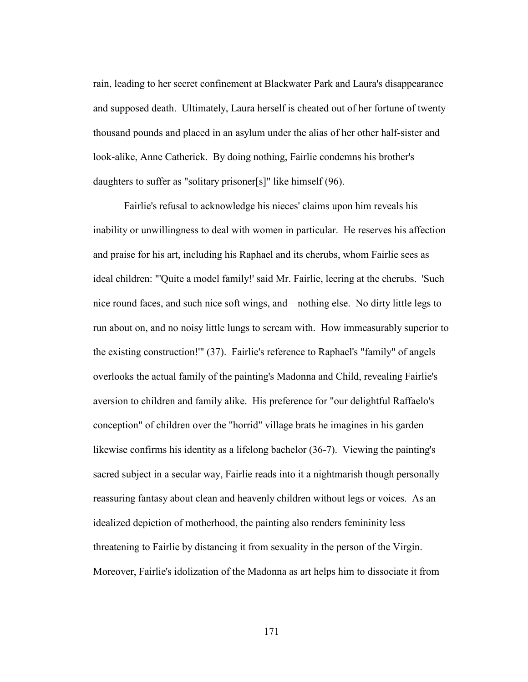rain, leading to her secret confinement at Blackwater Park and Laura's disappearance and supposed death. Ultimately, Laura herself is cheated out of her fortune of twenty thousand pounds and placed in an asylum under the alias of her other half-sister and look-alike, Anne Catherick. By doing nothing, Fairlie condemns his brother's daughters to suffer as "solitary prisoner[s]" like himself (96).

 Fairlie's refusal to acknowledge his nieces' claims upon him reveals his inability or unwillingness to deal with women in particular. He reserves his affection and praise for his art, including his Raphael and its cherubs, whom Fairlie sees as ideal children: "'Quite a model family!' said Mr. Fairlie, leering at the cherubs. 'Such nice round faces, and such nice soft wings, and—nothing else. No dirty little legs to run about on, and no noisy little lungs to scream with. How immeasurably superior to the existing construction!'" (37). Fairlie's reference to Raphael's "family" of angels overlooks the actual family of the painting's Madonna and Child, revealing Fairlie's aversion to children and family alike. His preference for "our delightful Raffaelo's conception" of children over the "horrid" village brats he imagines in his garden likewise confirms his identity as a lifelong bachelor (36-7). Viewing the painting's sacred subject in a secular way, Fairlie reads into it a nightmarish though personally reassuring fantasy about clean and heavenly children without legs or voices. As an idealized depiction of motherhood, the painting also renders femininity less threatening to Fairlie by distancing it from sexuality in the person of the Virgin. Moreover, Fairlie's idolization of the Madonna as art helps him to dissociate it from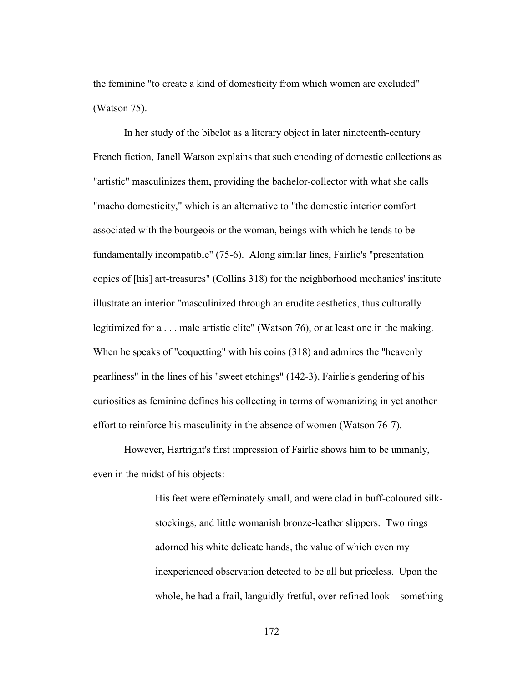the feminine "to create a kind of domesticity from which women are excluded" (Watson 75).

 In her study of the bibelot as a literary object in later nineteenth-century French fiction, Janell Watson explains that such encoding of domestic collections as "artistic" masculinizes them, providing the bachelor-collector with what she calls "macho domesticity," which is an alternative to "the domestic interior comfort associated with the bourgeois or the woman, beings with which he tends to be fundamentally incompatible" (75-6). Along similar lines, Fairlie's "presentation copies of [his] art-treasures" (Collins 318) for the neighborhood mechanics' institute illustrate an interior "masculinized through an erudite aesthetics, thus culturally legitimized for a . . . male artistic elite" (Watson 76), or at least one in the making. When he speaks of "coquetting" with his coins (318) and admires the "heavenly pearliness" in the lines of his "sweet etchings" (142-3), Fairlie's gendering of his curiosities as feminine defines his collecting in terms of womanizing in yet another effort to reinforce his masculinity in the absence of women (Watson 76-7).

 However, Hartright's first impression of Fairlie shows him to be unmanly, even in the midst of his objects:

> His feet were effeminately small, and were clad in buff-coloured silkstockings, and little womanish bronze-leather slippers. Two rings adorned his white delicate hands, the value of which even my inexperienced observation detected to be all but priceless. Upon the whole, he had a frail, languidly-fretful, over-refined look—something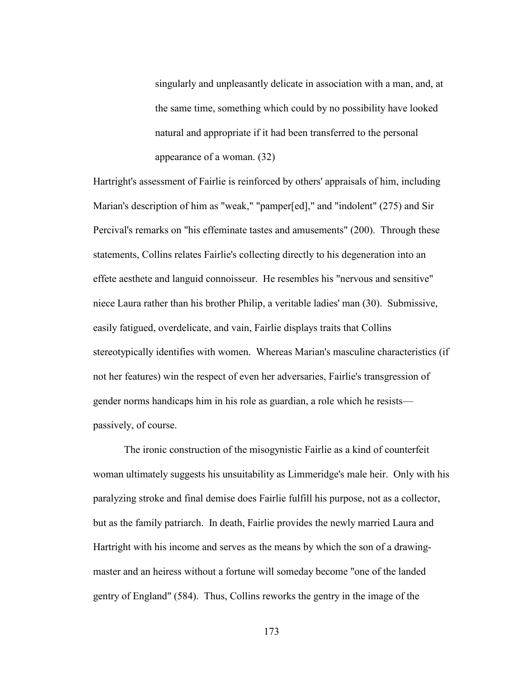singularly and unpleasantly delicate in association with a man, and, at the same time, something which could by no possibility have looked natural and appropriate if it had been transferred to the personal appearance of a woman. (32)

Hartright's assessment of Fairlie is reinforced by others' appraisals of him, including Marian's description of him as "weak," "pamper[ed]," and "indolent" (275) and Sir Percival's remarks on "his effeminate tastes and amusements" (200). Through these statements, Collins relates Fairlie's collecting directly to his degeneration into an effete aesthete and languid connoisseur. He resembles his "nervous and sensitive" niece Laura rather than his brother Philip, a veritable ladies' man (30). Submissive, easily fatigued, overdelicate, and vain, Fairlie displays traits that Collins stereotypically identifies with women. Whereas Marian's masculine characteristics (if not her features) win the respect of even her adversaries, Fairlie's transgression of gender norms handicaps him in his role as guardian, a role which he resists passively, of course.

 The ironic construction of the misogynistic Fairlie as a kind of counterfeit woman ultimately suggests his unsuitability as Limmeridge's male heir. Only with his paralyzing stroke and final demise does Fairlie fulfill his purpose, not as a collector, but as the family patriarch. In death, Fairlie provides the newly married Laura and Hartright with his income and serves as the means by which the son of a drawingmaster and an heiress without a fortune will someday become "one of the landed gentry of England" (584). Thus, Collins reworks the gentry in the image of the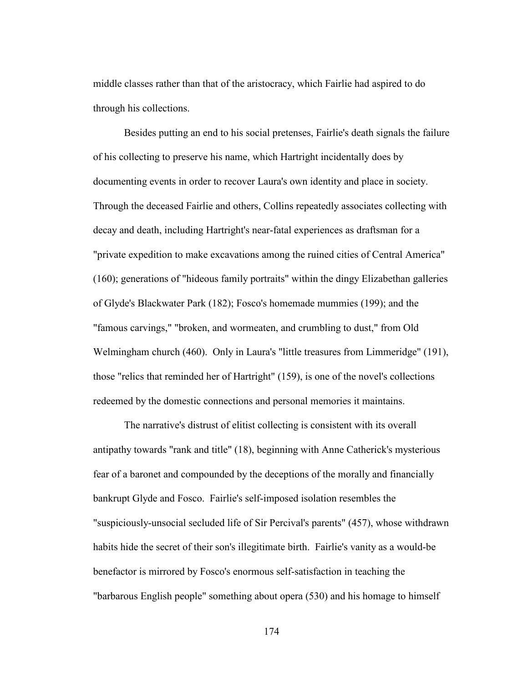middle classes rather than that of the aristocracy, which Fairlie had aspired to do through his collections.

 Besides putting an end to his social pretenses, Fairlie's death signals the failure of his collecting to preserve his name, which Hartright incidentally does by documenting events in order to recover Laura's own identity and place in society. Through the deceased Fairlie and others, Collins repeatedly associates collecting with decay and death, including Hartright's near-fatal experiences as draftsman for a "private expedition to make excavations among the ruined cities of Central America" (160); generations of "hideous family portraits" within the dingy Elizabethan galleries of Glyde's Blackwater Park (182); Fosco's homemade mummies (199); and the "famous carvings," "broken, and wormeaten, and crumbling to dust," from Old Welmingham church (460). Only in Laura's "little treasures from Limmeridge" (191), those "relics that reminded her of Hartright" (159), is one of the novel's collections redeemed by the domestic connections and personal memories it maintains.

 The narrative's distrust of elitist collecting is consistent with its overall antipathy towards "rank and title" (18), beginning with Anne Catherick's mysterious fear of a baronet and compounded by the deceptions of the morally and financially bankrupt Glyde and Fosco. Fairlie's self-imposed isolation resembles the "suspiciously-unsocial secluded life of Sir Percival's parents" (457), whose withdrawn habits hide the secret of their son's illegitimate birth. Fairlie's vanity as a would-be benefactor is mirrored by Fosco's enormous self-satisfaction in teaching the "barbarous English people" something about opera (530) and his homage to himself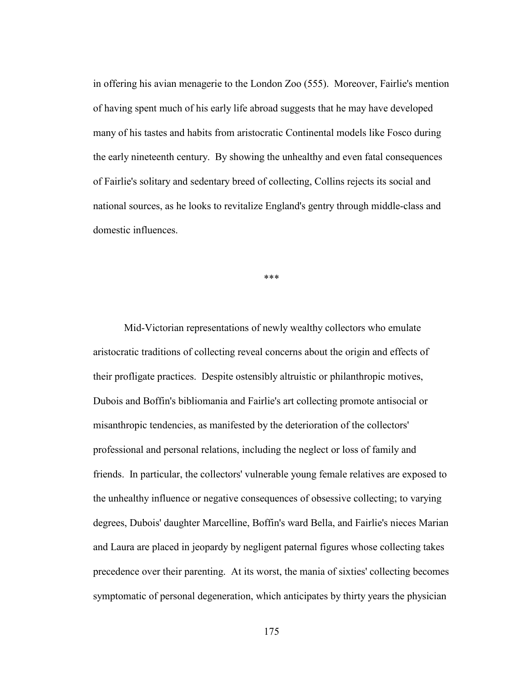in offering his avian menagerie to the London Zoo (555). Moreover, Fairlie's mention of having spent much of his early life abroad suggests that he may have developed many of his tastes and habits from aristocratic Continental models like Fosco during the early nineteenth century. By showing the unhealthy and even fatal consequences of Fairlie's solitary and sedentary breed of collecting, Collins rejects its social and national sources, as he looks to revitalize England's gentry through middle-class and domestic influences.

\*\*\*

Mid-Victorian representations of newly wealthy collectors who emulate aristocratic traditions of collecting reveal concerns about the origin and effects of their profligate practices. Despite ostensibly altruistic or philanthropic motives, Dubois and Boffin's bibliomania and Fairlie's art collecting promote antisocial or misanthropic tendencies, as manifested by the deterioration of the collectors' professional and personal relations, including the neglect or loss of family and friends. In particular, the collectors' vulnerable young female relatives are exposed to the unhealthy influence or negative consequences of obsessive collecting; to varying degrees, Dubois' daughter Marcelline, Boffin's ward Bella, and Fairlie's nieces Marian and Laura are placed in jeopardy by negligent paternal figures whose collecting takes precedence over their parenting. At its worst, the mania of sixties' collecting becomes symptomatic of personal degeneration, which anticipates by thirty years the physician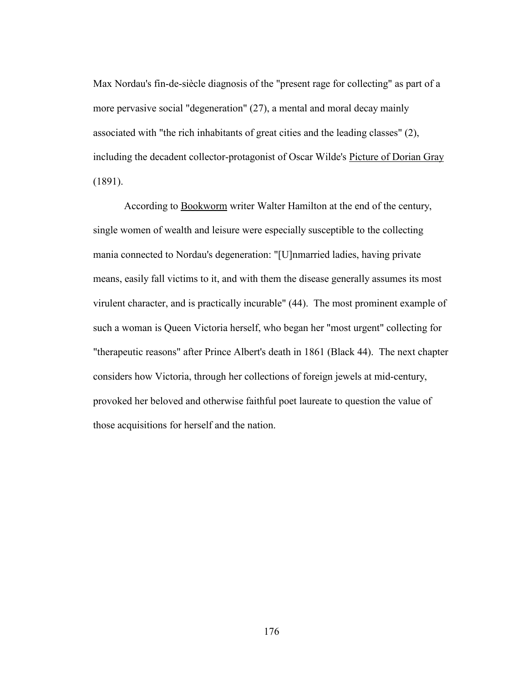Max Nordau's fin-de-siècle diagnosis of the "present rage for collecting" as part of a more pervasive social "degeneration" (27), a mental and moral decay mainly associated with "the rich inhabitants of great cities and the leading classes" (2), including the decadent collector-protagonist of Oscar Wilde's Picture of Dorian Gray (1891).

According to Bookworm writer Walter Hamilton at the end of the century, single women of wealth and leisure were especially susceptible to the collecting mania connected to Nordau's degeneration: "[U]nmarried ladies, having private means, easily fall victims to it, and with them the disease generally assumes its most virulent character, and is practically incurable" (44). The most prominent example of such a woman is Queen Victoria herself, who began her "most urgent" collecting for "therapeutic reasons" after Prince Albert's death in 1861 (Black 44). The next chapter considers how Victoria, through her collections of foreign jewels at mid-century, provoked her beloved and otherwise faithful poet laureate to question the value of those acquisitions for herself and the nation.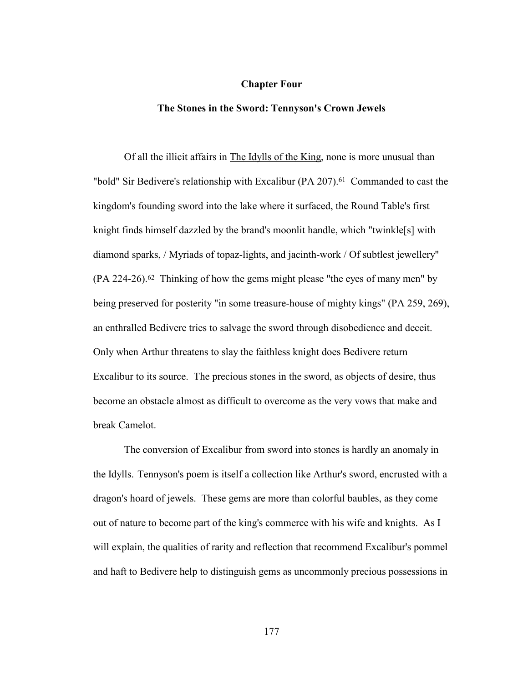#### **Chapter Four**

## **The Stones in the Sword: Tennyson's Crown Jewels**

Of all the illicit affairs in The Idylls of the King, none is more unusual than "bold" Sir Bedivere's relationship with Excalibur  $(PA 207)^{61}$  Commanded to cast the kingdom's founding sword into the lake where it surfaced, the Round Table's first knight finds himself dazzled by the brand's moonlit handle, which "twinkle[s] with diamond sparks, / Myriads of topaz-lights, and jacinth-work / Of subtlest jewellery"  $(PA 224-26).$ <sup>62</sup> Thinking of how the gems might please "the eyes of many men" by being preserved for posterity "in some treasure-house of mighty kings" (PA 259, 269), an enthralled Bedivere tries to salvage the sword through disobedience and deceit. Only when Arthur threatens to slay the faithless knight does Bedivere return Excalibur to its source. The precious stones in the sword, as objects of desire, thus become an obstacle almost as difficult to overcome as the very vows that make and break Camelot.

 The conversion of Excalibur from sword into stones is hardly an anomaly in the Idylls. Tennyson's poem is itself a collection like Arthur's sword, encrusted with a dragon's hoard of jewels. These gems are more than colorful baubles, as they come out of nature to become part of the king's commerce with his wife and knights. As I will explain, the qualities of rarity and reflection that recommend Excalibur's pommel and haft to Bedivere help to distinguish gems as uncommonly precious possessions in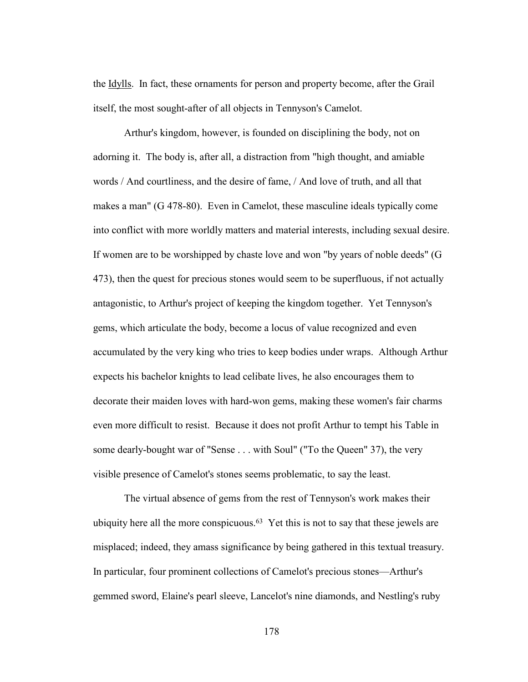the Idylls. In fact, these ornaments for person and property become, after the Grail itself, the most sought-after of all objects in Tennyson's Camelot.

 Arthur's kingdom, however, is founded on disciplining the body, not on adorning it. The body is, after all, a distraction from "high thought, and amiable words / And courtliness, and the desire of fame, / And love of truth, and all that makes a man" (G 478-80). Even in Camelot, these masculine ideals typically come into conflict with more worldly matters and material interests, including sexual desire. If women are to be worshipped by chaste love and won "by years of noble deeds" (G 473), then the quest for precious stones would seem to be superfluous, if not actually antagonistic, to Arthur's project of keeping the kingdom together. Yet Tennyson's gems, which articulate the body, become a locus of value recognized and even accumulated by the very king who tries to keep bodies under wraps. Although Arthur expects his bachelor knights to lead celibate lives, he also encourages them to decorate their maiden loves with hard-won gems, making these women's fair charms even more difficult to resist. Because it does not profit Arthur to tempt his Table in some dearly-bought war of "Sense . . . with Soul" ("To the Queen" 37), the very visible presence of Camelot's stones seems problematic, to say the least.

 The virtual absence of gems from the rest of Tennyson's work makes their ubiquity here all the more conspicuous.<sup>63</sup> Yet this is not to say that these jewels are misplaced; indeed, they amass significance by being gathered in this textual treasury. In particular, four prominent collections of Camelot's precious stones—Arthur's gemmed sword, Elaine's pearl sleeve, Lancelot's nine diamonds, and Nestling's ruby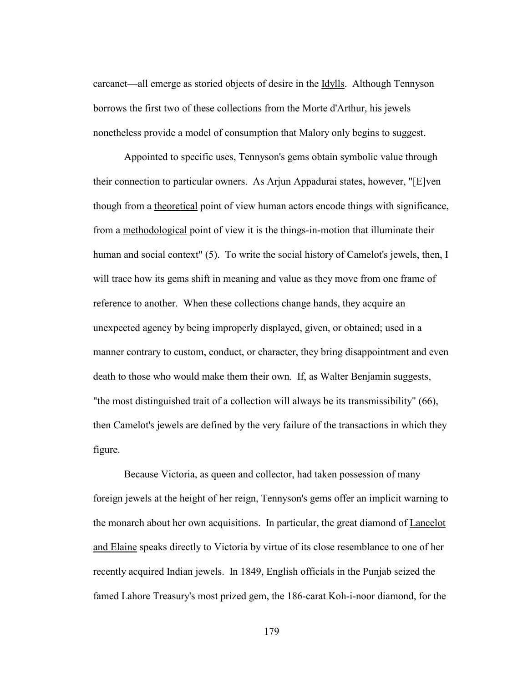carcanet—all emerge as storied objects of desire in the Idylls. Although Tennyson borrows the first two of these collections from the Morte d'Arthur, his jewels nonetheless provide a model of consumption that Malory only begins to suggest.

 Appointed to specific uses, Tennyson's gems obtain symbolic value through their connection to particular owners. As Arjun Appadurai states, however, "[E]ven though from a theoretical point of view human actors encode things with significance, from a methodological point of view it is the things-in-motion that illuminate their human and social context" (5). To write the social history of Camelot's jewels, then, I will trace how its gems shift in meaning and value as they move from one frame of reference to another. When these collections change hands, they acquire an unexpected agency by being improperly displayed, given, or obtained; used in a manner contrary to custom, conduct, or character, they bring disappointment and even death to those who would make them their own. If, as Walter Benjamin suggests, "the most distinguished trait of a collection will always be its transmissibility" (66), then Camelot's jewels are defined by the very failure of the transactions in which they figure.

 Because Victoria, as queen and collector, had taken possession of many foreign jewels at the height of her reign, Tennyson's gems offer an implicit warning to the monarch about her own acquisitions. In particular, the great diamond of Lancelot and Elaine speaks directly to Victoria by virtue of its close resemblance to one of her recently acquired Indian jewels. In 1849, English officials in the Punjab seized the famed Lahore Treasury's most prized gem, the 186-carat Koh-i-noor diamond, for the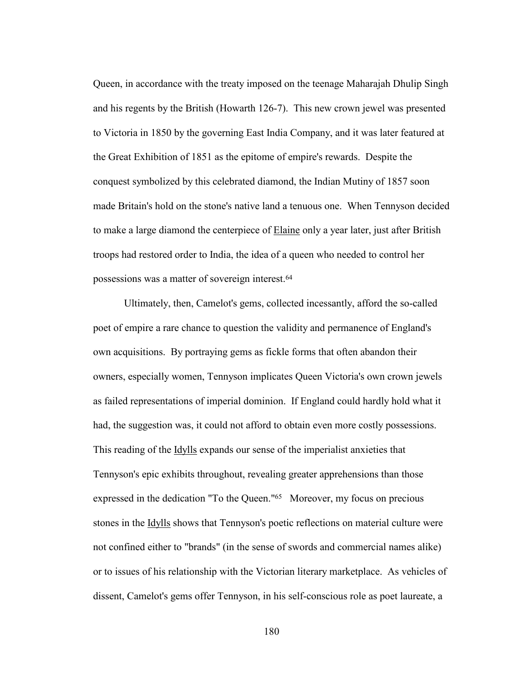Queen, in accordance with the treaty imposed on the teenage Maharajah Dhulip Singh and his regents by the British (Howarth 126-7). This new crown jewel was presented to Victoria in 1850 by the governing East India Company, and it was later featured at the Great Exhibition of 1851 as the epitome of empire's rewards. Despite the conquest symbolized by this celebrated diamond, the Indian Mutiny of 1857 soon made Britain's hold on the stone's native land a tenuous one. When Tennyson decided to make a large diamond the centerpiece of Elaine only a year later, just after British troops had restored order to India, the idea of a queen who needed to control her possessions was a matter of sovereign interest.64

Ultimately, then, Camelot's gems, collected incessantly, afford the so-called poet of empire a rare chance to question the validity and permanence of England's own acquisitions. By portraying gems as fickle forms that often abandon their owners, especially women, Tennyson implicates Queen Victoria's own crown jewels as failed representations of imperial dominion. If England could hardly hold what it had, the suggestion was, it could not afford to obtain even more costly possessions. This reading of the Idylls expands our sense of the imperialist anxieties that Tennyson's epic exhibits throughout, revealing greater apprehensions than those expressed in the dedication "To the Queen."65 Moreover, my focus on precious stones in the Idylls shows that Tennyson's poetic reflections on material culture were not confined either to "brands" (in the sense of swords and commercial names alike) or to issues of his relationship with the Victorian literary marketplace. As vehicles of dissent, Camelot's gems offer Tennyson, in his self-conscious role as poet laureate, a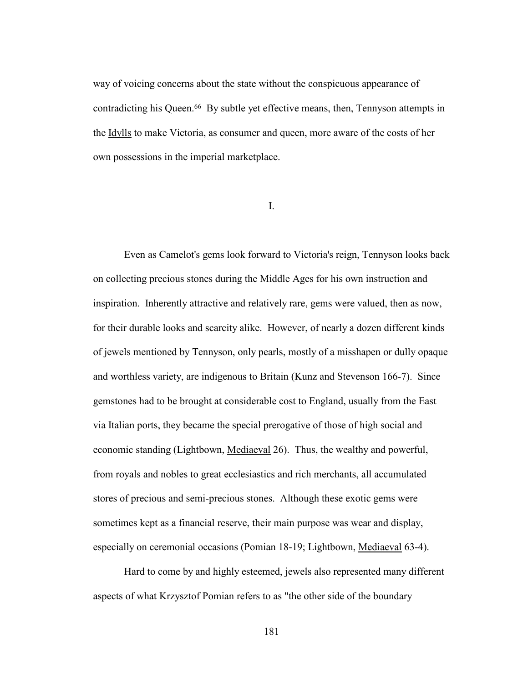way of voicing concerns about the state without the conspicuous appearance of contradicting his Queen.66 By subtle yet effective means, then, Tennyson attempts in the Idylls to make Victoria, as consumer and queen, more aware of the costs of her own possessions in the imperial marketplace.

I.

Even as Camelot's gems look forward to Victoria's reign, Tennyson looks back on collecting precious stones during the Middle Ages for his own instruction and inspiration. Inherently attractive and relatively rare, gems were valued, then as now, for their durable looks and scarcity alike. However, of nearly a dozen different kinds of jewels mentioned by Tennyson, only pearls, mostly of a misshapen or dully opaque and worthless variety, are indigenous to Britain (Kunz and Stevenson 166-7). Since gemstones had to be brought at considerable cost to England, usually from the East via Italian ports, they became the special prerogative of those of high social and economic standing (Lightbown, Mediaeval 26). Thus, the wealthy and powerful, from royals and nobles to great ecclesiastics and rich merchants, all accumulated stores of precious and semi-precious stones. Although these exotic gems were sometimes kept as a financial reserve, their main purpose was wear and display, especially on ceremonial occasions (Pomian 18-19; Lightbown, Mediaeval 63-4).

 Hard to come by and highly esteemed, jewels also represented many different aspects of what Krzysztof Pomian refers to as "the other side of the boundary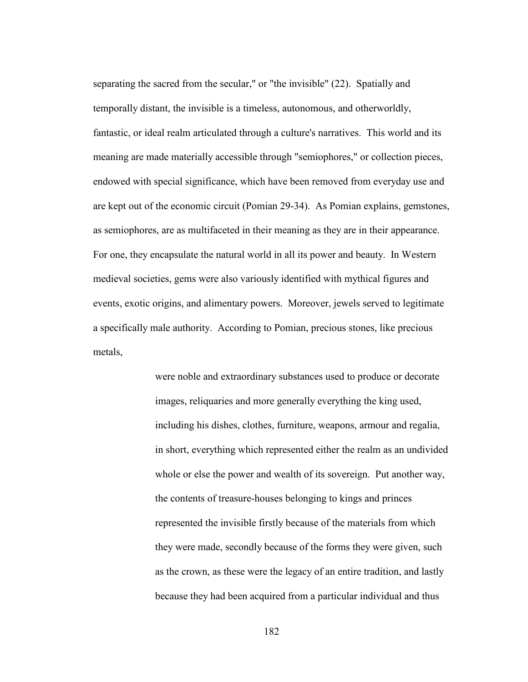separating the sacred from the secular," or "the invisible" (22). Spatially and temporally distant, the invisible is a timeless, autonomous, and otherworldly, fantastic, or ideal realm articulated through a culture's narratives. This world and its meaning are made materially accessible through "semiophores," or collection pieces, endowed with special significance, which have been removed from everyday use and are kept out of the economic circuit (Pomian 29-34). As Pomian explains, gemstones, as semiophores, are as multifaceted in their meaning as they are in their appearance. For one, they encapsulate the natural world in all its power and beauty. In Western medieval societies, gems were also variously identified with mythical figures and events, exotic origins, and alimentary powers. Moreover, jewels served to legitimate a specifically male authority. According to Pomian, precious stones, like precious metals,

> were noble and extraordinary substances used to produce or decorate images, reliquaries and more generally everything the king used, including his dishes, clothes, furniture, weapons, armour and regalia, in short, everything which represented either the realm as an undivided whole or else the power and wealth of its sovereign. Put another way, the contents of treasure-houses belonging to kings and princes represented the invisible firstly because of the materials from which they were made, secondly because of the forms they were given, such as the crown, as these were the legacy of an entire tradition, and lastly because they had been acquired from a particular individual and thus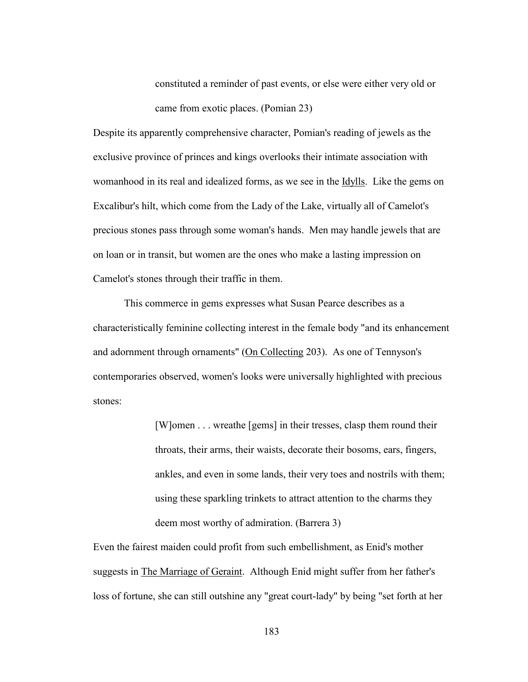constituted a reminder of past events, or else were either very old or came from exotic places. (Pomian 23)

Despite its apparently comprehensive character, Pomian's reading of jewels as the exclusive province of princes and kings overlooks their intimate association with womanhood in its real and idealized forms, as we see in the **Idylls**. Like the gems on Excalibur's hilt, which come from the Lady of the Lake, virtually all of Camelot's precious stones pass through some woman's hands. Men may handle jewels that are on loan or in transit, but women are the ones who make a lasting impression on Camelot's stones through their traffic in them.

 This commerce in gems expresses what Susan Pearce describes as a characteristically feminine collecting interest in the female body "and its enhancement and adornment through ornaments" (On Collecting 203). As one of Tennyson's contemporaries observed, women's looks were universally highlighted with precious stones:

> [W]omen . . . wreathe [gems] in their tresses, clasp them round their throats, their arms, their waists, decorate their bosoms, ears, fingers, ankles, and even in some lands, their very toes and nostrils with them; using these sparkling trinkets to attract attention to the charms they deem most worthy of admiration. (Barrera 3)

Even the fairest maiden could profit from such embellishment, as Enid's mother suggests in The Marriage of Geraint. Although Enid might suffer from her father's loss of fortune, she can still outshine any "great court-lady" by being "set forth at her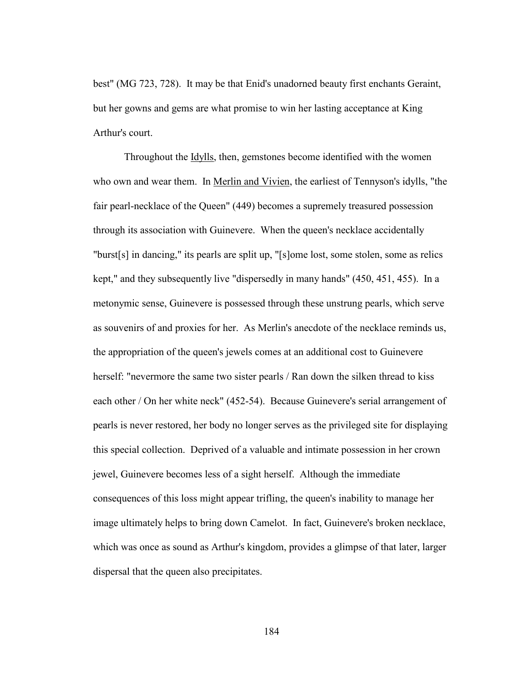best" (MG 723, 728). It may be that Enid's unadorned beauty first enchants Geraint, but her gowns and gems are what promise to win her lasting acceptance at King Arthur's court.

 Throughout the Idylls, then, gemstones become identified with the women who own and wear them. In Merlin and Vivien, the earliest of Tennyson's idylls, "the fair pearl-necklace of the Queen" (449) becomes a supremely treasured possession through its association with Guinevere. When the queen's necklace accidentally "burst[s] in dancing," its pearls are split up, "[s]ome lost, some stolen, some as relics kept," and they subsequently live "dispersedly in many hands" (450, 451, 455). In a metonymic sense, Guinevere is possessed through these unstrung pearls, which serve as souvenirs of and proxies for her. As Merlin's anecdote of the necklace reminds us, the appropriation of the queen's jewels comes at an additional cost to Guinevere herself: "nevermore the same two sister pearls / Ran down the silken thread to kiss each other / On her white neck" (452-54). Because Guinevere's serial arrangement of pearls is never restored, her body no longer serves as the privileged site for displaying this special collection. Deprived of a valuable and intimate possession in her crown jewel, Guinevere becomes less of a sight herself. Although the immediate consequences of this loss might appear trifling, the queen's inability to manage her image ultimately helps to bring down Camelot. In fact, Guinevere's broken necklace, which was once as sound as Arthur's kingdom, provides a glimpse of that later, larger dispersal that the queen also precipitates.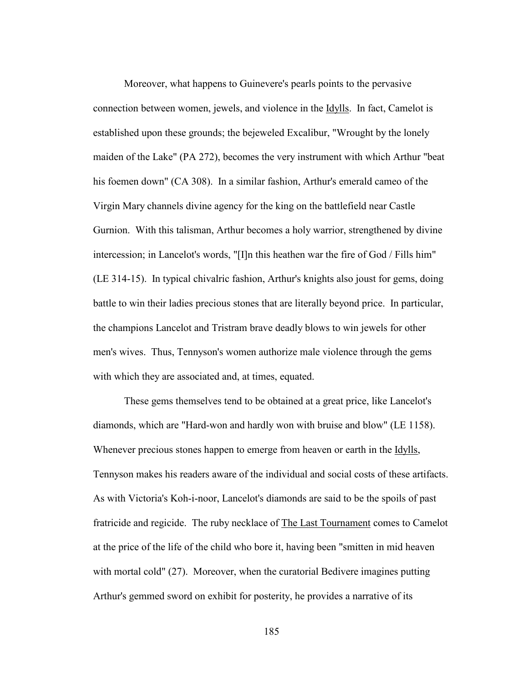Moreover, what happens to Guinevere's pearls points to the pervasive connection between women, jewels, and violence in the Idylls. In fact, Camelot is established upon these grounds; the bejeweled Excalibur, "Wrought by the lonely maiden of the Lake" (PA 272), becomes the very instrument with which Arthur "beat his foemen down" (CA 308). In a similar fashion, Arthur's emerald cameo of the Virgin Mary channels divine agency for the king on the battlefield near Castle Gurnion. With this talisman, Arthur becomes a holy warrior, strengthened by divine intercession; in Lancelot's words, "[I]n this heathen war the fire of God / Fills him" (LE 314-15). In typical chivalric fashion, Arthur's knights also joust for gems, doing battle to win their ladies precious stones that are literally beyond price. In particular, the champions Lancelot and Tristram brave deadly blows to win jewels for other men's wives. Thus, Tennyson's women authorize male violence through the gems with which they are associated and, at times, equated.

 These gems themselves tend to be obtained at a great price, like Lancelot's diamonds, which are "Hard-won and hardly won with bruise and blow" (LE 1158). Whenever precious stones happen to emerge from heaven or earth in the **Idylls**, Tennyson makes his readers aware of the individual and social costs of these artifacts. As with Victoria's Koh-i-noor, Lancelot's diamonds are said to be the spoils of past fratricide and regicide. The ruby necklace of The Last Tournament comes to Camelot at the price of the life of the child who bore it, having been "smitten in mid heaven with mortal cold" (27). Moreover, when the curatorial Bedivere imagines putting Arthur's gemmed sword on exhibit for posterity, he provides a narrative of its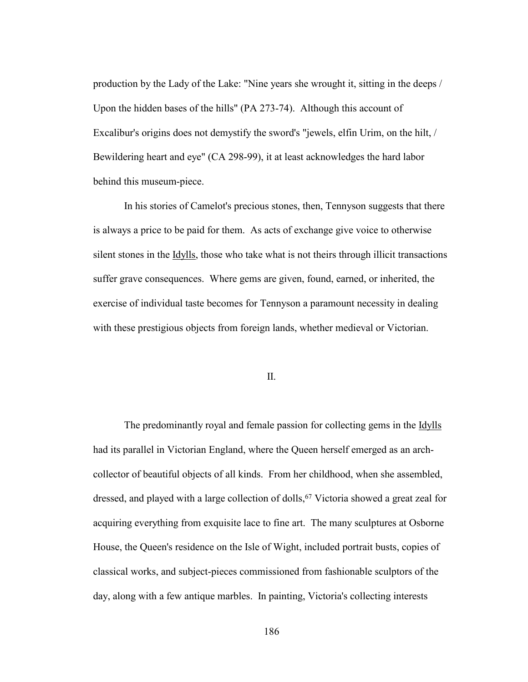production by the Lady of the Lake: "Nine years she wrought it, sitting in the deeps / Upon the hidden bases of the hills" (PA 273-74). Although this account of Excalibur's origins does not demystify the sword's "jewels, elfin Urim, on the hilt, / Bewildering heart and eye" (CA 298-99), it at least acknowledges the hard labor behind this museum-piece.

 In his stories of Camelot's precious stones, then, Tennyson suggests that there is always a price to be paid for them. As acts of exchange give voice to otherwise silent stones in the Idylls, those who take what is not theirs through illicit transactions suffer grave consequences. Where gems are given, found, earned, or inherited, the exercise of individual taste becomes for Tennyson a paramount necessity in dealing with these prestigious objects from foreign lands, whether medieval or Victorian.

### II.

The predominantly royal and female passion for collecting gems in the **Idylls** had its parallel in Victorian England, where the Queen herself emerged as an archcollector of beautiful objects of all kinds. From her childhood, when she assembled, dressed, and played with a large collection of dolls, <sup>67</sup> Victoria showed a great zeal for acquiring everything from exquisite lace to fine art. The many sculptures at Osborne House, the Queen's residence on the Isle of Wight, included portrait busts, copies of classical works, and subject-pieces commissioned from fashionable sculptors of the day, along with a few antique marbles. In painting, Victoria's collecting interests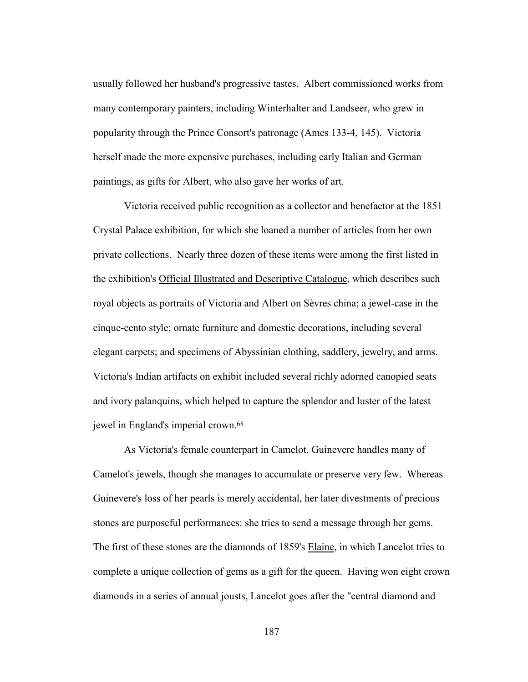usually followed her husband's progressive tastes. Albert commissioned works from many contemporary painters, including Winterhalter and Landseer, who grew in popularity through the Prince Consort's patronage (Ames 133-4, 145). Victoria herself made the more expensive purchases, including early Italian and German paintings, as gifts for Albert, who also gave her works of art.

 Victoria received public recognition as a collector and benefactor at the 1851 Crystal Palace exhibition, for which she loaned a number of articles from her own private collections. Nearly three dozen of these items were among the first listed in the exhibition's Official Illustrated and Descriptive Catalogue, which describes such royal objects as portraits of Victoria and Albert on Sèvres china; a jewel-case in the cinque-cento style; ornate furniture and domestic decorations, including several elegant carpets; and specimens of Abyssinian clothing, saddlery, jewelry, and arms. Victoria's Indian artifacts on exhibit included several richly adorned canopied seats and ivory palanquins, which helped to capture the splendor and luster of the latest jewel in England's imperial crown.68

As Victoria's female counterpart in Camelot, Guinevere handles many of Camelot's jewels, though she manages to accumulate or preserve very few. Whereas Guinevere's loss of her pearls is merely accidental, her later divestments of precious stones are purposeful performances: she tries to send a message through her gems. The first of these stones are the diamonds of 1859's Elaine, in which Lancelot tries to complete a unique collection of gems as a gift for the queen. Having won eight crown diamonds in a series of annual jousts, Lancelot goes after the "central diamond and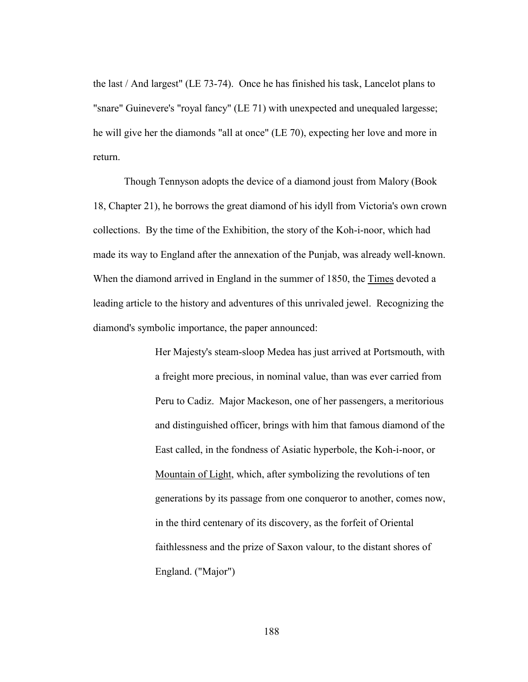the last / And largest" (LE 73-74). Once he has finished his task, Lancelot plans to "snare" Guinevere's "royal fancy" (LE 71) with unexpected and unequaled largesse; he will give her the diamonds "all at once" (LE 70), expecting her love and more in return.

 Though Tennyson adopts the device of a diamond joust from Malory (Book 18, Chapter 21), he borrows the great diamond of his idyll from Victoria's own crown collections. By the time of the Exhibition, the story of the Koh-i-noor, which had made its way to England after the annexation of the Punjab, was already well-known. When the diamond arrived in England in the summer of 1850, the Times devoted a leading article to the history and adventures of this unrivaled jewel. Recognizing the diamond's symbolic importance, the paper announced:

> Her Majesty's steam-sloop Medea has just arrived at Portsmouth, with a freight more precious, in nominal value, than was ever carried from Peru to Cadiz. Major Mackeson, one of her passengers, a meritorious and distinguished officer, brings with him that famous diamond of the East called, in the fondness of Asiatic hyperbole, the Koh-i-noor, or Mountain of Light, which, after symbolizing the revolutions of ten generations by its passage from one conqueror to another, comes now, in the third centenary of its discovery, as the forfeit of Oriental faithlessness and the prize of Saxon valour, to the distant shores of England. ("Major")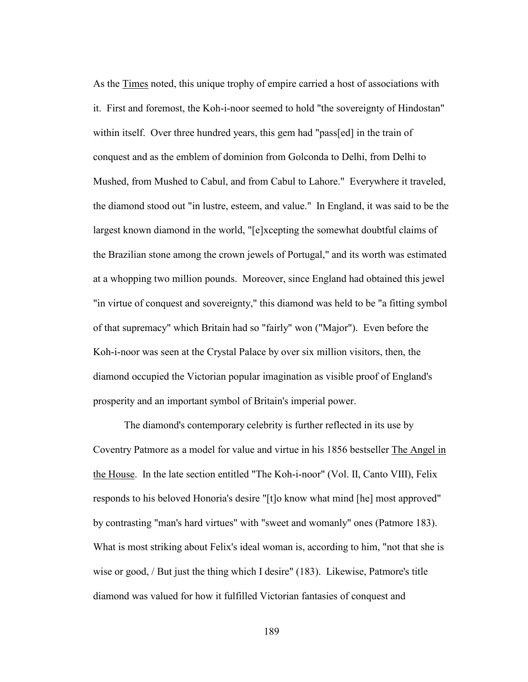As the Times noted, this unique trophy of empire carried a host of associations with it. First and foremost, the Koh-i-noor seemed to hold "the sovereignty of Hindostan" within itself. Over three hundred years, this gem had "pass[ed] in the train of conquest and as the emblem of dominion from Golconda to Delhi, from Delhi to Mushed, from Mushed to Cabul, and from Cabul to Lahore." Everywhere it traveled, the diamond stood out "in lustre, esteem, and value." In England, it was said to be the largest known diamond in the world, "[e]xcepting the somewhat doubtful claims of the Brazilian stone among the crown jewels of Portugal," and its worth was estimated at a whopping two million pounds. Moreover, since England had obtained this jewel "in virtue of conquest and sovereignty," this diamond was held to be "a fitting symbol of that supremacy" which Britain had so "fairly" won ("Major"). Even before the Koh-i-noor was seen at the Crystal Palace by over six million visitors, then, the diamond occupied the Victorian popular imagination as visible proof of England's prosperity and an important symbol of Britain's imperial power.

 The diamond's contemporary celebrity is further reflected in its use by Coventry Patmore as a model for value and virtue in his 1856 bestseller The Angel in the House. In the late section entitled "The Koh-i-noor" (Vol. II, Canto VIII), Felix responds to his beloved Honoria's desire "[t]o know what mind [he] most approved" by contrasting "man's hard virtues" with "sweet and womanly" ones (Patmore 183). What is most striking about Felix's ideal woman is, according to him, "not that she is wise or good, / But just the thing which I desire" (183). Likewise, Patmore's title diamond was valued for how it fulfilled Victorian fantasies of conquest and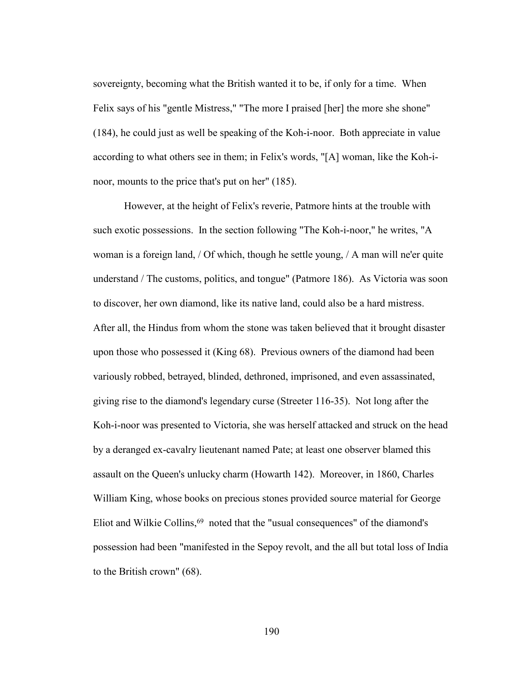sovereignty, becoming what the British wanted it to be, if only for a time. When Felix says of his "gentle Mistress," "The more I praised [her] the more she shone" (184), he could just as well be speaking of the Koh-i-noor. Both appreciate in value according to what others see in them; in Felix's words, "[A] woman, like the Koh-inoor, mounts to the price that's put on her" (185).

 However, at the height of Felix's reverie, Patmore hints at the trouble with such exotic possessions. In the section following "The Koh-i-noor," he writes, "A woman is a foreign land, / Of which, though he settle young, / A man will ne'er quite understand / The customs, politics, and tongue" (Patmore 186). As Victoria was soon to discover, her own diamond, like its native land, could also be a hard mistress. After all, the Hindus from whom the stone was taken believed that it brought disaster upon those who possessed it (King 68). Previous owners of the diamond had been variously robbed, betrayed, blinded, dethroned, imprisoned, and even assassinated, giving rise to the diamond's legendary curse (Streeter 116-35). Not long after the Koh-i-noor was presented to Victoria, she was herself attacked and struck on the head by a deranged ex-cavalry lieutenant named Pate; at least one observer blamed this assault on the Queen's unlucky charm (Howarth 142). Moreover, in 1860, Charles William King, whose books on precious stones provided source material for George Eliot and Wilkie Collins,<sup>69</sup> noted that the "usual consequences" of the diamond's possession had been "manifested in the Sepoy revolt, and the all but total loss of India to the British crown" (68).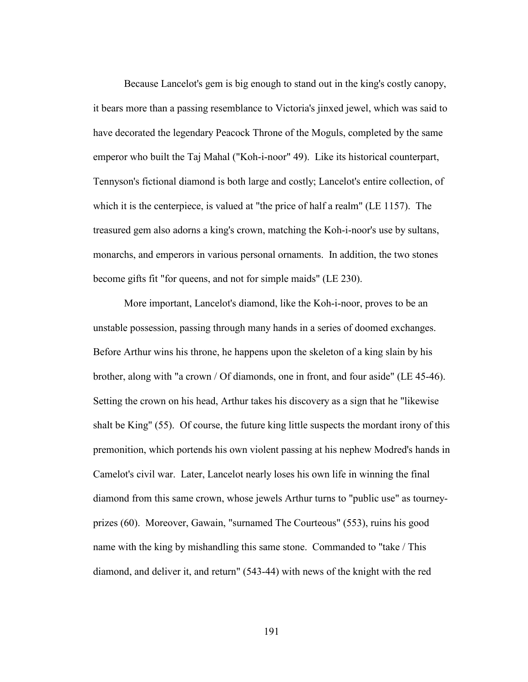Because Lancelot's gem is big enough to stand out in the king's costly canopy, it bears more than a passing resemblance to Victoria's jinxed jewel, which was said to have decorated the legendary Peacock Throne of the Moguls, completed by the same emperor who built the Taj Mahal ("Koh-i-noor" 49). Like its historical counterpart, Tennyson's fictional diamond is both large and costly; Lancelot's entire collection, of which it is the centerpiece, is valued at "the price of half a realm" (LE 1157). The treasured gem also adorns a king's crown, matching the Koh-i-noor's use by sultans, monarchs, and emperors in various personal ornaments. In addition, the two stones become gifts fit "for queens, and not for simple maids" (LE 230).

 More important, Lancelot's diamond, like the Koh-i-noor, proves to be an unstable possession, passing through many hands in a series of doomed exchanges. Before Arthur wins his throne, he happens upon the skeleton of a king slain by his brother, along with "a crown / Of diamonds, one in front, and four aside" (LE 45-46). Setting the crown on his head, Arthur takes his discovery as a sign that he "likewise shalt be King" (55). Of course, the future king little suspects the mordant irony of this premonition, which portends his own violent passing at his nephew Modred's hands in Camelot's civil war. Later, Lancelot nearly loses his own life in winning the final diamond from this same crown, whose jewels Arthur turns to "public use" as tourneyprizes (60). Moreover, Gawain, "surnamed The Courteous" (553), ruins his good name with the king by mishandling this same stone. Commanded to "take / This diamond, and deliver it, and return" (543-44) with news of the knight with the red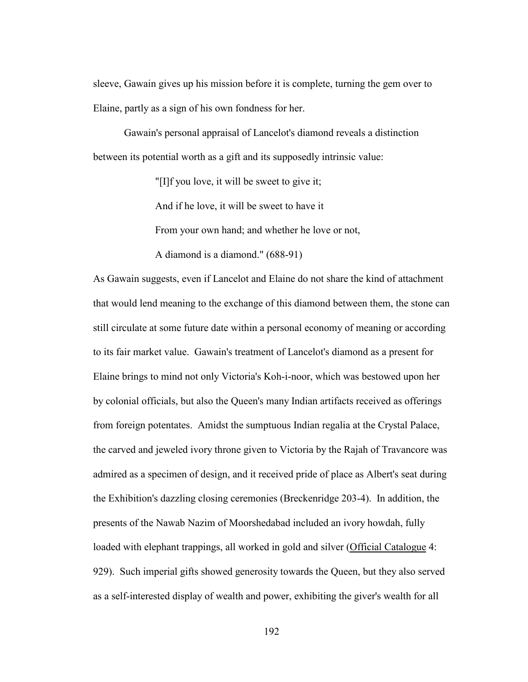sleeve, Gawain gives up his mission before it is complete, turning the gem over to Elaine, partly as a sign of his own fondness for her.

 Gawain's personal appraisal of Lancelot's diamond reveals a distinction between its potential worth as a gift and its supposedly intrinsic value:

"[I]f you love, it will be sweet to give it;

And if he love, it will be sweet to have it

From your own hand; and whether he love or not,

A diamond is a diamond." (688-91)

As Gawain suggests, even if Lancelot and Elaine do not share the kind of attachment that would lend meaning to the exchange of this diamond between them, the stone can still circulate at some future date within a personal economy of meaning or according to its fair market value. Gawain's treatment of Lancelot's diamond as a present for Elaine brings to mind not only Victoria's Koh-i-noor, which was bestowed upon her by colonial officials, but also the Queen's many Indian artifacts received as offerings from foreign potentates. Amidst the sumptuous Indian regalia at the Crystal Palace, the carved and jeweled ivory throne given to Victoria by the Rajah of Travancore was admired as a specimen of design, and it received pride of place as Albert's seat during the Exhibition's dazzling closing ceremonies (Breckenridge 203-4). In addition, the presents of the Nawab Nazim of Moorshedabad included an ivory howdah, fully loaded with elephant trappings, all worked in gold and silver (Official Catalogue 4: 929). Such imperial gifts showed generosity towards the Queen, but they also served as a self-interested display of wealth and power, exhibiting the giver's wealth for all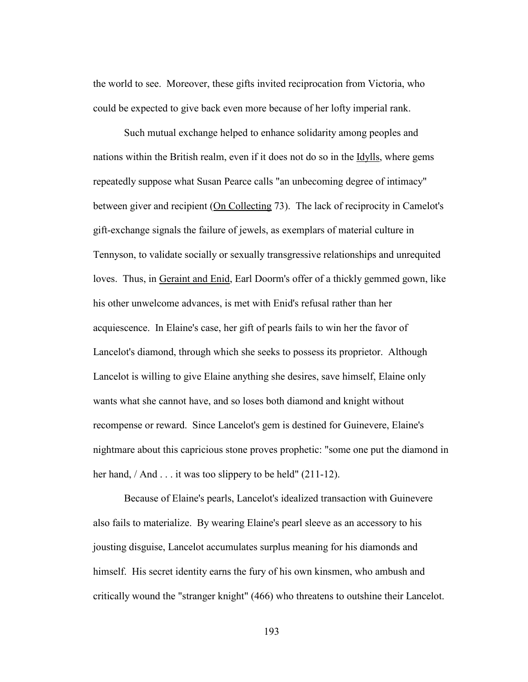the world to see. Moreover, these gifts invited reciprocation from Victoria, who could be expected to give back even more because of her lofty imperial rank.

 Such mutual exchange helped to enhance solidarity among peoples and nations within the British realm, even if it does not do so in the Idylls, where gems repeatedly suppose what Susan Pearce calls "an unbecoming degree of intimacy" between giver and recipient (On Collecting 73). The lack of reciprocity in Camelot's gift-exchange signals the failure of jewels, as exemplars of material culture in Tennyson, to validate socially or sexually transgressive relationships and unrequited loves. Thus, in Geraint and Enid, Earl Doorm's offer of a thickly gemmed gown, like his other unwelcome advances, is met with Enid's refusal rather than her acquiescence. In Elaine's case, her gift of pearls fails to win her the favor of Lancelot's diamond, through which she seeks to possess its proprietor. Although Lancelot is willing to give Elaine anything she desires, save himself, Elaine only wants what she cannot have, and so loses both diamond and knight without recompense or reward. Since Lancelot's gem is destined for Guinevere, Elaine's nightmare about this capricious stone proves prophetic: "some one put the diamond in her hand, / And . . . it was too slippery to be held" (211-12).

 Because of Elaine's pearls, Lancelot's idealized transaction with Guinevere also fails to materialize. By wearing Elaine's pearl sleeve as an accessory to his jousting disguise, Lancelot accumulates surplus meaning for his diamonds and himself. His secret identity earns the fury of his own kinsmen, who ambush and critically wound the "stranger knight" (466) who threatens to outshine their Lancelot.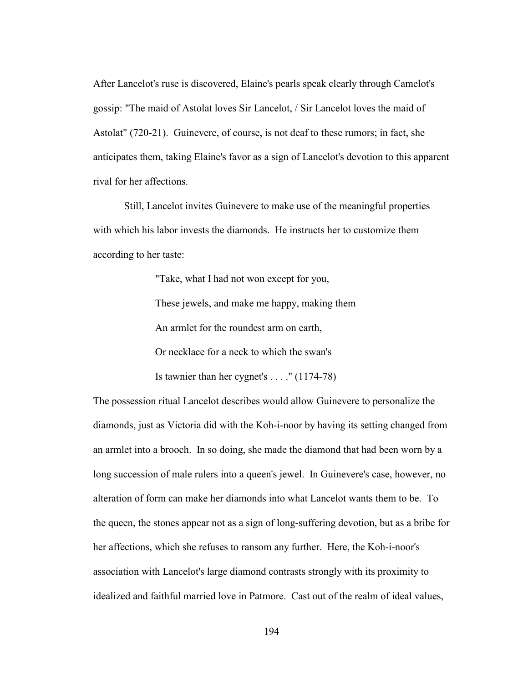After Lancelot's ruse is discovered, Elaine's pearls speak clearly through Camelot's gossip: "The maid of Astolat loves Sir Lancelot, / Sir Lancelot loves the maid of Astolat" (720-21). Guinevere, of course, is not deaf to these rumors; in fact, she anticipates them, taking Elaine's favor as a sign of Lancelot's devotion to this apparent rival for her affections.

 Still, Lancelot invites Guinevere to make use of the meaningful properties with which his labor invests the diamonds. He instructs her to customize them according to her taste:

> "Take, what I had not won except for you, These jewels, and make me happy, making them An armlet for the roundest arm on earth, Or necklace for a neck to which the swan's

Is tawnier than her cygnet's . . . ." (1174-78)

The possession ritual Lancelot describes would allow Guinevere to personalize the diamonds, just as Victoria did with the Koh-i-noor by having its setting changed from an armlet into a brooch. In so doing, she made the diamond that had been worn by a long succession of male rulers into a queen's jewel. In Guinevere's case, however, no alteration of form can make her diamonds into what Lancelot wants them to be. To the queen, the stones appear not as a sign of long-suffering devotion, but as a bribe for her affections, which she refuses to ransom any further. Here, the Koh-i-noor's association with Lancelot's large diamond contrasts strongly with its proximity to idealized and faithful married love in Patmore. Cast out of the realm of ideal values,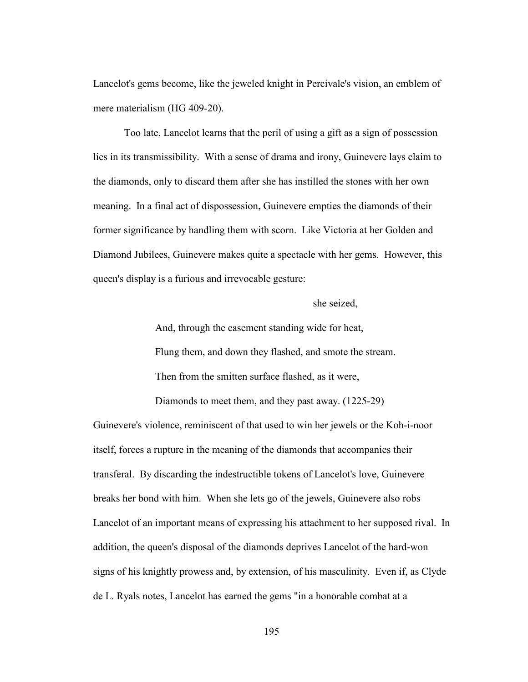Lancelot's gems become, like the jeweled knight in Percivale's vision, an emblem of mere materialism (HG 409-20).

 Too late, Lancelot learns that the peril of using a gift as a sign of possession lies in its transmissibility. With a sense of drama and irony, Guinevere lays claim to the diamonds, only to discard them after she has instilled the stones with her own meaning. In a final act of dispossession, Guinevere empties the diamonds of their former significance by handling them with scorn. Like Victoria at her Golden and Diamond Jubilees, Guinevere makes quite a spectacle with her gems. However, this queen's display is a furious and irrevocable gesture:

she seized,

And, through the casement standing wide for heat,

Flung them, and down they flashed, and smote the stream.

Then from the smitten surface flashed, as it were,

Diamonds to meet them, and they past away. (1225-29)

Guinevere's violence, reminiscent of that used to win her jewels or the Koh-i-noor itself, forces a rupture in the meaning of the diamonds that accompanies their transferal. By discarding the indestructible tokens of Lancelot's love, Guinevere breaks her bond with him. When she lets go of the jewels, Guinevere also robs Lancelot of an important means of expressing his attachment to her supposed rival. In addition, the queen's disposal of the diamonds deprives Lancelot of the hard-won signs of his knightly prowess and, by extension, of his masculinity. Even if, as Clyde de L. Ryals notes, Lancelot has earned the gems "in a honorable combat at a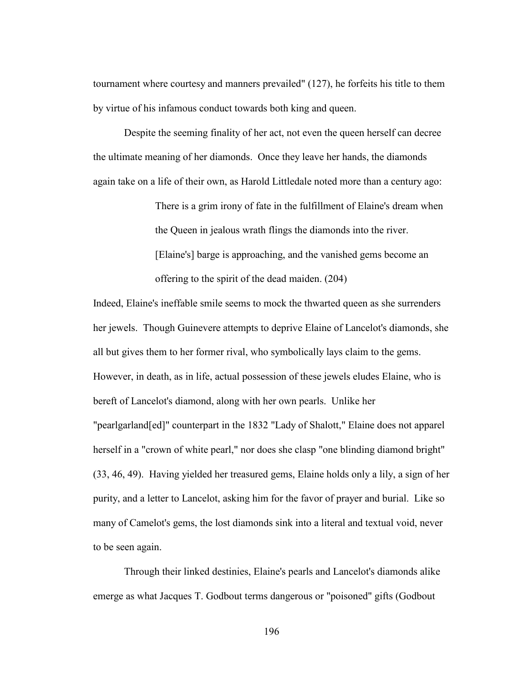tournament where courtesy and manners prevailed" (127), he forfeits his title to them by virtue of his infamous conduct towards both king and queen.

 Despite the seeming finality of her act, not even the queen herself can decree the ultimate meaning of her diamonds. Once they leave her hands, the diamonds again take on a life of their own, as Harold Littledale noted more than a century ago:

> There is a grim irony of fate in the fulfillment of Elaine's dream when the Queen in jealous wrath flings the diamonds into the river. [Elaine's] barge is approaching, and the vanished gems become an offering to the spirit of the dead maiden. (204)

Indeed, Elaine's ineffable smile seems to mock the thwarted queen as she surrenders her jewels. Though Guinevere attempts to deprive Elaine of Lancelot's diamonds, she all but gives them to her former rival, who symbolically lays claim to the gems. However, in death, as in life, actual possession of these jewels eludes Elaine, who is bereft of Lancelot's diamond, along with her own pearls. Unlike her "pearlgarland[ed]" counterpart in the 1832 "Lady of Shalott," Elaine does not apparel herself in a "crown of white pearl," nor does she clasp "one blinding diamond bright" (33, 46, 49). Having yielded her treasured gems, Elaine holds only a lily, a sign of her purity, and a letter to Lancelot, asking him for the favor of prayer and burial. Like so many of Camelot's gems, the lost diamonds sink into a literal and textual void, never to be seen again.

 Through their linked destinies, Elaine's pearls and Lancelot's diamonds alike emerge as what Jacques T. Godbout terms dangerous or "poisoned" gifts (Godbout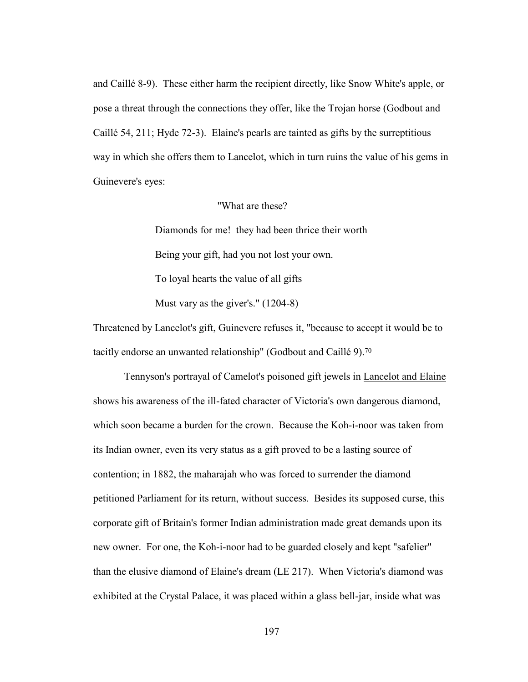and Caillé 8-9). These either harm the recipient directly, like Snow White's apple, or pose a threat through the connections they offer, like the Trojan horse (Godbout and Caillé 54, 211; Hyde 72-3). Elaine's pearls are tainted as gifts by the surreptitious way in which she offers them to Lancelot, which in turn ruins the value of his gems in Guinevere's eyes:

# "What are these?

Diamonds for me! they had been thrice their worth Being your gift, had you not lost your own. To loyal hearts the value of all gifts Must vary as the giver's." (1204-8)

Threatened by Lancelot's gift, Guinevere refuses it, "because to accept it would be to tacitly endorse an unwanted relationship" (Godbout and Caillé 9).70

Tennyson's portrayal of Camelot's poisoned gift jewels in Lancelot and Elaine shows his awareness of the ill-fated character of Victoria's own dangerous diamond, which soon became a burden for the crown. Because the Koh-i-noor was taken from its Indian owner, even its very status as a gift proved to be a lasting source of contention; in 1882, the maharajah who was forced to surrender the diamond petitioned Parliament for its return, without success. Besides its supposed curse, this corporate gift of Britain's former Indian administration made great demands upon its new owner. For one, the Koh-i-noor had to be guarded closely and kept "safelier" than the elusive diamond of Elaine's dream (LE 217). When Victoria's diamond was exhibited at the Crystal Palace, it was placed within a glass bell-jar, inside what was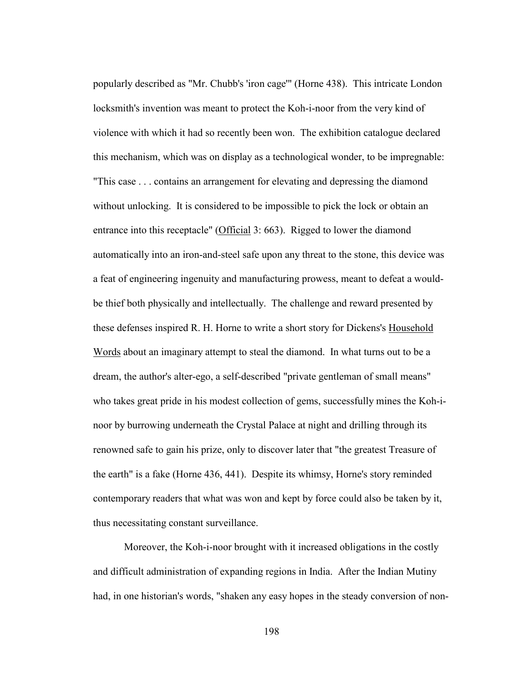popularly described as "Mr. Chubb's 'iron cage'" (Horne 438). This intricate London locksmith's invention was meant to protect the Koh-i-noor from the very kind of violence with which it had so recently been won. The exhibition catalogue declared this mechanism, which was on display as a technological wonder, to be impregnable: "This case . . . contains an arrangement for elevating and depressing the diamond without unlocking. It is considered to be impossible to pick the lock or obtain an entrance into this receptacle" (Official 3: 663). Rigged to lower the diamond automatically into an iron-and-steel safe upon any threat to the stone, this device was a feat of engineering ingenuity and manufacturing prowess, meant to defeat a wouldbe thief both physically and intellectually. The challenge and reward presented by these defenses inspired R. H. Horne to write a short story for Dickens's Household Words about an imaginary attempt to steal the diamond. In what turns out to be a dream, the author's alter-ego, a self-described "private gentleman of small means" who takes great pride in his modest collection of gems, successfully mines the Koh-inoor by burrowing underneath the Crystal Palace at night and drilling through its renowned safe to gain his prize, only to discover later that "the greatest Treasure of the earth" is a fake (Horne 436, 441). Despite its whimsy, Horne's story reminded contemporary readers that what was won and kept by force could also be taken by it, thus necessitating constant surveillance.

 Moreover, the Koh-i-noor brought with it increased obligations in the costly and difficult administration of expanding regions in India. After the Indian Mutiny had, in one historian's words, "shaken any easy hopes in the steady conversion of non-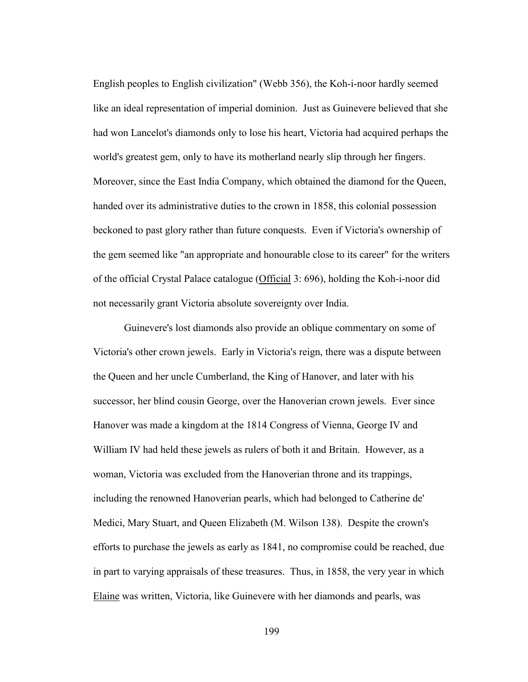English peoples to English civilization" (Webb 356), the Koh-i-noor hardly seemed like an ideal representation of imperial dominion. Just as Guinevere believed that she had won Lancelot's diamonds only to lose his heart, Victoria had acquired perhaps the world's greatest gem, only to have its motherland nearly slip through her fingers. Moreover, since the East India Company, which obtained the diamond for the Queen, handed over its administrative duties to the crown in 1858, this colonial possession beckoned to past glory rather than future conquests. Even if Victoria's ownership of the gem seemed like "an appropriate and honourable close to its career" for the writers of the official Crystal Palace catalogue (Official 3: 696), holding the Koh-i-noor did not necessarily grant Victoria absolute sovereignty over India.

 Guinevere's lost diamonds also provide an oblique commentary on some of Victoria's other crown jewels. Early in Victoria's reign, there was a dispute between the Queen and her uncle Cumberland, the King of Hanover, and later with his successor, her blind cousin George, over the Hanoverian crown jewels. Ever since Hanover was made a kingdom at the 1814 Congress of Vienna, George IV and William IV had held these jewels as rulers of both it and Britain. However, as a woman, Victoria was excluded from the Hanoverian throne and its trappings, including the renowned Hanoverian pearls, which had belonged to Catherine de' Medici, Mary Stuart, and Queen Elizabeth (M. Wilson 138). Despite the crown's efforts to purchase the jewels as early as 1841, no compromise could be reached, due in part to varying appraisals of these treasures. Thus, in 1858, the very year in which Elaine was written, Victoria, like Guinevere with her diamonds and pearls, was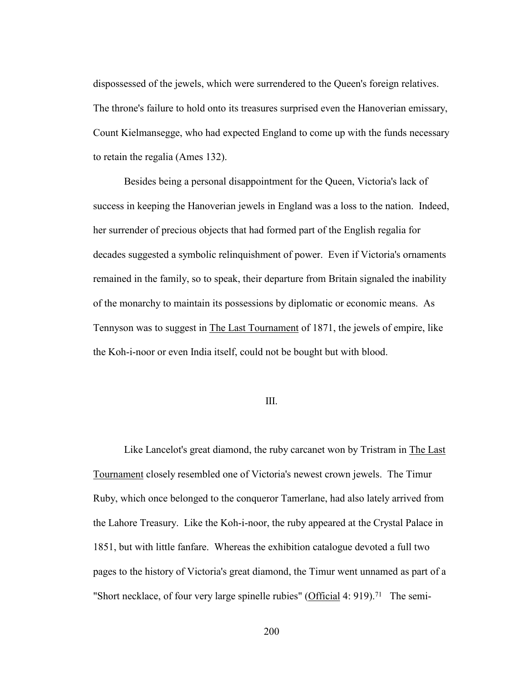dispossessed of the jewels, which were surrendered to the Queen's foreign relatives. The throne's failure to hold onto its treasures surprised even the Hanoverian emissary, Count Kielmansegge, who had expected England to come up with the funds necessary to retain the regalia (Ames 132).

 Besides being a personal disappointment for the Queen, Victoria's lack of success in keeping the Hanoverian jewels in England was a loss to the nation. Indeed, her surrender of precious objects that had formed part of the English regalia for decades suggested a symbolic relinquishment of power. Even if Victoria's ornaments remained in the family, so to speak, their departure from Britain signaled the inability of the monarchy to maintain its possessions by diplomatic or economic means. As Tennyson was to suggest in The Last Tournament of 1871, the jewels of empire, like the Koh-i-noor or even India itself, could not be bought but with blood.

## III.

Like Lancelot's great diamond, the ruby carcanet won by Tristram in The Last Tournament closely resembled one of Victoria's newest crown jewels. The Timur Ruby, which once belonged to the conqueror Tamerlane, had also lately arrived from the Lahore Treasury. Like the Koh-i-noor, the ruby appeared at the Crystal Palace in 1851, but with little fanfare. Whereas the exhibition catalogue devoted a full two pages to the history of Victoria's great diamond, the Timur went unnamed as part of a "Short necklace, of four very large spinelle rubies" (Official 4: 919).71 The semi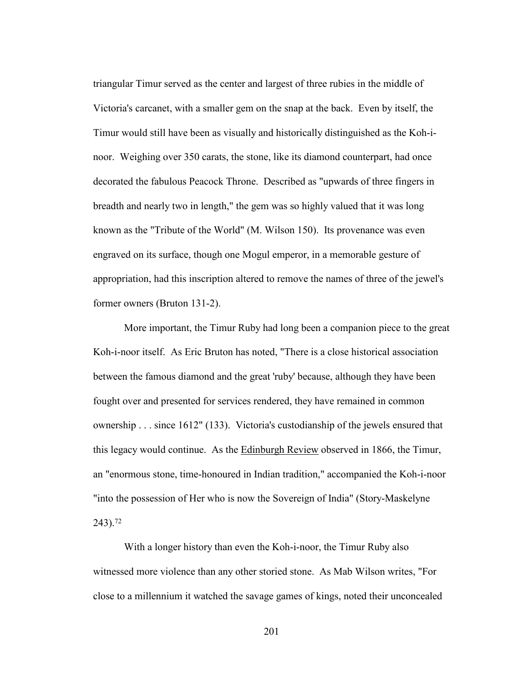triangular Timur served as the center and largest of three rubies in the middle of Victoria's carcanet, with a smaller gem on the snap at the back. Even by itself, the Timur would still have been as visually and historically distinguished as the Koh-inoor. Weighing over 350 carats, the stone, like its diamond counterpart, had once decorated the fabulous Peacock Throne. Described as "upwards of three fingers in breadth and nearly two in length," the gem was so highly valued that it was long known as the "Tribute of the World" (M. Wilson 150). Its provenance was even engraved on its surface, though one Mogul emperor, in a memorable gesture of appropriation, had this inscription altered to remove the names of three of the jewel's former owners (Bruton 131-2).

 More important, the Timur Ruby had long been a companion piece to the great Koh-i-noor itself. As Eric Bruton has noted, "There is a close historical association between the famous diamond and the great 'ruby' because, although they have been fought over and presented for services rendered, they have remained in common ownership . . . since 1612" (133). Victoria's custodianship of the jewels ensured that this legacy would continue. As the **Edinburgh Review** observed in 1866, the Timur, an "enormous stone, time-honoured in Indian tradition," accompanied the Koh-i-noor "into the possession of Her who is now the Sovereign of India" (Story-Maskelyne 243).72

With a longer history than even the Koh-i-noor, the Timur Ruby also witnessed more violence than any other storied stone. As Mab Wilson writes, "For close to a millennium it watched the savage games of kings, noted their unconcealed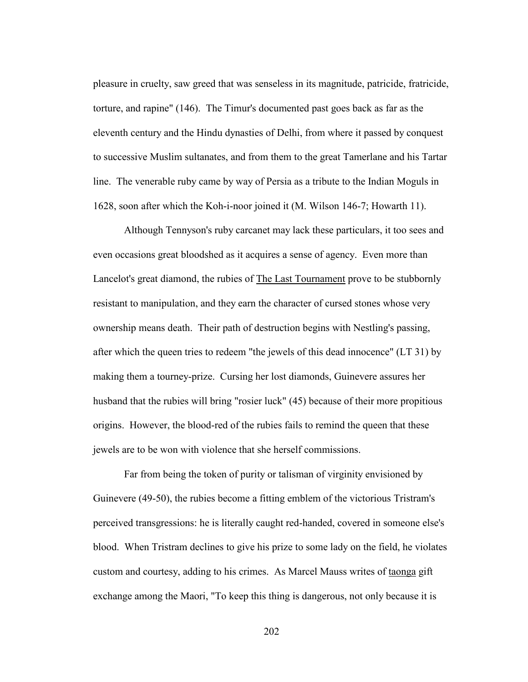pleasure in cruelty, saw greed that was senseless in its magnitude, patricide, fratricide, torture, and rapine" (146). The Timur's documented past goes back as far as the eleventh century and the Hindu dynasties of Delhi, from where it passed by conquest to successive Muslim sultanates, and from them to the great Tamerlane and his Tartar line. The venerable ruby came by way of Persia as a tribute to the Indian Moguls in 1628, soon after which the Koh-i-noor joined it (M. Wilson 146-7; Howarth 11).

 Although Tennyson's ruby carcanet may lack these particulars, it too sees and even occasions great bloodshed as it acquires a sense of agency. Even more than Lancelot's great diamond, the rubies of The Last Tournament prove to be stubbornly resistant to manipulation, and they earn the character of cursed stones whose very ownership means death. Their path of destruction begins with Nestling's passing, after which the queen tries to redeem "the jewels of this dead innocence" (LT 31) by making them a tourney-prize. Cursing her lost diamonds, Guinevere assures her husband that the rubies will bring "rosier luck" (45) because of their more propitious origins. However, the blood-red of the rubies fails to remind the queen that these jewels are to be won with violence that she herself commissions.

 Far from being the token of purity or talisman of virginity envisioned by Guinevere (49-50), the rubies become a fitting emblem of the victorious Tristram's perceived transgressions: he is literally caught red-handed, covered in someone else's blood. When Tristram declines to give his prize to some lady on the field, he violates custom and courtesy, adding to his crimes. As Marcel Mauss writes of taonga gift exchange among the Maori, "To keep this thing is dangerous, not only because it is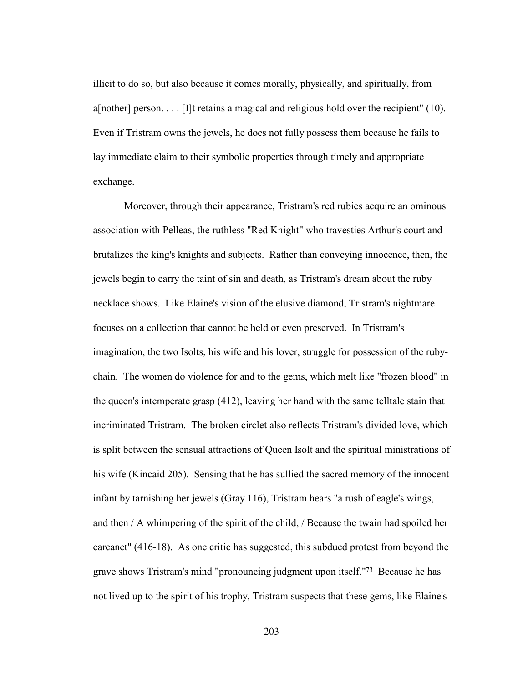illicit to do so, but also because it comes morally, physically, and spiritually, from a[nother] person. . . . [I]t retains a magical and religious hold over the recipient" (10). Even if Tristram owns the jewels, he does not fully possess them because he fails to lay immediate claim to their symbolic properties through timely and appropriate exchange.

 Moreover, through their appearance, Tristram's red rubies acquire an ominous association with Pelleas, the ruthless "Red Knight" who travesties Arthur's court and brutalizes the king's knights and subjects. Rather than conveying innocence, then, the jewels begin to carry the taint of sin and death, as Tristram's dream about the ruby necklace shows. Like Elaine's vision of the elusive diamond, Tristram's nightmare focuses on a collection that cannot be held or even preserved. In Tristram's imagination, the two Isolts, his wife and his lover, struggle for possession of the rubychain. The women do violence for and to the gems, which melt like "frozen blood" in the queen's intemperate grasp (412), leaving her hand with the same telltale stain that incriminated Tristram. The broken circlet also reflects Tristram's divided love, which is split between the sensual attractions of Queen Isolt and the spiritual ministrations of his wife (Kincaid 205). Sensing that he has sullied the sacred memory of the innocent infant by tarnishing her jewels (Gray 116), Tristram hears "a rush of eagle's wings, and then / A whimpering of the spirit of the child, / Because the twain had spoiled her carcanet" (416-18). As one critic has suggested, this subdued protest from beyond the grave shows Tristram's mind "pronouncing judgment upon itself."73 Because he has not lived up to the spirit of his trophy, Tristram suspects that these gems, like Elaine's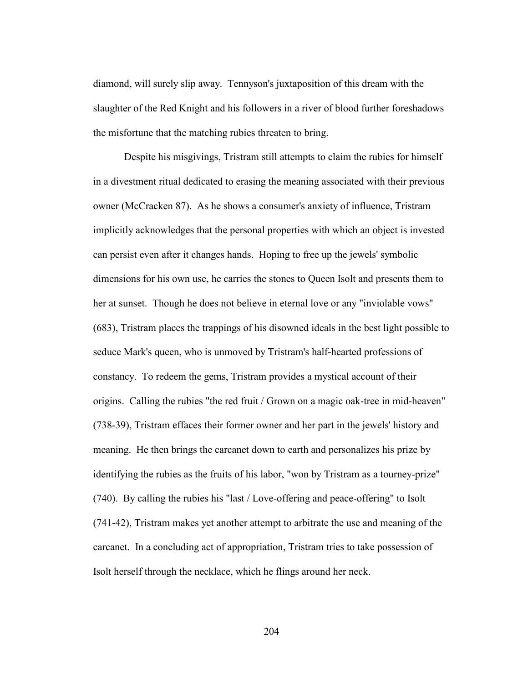diamond, will surely slip away. Tennyson's juxtaposition of this dream with the slaughter of the Red Knight and his followers in a river of blood further foreshadows the misfortune that the matching rubies threaten to bring.

 Despite his misgivings, Tristram still attempts to claim the rubies for himself in a divestment ritual dedicated to erasing the meaning associated with their previous owner (McCracken 87). As he shows a consumer's anxiety of influence, Tristram implicitly acknowledges that the personal properties with which an object is invested can persist even after it changes hands. Hoping to free up the jewels' symbolic dimensions for his own use, he carries the stones to Queen Isolt and presents them to her at sunset. Though he does not believe in eternal love or any "inviolable vows" (683), Tristram places the trappings of his disowned ideals in the best light possible to seduce Mark's queen, who is unmoved by Tristram's half-hearted professions of constancy. To redeem the gems, Tristram provides a mystical account of their origins. Calling the rubies "the red fruit / Grown on a magic oak-tree in mid-heaven" (738-39), Tristram effaces their former owner and her part in the jewels' history and meaning. He then brings the carcanet down to earth and personalizes his prize by identifying the rubies as the fruits of his labor, "won by Tristram as a tourney-prize" (740). By calling the rubies his "last / Love-offering and peace-offering" to Isolt (741-42), Tristram makes yet another attempt to arbitrate the use and meaning of the carcanet. In a concluding act of appropriation, Tristram tries to take possession of Isolt herself through the necklace, which he flings around her neck.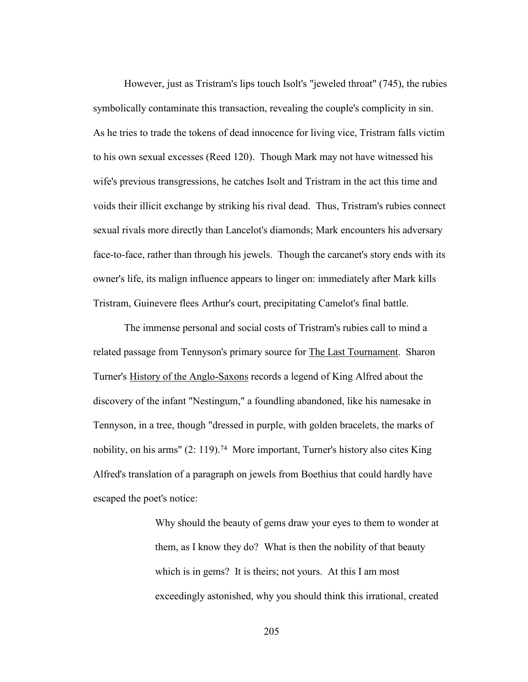However, just as Tristram's lips touch Isolt's "jeweled throat" (745), the rubies symbolically contaminate this transaction, revealing the couple's complicity in sin. As he tries to trade the tokens of dead innocence for living vice, Tristram falls victim to his own sexual excesses (Reed 120). Though Mark may not have witnessed his wife's previous transgressions, he catches Isolt and Tristram in the act this time and voids their illicit exchange by striking his rival dead. Thus, Tristram's rubies connect sexual rivals more directly than Lancelot's diamonds; Mark encounters his adversary face-to-face, rather than through his jewels. Though the carcanet's story ends with its owner's life, its malign influence appears to linger on: immediately after Mark kills Tristram, Guinevere flees Arthur's court, precipitating Camelot's final battle.

 The immense personal and social costs of Tristram's rubies call to mind a related passage from Tennyson's primary source for The Last Tournament. Sharon Turner's History of the Anglo-Saxons records a legend of King Alfred about the discovery of the infant "Nestingum," a foundling abandoned, like his namesake in Tennyson, in a tree, though "dressed in purple, with golden bracelets, the marks of nobility, on his arms" (2: 119).<sup>74</sup> More important, Turner's history also cites King Alfred's translation of a paragraph on jewels from Boethius that could hardly have escaped the poet's notice:

> Why should the beauty of gems draw your eyes to them to wonder at them, as I know they do? What is then the nobility of that beauty which is in gems? It is theirs; not yours. At this I am most exceedingly astonished, why you should think this irrational, created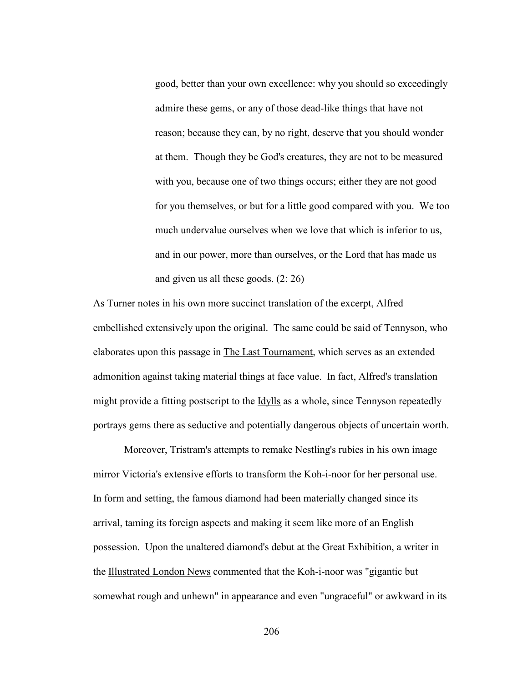good, better than your own excellence: why you should so exceedingly admire these gems, or any of those dead-like things that have not reason; because they can, by no right, deserve that you should wonder at them. Though they be God's creatures, they are not to be measured with you, because one of two things occurs; either they are not good for you themselves, or but for a little good compared with you. We too much undervalue ourselves when we love that which is inferior to us, and in our power, more than ourselves, or the Lord that has made us and given us all these goods. (2: 26)

As Turner notes in his own more succinct translation of the excerpt, Alfred embellished extensively upon the original. The same could be said of Tennyson, who elaborates upon this passage in The Last Tournament, which serves as an extended admonition against taking material things at face value. In fact, Alfred's translation might provide a fitting postscript to the <u>Idylls</u> as a whole, since Tennyson repeatedly portrays gems there as seductive and potentially dangerous objects of uncertain worth.

 Moreover, Tristram's attempts to remake Nestling's rubies in his own image mirror Victoria's extensive efforts to transform the Koh-i-noor for her personal use. In form and setting, the famous diamond had been materially changed since its arrival, taming its foreign aspects and making it seem like more of an English possession. Upon the unaltered diamond's debut at the Great Exhibition, a writer in the Illustrated London News commented that the Koh-i-noor was "gigantic but somewhat rough and unhewn" in appearance and even "ungraceful" or awkward in its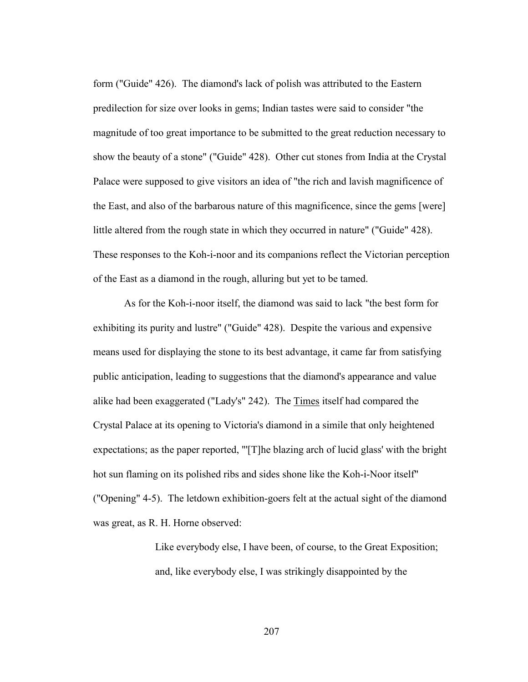form ("Guide" 426). The diamond's lack of polish was attributed to the Eastern predilection for size over looks in gems; Indian tastes were said to consider "the magnitude of too great importance to be submitted to the great reduction necessary to show the beauty of a stone" ("Guide" 428). Other cut stones from India at the Crystal Palace were supposed to give visitors an idea of "the rich and lavish magnificence of the East, and also of the barbarous nature of this magnificence, since the gems [were] little altered from the rough state in which they occurred in nature" ("Guide" 428). These responses to the Koh-i-noor and its companions reflect the Victorian perception of the East as a diamond in the rough, alluring but yet to be tamed.

 As for the Koh-i-noor itself, the diamond was said to lack "the best form for exhibiting its purity and lustre" ("Guide" 428). Despite the various and expensive means used for displaying the stone to its best advantage, it came far from satisfying public anticipation, leading to suggestions that the diamond's appearance and value alike had been exaggerated ("Lady's" 242). The Times itself had compared the Crystal Palace at its opening to Victoria's diamond in a simile that only heightened expectations; as the paper reported, "'[T]he blazing arch of lucid glass' with the bright hot sun flaming on its polished ribs and sides shone like the Koh-i-Noor itself" ("Opening" 4-5). The letdown exhibition-goers felt at the actual sight of the diamond was great, as R. H. Horne observed:

> Like everybody else, I have been, of course, to the Great Exposition; and, like everybody else, I was strikingly disappointed by the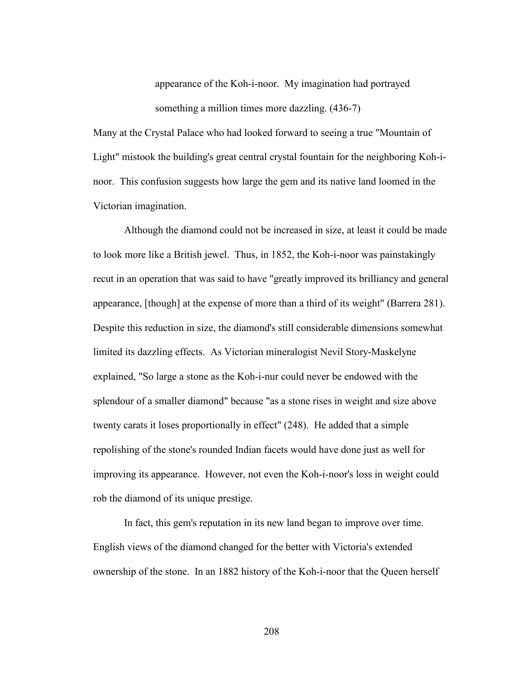appearance of the Koh-i-noor. My imagination had portrayed something a million times more dazzling.  $(436-7)$ 

Many at the Crystal Palace who had looked forward to seeing a true "Mountain of Light" mistook the building's great central crystal fountain for the neighboring Koh-inoor. This confusion suggests how large the gem and its native land loomed in the Victorian imagination.

 Although the diamond could not be increased in size, at least it could be made to look more like a British jewel. Thus, in 1852, the Koh-i-noor was painstakingly recut in an operation that was said to have "greatly improved its brilliancy and general appearance, [though] at the expense of more than a third of its weight" (Barrera 281). Despite this reduction in size, the diamond's still considerable dimensions somewhat limited its dazzling effects. As Victorian mineralogist Nevil Story-Maskelyne explained, "So large a stone as the Koh-i-nur could never be endowed with the splendour of a smaller diamond" because "as a stone rises in weight and size above twenty carats it loses proportionally in effect" (248). He added that a simple repolishing of the stone's rounded Indian facets would have done just as well for improving its appearance. However, not even the Koh-i-noor's loss in weight could rob the diamond of its unique prestige.

 In fact, this gem's reputation in its new land began to improve over time. English views of the diamond changed for the better with Victoria's extended ownership of the stone. In an 1882 history of the Koh-i-noor that the Queen herself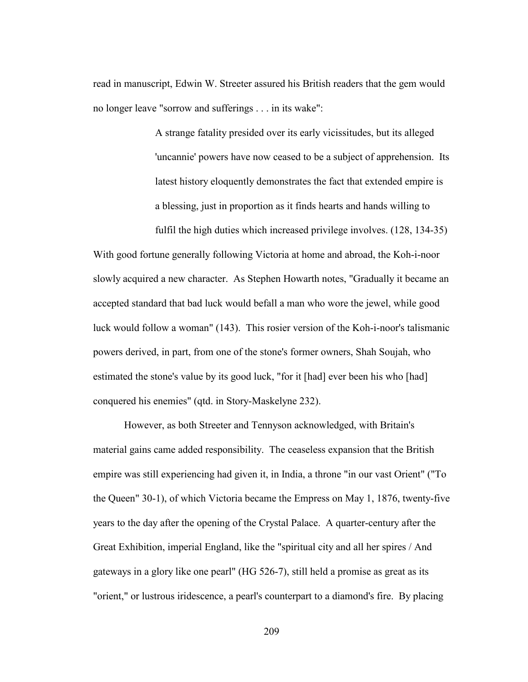read in manuscript, Edwin W. Streeter assured his British readers that the gem would no longer leave "sorrow and sufferings . . . in its wake":

> A strange fatality presided over its early vicissitudes, but its alleged 'uncannie' powers have now ceased to be a subject of apprehension. Its latest history eloquently demonstrates the fact that extended empire is a blessing, just in proportion as it finds hearts and hands willing to

fulfil the high duties which increased privilege involves. (128, 134-35) With good fortune generally following Victoria at home and abroad, the Koh-i-noor slowly acquired a new character. As Stephen Howarth notes, "Gradually it became an accepted standard that bad luck would befall a man who wore the jewel, while good luck would follow a woman" (143). This rosier version of the Koh-i-noor's talismanic powers derived, in part, from one of the stone's former owners, Shah Soujah, who estimated the stone's value by its good luck, "for it [had] ever been his who [had] conquered his enemies" (qtd. in Story-Maskelyne 232).

However, as both Streeter and Tennyson acknowledged, with Britain's material gains came added responsibility. The ceaseless expansion that the British empire was still experiencing had given it, in India, a throne "in our vast Orient" ("To the Queen" 30-1), of which Victoria became the Empress on May 1, 1876, twenty-five years to the day after the opening of the Crystal Palace. A quarter-century after the Great Exhibition, imperial England, like the "spiritual city and all her spires / And gateways in a glory like one pearl" (HG 526-7), still held a promise as great as its "orient," or lustrous iridescence, a pearl's counterpart to a diamond's fire. By placing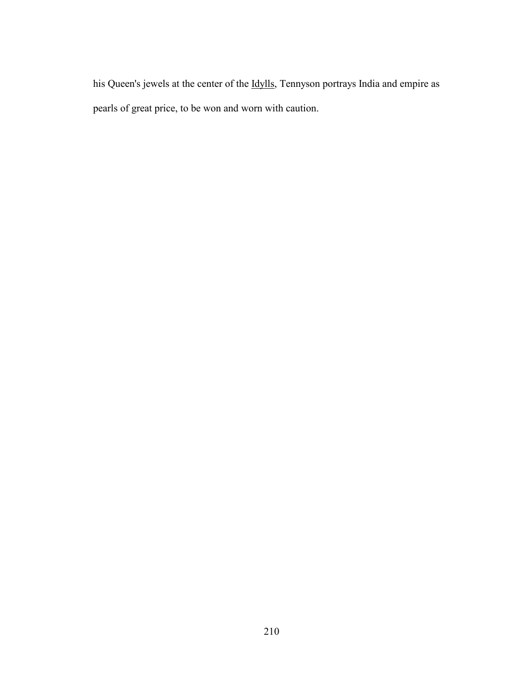his Queen's jewels at the center of the Idylls, Tennyson portrays India and empire as pearls of great price, to be won and worn with caution.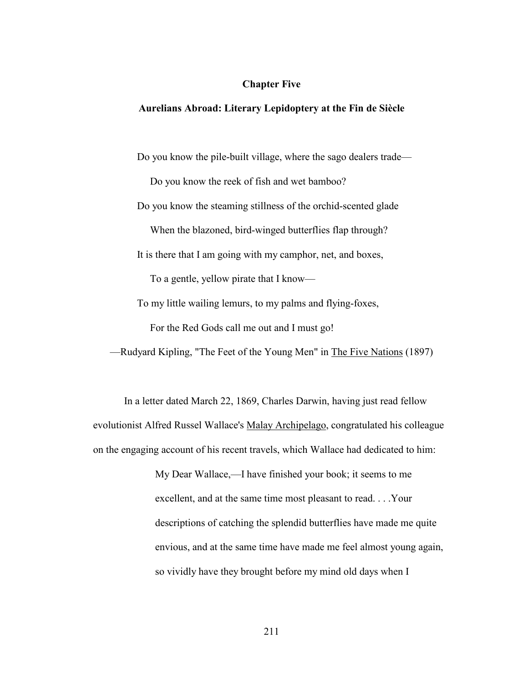### **Chapter Five**

## **Aurelians Abroad: Literary Lepidoptery at the Fin de Siècle**

Do you know the pile-built village, where the sago dealers trade—

Do you know the reek of fish and wet bamboo? Do you know the steaming stillness of the orchid-scented glade When the blazoned, bird-winged butterflies flap through? It is there that I am going with my camphor, net, and boxes, To a gentle, yellow pirate that I know— To my little wailing lemurs, to my palms and flying-foxes, For the Red Gods call me out and I must go!

In a letter dated March 22, 1869, Charles Darwin, having just read fellow evolutionist Alfred Russel Wallace's Malay Archipelago, congratulated his colleague on the engaging account of his recent travels, which Wallace had dedicated to him:

—Rudyard Kipling, "The Feet of the Young Men" in The Five Nations (1897)

My Dear Wallace,—I have finished your book; it seems to me excellent, and at the same time most pleasant to read. . . .Your descriptions of catching the splendid butterflies have made me quite envious, and at the same time have made me feel almost young again, so vividly have they brought before my mind old days when I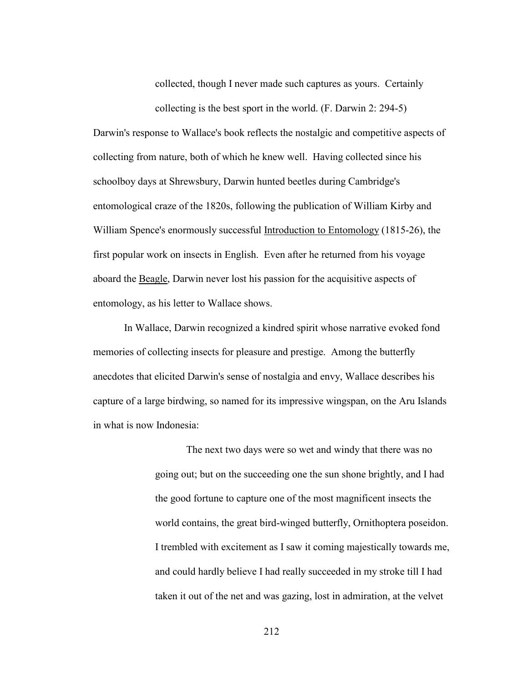collected, though I never made such captures as yours. Certainly collecting is the best sport in the world. (F. Darwin 2: 294-5)

Darwin's response to Wallace's book reflects the nostalgic and competitive aspects of collecting from nature, both of which he knew well. Having collected since his schoolboy days at Shrewsbury, Darwin hunted beetles during Cambridge's entomological craze of the 1820s, following the publication of William Kirby and William Spence's enormously successful Introduction to Entomology (1815-26), the first popular work on insects in English. Even after he returned from his voyage aboard the Beagle, Darwin never lost his passion for the acquisitive aspects of entomology, as his letter to Wallace shows.

 In Wallace, Darwin recognized a kindred spirit whose narrative evoked fond memories of collecting insects for pleasure and prestige. Among the butterfly anecdotes that elicited Darwin's sense of nostalgia and envy, Wallace describes his capture of a large birdwing, so named for its impressive wingspan, on the Aru Islands in what is now Indonesia:

> The next two days were so wet and windy that there was no going out; but on the succeeding one the sun shone brightly, and I had the good fortune to capture one of the most magnificent insects the world contains, the great bird-winged butterfly, Ornithoptera poseidon. I trembled with excitement as I saw it coming majestically towards me, and could hardly believe I had really succeeded in my stroke till I had taken it out of the net and was gazing, lost in admiration, at the velvet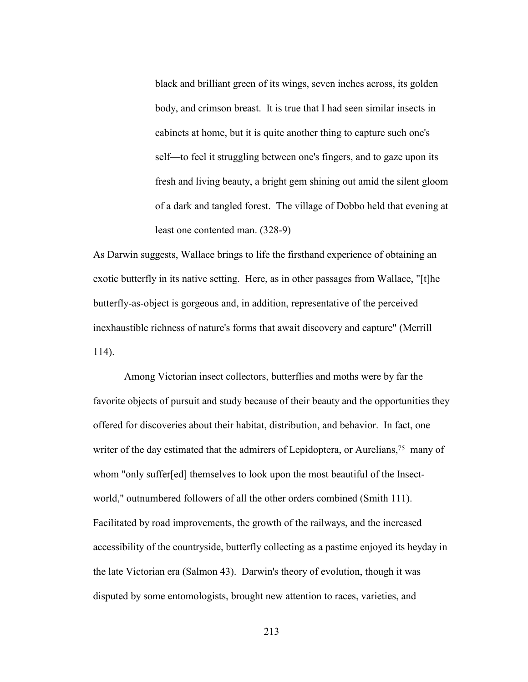black and brilliant green of its wings, seven inches across, its golden body, and crimson breast. It is true that I had seen similar insects in cabinets at home, but it is quite another thing to capture such one's self—to feel it struggling between one's fingers, and to gaze upon its fresh and living beauty, a bright gem shining out amid the silent gloom of a dark and tangled forest. The village of Dobbo held that evening at least one contented man. (328-9)

As Darwin suggests, Wallace brings to life the firsthand experience of obtaining an exotic butterfly in its native setting. Here, as in other passages from Wallace, "[t]he butterfly-as-object is gorgeous and, in addition, representative of the perceived inexhaustible richness of nature's forms that await discovery and capture" (Merrill 114).

 Among Victorian insect collectors, butterflies and moths were by far the favorite objects of pursuit and study because of their beauty and the opportunities they offered for discoveries about their habitat, distribution, and behavior. In fact, one writer of the day estimated that the admirers of Lepidoptera, or Aurelians,<sup>75</sup> many of whom "only suffer[ed] themselves to look upon the most beautiful of the Insectworld," outnumbered followers of all the other orders combined (Smith 111). Facilitated by road improvements, the growth of the railways, and the increased accessibility of the countryside, butterfly collecting as a pastime enjoyed its heyday in the late Victorian era (Salmon 43). Darwin's theory of evolution, though it was disputed by some entomologists, brought new attention to races, varieties, and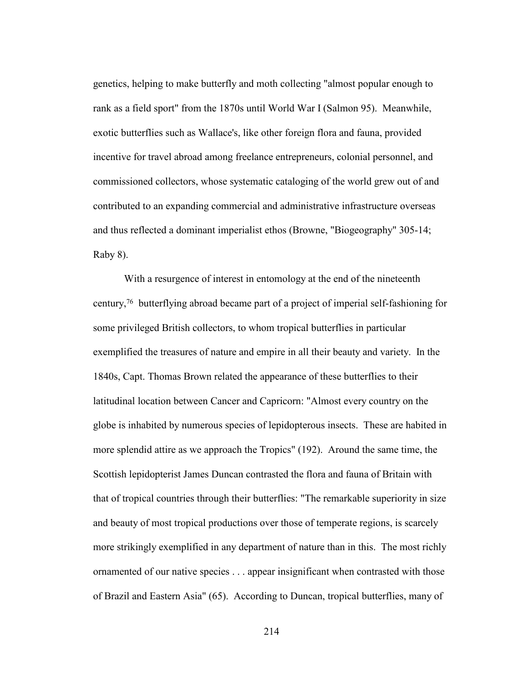genetics, helping to make butterfly and moth collecting "almost popular enough to rank as a field sport" from the 1870s until World War I (Salmon 95). Meanwhile, exotic butterflies such as Wallace's, like other foreign flora and fauna, provided incentive for travel abroad among freelance entrepreneurs, colonial personnel, and commissioned collectors, whose systematic cataloging of the world grew out of and contributed to an expanding commercial and administrative infrastructure overseas and thus reflected a dominant imperialist ethos (Browne, "Biogeography" 305-14; Raby 8).

 With a resurgence of interest in entomology at the end of the nineteenth century,76 butterflying abroad became part of a project of imperial self-fashioning for some privileged British collectors, to whom tropical butterflies in particular exemplified the treasures of nature and empire in all their beauty and variety. In the 1840s, Capt. Thomas Brown related the appearance of these butterflies to their latitudinal location between Cancer and Capricorn: "Almost every country on the globe is inhabited by numerous species of lepidopterous insects. These are habited in more splendid attire as we approach the Tropics" (192). Around the same time, the Scottish lepidopterist James Duncan contrasted the flora and fauna of Britain with that of tropical countries through their butterflies: "The remarkable superiority in size and beauty of most tropical productions over those of temperate regions, is scarcely more strikingly exemplified in any department of nature than in this. The most richly ornamented of our native species . . . appear insignificant when contrasted with those of Brazil and Eastern Asia" (65). According to Duncan, tropical butterflies, many of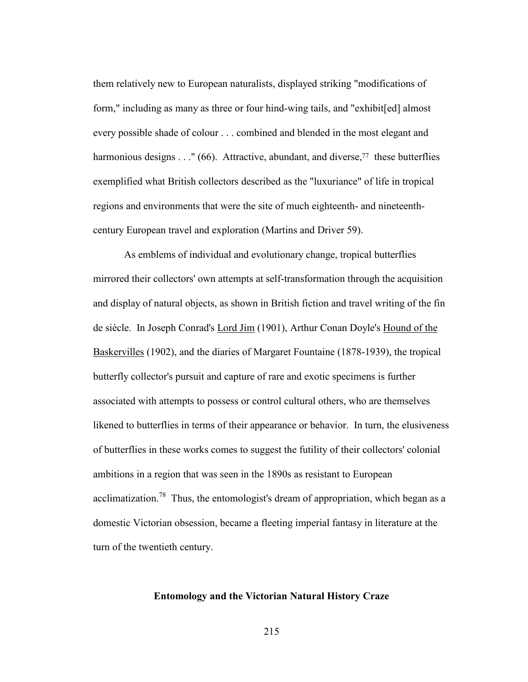them relatively new to European naturalists, displayed striking "modifications of form," including as many as three or four hind-wing tails, and "exhibit[ed] almost every possible shade of colour . . . combined and blended in the most elegant and harmonious designs . . ." (66). Attractive, abundant, and diverse,<sup>77</sup> these butterflies exemplified what British collectors described as the "luxuriance" of life in tropical regions and environments that were the site of much eighteenth- and nineteenthcentury European travel and exploration (Martins and Driver 59).

 As emblems of individual and evolutionary change, tropical butterflies mirrored their collectors' own attempts at self-transformation through the acquisition and display of natural objects, as shown in British fiction and travel writing of the fin de siècle. In Joseph Conrad's Lord Jim (1901), Arthur Conan Doyle's Hound of the Baskervilles (1902), and the diaries of Margaret Fountaine (1878-1939), the tropical butterfly collector's pursuit and capture of rare and exotic specimens is further associated with attempts to possess or control cultural others, who are themselves likened to butterflies in terms of their appearance or behavior. In turn, the elusiveness of butterflies in these works comes to suggest the futility of their collectors' colonial ambitions in a region that was seen in the 1890s as resistant to European acclimatization.<sup>78</sup> Thus, the entomologist's dream of appropriation, which began as a domestic Victorian obsession, became a fleeting imperial fantasy in literature at the turn of the twentieth century.

### **Entomology and the Victorian Natural History Craze**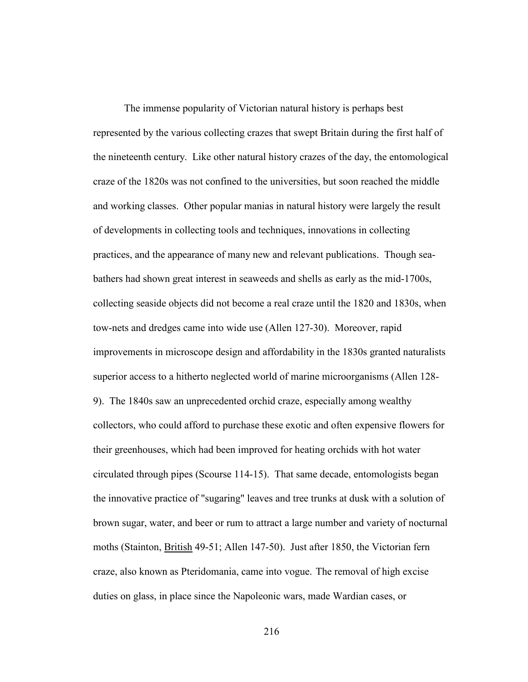The immense popularity of Victorian natural history is perhaps best represented by the various collecting crazes that swept Britain during the first half of the nineteenth century. Like other natural history crazes of the day, the entomological craze of the 1820s was not confined to the universities, but soon reached the middle and working classes. Other popular manias in natural history were largely the result of developments in collecting tools and techniques, innovations in collecting practices, and the appearance of many new and relevant publications. Though seabathers had shown great interest in seaweeds and shells as early as the mid-1700s, collecting seaside objects did not become a real craze until the 1820 and 1830s, when tow-nets and dredges came into wide use (Allen 127-30). Moreover, rapid improvements in microscope design and affordability in the 1830s granted naturalists superior access to a hitherto neglected world of marine microorganisms (Allen 128- 9). The 1840s saw an unprecedented orchid craze, especially among wealthy collectors, who could afford to purchase these exotic and often expensive flowers for their greenhouses, which had been improved for heating orchids with hot water circulated through pipes (Scourse 114-15). That same decade, entomologists began the innovative practice of "sugaring" leaves and tree trunks at dusk with a solution of brown sugar, water, and beer or rum to attract a large number and variety of nocturnal moths (Stainton, British 49-51; Allen 147-50). Just after 1850, the Victorian fern craze, also known as Pteridomania, came into vogue. The removal of high excise duties on glass, in place since the Napoleonic wars, made Wardian cases, or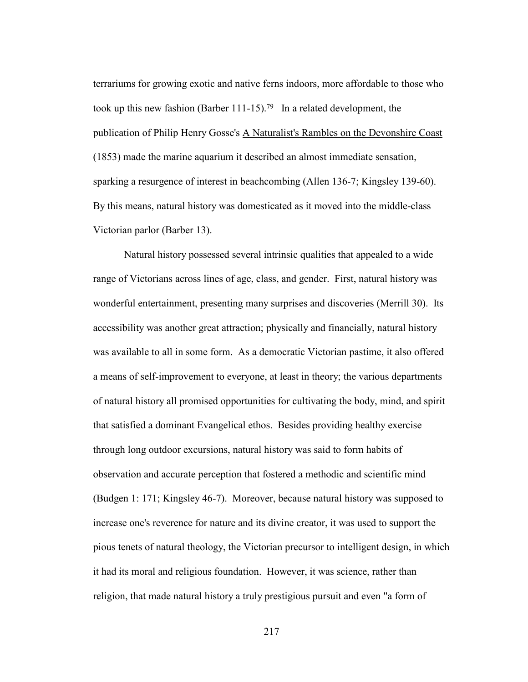terrariums for growing exotic and native ferns indoors, more affordable to those who took up this new fashion (Barber 111-15).<sup>79</sup> In a related development, the publication of Philip Henry Gosse's A Naturalist's Rambles on the Devonshire Coast (1853) made the marine aquarium it described an almost immediate sensation, sparking a resurgence of interest in beachcombing (Allen 136-7; Kingsley 139-60). By this means, natural history was domesticated as it moved into the middle-class Victorian parlor (Barber 13).

 Natural history possessed several intrinsic qualities that appealed to a wide range of Victorians across lines of age, class, and gender. First, natural history was wonderful entertainment, presenting many surprises and discoveries (Merrill 30). Its accessibility was another great attraction; physically and financially, natural history was available to all in some form. As a democratic Victorian pastime, it also offered a means of self-improvement to everyone, at least in theory; the various departments of natural history all promised opportunities for cultivating the body, mind, and spirit that satisfied a dominant Evangelical ethos. Besides providing healthy exercise through long outdoor excursions, natural history was said to form habits of observation and accurate perception that fostered a methodic and scientific mind (Budgen 1: 171; Kingsley 46-7). Moreover, because natural history was supposed to increase one's reverence for nature and its divine creator, it was used to support the pious tenets of natural theology, the Victorian precursor to intelligent design, in which it had its moral and religious foundation. However, it was science, rather than religion, that made natural history a truly prestigious pursuit and even "a form of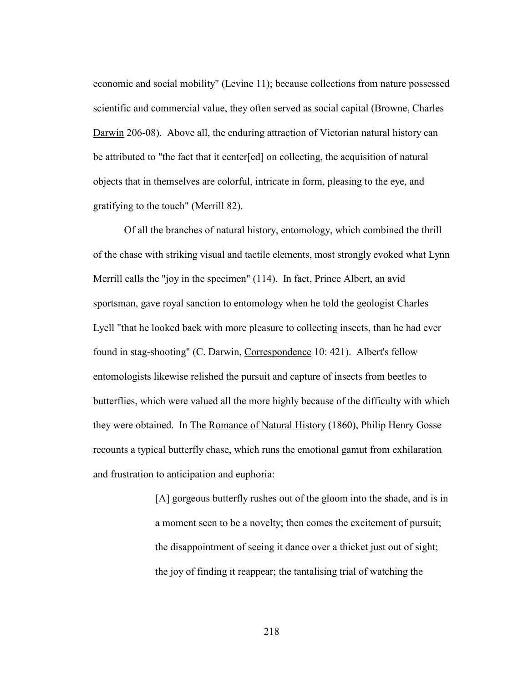economic and social mobility" (Levine 11); because collections from nature possessed scientific and commercial value, they often served as social capital (Browne, Charles Darwin 206-08). Above all, the enduring attraction of Victorian natural history can be attributed to "the fact that it center[ed] on collecting, the acquisition of natural objects that in themselves are colorful, intricate in form, pleasing to the eye, and gratifying to the touch" (Merrill 82).

 Of all the branches of natural history, entomology, which combined the thrill of the chase with striking visual and tactile elements, most strongly evoked what Lynn Merrill calls the "joy in the specimen" (114). In fact, Prince Albert, an avid sportsman, gave royal sanction to entomology when he told the geologist Charles Lyell "that he looked back with more pleasure to collecting insects, than he had ever found in stag-shooting" (C. Darwin, Correspondence 10: 421). Albert's fellow entomologists likewise relished the pursuit and capture of insects from beetles to butterflies, which were valued all the more highly because of the difficulty with which they were obtained. In The Romance of Natural History (1860), Philip Henry Gosse recounts a typical butterfly chase, which runs the emotional gamut from exhilaration and frustration to anticipation and euphoria:

> [A] gorgeous butterfly rushes out of the gloom into the shade, and is in a moment seen to be a novelty; then comes the excitement of pursuit; the disappointment of seeing it dance over a thicket just out of sight; the joy of finding it reappear; the tantalising trial of watching the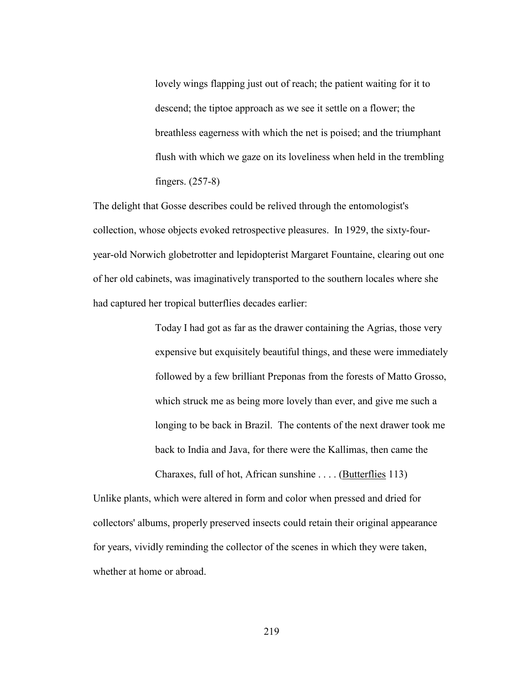lovely wings flapping just out of reach; the patient waiting for it to descend; the tiptoe approach as we see it settle on a flower; the breathless eagerness with which the net is poised; and the triumphant flush with which we gaze on its loveliness when held in the trembling fingers. (257-8)

The delight that Gosse describes could be relived through the entomologist's collection, whose objects evoked retrospective pleasures. In 1929, the sixty-fouryear-old Norwich globetrotter and lepidopterist Margaret Fountaine, clearing out one of her old cabinets, was imaginatively transported to the southern locales where she had captured her tropical butterflies decades earlier:

> Today I had got as far as the drawer containing the Agrias, those very expensive but exquisitely beautiful things, and these were immediately followed by a few brilliant Preponas from the forests of Matto Grosso, which struck me as being more lovely than ever, and give me such a longing to be back in Brazil. The contents of the next drawer took me back to India and Java, for there were the Kallimas, then came the Charaxes, full of hot, African sunshine . . . . (Butterflies 113)

Unlike plants, which were altered in form and color when pressed and dried for collectors' albums, properly preserved insects could retain their original appearance for years, vividly reminding the collector of the scenes in which they were taken, whether at home or abroad.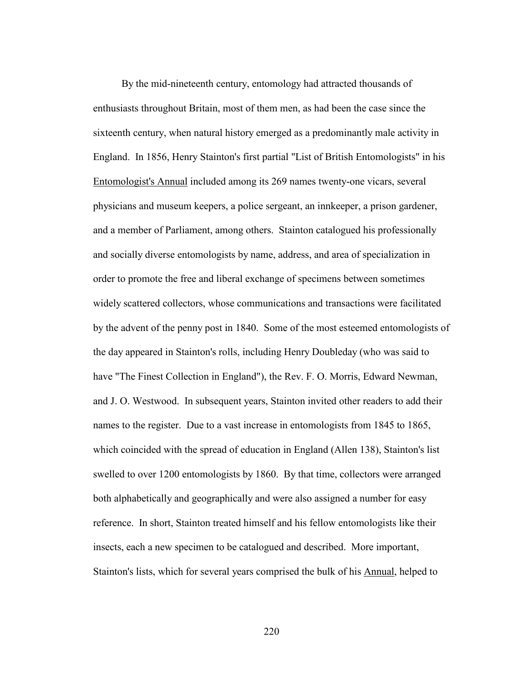By the mid-nineteenth century, entomology had attracted thousands of enthusiasts throughout Britain, most of them men, as had been the case since the sixteenth century, when natural history emerged as a predominantly male activity in England. In 1856, Henry Stainton's first partial "List of British Entomologists" in his Entomologist's Annual included among its 269 names twenty-one vicars, several physicians and museum keepers, a police sergeant, an innkeeper, a prison gardener, and a member of Parliament, among others. Stainton catalogued his professionally and socially diverse entomologists by name, address, and area of specialization in order to promote the free and liberal exchange of specimens between sometimes widely scattered collectors, whose communications and transactions were facilitated by the advent of the penny post in 1840. Some of the most esteemed entomologists of the day appeared in Stainton's rolls, including Henry Doubleday (who was said to have "The Finest Collection in England"), the Rev. F. O. Morris, Edward Newman, and J. O. Westwood. In subsequent years, Stainton invited other readers to add their names to the register. Due to a vast increase in entomologists from 1845 to 1865, which coincided with the spread of education in England (Allen 138), Stainton's list swelled to over 1200 entomologists by 1860. By that time, collectors were arranged both alphabetically and geographically and were also assigned a number for easy reference. In short, Stainton treated himself and his fellow entomologists like their insects, each a new specimen to be catalogued and described. More important, Stainton's lists, which for several years comprised the bulk of his Annual, helped to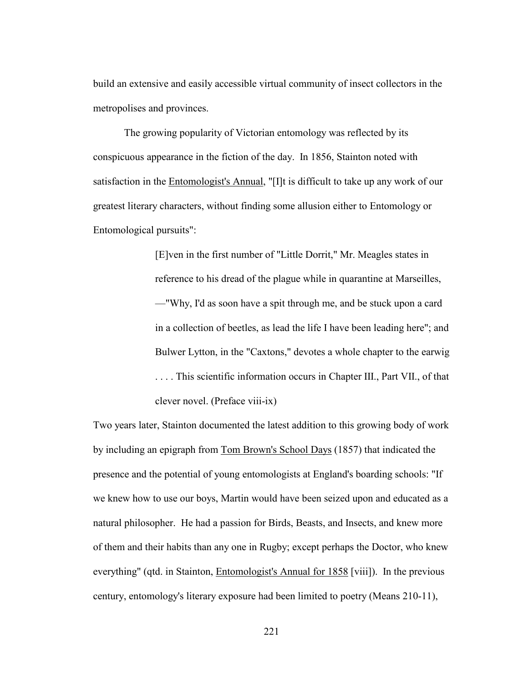build an extensive and easily accessible virtual community of insect collectors in the metropolises and provinces.

 The growing popularity of Victorian entomology was reflected by its conspicuous appearance in the fiction of the day. In 1856, Stainton noted with satisfaction in the Entomologist's Annual, "[I]t is difficult to take up any work of our greatest literary characters, without finding some allusion either to Entomology or Entomological pursuits":

> [E]ven in the first number of "Little Dorrit," Mr. Meagles states in reference to his dread of the plague while in quarantine at Marseilles, —"Why, I'd as soon have a spit through me, and be stuck upon a card in a collection of beetles, as lead the life I have been leading here"; and Bulwer Lytton, in the "Caxtons," devotes a whole chapter to the earwig . . . . This scientific information occurs in Chapter III., Part VII., of that clever novel. (Preface viii-ix)

Two years later, Stainton documented the latest addition to this growing body of work by including an epigraph from Tom Brown's School Days (1857) that indicated the presence and the potential of young entomologists at England's boarding schools: "If we knew how to use our boys, Martin would have been seized upon and educated as a natural philosopher. He had a passion for Birds, Beasts, and Insects, and knew more of them and their habits than any one in Rugby; except perhaps the Doctor, who knew everything" (qtd. in Stainton, Entomologist's Annual for 1858 [viii]). In the previous century, entomology's literary exposure had been limited to poetry (Means 210-11),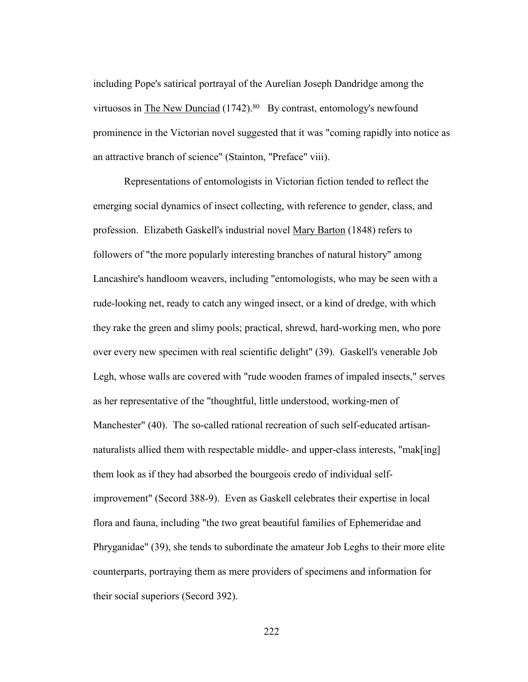including Pope's satirical portrayal of the Aurelian Joseph Dandridge among the virtuosos in The New Dunciad  $(1742)^{80}$  By contrast, entomology's newfound prominence in the Victorian novel suggested that it was "coming rapidly into notice as an attractive branch of science" (Stainton, "Preface" viii).

 Representations of entomologists in Victorian fiction tended to reflect the emerging social dynamics of insect collecting, with reference to gender, class, and profession. Elizabeth Gaskell's industrial novel Mary Barton (1848) refers to followers of "the more popularly interesting branches of natural history" among Lancashire's handloom weavers, including "entomologists, who may be seen with a rude-looking net, ready to catch any winged insect, or a kind of dredge, with which they rake the green and slimy pools; practical, shrewd, hard-working men, who pore over every new specimen with real scientific delight" (39). Gaskell's venerable Job Legh, whose walls are covered with "rude wooden frames of impaled insects," serves as her representative of the "thoughtful, little understood, working-men of Manchester" (40). The so-called rational recreation of such self-educated artisannaturalists allied them with respectable middle- and upper-class interests, "mak[ing] them look as if they had absorbed the bourgeois credo of individual selfimprovement" (Secord 388-9). Even as Gaskell celebrates their expertise in local flora and fauna, including "the two great beautiful families of Ephemeridae and Phryganidae" (39), she tends to subordinate the amateur Job Leghs to their more elite counterparts, portraying them as mere providers of specimens and information for their social superiors (Secord 392).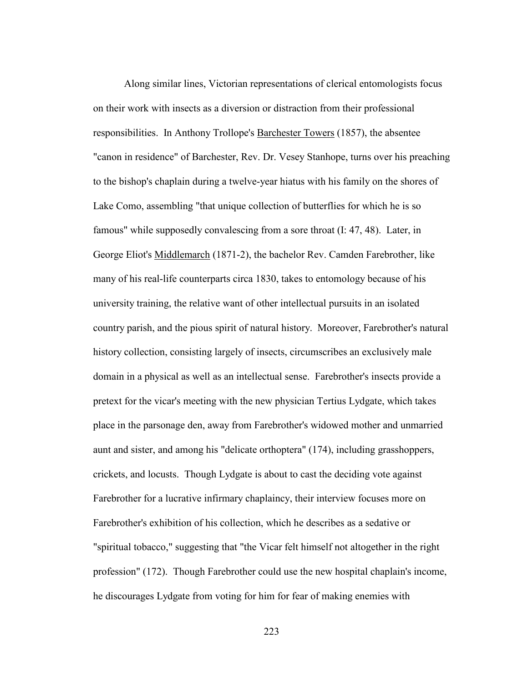Along similar lines, Victorian representations of clerical entomologists focus on their work with insects as a diversion or distraction from their professional responsibilities. In Anthony Trollope's Barchester Towers (1857), the absentee "canon in residence" of Barchester, Rev. Dr. Vesey Stanhope, turns over his preaching to the bishop's chaplain during a twelve-year hiatus with his family on the shores of Lake Como, assembling "that unique collection of butterflies for which he is so famous" while supposedly convalescing from a sore throat (I: 47, 48). Later, in George Eliot's Middlemarch (1871-2), the bachelor Rev. Camden Farebrother, like many of his real-life counterparts circa 1830, takes to entomology because of his university training, the relative want of other intellectual pursuits in an isolated country parish, and the pious spirit of natural history. Moreover, Farebrother's natural history collection, consisting largely of insects, circumscribes an exclusively male domain in a physical as well as an intellectual sense. Farebrother's insects provide a pretext for the vicar's meeting with the new physician Tertius Lydgate, which takes place in the parsonage den, away from Farebrother's widowed mother and unmarried aunt and sister, and among his "delicate orthoptera" (174), including grasshoppers, crickets, and locusts. Though Lydgate is about to cast the deciding vote against Farebrother for a lucrative infirmary chaplaincy, their interview focuses more on Farebrother's exhibition of his collection, which he describes as a sedative or "spiritual tobacco," suggesting that "the Vicar felt himself not altogether in the right profession" (172). Though Farebrother could use the new hospital chaplain's income, he discourages Lydgate from voting for him for fear of making enemies with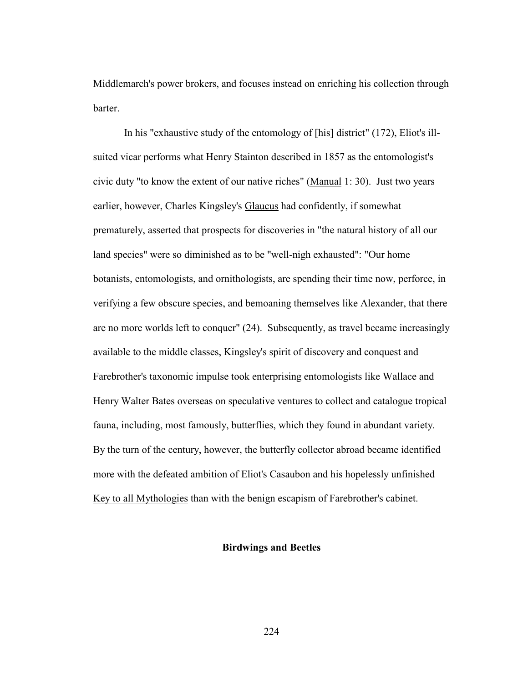Middlemarch's power brokers, and focuses instead on enriching his collection through barter.

 In his "exhaustive study of the entomology of [his] district" (172), Eliot's illsuited vicar performs what Henry Stainton described in 1857 as the entomologist's civic duty "to know the extent of our native riches" (Manual 1: 30). Just two years earlier, however, Charles Kingsley's Glaucus had confidently, if somewhat prematurely, asserted that prospects for discoveries in "the natural history of all our land species" were so diminished as to be "well-nigh exhausted": "Our home botanists, entomologists, and ornithologists, are spending their time now, perforce, in verifying a few obscure species, and bemoaning themselves like Alexander, that there are no more worlds left to conquer" (24). Subsequently, as travel became increasingly available to the middle classes, Kingsley's spirit of discovery and conquest and Farebrother's taxonomic impulse took enterprising entomologists like Wallace and Henry Walter Bates overseas on speculative ventures to collect and catalogue tropical fauna, including, most famously, butterflies, which they found in abundant variety. By the turn of the century, however, the butterfly collector abroad became identified more with the defeated ambition of Eliot's Casaubon and his hopelessly unfinished Key to all Mythologies than with the benign escapism of Farebrother's cabinet.

# **Birdwings and Beetles**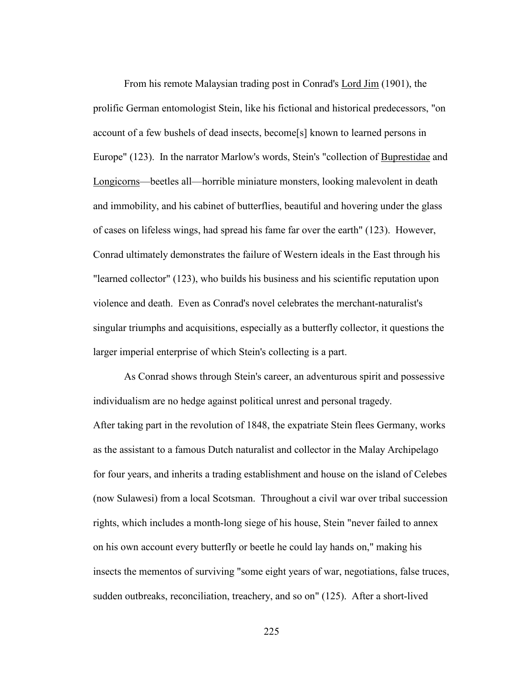From his remote Malaysian trading post in Conrad's <u>Lord Jim</u> (1901), the prolific German entomologist Stein, like his fictional and historical predecessors, "on account of a few bushels of dead insects, become[s] known to learned persons in Europe" (123). In the narrator Marlow's words, Stein's "collection of Buprestidae and Longicorns—beetles all—horrible miniature monsters, looking malevolent in death and immobility, and his cabinet of butterflies, beautiful and hovering under the glass of cases on lifeless wings, had spread his fame far over the earth" (123). However, Conrad ultimately demonstrates the failure of Western ideals in the East through his "learned collector" (123), who builds his business and his scientific reputation upon violence and death. Even as Conrad's novel celebrates the merchant-naturalist's singular triumphs and acquisitions, especially as a butterfly collector, it questions the larger imperial enterprise of which Stein's collecting is a part.

 As Conrad shows through Stein's career, an adventurous spirit and possessive individualism are no hedge against political unrest and personal tragedy. After taking part in the revolution of 1848, the expatriate Stein flees Germany, works as the assistant to a famous Dutch naturalist and collector in the Malay Archipelago for four years, and inherits a trading establishment and house on the island of Celebes (now Sulawesi) from a local Scotsman. Throughout a civil war over tribal succession rights, which includes a month-long siege of his house, Stein "never failed to annex on his own account every butterfly or beetle he could lay hands on," making his insects the mementos of surviving "some eight years of war, negotiations, false truces, sudden outbreaks, reconciliation, treachery, and so on" (125). After a short-lived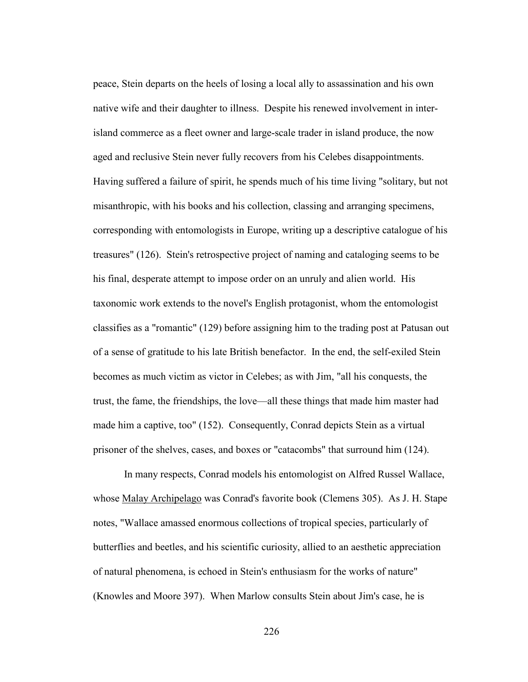peace, Stein departs on the heels of losing a local ally to assassination and his own native wife and their daughter to illness. Despite his renewed involvement in interisland commerce as a fleet owner and large-scale trader in island produce, the now aged and reclusive Stein never fully recovers from his Celebes disappointments. Having suffered a failure of spirit, he spends much of his time living "solitary, but not misanthropic, with his books and his collection, classing and arranging specimens, corresponding with entomologists in Europe, writing up a descriptive catalogue of his treasures" (126). Stein's retrospective project of naming and cataloging seems to be his final, desperate attempt to impose order on an unruly and alien world. His taxonomic work extends to the novel's English protagonist, whom the entomologist classifies as a "romantic" (129) before assigning him to the trading post at Patusan out of a sense of gratitude to his late British benefactor. In the end, the self-exiled Stein becomes as much victim as victor in Celebes; as with Jim, "all his conquests, the trust, the fame, the friendships, the love—all these things that made him master had made him a captive, too" (152). Consequently, Conrad depicts Stein as a virtual prisoner of the shelves, cases, and boxes or "catacombs" that surround him (124).

 In many respects, Conrad models his entomologist on Alfred Russel Wallace, whose Malay Archipelago was Conrad's favorite book (Clemens 305). As J. H. Stape notes, "Wallace amassed enormous collections of tropical species, particularly of butterflies and beetles, and his scientific curiosity, allied to an aesthetic appreciation of natural phenomena, is echoed in Stein's enthusiasm for the works of nature" (Knowles and Moore 397). When Marlow consults Stein about Jim's case, he is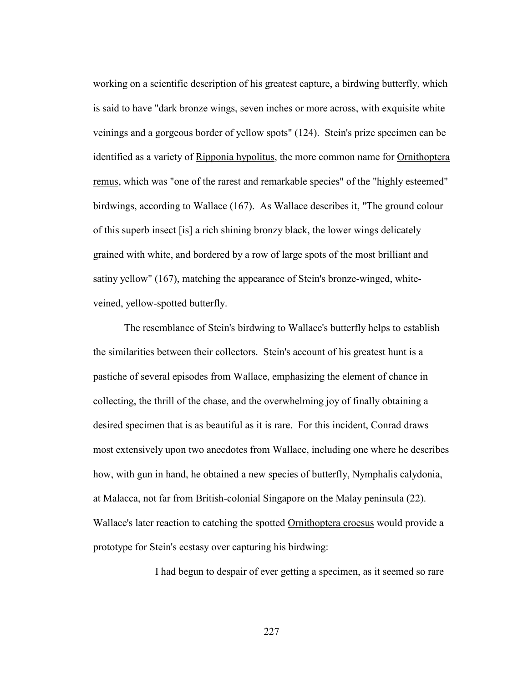working on a scientific description of his greatest capture, a birdwing butterfly, which is said to have "dark bronze wings, seven inches or more across, with exquisite white veinings and a gorgeous border of yellow spots" (124). Stein's prize specimen can be identified as a variety of Ripponia hypolitus, the more common name for Ornithoptera remus, which was "one of the rarest and remarkable species" of the "highly esteemed" birdwings, according to Wallace (167). As Wallace describes it, "The ground colour of this superb insect [is] a rich shining bronzy black, the lower wings delicately grained with white, and bordered by a row of large spots of the most brilliant and satiny yellow" (167), matching the appearance of Stein's bronze-winged, whiteveined, yellow-spotted butterfly.

 The resemblance of Stein's birdwing to Wallace's butterfly helps to establish the similarities between their collectors. Stein's account of his greatest hunt is a pastiche of several episodes from Wallace, emphasizing the element of chance in collecting, the thrill of the chase, and the overwhelming joy of finally obtaining a desired specimen that is as beautiful as it is rare. For this incident, Conrad draws most extensively upon two anecdotes from Wallace, including one where he describes how, with gun in hand, he obtained a new species of butterfly, Nymphalis calydonia, at Malacca, not far from British-colonial Singapore on the Malay peninsula (22). Wallace's later reaction to catching the spotted Ornithoptera croesus would provide a prototype for Stein's ecstasy over capturing his birdwing:

I had begun to despair of ever getting a specimen, as it seemed so rare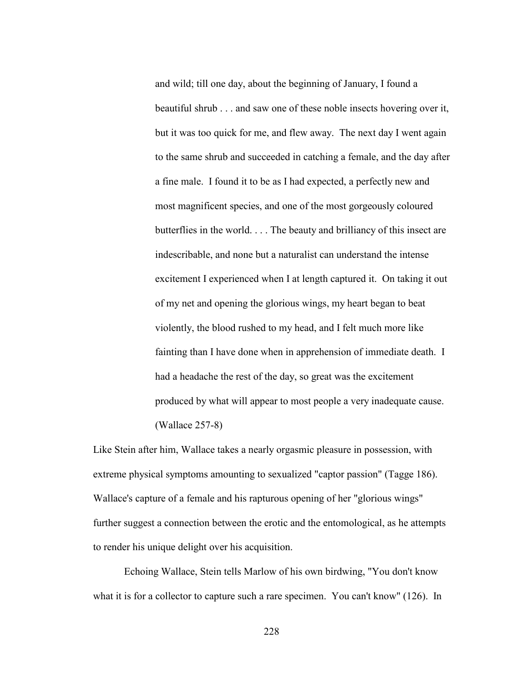and wild; till one day, about the beginning of January, I found a beautiful shrub . . . and saw one of these noble insects hovering over it, but it was too quick for me, and flew away. The next day I went again to the same shrub and succeeded in catching a female, and the day after a fine male. I found it to be as I had expected, a perfectly new and most magnificent species, and one of the most gorgeously coloured butterflies in the world. . . . The beauty and brilliancy of this insect are indescribable, and none but a naturalist can understand the intense excitement I experienced when I at length captured it. On taking it out of my net and opening the glorious wings, my heart began to beat violently, the blood rushed to my head, and I felt much more like fainting than I have done when in apprehension of immediate death. I had a headache the rest of the day, so great was the excitement produced by what will appear to most people a very inadequate cause. (Wallace 257-8)

Like Stein after him, Wallace takes a nearly orgasmic pleasure in possession, with extreme physical symptoms amounting to sexualized "captor passion" (Tagge 186). Wallace's capture of a female and his rapturous opening of her "glorious wings" further suggest a connection between the erotic and the entomological, as he attempts to render his unique delight over his acquisition.

 Echoing Wallace, Stein tells Marlow of his own birdwing, "You don't know what it is for a collector to capture such a rare specimen. You can't know" (126). In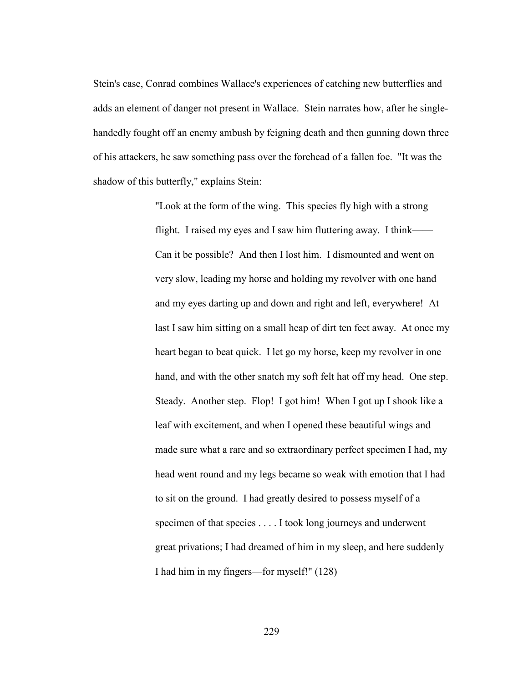Stein's case, Conrad combines Wallace's experiences of catching new butterflies and adds an element of danger not present in Wallace. Stein narrates how, after he singlehandedly fought off an enemy ambush by feigning death and then gunning down three of his attackers, he saw something pass over the forehead of a fallen foe. "It was the shadow of this butterfly," explains Stein:

> "Look at the form of the wing. This species fly high with a strong flight. I raised my eyes and I saw him fluttering away. I think—— Can it be possible? And then I lost him. I dismounted and went on very slow, leading my horse and holding my revolver with one hand and my eyes darting up and down and right and left, everywhere! At last I saw him sitting on a small heap of dirt ten feet away. At once my heart began to beat quick. I let go my horse, keep my revolver in one hand, and with the other snatch my soft felt hat off my head. One step. Steady. Another step. Flop! I got him! When I got up I shook like a leaf with excitement, and when I opened these beautiful wings and made sure what a rare and so extraordinary perfect specimen I had, my head went round and my legs became so weak with emotion that I had to sit on the ground. I had greatly desired to possess myself of a specimen of that species . . . . I took long journeys and underwent great privations; I had dreamed of him in my sleep, and here suddenly I had him in my fingers—for myself!" (128)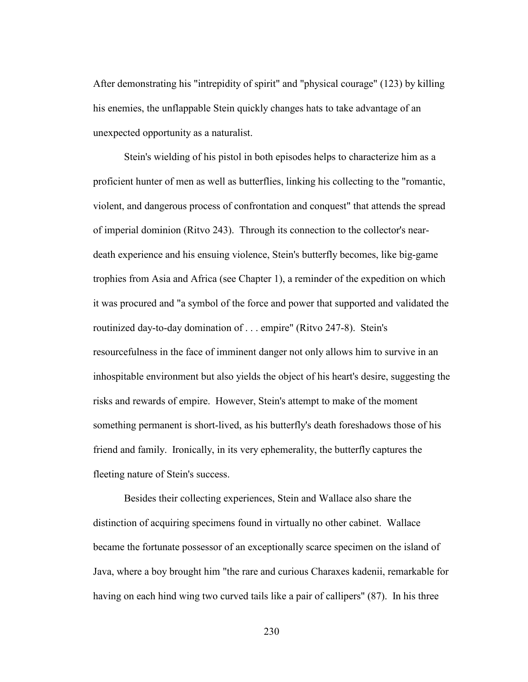After demonstrating his "intrepidity of spirit" and "physical courage" (123) by killing his enemies, the unflappable Stein quickly changes hats to take advantage of an unexpected opportunity as a naturalist.

Stein's wielding of his pistol in both episodes helps to characterize him as a proficient hunter of men as well as butterflies, linking his collecting to the "romantic, violent, and dangerous process of confrontation and conquest" that attends the spread of imperial dominion (Ritvo 243). Through its connection to the collector's neardeath experience and his ensuing violence, Stein's butterfly becomes, like big-game trophies from Asia and Africa (see Chapter 1), a reminder of the expedition on which it was procured and "a symbol of the force and power that supported and validated the routinized day-to-day domination of . . . empire" (Ritvo 247-8). Stein's resourcefulness in the face of imminent danger not only allows him to survive in an inhospitable environment but also yields the object of his heart's desire, suggesting the risks and rewards of empire. However, Stein's attempt to make of the moment something permanent is short-lived, as his butterfly's death foreshadows those of his friend and family. Ironically, in its very ephemerality, the butterfly captures the fleeting nature of Stein's success.

 Besides their collecting experiences, Stein and Wallace also share the distinction of acquiring specimens found in virtually no other cabinet. Wallace became the fortunate possessor of an exceptionally scarce specimen on the island of Java, where a boy brought him "the rare and curious Charaxes kadenii, remarkable for having on each hind wing two curved tails like a pair of callipers" (87). In his three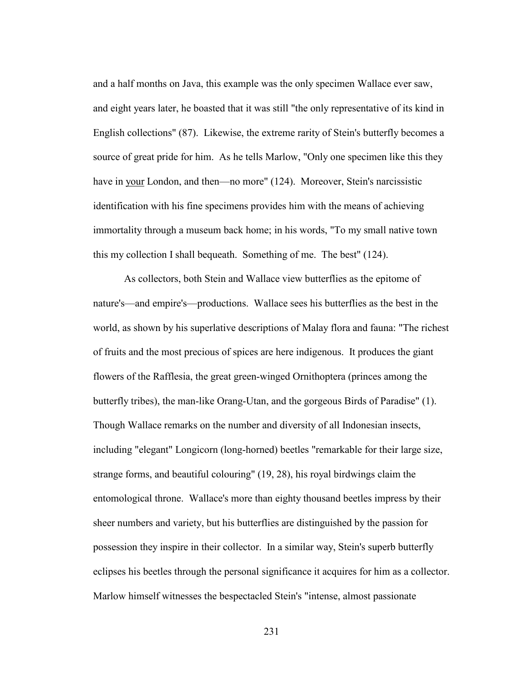and a half months on Java, this example was the only specimen Wallace ever saw, and eight years later, he boasted that it was still "the only representative of its kind in English collections" (87). Likewise, the extreme rarity of Stein's butterfly becomes a source of great pride for him. As he tells Marlow, "Only one specimen like this they have in your London, and then—no more" (124). Moreover, Stein's narcissistic identification with his fine specimens provides him with the means of achieving immortality through a museum back home; in his words, "To my small native town this my collection I shall bequeath. Something of me. The best" (124).

 As collectors, both Stein and Wallace view butterflies as the epitome of nature's—and empire's—productions. Wallace sees his butterflies as the best in the world, as shown by his superlative descriptions of Malay flora and fauna: "The richest of fruits and the most precious of spices are here indigenous. It produces the giant flowers of the Rafflesia, the great green-winged Ornithoptera (princes among the butterfly tribes), the man-like Orang-Utan, and the gorgeous Birds of Paradise" (1). Though Wallace remarks on the number and diversity of all Indonesian insects, including "elegant" Longicorn (long-horned) beetles "remarkable for their large size, strange forms, and beautiful colouring" (19, 28), his royal birdwings claim the entomological throne. Wallace's more than eighty thousand beetles impress by their sheer numbers and variety, but his butterflies are distinguished by the passion for possession they inspire in their collector. In a similar way, Stein's superb butterfly eclipses his beetles through the personal significance it acquires for him as a collector. Marlow himself witnesses the bespectacled Stein's "intense, almost passionate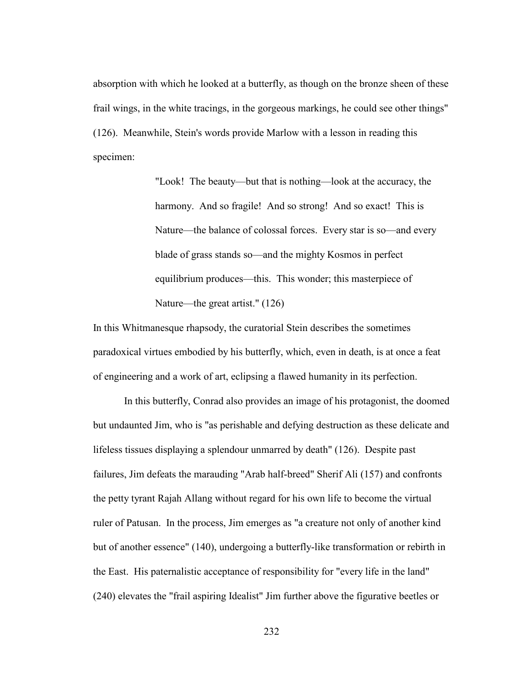absorption with which he looked at a butterfly, as though on the bronze sheen of these frail wings, in the white tracings, in the gorgeous markings, he could see other things" (126). Meanwhile, Stein's words provide Marlow with a lesson in reading this specimen:

> "Look! The beauty—but that is nothing—look at the accuracy, the harmony. And so fragile! And so strong! And so exact! This is Nature—the balance of colossal forces. Every star is so—and every blade of grass stands so—and the mighty Kosmos in perfect equilibrium produces—this. This wonder; this masterpiece of Nature—the great artist." (126)

In this Whitmanesque rhapsody, the curatorial Stein describes the sometimes paradoxical virtues embodied by his butterfly, which, even in death, is at once a feat of engineering and a work of art, eclipsing a flawed humanity in its perfection.

 In this butterfly, Conrad also provides an image of his protagonist, the doomed but undaunted Jim, who is "as perishable and defying destruction as these delicate and lifeless tissues displaying a splendour unmarred by death" (126). Despite past failures, Jim defeats the marauding "Arab half-breed" Sherif Ali (157) and confronts the petty tyrant Rajah Allang without regard for his own life to become the virtual ruler of Patusan. In the process, Jim emerges as "a creature not only of another kind but of another essence" (140), undergoing a butterfly-like transformation or rebirth in the East. His paternalistic acceptance of responsibility for "every life in the land" (240) elevates the "frail aspiring Idealist" Jim further above the figurative beetles or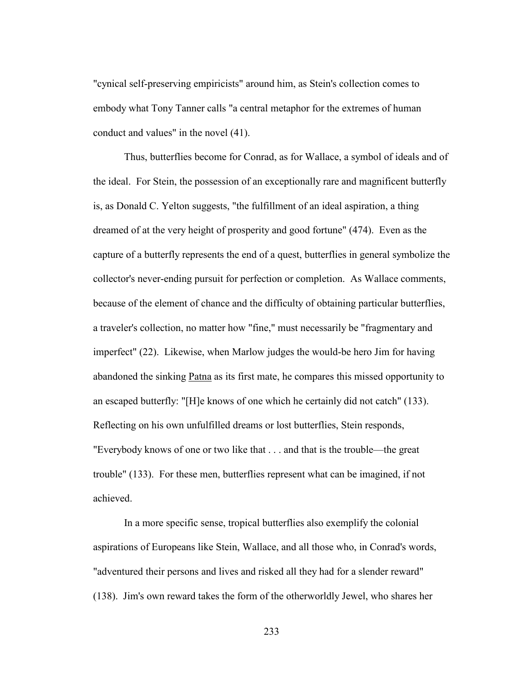"cynical self-preserving empiricists" around him, as Stein's collection comes to embody what Tony Tanner calls "a central metaphor for the extremes of human conduct and values" in the novel (41).

 Thus, butterflies become for Conrad, as for Wallace, a symbol of ideals and of the ideal. For Stein, the possession of an exceptionally rare and magnificent butterfly is, as Donald C. Yelton suggests, "the fulfillment of an ideal aspiration, a thing dreamed of at the very height of prosperity and good fortune" (474). Even as the capture of a butterfly represents the end of a quest, butterflies in general symbolize the collector's never-ending pursuit for perfection or completion. As Wallace comments, because of the element of chance and the difficulty of obtaining particular butterflies, a traveler's collection, no matter how "fine," must necessarily be "fragmentary and imperfect" (22). Likewise, when Marlow judges the would-be hero Jim for having abandoned the sinking Patna as its first mate, he compares this missed opportunity to an escaped butterfly: "[H]e knows of one which he certainly did not catch" (133). Reflecting on his own unfulfilled dreams or lost butterflies, Stein responds, "Everybody knows of one or two like that . . . and that is the trouble—the great trouble" (133). For these men, butterflies represent what can be imagined, if not achieved.

 In a more specific sense, tropical butterflies also exemplify the colonial aspirations of Europeans like Stein, Wallace, and all those who, in Conrad's words, "adventured their persons and lives and risked all they had for a slender reward" (138). Jim's own reward takes the form of the otherworldly Jewel, who shares her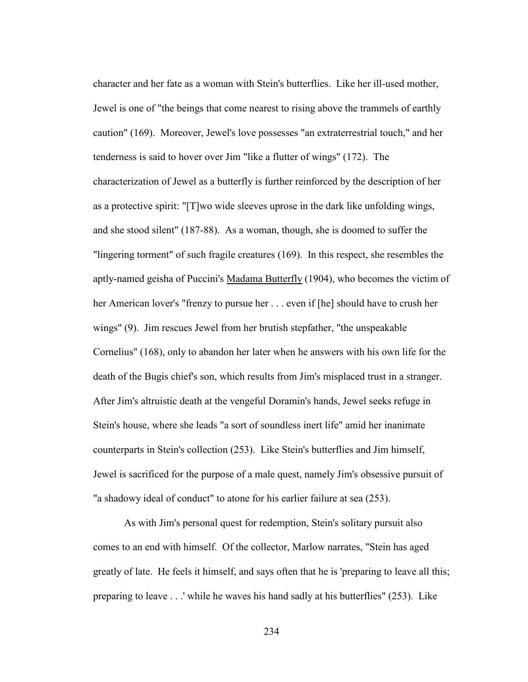character and her fate as a woman with Stein's butterflies. Like her ill-used mother, Jewel is one of "the beings that come nearest to rising above the trammels of earthly caution" (169). Moreover, Jewel's love possesses "an extraterrestrial touch," and her tenderness is said to hover over Jim "like a flutter of wings" (172). The characterization of Jewel as a butterfly is further reinforced by the description of her as a protective spirit: "[T]wo wide sleeves uprose in the dark like unfolding wings, and she stood silent" (187-88). As a woman, though, she is doomed to suffer the "lingering torment" of such fragile creatures (169). In this respect, she resembles the aptly-named geisha of Puccini's Madama Butterfly (1904), who becomes the victim of her American lover's "frenzy to pursue her . . . even if [he] should have to crush her wings" (9). Jim rescues Jewel from her brutish stepfather, "the unspeakable Cornelius" (168), only to abandon her later when he answers with his own life for the death of the Bugis chief's son, which results from Jim's misplaced trust in a stranger. After Jim's altruistic death at the vengeful Doramin's hands, Jewel seeks refuge in Stein's house, where she leads "a sort of soundless inert life" amid her inanimate counterparts in Stein's collection (253). Like Stein's butterflies and Jim himself, Jewel is sacrificed for the purpose of a male quest, namely Jim's obsessive pursuit of "a shadowy ideal of conduct" to atone for his earlier failure at sea (253).

 As with Jim's personal quest for redemption, Stein's solitary pursuit also comes to an end with himself. Of the collector, Marlow narrates, "Stein has aged greatly of late. He feels it himself, and says often that he is 'preparing to leave all this; preparing to leave . . .' while he waves his hand sadly at his butterflies" (253). Like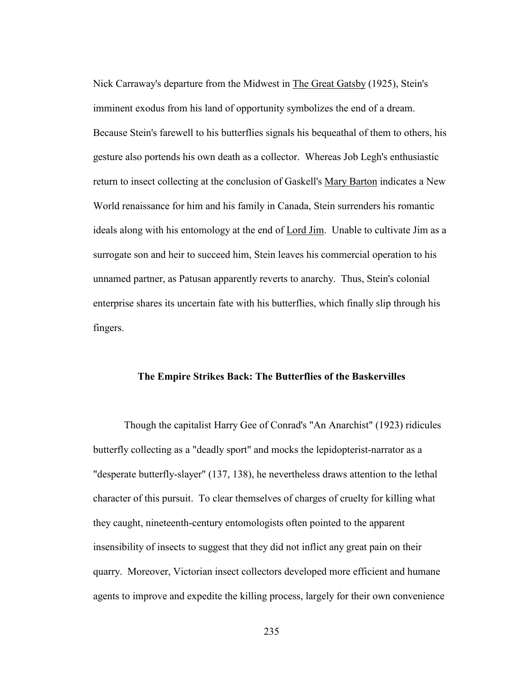Nick Carraway's departure from the Midwest in The Great Gatsby (1925), Stein's imminent exodus from his land of opportunity symbolizes the end of a dream. Because Stein's farewell to his butterflies signals his bequeathal of them to others, his gesture also portends his own death as a collector. Whereas Job Legh's enthusiastic return to insect collecting at the conclusion of Gaskell's <u>Mary Barton</u> indicates a New World renaissance for him and his family in Canada, Stein surrenders his romantic ideals along with his entomology at the end of Lord Jim. Unable to cultivate Jim as a surrogate son and heir to succeed him, Stein leaves his commercial operation to his unnamed partner, as Patusan apparently reverts to anarchy. Thus, Stein's colonial enterprise shares its uncertain fate with his butterflies, which finally slip through his fingers.

## **The Empire Strikes Back: The Butterflies of the Baskervilles**

Though the capitalist Harry Gee of Conrad's "An Anarchist" (1923) ridicules butterfly collecting as a "deadly sport" and mocks the lepidopterist-narrator as a "desperate butterfly-slayer" (137, 138), he nevertheless draws attention to the lethal character of this pursuit. To clear themselves of charges of cruelty for killing what they caught, nineteenth-century entomologists often pointed to the apparent insensibility of insects to suggest that they did not inflict any great pain on their quarry. Moreover, Victorian insect collectors developed more efficient and humane agents to improve and expedite the killing process, largely for their own convenience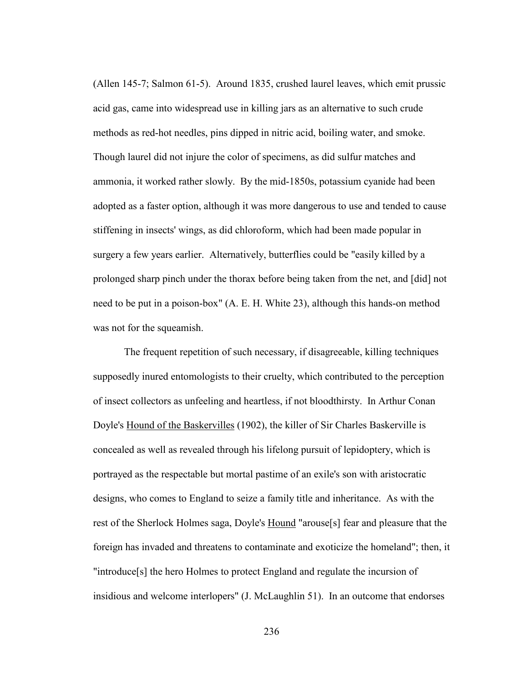(Allen 145-7; Salmon 61-5). Around 1835, crushed laurel leaves, which emit prussic acid gas, came into widespread use in killing jars as an alternative to such crude methods as red-hot needles, pins dipped in nitric acid, boiling water, and smoke. Though laurel did not injure the color of specimens, as did sulfur matches and ammonia, it worked rather slowly. By the mid-1850s, potassium cyanide had been adopted as a faster option, although it was more dangerous to use and tended to cause stiffening in insects' wings, as did chloroform, which had been made popular in surgery a few years earlier. Alternatively, butterflies could be "easily killed by a prolonged sharp pinch under the thorax before being taken from the net, and [did] not need to be put in a poison-box" (A. E. H. White 23), although this hands-on method was not for the squeamish.

 The frequent repetition of such necessary, if disagreeable, killing techniques supposedly inured entomologists to their cruelty, which contributed to the perception of insect collectors as unfeeling and heartless, if not bloodthirsty. In Arthur Conan Doyle's Hound of the Baskervilles (1902), the killer of Sir Charles Baskerville is concealed as well as revealed through his lifelong pursuit of lepidoptery, which is portrayed as the respectable but mortal pastime of an exile's son with aristocratic designs, who comes to England to seize a family title and inheritance. As with the rest of the Sherlock Holmes saga, Doyle's Hound "arouse[s] fear and pleasure that the foreign has invaded and threatens to contaminate and exoticize the homeland"; then, it "introduce[s] the hero Holmes to protect England and regulate the incursion of insidious and welcome interlopers" (J. McLaughlin 51). In an outcome that endorses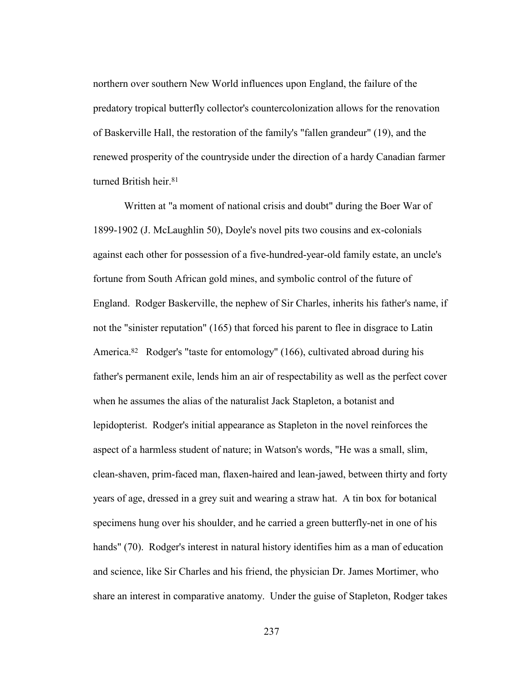northern over southern New World influences upon England, the failure of the predatory tropical butterfly collector's countercolonization allows for the renovation of Baskerville Hall, the restoration of the family's "fallen grandeur" (19), and the renewed prosperity of the countryside under the direction of a hardy Canadian farmer turned British heir.<sup>81</sup>

Written at "a moment of national crisis and doubt" during the Boer War of 1899-1902 (J. McLaughlin 50), Doyle's novel pits two cousins and ex-colonials against each other for possession of a five-hundred-year-old family estate, an uncle's fortune from South African gold mines, and symbolic control of the future of England. Rodger Baskerville, the nephew of Sir Charles, inherits his father's name, if not the "sinister reputation" (165) that forced his parent to flee in disgrace to Latin America.<sup>82</sup> Rodger's "taste for entomology" (166), cultivated abroad during his father's permanent exile, lends him an air of respectability as well as the perfect cover when he assumes the alias of the naturalist Jack Stapleton, a botanist and lepidopterist. Rodger's initial appearance as Stapleton in the novel reinforces the aspect of a harmless student of nature; in Watson's words, "He was a small, slim, clean-shaven, prim-faced man, flaxen-haired and lean-jawed, between thirty and forty years of age, dressed in a grey suit and wearing a straw hat. A tin box for botanical specimens hung over his shoulder, and he carried a green butterfly-net in one of his hands" (70). Rodger's interest in natural history identifies him as a man of education and science, like Sir Charles and his friend, the physician Dr. James Mortimer, who share an interest in comparative anatomy. Under the guise of Stapleton, Rodger takes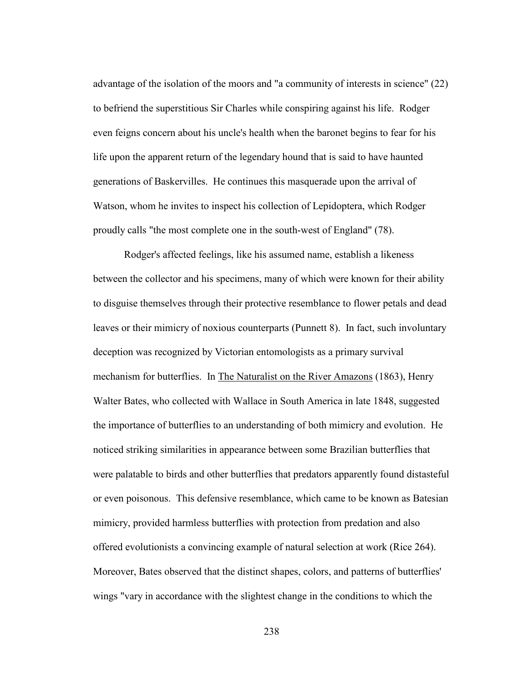advantage of the isolation of the moors and "a community of interests in science" (22) to befriend the superstitious Sir Charles while conspiring against his life. Rodger even feigns concern about his uncle's health when the baronet begins to fear for his life upon the apparent return of the legendary hound that is said to have haunted generations of Baskervilles. He continues this masquerade upon the arrival of Watson, whom he invites to inspect his collection of Lepidoptera, which Rodger proudly calls "the most complete one in the south-west of England" (78).

 Rodger's affected feelings, like his assumed name, establish a likeness between the collector and his specimens, many of which were known for their ability to disguise themselves through their protective resemblance to flower petals and dead leaves or their mimicry of noxious counterparts (Punnett 8). In fact, such involuntary deception was recognized by Victorian entomologists as a primary survival mechanism for butterflies. In The Naturalist on the River Amazons (1863), Henry Walter Bates, who collected with Wallace in South America in late 1848, suggested the importance of butterflies to an understanding of both mimicry and evolution. He noticed striking similarities in appearance between some Brazilian butterflies that were palatable to birds and other butterflies that predators apparently found distasteful or even poisonous. This defensive resemblance, which came to be known as Batesian mimicry, provided harmless butterflies with protection from predation and also offered evolutionists a convincing example of natural selection at work (Rice 264). Moreover, Bates observed that the distinct shapes, colors, and patterns of butterflies' wings "vary in accordance with the slightest change in the conditions to which the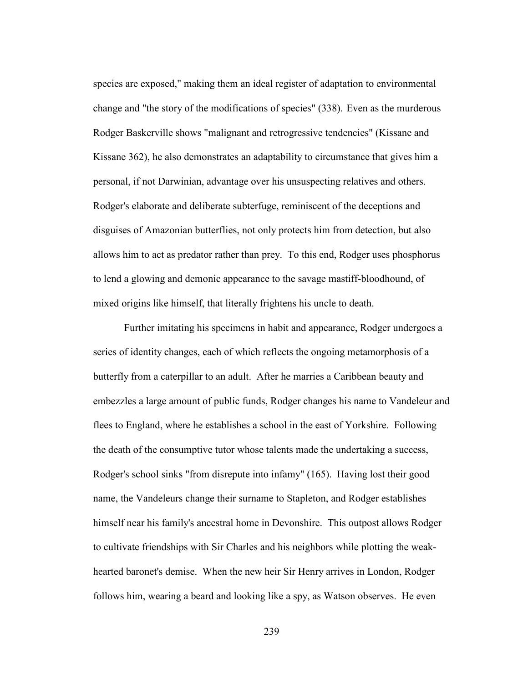species are exposed," making them an ideal register of adaptation to environmental change and "the story of the modifications of species" (338). Even as the murderous Rodger Baskerville shows "malignant and retrogressive tendencies" (Kissane and Kissane 362), he also demonstrates an adaptability to circumstance that gives him a personal, if not Darwinian, advantage over his unsuspecting relatives and others. Rodger's elaborate and deliberate subterfuge, reminiscent of the deceptions and disguises of Amazonian butterflies, not only protects him from detection, but also allows him to act as predator rather than prey. To this end, Rodger uses phosphorus to lend a glowing and demonic appearance to the savage mastiff-bloodhound, of mixed origins like himself, that literally frightens his uncle to death.

 Further imitating his specimens in habit and appearance, Rodger undergoes a series of identity changes, each of which reflects the ongoing metamorphosis of a butterfly from a caterpillar to an adult. After he marries a Caribbean beauty and embezzles a large amount of public funds, Rodger changes his name to Vandeleur and flees to England, where he establishes a school in the east of Yorkshire. Following the death of the consumptive tutor whose talents made the undertaking a success, Rodger's school sinks "from disrepute into infamy" (165). Having lost their good name, the Vandeleurs change their surname to Stapleton, and Rodger establishes himself near his family's ancestral home in Devonshire. This outpost allows Rodger to cultivate friendships with Sir Charles and his neighbors while plotting the weakhearted baronet's demise. When the new heir Sir Henry arrives in London, Rodger follows him, wearing a beard and looking like a spy, as Watson observes. He even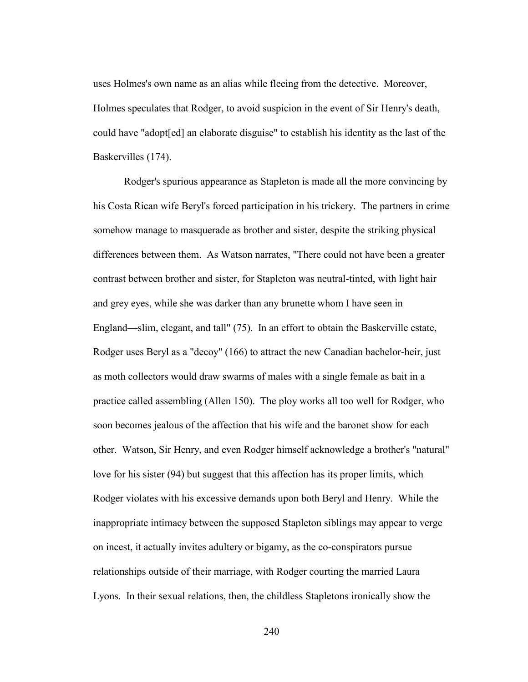uses Holmes's own name as an alias while fleeing from the detective. Moreover, Holmes speculates that Rodger, to avoid suspicion in the event of Sir Henry's death, could have "adopt[ed] an elaborate disguise" to establish his identity as the last of the Baskervilles (174).

 Rodger's spurious appearance as Stapleton is made all the more convincing by his Costa Rican wife Beryl's forced participation in his trickery. The partners in crime somehow manage to masquerade as brother and sister, despite the striking physical differences between them. As Watson narrates, "There could not have been a greater contrast between brother and sister, for Stapleton was neutral-tinted, with light hair and grey eyes, while she was darker than any brunette whom I have seen in England—slim, elegant, and tall" (75). In an effort to obtain the Baskerville estate, Rodger uses Beryl as a "decoy" (166) to attract the new Canadian bachelor-heir, just as moth collectors would draw swarms of males with a single female as bait in a practice called assembling (Allen 150). The ploy works all too well for Rodger, who soon becomes jealous of the affection that his wife and the baronet show for each other. Watson, Sir Henry, and even Rodger himself acknowledge a brother's "natural" love for his sister (94) but suggest that this affection has its proper limits, which Rodger violates with his excessive demands upon both Beryl and Henry. While the inappropriate intimacy between the supposed Stapleton siblings may appear to verge on incest, it actually invites adultery or bigamy, as the co-conspirators pursue relationships outside of their marriage, with Rodger courting the married Laura Lyons. In their sexual relations, then, the childless Stapletons ironically show the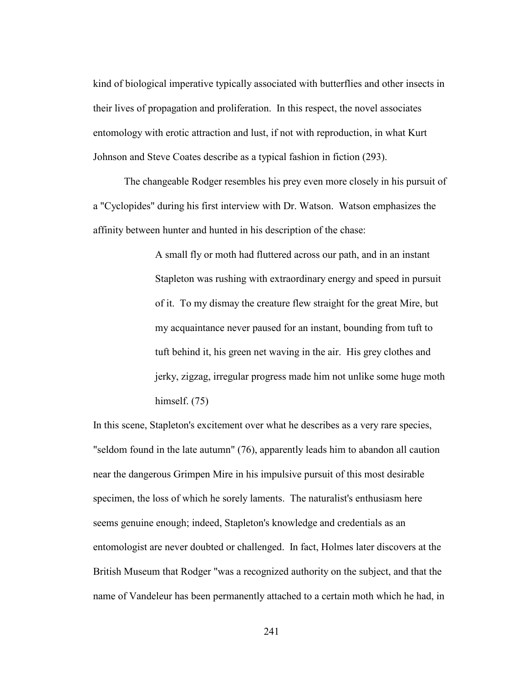kind of biological imperative typically associated with butterflies and other insects in their lives of propagation and proliferation. In this respect, the novel associates entomology with erotic attraction and lust, if not with reproduction, in what Kurt Johnson and Steve Coates describe as a typical fashion in fiction (293).

The changeable Rodger resembles his prey even more closely in his pursuit of a "Cyclopides" during his first interview with Dr. Watson. Watson emphasizes the affinity between hunter and hunted in his description of the chase:

> A small fly or moth had fluttered across our path, and in an instant Stapleton was rushing with extraordinary energy and speed in pursuit of it. To my dismay the creature flew straight for the great Mire, but my acquaintance never paused for an instant, bounding from tuft to tuft behind it, his green net waving in the air. His grey clothes and jerky, zigzag, irregular progress made him not unlike some huge moth himself. (75)

In this scene, Stapleton's excitement over what he describes as a very rare species, "seldom found in the late autumn" (76), apparently leads him to abandon all caution near the dangerous Grimpen Mire in his impulsive pursuit of this most desirable specimen, the loss of which he sorely laments. The naturalist's enthusiasm here seems genuine enough; indeed, Stapleton's knowledge and credentials as an entomologist are never doubted or challenged. In fact, Holmes later discovers at the British Museum that Rodger "was a recognized authority on the subject, and that the name of Vandeleur has been permanently attached to a certain moth which he had, in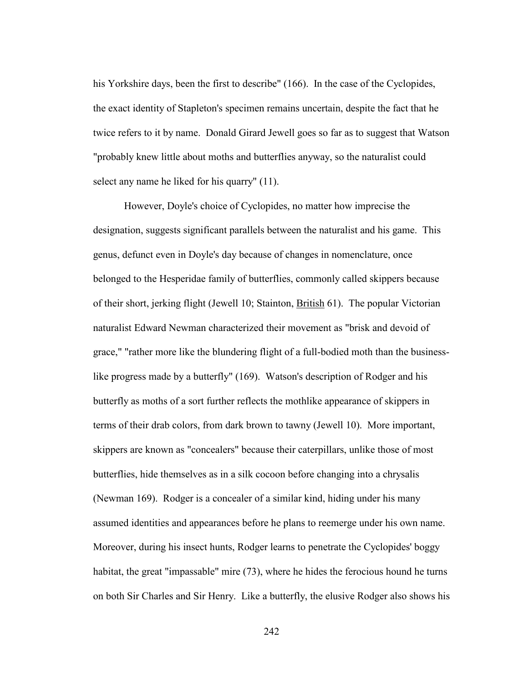his Yorkshire days, been the first to describe" (166). In the case of the Cyclopides, the exact identity of Stapleton's specimen remains uncertain, despite the fact that he twice refers to it by name. Donald Girard Jewell goes so far as to suggest that Watson "probably knew little about moths and butterflies anyway, so the naturalist could select any name he liked for his quarry" (11).

 However, Doyle's choice of Cyclopides, no matter how imprecise the designation, suggests significant parallels between the naturalist and his game. This genus, defunct even in Doyle's day because of changes in nomenclature, once belonged to the Hesperidae family of butterflies, commonly called skippers because of their short, jerking flight (Jewell 10; Stainton, British 61). The popular Victorian naturalist Edward Newman characterized their movement as "brisk and devoid of grace," "rather more like the blundering flight of a full-bodied moth than the businesslike progress made by a butterfly" (169). Watson's description of Rodger and his butterfly as moths of a sort further reflects the mothlike appearance of skippers in terms of their drab colors, from dark brown to tawny (Jewell 10). More important, skippers are known as "concealers" because their caterpillars, unlike those of most butterflies, hide themselves as in a silk cocoon before changing into a chrysalis (Newman 169). Rodger is a concealer of a similar kind, hiding under his many assumed identities and appearances before he plans to reemerge under his own name. Moreover, during his insect hunts, Rodger learns to penetrate the Cyclopides' boggy habitat, the great "impassable" mire (73), where he hides the ferocious hound he turns on both Sir Charles and Sir Henry. Like a butterfly, the elusive Rodger also shows his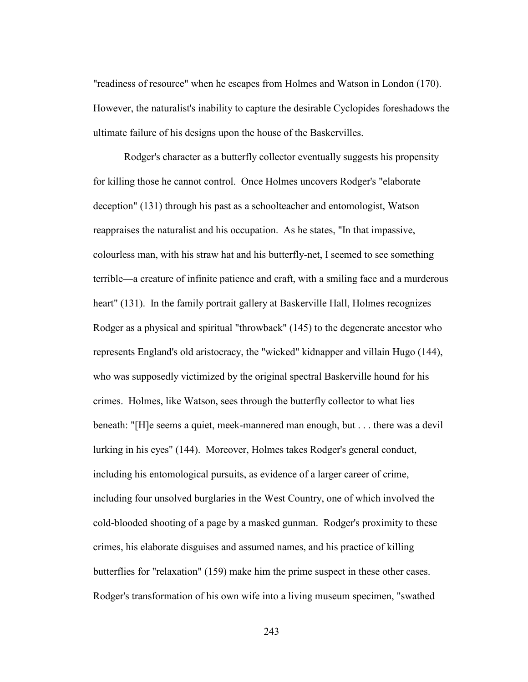"readiness of resource" when he escapes from Holmes and Watson in London (170). However, the naturalist's inability to capture the desirable Cyclopides foreshadows the ultimate failure of his designs upon the house of the Baskervilles.

 Rodger's character as a butterfly collector eventually suggests his propensity for killing those he cannot control. Once Holmes uncovers Rodger's "elaborate deception" (131) through his past as a schoolteacher and entomologist, Watson reappraises the naturalist and his occupation. As he states, "In that impassive, colourless man, with his straw hat and his butterfly-net, I seemed to see something terrible—a creature of infinite patience and craft, with a smiling face and a murderous heart" (131). In the family portrait gallery at Baskerville Hall, Holmes recognizes Rodger as a physical and spiritual "throwback" (145) to the degenerate ancestor who represents England's old aristocracy, the "wicked" kidnapper and villain Hugo (144), who was supposedly victimized by the original spectral Baskerville hound for his crimes. Holmes, like Watson, sees through the butterfly collector to what lies beneath: "[H]e seems a quiet, meek-mannered man enough, but . . . there was a devil lurking in his eyes" (144). Moreover, Holmes takes Rodger's general conduct, including his entomological pursuits, as evidence of a larger career of crime, including four unsolved burglaries in the West Country, one of which involved the cold-blooded shooting of a page by a masked gunman. Rodger's proximity to these crimes, his elaborate disguises and assumed names, and his practice of killing butterflies for "relaxation" (159) make him the prime suspect in these other cases. Rodger's transformation of his own wife into a living museum specimen, "swathed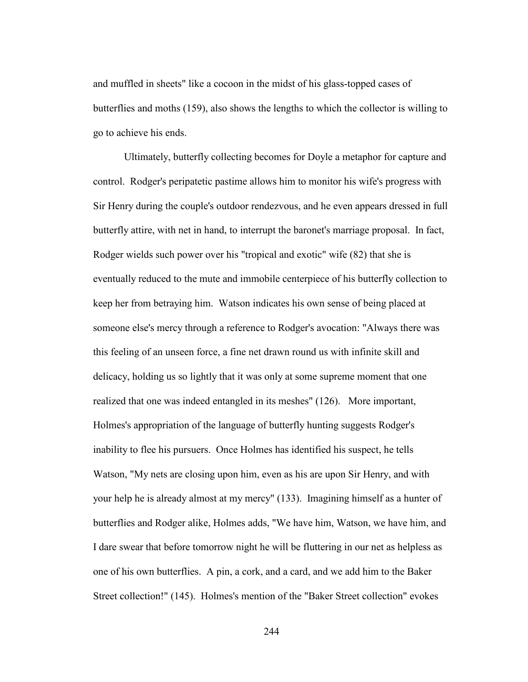and muffled in sheets" like a cocoon in the midst of his glass-topped cases of butterflies and moths (159), also shows the lengths to which the collector is willing to go to achieve his ends.

 Ultimately, butterfly collecting becomes for Doyle a metaphor for capture and control. Rodger's peripatetic pastime allows him to monitor his wife's progress with Sir Henry during the couple's outdoor rendezvous, and he even appears dressed in full butterfly attire, with net in hand, to interrupt the baronet's marriage proposal. In fact, Rodger wields such power over his "tropical and exotic" wife (82) that she is eventually reduced to the mute and immobile centerpiece of his butterfly collection to keep her from betraying him. Watson indicates his own sense of being placed at someone else's mercy through a reference to Rodger's avocation: "Always there was this feeling of an unseen force, a fine net drawn round us with infinite skill and delicacy, holding us so lightly that it was only at some supreme moment that one realized that one was indeed entangled in its meshes" (126). More important, Holmes's appropriation of the language of butterfly hunting suggests Rodger's inability to flee his pursuers. Once Holmes has identified his suspect, he tells Watson, "My nets are closing upon him, even as his are upon Sir Henry, and with your help he is already almost at my mercy" (133). Imagining himself as a hunter of butterflies and Rodger alike, Holmes adds, "We have him, Watson, we have him, and I dare swear that before tomorrow night he will be fluttering in our net as helpless as one of his own butterflies. A pin, a cork, and a card, and we add him to the Baker Street collection!" (145). Holmes's mention of the "Baker Street collection" evokes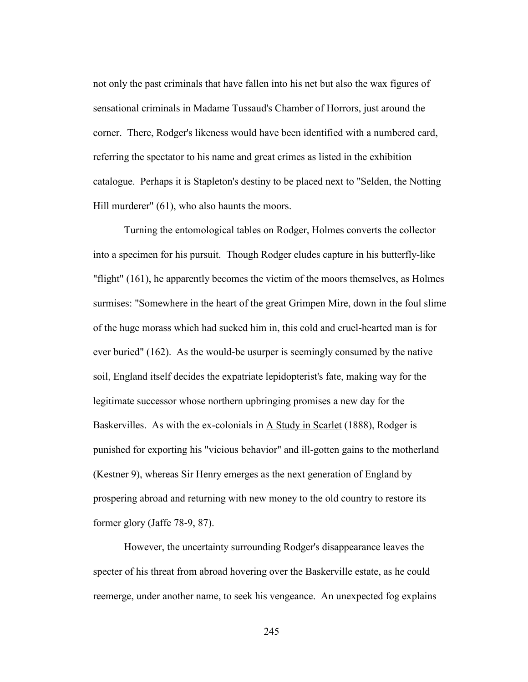not only the past criminals that have fallen into his net but also the wax figures of sensational criminals in Madame Tussaud's Chamber of Horrors, just around the corner. There, Rodger's likeness would have been identified with a numbered card, referring the spectator to his name and great crimes as listed in the exhibition catalogue. Perhaps it is Stapleton's destiny to be placed next to "Selden, the Notting Hill murderer" (61), who also haunts the moors.

 Turning the entomological tables on Rodger, Holmes converts the collector into a specimen for his pursuit. Though Rodger eludes capture in his butterfly-like "flight" (161), he apparently becomes the victim of the moors themselves, as Holmes surmises: "Somewhere in the heart of the great Grimpen Mire, down in the foul slime of the huge morass which had sucked him in, this cold and cruel-hearted man is for ever buried" (162). As the would-be usurper is seemingly consumed by the native soil, England itself decides the expatriate lepidopterist's fate, making way for the legitimate successor whose northern upbringing promises a new day for the Baskervilles. As with the ex-colonials in A Study in Scarlet (1888), Rodger is punished for exporting his "vicious behavior" and ill-gotten gains to the motherland (Kestner 9), whereas Sir Henry emerges as the next generation of England by prospering abroad and returning with new money to the old country to restore its former glory (Jaffe 78-9, 87).

 However, the uncertainty surrounding Rodger's disappearance leaves the specter of his threat from abroad hovering over the Baskerville estate, as he could reemerge, under another name, to seek his vengeance. An unexpected fog explains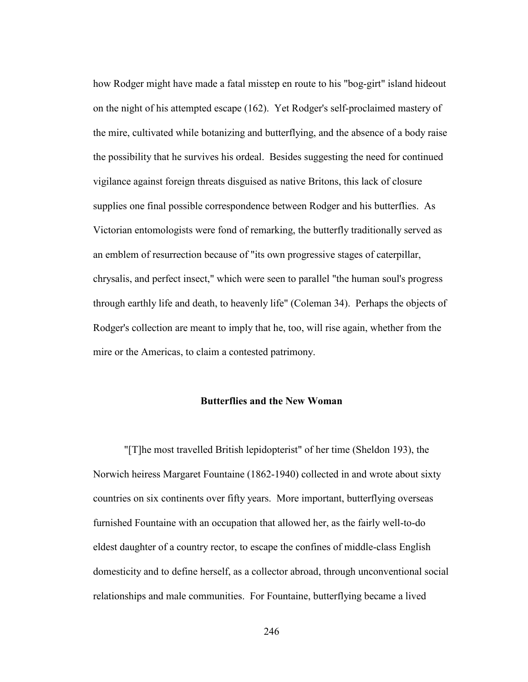how Rodger might have made a fatal misstep en route to his "bog-girt" island hideout on the night of his attempted escape (162). Yet Rodger's self-proclaimed mastery of the mire, cultivated while botanizing and butterflying, and the absence of a body raise the possibility that he survives his ordeal. Besides suggesting the need for continued vigilance against foreign threats disguised as native Britons, this lack of closure supplies one final possible correspondence between Rodger and his butterflies. As Victorian entomologists were fond of remarking, the butterfly traditionally served as an emblem of resurrection because of "its own progressive stages of caterpillar, chrysalis, and perfect insect," which were seen to parallel "the human soul's progress through earthly life and death, to heavenly life" (Coleman 34). Perhaps the objects of Rodger's collection are meant to imply that he, too, will rise again, whether from the mire or the Americas, to claim a contested patrimony.

## **Butterflies and the New Woman**

"[T]he most travelled British lepidopterist" of her time (Sheldon 193), the Norwich heiress Margaret Fountaine (1862-1940) collected in and wrote about sixty countries on six continents over fifty years. More important, butterflying overseas furnished Fountaine with an occupation that allowed her, as the fairly well-to-do eldest daughter of a country rector, to escape the confines of middle-class English domesticity and to define herself, as a collector abroad, through unconventional social relationships and male communities. For Fountaine, butterflying became a lived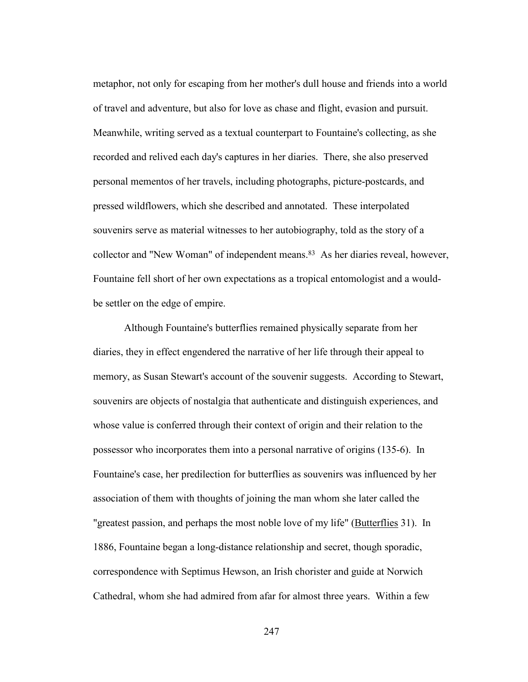metaphor, not only for escaping from her mother's dull house and friends into a world of travel and adventure, but also for love as chase and flight, evasion and pursuit. Meanwhile, writing served as a textual counterpart to Fountaine's collecting, as she recorded and relived each day's captures in her diaries. There, she also preserved personal mementos of her travels, including photographs, picture-postcards, and pressed wildflowers, which she described and annotated. These interpolated souvenirs serve as material witnesses to her autobiography, told as the story of a collector and "New Woman" of independent means.83 As her diaries reveal, however, Fountaine fell short of her own expectations as a tropical entomologist and a wouldbe settler on the edge of empire.

Although Fountaine's butterflies remained physically separate from her diaries, they in effect engendered the narrative of her life through their appeal to memory, as Susan Stewart's account of the souvenir suggests. According to Stewart, souvenirs are objects of nostalgia that authenticate and distinguish experiences, and whose value is conferred through their context of origin and their relation to the possessor who incorporates them into a personal narrative of origins (135-6). In Fountaine's case, her predilection for butterflies as souvenirs was influenced by her association of them with thoughts of joining the man whom she later called the "greatest passion, and perhaps the most noble love of my life" (Butterflies 31). In 1886, Fountaine began a long-distance relationship and secret, though sporadic, correspondence with Septimus Hewson, an Irish chorister and guide at Norwich Cathedral, whom she had admired from afar for almost three years. Within a few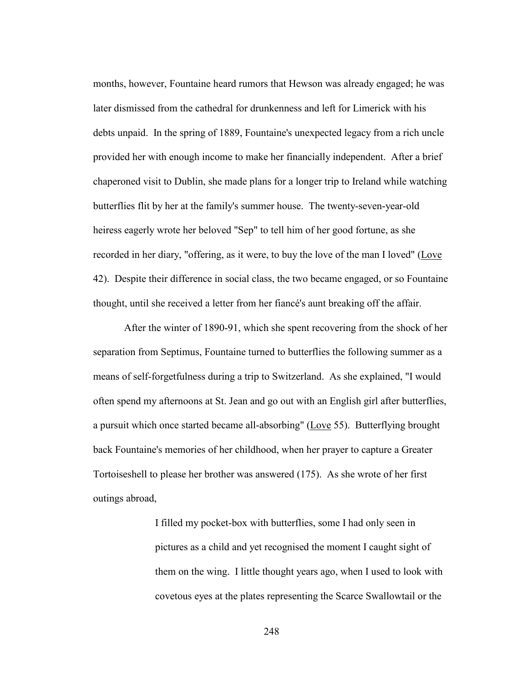months, however, Fountaine heard rumors that Hewson was already engaged; he was later dismissed from the cathedral for drunkenness and left for Limerick with his debts unpaid. In the spring of 1889, Fountaine's unexpected legacy from a rich uncle provided her with enough income to make her financially independent. After a brief chaperoned visit to Dublin, she made plans for a longer trip to Ireland while watching butterflies flit by her at the family's summer house. The twenty-seven-year-old heiress eagerly wrote her beloved "Sep" to tell him of her good fortune, as she recorded in her diary, "offering, as it were, to buy the love of the man I loved" (Love 42). Despite their difference in social class, the two became engaged, or so Fountaine thought, until she received a letter from her fiancé's aunt breaking off the affair.

 After the winter of 1890-91, which she spent recovering from the shock of her separation from Septimus, Fountaine turned to butterflies the following summer as a means of self-forgetfulness during a trip to Switzerland. As she explained, "I would often spend my afternoons at St. Jean and go out with an English girl after butterflies, a pursuit which once started became all-absorbing" (Love 55). Butterflying brought back Fountaine's memories of her childhood, when her prayer to capture a Greater Tortoiseshell to please her brother was answered (175). As she wrote of her first outings abroad,

> I filled my pocket-box with butterflies, some I had only seen in pictures as a child and yet recognised the moment I caught sight of them on the wing. I little thought years ago, when I used to look with covetous eyes at the plates representing the Scarce Swallowtail or the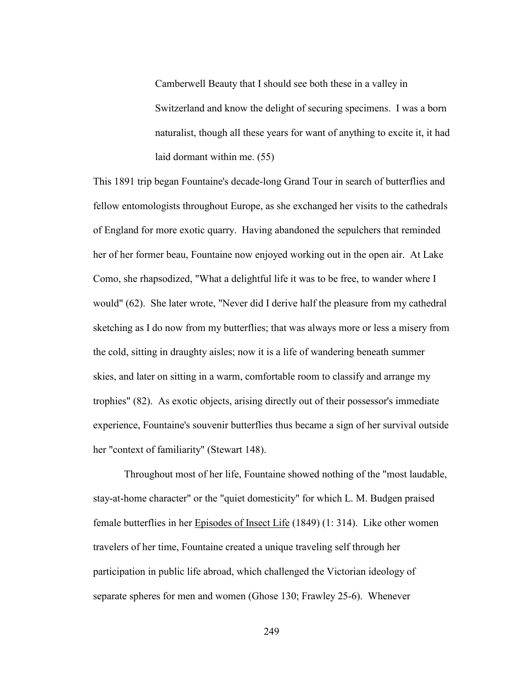Camberwell Beauty that I should see both these in a valley in Switzerland and know the delight of securing specimens. I was a born naturalist, though all these years for want of anything to excite it, it had laid dormant within me. (55)

This 1891 trip began Fountaine's decade-long Grand Tour in search of butterflies and fellow entomologists throughout Europe, as she exchanged her visits to the cathedrals of England for more exotic quarry. Having abandoned the sepulchers that reminded her of her former beau, Fountaine now enjoyed working out in the open air. At Lake Como, she rhapsodized, "What a delightful life it was to be free, to wander where I would" (62). She later wrote, "Never did I derive half the pleasure from my cathedral sketching as I do now from my butterflies; that was always more or less a misery from the cold, sitting in draughty aisles; now it is a life of wandering beneath summer skies, and later on sitting in a warm, comfortable room to classify and arrange my trophies" (82). As exotic objects, arising directly out of their possessor's immediate experience, Fountaine's souvenir butterflies thus became a sign of her survival outside her "context of familiarity" (Stewart 148).

 Throughout most of her life, Fountaine showed nothing of the "most laudable, stay-at-home character" or the "quiet domesticity" for which L. M. Budgen praised female butterflies in her Episodes of Insect Life (1849) (1: 314). Like other women travelers of her time, Fountaine created a unique traveling self through her participation in public life abroad, which challenged the Victorian ideology of separate spheres for men and women (Ghose 130; Frawley 25-6). Whenever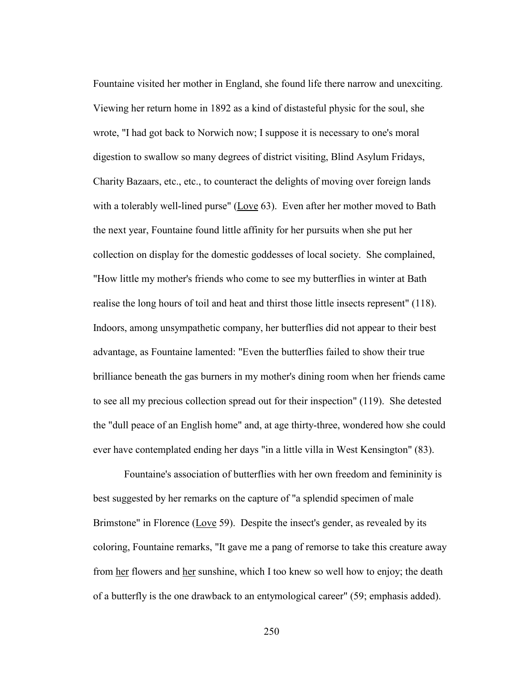Fountaine visited her mother in England, she found life there narrow and unexciting. Viewing her return home in 1892 as a kind of distasteful physic for the soul, she wrote, "I had got back to Norwich now; I suppose it is necessary to one's moral digestion to swallow so many degrees of district visiting, Blind Asylum Fridays, Charity Bazaars, etc., etc., to counteract the delights of moving over foreign lands with a tolerably well-lined purse" (Love 63). Even after her mother moved to Bath the next year, Fountaine found little affinity for her pursuits when she put her collection on display for the domestic goddesses of local society. She complained, "How little my mother's friends who come to see my butterflies in winter at Bath realise the long hours of toil and heat and thirst those little insects represent" (118). Indoors, among unsympathetic company, her butterflies did not appear to their best advantage, as Fountaine lamented: "Even the butterflies failed to show their true brilliance beneath the gas burners in my mother's dining room when her friends came to see all my precious collection spread out for their inspection" (119). She detested the "dull peace of an English home" and, at age thirty-three, wondered how she could ever have contemplated ending her days "in a little villa in West Kensington" (83).

 Fountaine's association of butterflies with her own freedom and femininity is best suggested by her remarks on the capture of "a splendid specimen of male Brimstone" in Florence (Love 59). Despite the insect's gender, as revealed by its coloring, Fountaine remarks, "It gave me a pang of remorse to take this creature away from her flowers and her sunshine, which I too knew so well how to enjoy; the death of a butterfly is the one drawback to an entymological career" (59; emphasis added).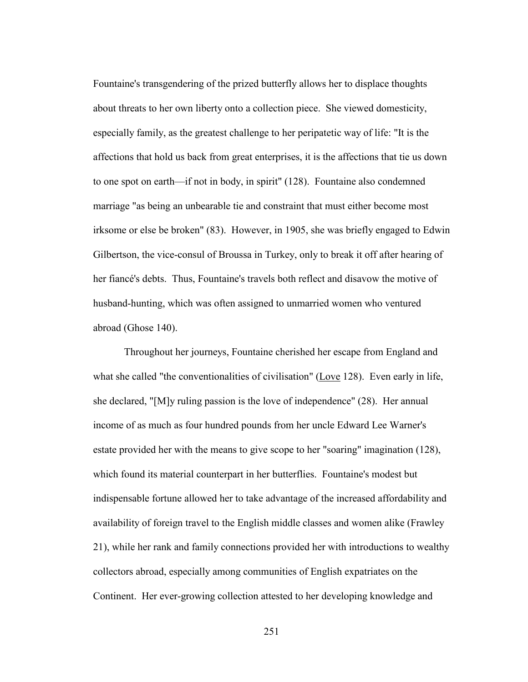Fountaine's transgendering of the prized butterfly allows her to displace thoughts about threats to her own liberty onto a collection piece. She viewed domesticity, especially family, as the greatest challenge to her peripatetic way of life: "It is the affections that hold us back from great enterprises, it is the affections that tie us down to one spot on earth—if not in body, in spirit" (128). Fountaine also condemned marriage "as being an unbearable tie and constraint that must either become most irksome or else be broken" (83). However, in 1905, she was briefly engaged to Edwin Gilbertson, the vice-consul of Broussa in Turkey, only to break it off after hearing of her fiancé's debts. Thus, Fountaine's travels both reflect and disavow the motive of husband-hunting, which was often assigned to unmarried women who ventured abroad (Ghose 140).

 Throughout her journeys, Fountaine cherished her escape from England and what she called "the conventionalities of civilisation" (Love 128). Even early in life, she declared, "[M]y ruling passion is the love of independence" (28). Her annual income of as much as four hundred pounds from her uncle Edward Lee Warner's estate provided her with the means to give scope to her "soaring" imagination (128), which found its material counterpart in her butterflies. Fountaine's modest but indispensable fortune allowed her to take advantage of the increased affordability and availability of foreign travel to the English middle classes and women alike (Frawley 21), while her rank and family connections provided her with introductions to wealthy collectors abroad, especially among communities of English expatriates on the Continent. Her ever-growing collection attested to her developing knowledge and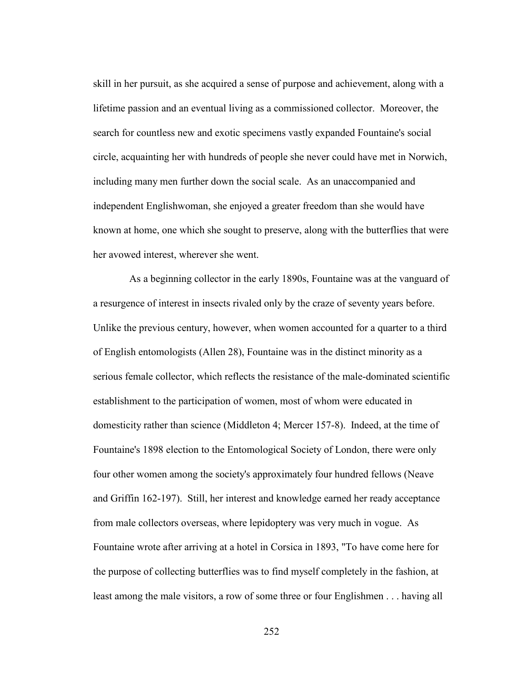skill in her pursuit, as she acquired a sense of purpose and achievement, along with a lifetime passion and an eventual living as a commissioned collector. Moreover, the search for countless new and exotic specimens vastly expanded Fountaine's social circle, acquainting her with hundreds of people she never could have met in Norwich, including many men further down the social scale. As an unaccompanied and independent Englishwoman, she enjoyed a greater freedom than she would have known at home, one which she sought to preserve, along with the butterflies that were her avowed interest, wherever she went.

As a beginning collector in the early 1890s, Fountaine was at the vanguard of a resurgence of interest in insects rivaled only by the craze of seventy years before. Unlike the previous century, however, when women accounted for a quarter to a third of English entomologists (Allen 28), Fountaine was in the distinct minority as a serious female collector, which reflects the resistance of the male-dominated scientific establishment to the participation of women, most of whom were educated in domesticity rather than science (Middleton 4; Mercer 157-8). Indeed, at the time of Fountaine's 1898 election to the Entomological Society of London, there were only four other women among the society's approximately four hundred fellows (Neave and Griffin 162-197). Still, her interest and knowledge earned her ready acceptance from male collectors overseas, where lepidoptery was very much in vogue. As Fountaine wrote after arriving at a hotel in Corsica in 1893, "To have come here for the purpose of collecting butterflies was to find myself completely in the fashion, at least among the male visitors, a row of some three or four Englishmen . . . having all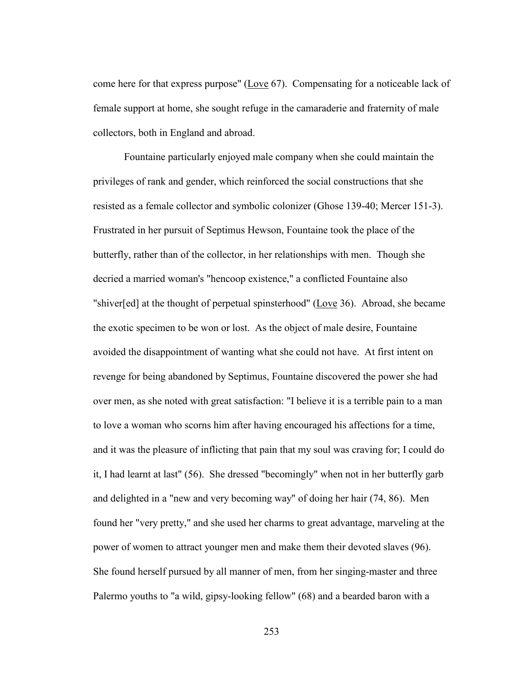come here for that express purpose" (Love 67). Compensating for a noticeable lack of female support at home, she sought refuge in the camaraderie and fraternity of male collectors, both in England and abroad.

 Fountaine particularly enjoyed male company when she could maintain the privileges of rank and gender, which reinforced the social constructions that she resisted as a female collector and symbolic colonizer (Ghose 139-40; Mercer 151-3). Frustrated in her pursuit of Septimus Hewson, Fountaine took the place of the butterfly, rather than of the collector, in her relationships with men. Though she decried a married woman's "hencoop existence," a conflicted Fountaine also "shiver[ed] at the thought of perpetual spinsterhood" (Love 36). Abroad, she became the exotic specimen to be won or lost. As the object of male desire, Fountaine avoided the disappointment of wanting what she could not have. At first intent on revenge for being abandoned by Septimus, Fountaine discovered the power she had over men, as she noted with great satisfaction: "I believe it is a terrible pain to a man to love a woman who scorns him after having encouraged his affections for a time, and it was the pleasure of inflicting that pain that my soul was craving for; I could do it, I had learnt at last" (56). She dressed "becomingly" when not in her butterfly garb and delighted in a "new and very becoming way" of doing her hair (74, 86). Men found her "very pretty," and she used her charms to great advantage, marveling at the power of women to attract younger men and make them their devoted slaves (96). She found herself pursued by all manner of men, from her singing-master and three Palermo youths to "a wild, gipsy-looking fellow" (68) and a bearded baron with a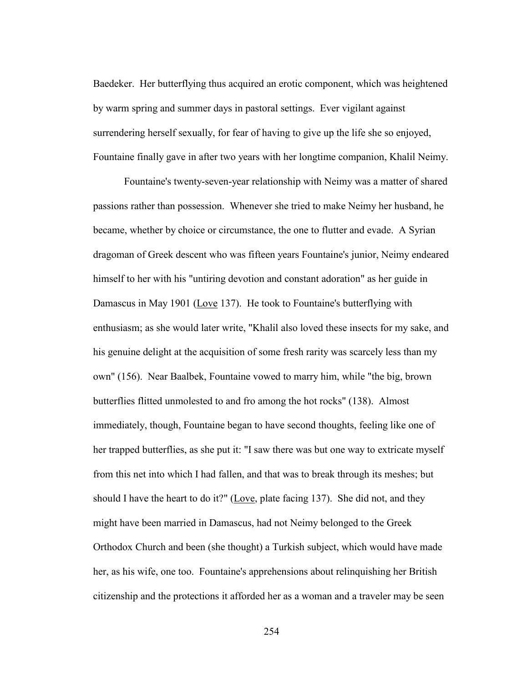Baedeker. Her butterflying thus acquired an erotic component, which was heightened by warm spring and summer days in pastoral settings. Ever vigilant against surrendering herself sexually, for fear of having to give up the life she so enjoyed, Fountaine finally gave in after two years with her longtime companion, Khalil Neimy.

 Fountaine's twenty-seven-year relationship with Neimy was a matter of shared passions rather than possession. Whenever she tried to make Neimy her husband, he became, whether by choice or circumstance, the one to flutter and evade. A Syrian dragoman of Greek descent who was fifteen years Fountaine's junior, Neimy endeared himself to her with his "untiring devotion and constant adoration" as her guide in Damascus in May 1901 (Love 137). He took to Fountaine's butterflying with enthusiasm; as she would later write, "Khalil also loved these insects for my sake, and his genuine delight at the acquisition of some fresh rarity was scarcely less than my own" (156). Near Baalbek, Fountaine vowed to marry him, while "the big, brown butterflies flitted unmolested to and fro among the hot rocks" (138). Almost immediately, though, Fountaine began to have second thoughts, feeling like one of her trapped butterflies, as she put it: "I saw there was but one way to extricate myself from this net into which I had fallen, and that was to break through its meshes; but should I have the heart to do it?" (Love, plate facing 137). She did not, and they might have been married in Damascus, had not Neimy belonged to the Greek Orthodox Church and been (she thought) a Turkish subject, which would have made her, as his wife, one too. Fountaine's apprehensions about relinquishing her British citizenship and the protections it afforded her as a woman and a traveler may be seen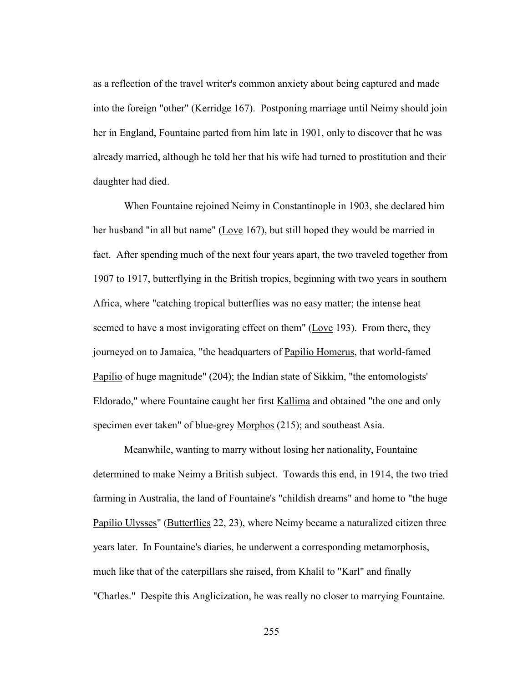as a reflection of the travel writer's common anxiety about being captured and made into the foreign "other" (Kerridge 167). Postponing marriage until Neimy should join her in England, Fountaine parted from him late in 1901, only to discover that he was already married, although he told her that his wife had turned to prostitution and their daughter had died.

When Fountaine rejoined Neimy in Constantinople in 1903, she declared him her husband "in all but name" (Love 167), but still hoped they would be married in fact. After spending much of the next four years apart, the two traveled together from 1907 to 1917, butterflying in the British tropics, beginning with two years in southern Africa, where "catching tropical butterflies was no easy matter; the intense heat seemed to have a most invigorating effect on them" (Love 193). From there, they journeyed on to Jamaica, "the headquarters of Papilio Homerus, that world-famed Papilio of huge magnitude" (204); the Indian state of Sikkim, "the entomologists' Eldorado," where Fountaine caught her first Kallima and obtained "the one and only specimen ever taken" of blue-grey Morphos (215); and southeast Asia.

Meanwhile, wanting to marry without losing her nationality, Fountaine determined to make Neimy a British subject. Towards this end, in 1914, the two tried farming in Australia, the land of Fountaine's "childish dreams" and home to "the huge Papilio Ulysses" (Butterflies 22, 23), where Neimy became a naturalized citizen three years later. In Fountaine's diaries, he underwent a corresponding metamorphosis, much like that of the caterpillars she raised, from Khalil to "Karl" and finally "Charles." Despite this Anglicization, he was really no closer to marrying Fountaine.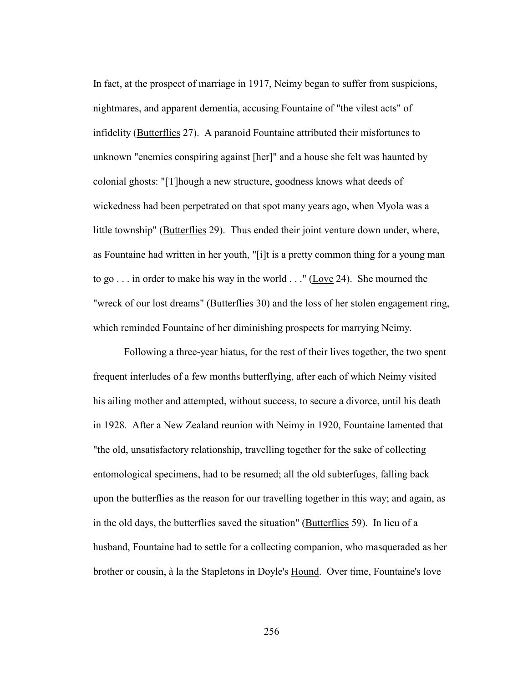In fact, at the prospect of marriage in 1917, Neimy began to suffer from suspicions, nightmares, and apparent dementia, accusing Fountaine of "the vilest acts" of infidelity (Butterflies 27). A paranoid Fountaine attributed their misfortunes to unknown "enemies conspiring against [her]" and a house she felt was haunted by colonial ghosts: "[T]hough a new structure, goodness knows what deeds of wickedness had been perpetrated on that spot many years ago, when Myola was a little township" (Butterflies 29). Thus ended their joint venture down under, where, as Fountaine had written in her youth, "[i]t is a pretty common thing for a young man to go . . . in order to make his way in the world . . ." (Love 24). She mourned the "wreck of our lost dreams" (Butterflies 30) and the loss of her stolen engagement ring, which reminded Fountaine of her diminishing prospects for marrying Neimy.

Following a three-year hiatus, for the rest of their lives together, the two spent frequent interludes of a few months butterflying, after each of which Neimy visited his ailing mother and attempted, without success, to secure a divorce, until his death in 1928. After a New Zealand reunion with Neimy in 1920, Fountaine lamented that "the old, unsatisfactory relationship, travelling together for the sake of collecting entomological specimens, had to be resumed; all the old subterfuges, falling back upon the butterflies as the reason for our travelling together in this way; and again, as in the old days, the butterflies saved the situation" (Butterflies 59). In lieu of a husband, Fountaine had to settle for a collecting companion, who masqueraded as her brother or cousin, à la the Stapletons in Doyle's Hound. Over time, Fountaine's love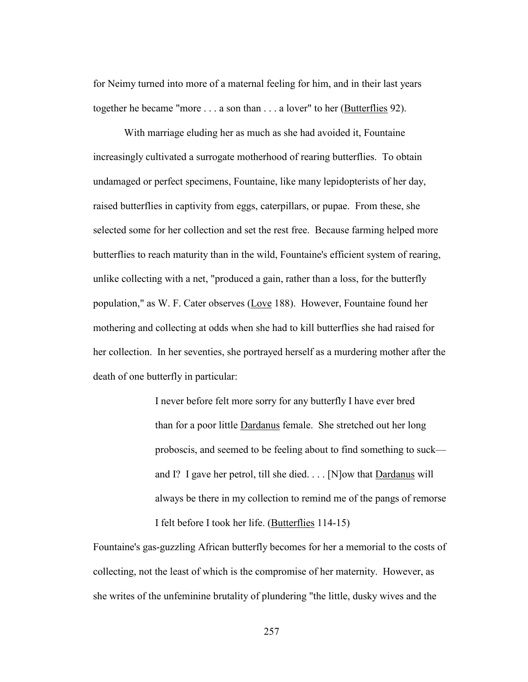for Neimy turned into more of a maternal feeling for him, and in their last years together he became "more . . . a son than . . . a lover" to her (Butterflies 92).

 With marriage eluding her as much as she had avoided it, Fountaine increasingly cultivated a surrogate motherhood of rearing butterflies. To obtain undamaged or perfect specimens, Fountaine, like many lepidopterists of her day, raised butterflies in captivity from eggs, caterpillars, or pupae. From these, she selected some for her collection and set the rest free. Because farming helped more butterflies to reach maturity than in the wild, Fountaine's efficient system of rearing, unlike collecting with a net, "produced a gain, rather than a loss, for the butterfly population," as W. F. Cater observes (Love 188). However, Fountaine found her mothering and collecting at odds when she had to kill butterflies she had raised for her collection. In her seventies, she portrayed herself as a murdering mother after the death of one butterfly in particular:

> I never before felt more sorry for any butterfly I have ever bred than for a poor little Dardanus female. She stretched out her long proboscis, and seemed to be feeling about to find something to suck and I? I gave her petrol, till she died. . . . [N]ow that Dardanus will always be there in my collection to remind me of the pangs of remorse I felt before I took her life. (Butterflies 114-15)

Fountaine's gas-guzzling African butterfly becomes for her a memorial to the costs of collecting, not the least of which is the compromise of her maternity. However, as she writes of the unfeminine brutality of plundering "the little, dusky wives and the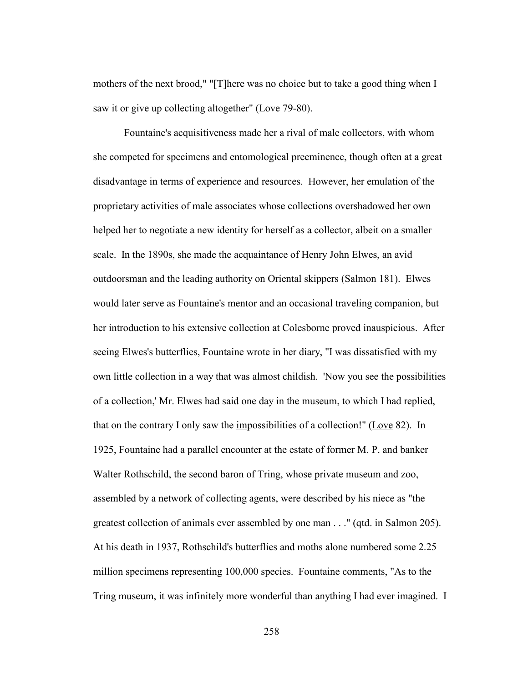mothers of the next brood," "[T]here was no choice but to take a good thing when I saw it or give up collecting altogether" (Love 79-80).

 Fountaine's acquisitiveness made her a rival of male collectors, with whom she competed for specimens and entomological preeminence, though often at a great disadvantage in terms of experience and resources. However, her emulation of the proprietary activities of male associates whose collections overshadowed her own helped her to negotiate a new identity for herself as a collector, albeit on a smaller scale. In the 1890s, she made the acquaintance of Henry John Elwes, an avid outdoorsman and the leading authority on Oriental skippers (Salmon 181). Elwes would later serve as Fountaine's mentor and an occasional traveling companion, but her introduction to his extensive collection at Colesborne proved inauspicious. After seeing Elwes's butterflies, Fountaine wrote in her diary, "I was dissatisfied with my own little collection in a way that was almost childish. 'Now you see the possibilities of a collection,' Mr. Elwes had said one day in the museum, to which I had replied, that on the contrary I only saw the impossibilities of a collection!" (Love 82). In 1925, Fountaine had a parallel encounter at the estate of former M. P. and banker Walter Rothschild, the second baron of Tring, whose private museum and zoo, assembled by a network of collecting agents, were described by his niece as "the greatest collection of animals ever assembled by one man . . ." (qtd. in Salmon 205). At his death in 1937, Rothschild's butterflies and moths alone numbered some 2.25 million specimens representing 100,000 species. Fountaine comments, "As to the Tring museum, it was infinitely more wonderful than anything I had ever imagined. I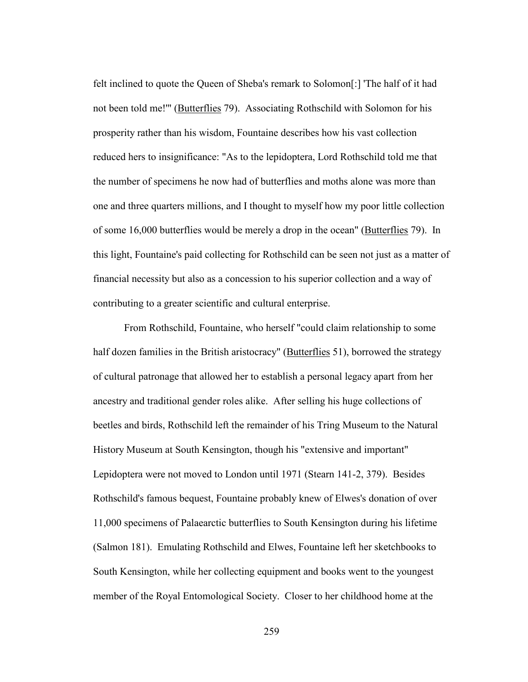felt inclined to quote the Queen of Sheba's remark to Solomon[:] 'The half of it had not been told me!" (Butterflies 79). Associating Rothschild with Solomon for his prosperity rather than his wisdom, Fountaine describes how his vast collection reduced hers to insignificance: "As to the lepidoptera, Lord Rothschild told me that the number of specimens he now had of butterflies and moths alone was more than one and three quarters millions, and I thought to myself how my poor little collection of some 16,000 butterflies would be merely a drop in the ocean" (Butterflies 79). In this light, Fountaine's paid collecting for Rothschild can be seen not just as a matter of financial necessity but also as a concession to his superior collection and a way of contributing to a greater scientific and cultural enterprise.

 From Rothschild, Fountaine, who herself "could claim relationship to some half dozen families in the British aristocracy" (Butterflies 51), borrowed the strategy of cultural patronage that allowed her to establish a personal legacy apart from her ancestry and traditional gender roles alike. After selling his huge collections of beetles and birds, Rothschild left the remainder of his Tring Museum to the Natural History Museum at South Kensington, though his "extensive and important" Lepidoptera were not moved to London until 1971 (Stearn 141-2, 379). Besides Rothschild's famous bequest, Fountaine probably knew of Elwes's donation of over 11,000 specimens of Palaearctic butterflies to South Kensington during his lifetime (Salmon 181). Emulating Rothschild and Elwes, Fountaine left her sketchbooks to South Kensington, while her collecting equipment and books went to the youngest member of the Royal Entomological Society. Closer to her childhood home at the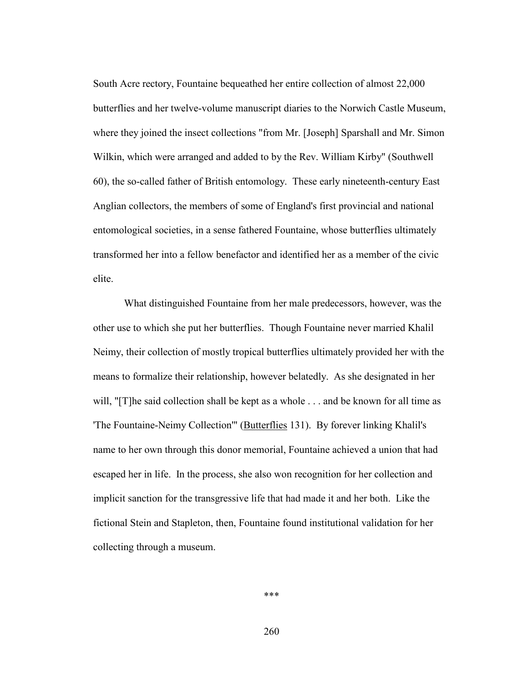South Acre rectory, Fountaine bequeathed her entire collection of almost 22,000 butterflies and her twelve-volume manuscript diaries to the Norwich Castle Museum, where they joined the insect collections "from Mr. [Joseph] Sparshall and Mr. Simon Wilkin, which were arranged and added to by the Rev. William Kirby" (Southwell 60), the so-called father of British entomology. These early nineteenth-century East Anglian collectors, the members of some of England's first provincial and national entomological societies, in a sense fathered Fountaine, whose butterflies ultimately transformed her into a fellow benefactor and identified her as a member of the civic elite.

 What distinguished Fountaine from her male predecessors, however, was the other use to which she put her butterflies. Though Fountaine never married Khalil Neimy, their collection of mostly tropical butterflies ultimately provided her with the means to formalize their relationship, however belatedly. As she designated in her will, "[T]he said collection shall be kept as a whole . . . and be known for all time as 'The Fountaine-Neimy Collection'" (Butterflies 131). By forever linking Khalil's name to her own through this donor memorial, Fountaine achieved a union that had escaped her in life. In the process, she also won recognition for her collection and implicit sanction for the transgressive life that had made it and her both. Like the fictional Stein and Stapleton, then, Fountaine found institutional validation for her collecting through a museum.

\*\*\*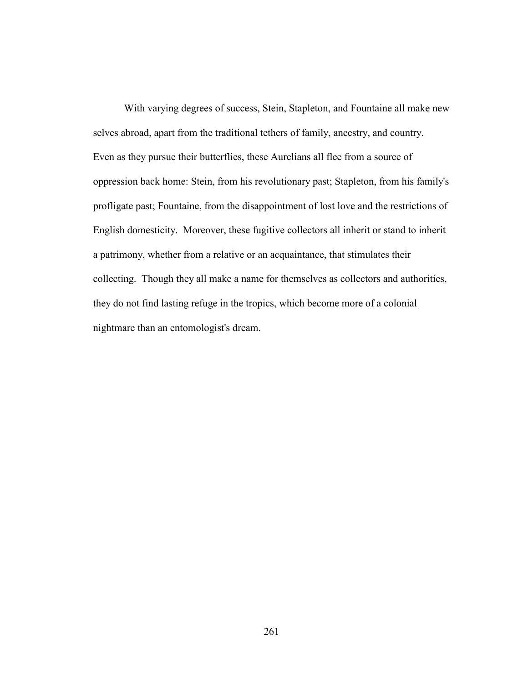With varying degrees of success, Stein, Stapleton, and Fountaine all make new selves abroad, apart from the traditional tethers of family, ancestry, and country. Even as they pursue their butterflies, these Aurelians all flee from a source of oppression back home: Stein, from his revolutionary past; Stapleton, from his family's profligate past; Fountaine, from the disappointment of lost love and the restrictions of English domesticity. Moreover, these fugitive collectors all inherit or stand to inherit a patrimony, whether from a relative or an acquaintance, that stimulates their collecting. Though they all make a name for themselves as collectors and authorities, they do not find lasting refuge in the tropics, which become more of a colonial nightmare than an entomologist's dream.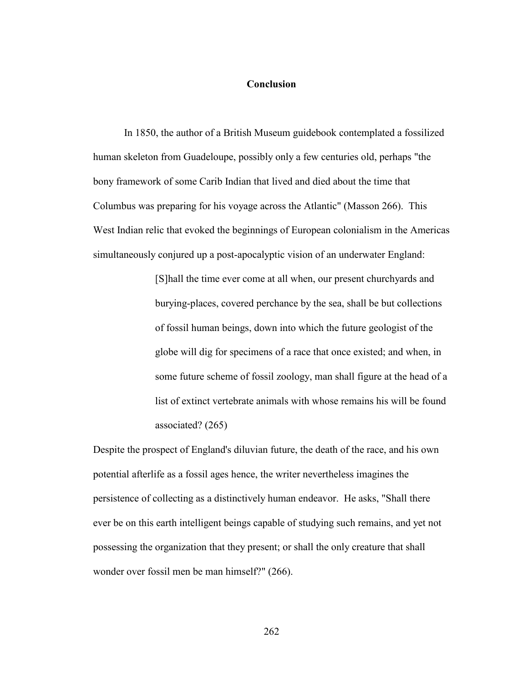## **Conclusion**

In 1850, the author of a British Museum guidebook contemplated a fossilized human skeleton from Guadeloupe, possibly only a few centuries old, perhaps "the bony framework of some Carib Indian that lived and died about the time that Columbus was preparing for his voyage across the Atlantic" (Masson 266). This West Indian relic that evoked the beginnings of European colonialism in the Americas simultaneously conjured up a post-apocalyptic vision of an underwater England:

> [S]hall the time ever come at all when, our present churchyards and burying-places, covered perchance by the sea, shall be but collections of fossil human beings, down into which the future geologist of the globe will dig for specimens of a race that once existed; and when, in some future scheme of fossil zoology, man shall figure at the head of a list of extinct vertebrate animals with whose remains his will be found associated? (265)

Despite the prospect of England's diluvian future, the death of the race, and his own potential afterlife as a fossil ages hence, the writer nevertheless imagines the persistence of collecting as a distinctively human endeavor. He asks, "Shall there ever be on this earth intelligent beings capable of studying such remains, and yet not possessing the organization that they present; or shall the only creature that shall wonder over fossil men be man himself?" (266).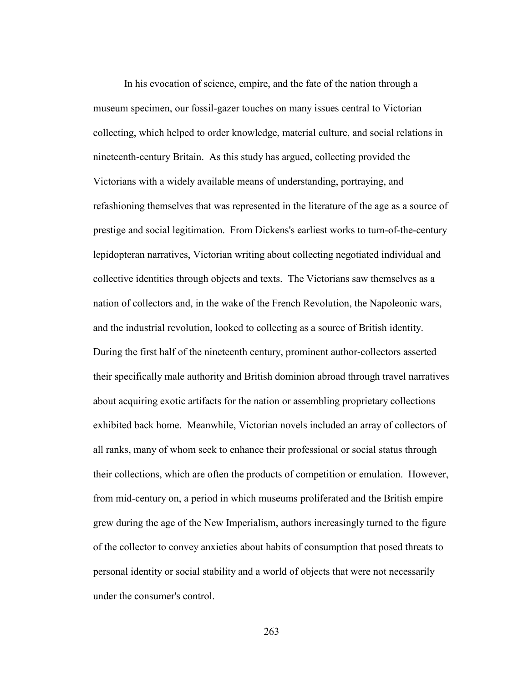In his evocation of science, empire, and the fate of the nation through a museum specimen, our fossil-gazer touches on many issues central to Victorian collecting, which helped to order knowledge, material culture, and social relations in nineteenth-century Britain. As this study has argued, collecting provided the Victorians with a widely available means of understanding, portraying, and refashioning themselves that was represented in the literature of the age as a source of prestige and social legitimation. From Dickens's earliest works to turn-of-the-century lepidopteran narratives, Victorian writing about collecting negotiated individual and collective identities through objects and texts. The Victorians saw themselves as a nation of collectors and, in the wake of the French Revolution, the Napoleonic wars, and the industrial revolution, looked to collecting as a source of British identity. During the first half of the nineteenth century, prominent author-collectors asserted their specifically male authority and British dominion abroad through travel narratives about acquiring exotic artifacts for the nation or assembling proprietary collections exhibited back home. Meanwhile, Victorian novels included an array of collectors of all ranks, many of whom seek to enhance their professional or social status through their collections, which are often the products of competition or emulation. However, from mid-century on, a period in which museums proliferated and the British empire grew during the age of the New Imperialism, authors increasingly turned to the figure of the collector to convey anxieties about habits of consumption that posed threats to personal identity or social stability and a world of objects that were not necessarily under the consumer's control.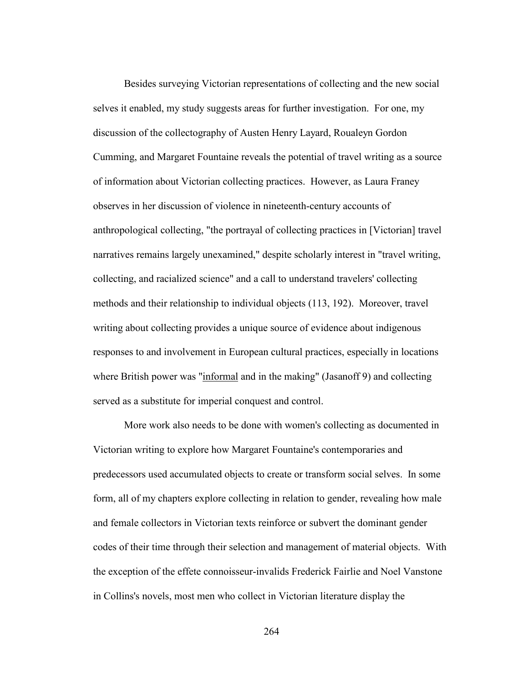Besides surveying Victorian representations of collecting and the new social selves it enabled, my study suggests areas for further investigation. For one, my discussion of the collectography of Austen Henry Layard, Roualeyn Gordon Cumming, and Margaret Fountaine reveals the potential of travel writing as a source of information about Victorian collecting practices. However, as Laura Franey observes in her discussion of violence in nineteenth-century accounts of anthropological collecting, "the portrayal of collecting practices in [Victorian] travel narratives remains largely unexamined," despite scholarly interest in "travel writing, collecting, and racialized science" and a call to understand travelers' collecting methods and their relationship to individual objects (113, 192). Moreover, travel writing about collecting provides a unique source of evidence about indigenous responses to and involvement in European cultural practices, especially in locations where British power was "informal and in the making" (Jasanoff 9) and collecting served as a substitute for imperial conquest and control.

 More work also needs to be done with women's collecting as documented in Victorian writing to explore how Margaret Fountaine's contemporaries and predecessors used accumulated objects to create or transform social selves. In some form, all of my chapters explore collecting in relation to gender, revealing how male and female collectors in Victorian texts reinforce or subvert the dominant gender codes of their time through their selection and management of material objects. With the exception of the effete connoisseur-invalids Frederick Fairlie and Noel Vanstone in Collins's novels, most men who collect in Victorian literature display the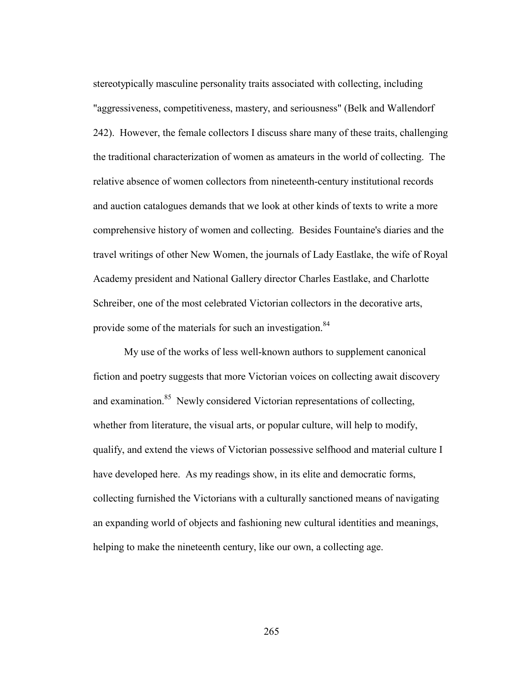stereotypically masculine personality traits associated with collecting, including "aggressiveness, competitiveness, mastery, and seriousness" (Belk and Wallendorf 242). However, the female collectors I discuss share many of these traits, challenging the traditional characterization of women as amateurs in the world of collecting. The relative absence of women collectors from nineteenth-century institutional records and auction catalogues demands that we look at other kinds of texts to write a more comprehensive history of women and collecting. Besides Fountaine's diaries and the travel writings of other New Women, the journals of Lady Eastlake, the wife of Royal Academy president and National Gallery director Charles Eastlake, and Charlotte Schreiber, one of the most celebrated Victorian collectors in the decorative arts, provide some of the materials for such an investigation.<sup>84</sup>

My use of the works of less well-known authors to supplement canonical fiction and poetry suggests that more Victorian voices on collecting await discovery and examination.<sup>85</sup> Newly considered Victorian representations of collecting, whether from literature, the visual arts, or popular culture, will help to modify, qualify, and extend the views of Victorian possessive selfhood and material culture I have developed here. As my readings show, in its elite and democratic forms, collecting furnished the Victorians with a culturally sanctioned means of navigating an expanding world of objects and fashioning new cultural identities and meanings, helping to make the nineteenth century, like our own, a collecting age.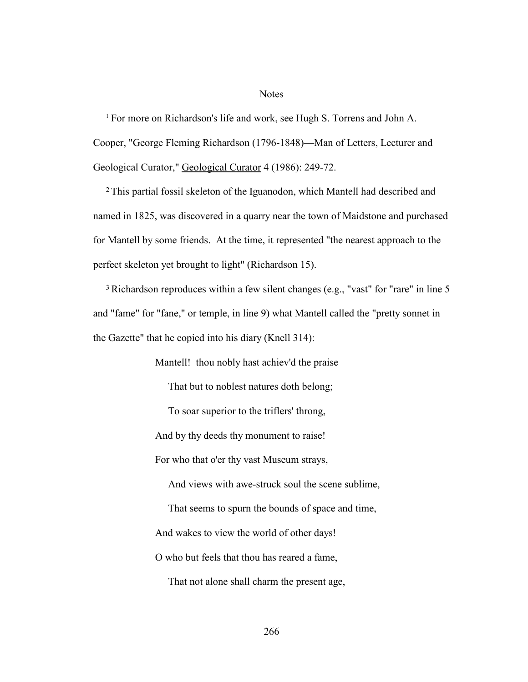## Notes

<sup>1</sup> For more on Richardson's life and work, see Hugh S. Torrens and John A. Cooper, "George Fleming Richardson (1796-1848)—Man of Letters, Lecturer and Geological Curator," Geological Curator 4 (1986): 249-72.

2This partial fossil skeleton of the Iguanodon, which Mantell had described and named in 1825, was discovered in a quarry near the town of Maidstone and purchased for Mantell by some friends. At the time, it represented "the nearest approach to the perfect skeleton yet brought to light" (Richardson 15).

<sup>3</sup> Richardson reproduces within a few silent changes (e.g., "vast" for "rare" in line 5 and "fame" for "fane," or temple, in line 9) what Mantell called the "pretty sonnet in the Gazette" that he copied into his diary (Knell 314):

> Mantell! thou nobly hast achiev'd the praise That but to noblest natures doth belong; To soar superior to the triflers' throng, And by thy deeds thy monument to raise! For who that o'er thy vast Museum strays, And views with awe-struck soul the scene sublime, That seems to spurn the bounds of space and time, And wakes to view the world of other days! O who but feels that thou has reared a fame, That not alone shall charm the present age,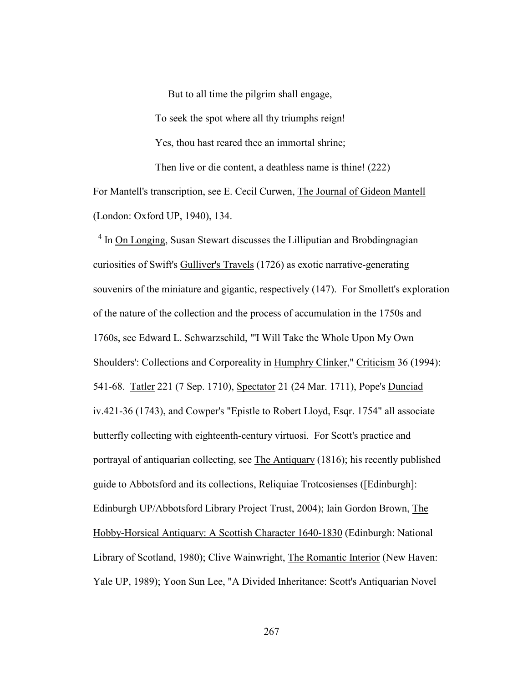But to all time the pilgrim shall engage, To seek the spot where all thy triumphs reign! Yes, thou hast reared thee an immortal shrine; Then live or die content, a deathless name is thine! (222) For Mantell's transcription, see E. Cecil Curwen, The Journal of Gideon Mantell

(London: Oxford UP, 1940), 134.

<sup>4</sup> In On Longing, Susan Stewart discusses the Lilliputian and Brobdingnagian curiosities of Swift's Gulliver's Travels (1726) as exotic narrative-generating souvenirs of the miniature and gigantic, respectively (147). For Smollett's exploration of the nature of the collection and the process of accumulation in the 1750s and 1760s, see Edward L. Schwarzschild, "'I Will Take the Whole Upon My Own Shoulders': Collections and Corporeality in Humphry Clinker," Criticism 36 (1994): 541-68. Tatler 221 (7 Sep. 1710), Spectator 21 (24 Mar. 1711), Pope's Dunciad iv.421-36 (1743), and Cowper's "Epistle to Robert Lloyd, Esqr. 1754" all associate butterfly collecting with eighteenth-century virtuosi. For Scott's practice and portrayal of antiquarian collecting, see The Antiquary (1816); his recently published guide to Abbotsford and its collections, Reliquiae Trotcosienses ([Edinburgh]: Edinburgh UP/Abbotsford Library Project Trust, 2004); Iain Gordon Brown, The Hobby-Horsical Antiquary: A Scottish Character 1640-1830 (Edinburgh: National Library of Scotland, 1980); Clive Wainwright, The Romantic Interior (New Haven: Yale UP, 1989); Yoon Sun Lee, "A Divided Inheritance: Scott's Antiquarian Novel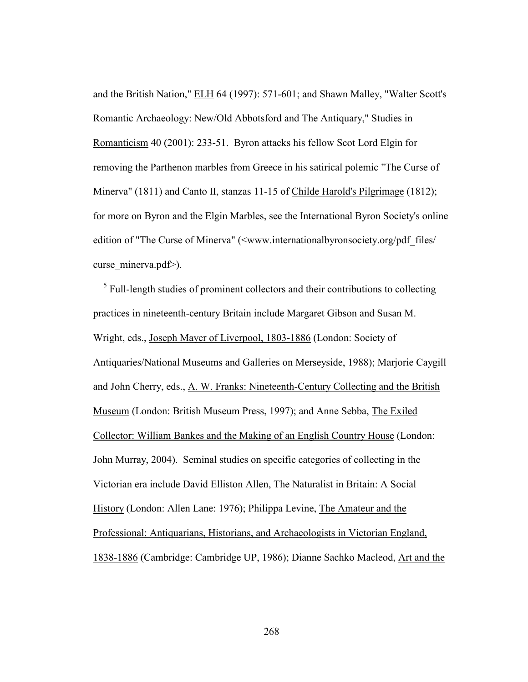and the British Nation," ELH 64 (1997): 571-601; and Shawn Malley, "Walter Scott's Romantic Archaeology: New/Old Abbotsford and The Antiquary," Studies in Romanticism 40 (2001): 233-51. Byron attacks his fellow Scot Lord Elgin for removing the Parthenon marbles from Greece in his satirical polemic "The Curse of Minerva" (1811) and Canto II, stanzas 11-15 of Childe Harold's Pilgrimage (1812); for more on Byron and the Elgin Marbles, see the International Byron Society's online edition of "The Curse of Minerva" (<www.internationalbyronsociety.org/pdf\_files/ curse minerva.pdf>).

<sup>5</sup> Full-length studies of prominent collectors and their contributions to collecting practices in nineteenth-century Britain include Margaret Gibson and Susan M. Wright, eds., Joseph Mayer of Liverpool, 1803-1886 (London: Society of Antiquaries/National Museums and Galleries on Merseyside, 1988); Marjorie Caygill and John Cherry, eds., A. W. Franks: Nineteenth-Century Collecting and the British Museum (London: British Museum Press, 1997); and Anne Sebba, The Exiled Collector: William Bankes and the Making of an English Country House (London: John Murray, 2004). Seminal studies on specific categories of collecting in the Victorian era include David Elliston Allen, The Naturalist in Britain: A Social History (London: Allen Lane: 1976); Philippa Levine, The Amateur and the Professional: Antiquarians, Historians, and Archaeologists in Victorian England, 1838-1886 (Cambridge: Cambridge UP, 1986); Dianne Sachko Macleod, Art and the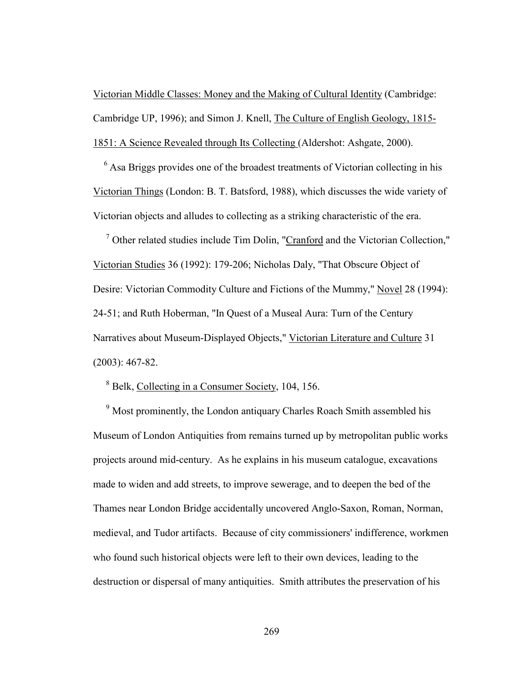Victorian Middle Classes: Money and the Making of Cultural Identity (Cambridge: Cambridge UP, 1996); and Simon J. Knell, The Culture of English Geology, 1815- 1851: A Science Revealed through Its Collecting (Aldershot: Ashgate, 2000).

 $<sup>6</sup>$  Asa Briggs provides one of the broadest treatments of Victorian collecting in his</sup> Victorian Things (London: B. T. Batsford, 1988), which discusses the wide variety of Victorian objects and alludes to collecting as a striking characteristic of the era.

<sup>7</sup> Other related studies include Tim Dolin, "Cranford and the Victorian Collection," Victorian Studies 36 (1992): 179-206; Nicholas Daly, "That Obscure Object of Desire: Victorian Commodity Culture and Fictions of the Mummy," Novel 28 (1994): 24-51; and Ruth Hoberman, "In Quest of a Museal Aura: Turn of the Century Narratives about Museum-Displayed Objects," Victorian Literature and Culture 31 (2003): 467-82.

<sup>8</sup> Belk, Collecting in a Consumer Society, 104, 156.

<sup>9</sup> Most prominently, the London antiquary Charles Roach Smith assembled his Museum of London Antiquities from remains turned up by metropolitan public works projects around mid-century. As he explains in his museum catalogue, excavations made to widen and add streets, to improve sewerage, and to deepen the bed of the Thames near London Bridge accidentally uncovered Anglo-Saxon, Roman, Norman, medieval, and Tudor artifacts. Because of city commissioners' indifference, workmen who found such historical objects were left to their own devices, leading to the destruction or dispersal of many antiquities. Smith attributes the preservation of his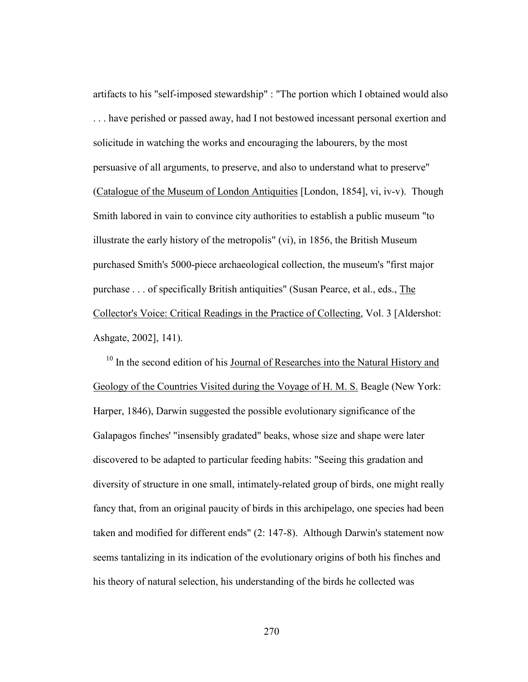artifacts to his "self-imposed stewardship" : "The portion which I obtained would also . . . have perished or passed away, had I not bestowed incessant personal exertion and solicitude in watching the works and encouraging the labourers, by the most persuasive of all arguments, to preserve, and also to understand what to preserve" (Catalogue of the Museum of London Antiquities [London, 1854], vi, iv-v). Though Smith labored in vain to convince city authorities to establish a public museum "to illustrate the early history of the metropolis" (vi), in 1856, the British Museum purchased Smith's 5000-piece archaeological collection, the museum's "first major purchase . . . of specifically British antiquities" (Susan Pearce, et al., eds., The Collector's Voice: Critical Readings in the Practice of Collecting, Vol. 3 [Aldershot: Ashgate, 2002], 141).

 $10$  In the second edition of his Journal of Researches into the Natural History and Geology of the Countries Visited during the Voyage of H. M. S. Beagle (New York: Harper, 1846), Darwin suggested the possible evolutionary significance of the Galapagos finches' "insensibly gradated" beaks, whose size and shape were later discovered to be adapted to particular feeding habits: "Seeing this gradation and diversity of structure in one small, intimately-related group of birds, one might really fancy that, from an original paucity of birds in this archipelago, one species had been taken and modified for different ends" (2: 147-8). Although Darwin's statement now seems tantalizing in its indication of the evolutionary origins of both his finches and his theory of natural selection, his understanding of the birds he collected was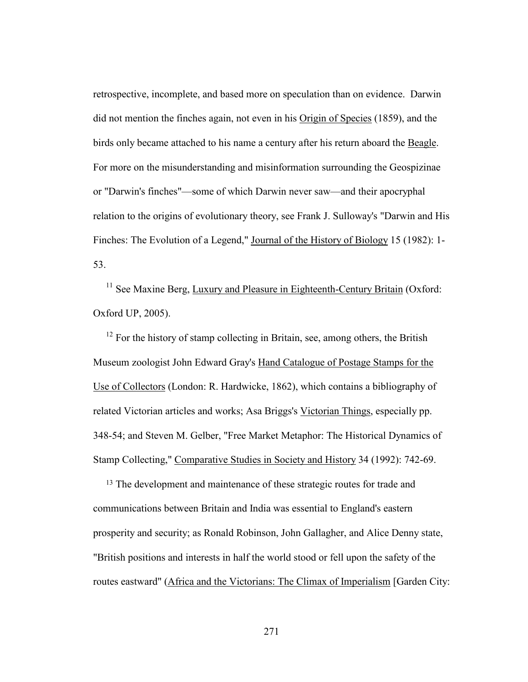retrospective, incomplete, and based more on speculation than on evidence. Darwin did not mention the finches again, not even in his Origin of Species (1859), and the birds only became attached to his name a century after his return aboard the Beagle. For more on the misunderstanding and misinformation surrounding the Geospizinae or "Darwin's finches"—some of which Darwin never saw—and their apocryphal relation to the origins of evolutionary theory, see Frank J. Sulloway's "Darwin and His Finches: The Evolution of a Legend," Journal of the History of Biology 15 (1982): 1- 53.

<sup>11</sup> See Maxine Berg, Luxury and Pleasure in Eighteenth-Century Britain (Oxford: Oxford UP, 2005).

 $12$  For the history of stamp collecting in Britain, see, among others, the British Museum zoologist John Edward Gray's Hand Catalogue of Postage Stamps for the Use of Collectors (London: R. Hardwicke, 1862), which contains a bibliography of related Victorian articles and works; Asa Briggs's Victorian Things, especially pp. 348-54; and Steven M. Gelber, "Free Market Metaphor: The Historical Dynamics of Stamp Collecting," Comparative Studies in Society and History 34 (1992): 742-69.

<sup>13</sup> The development and maintenance of these strategic routes for trade and communications between Britain and India was essential to England's eastern prosperity and security; as Ronald Robinson, John Gallagher, and Alice Denny state, "British positions and interests in half the world stood or fell upon the safety of the routes eastward" (Africa and the Victorians: The Climax of Imperialism [Garden City: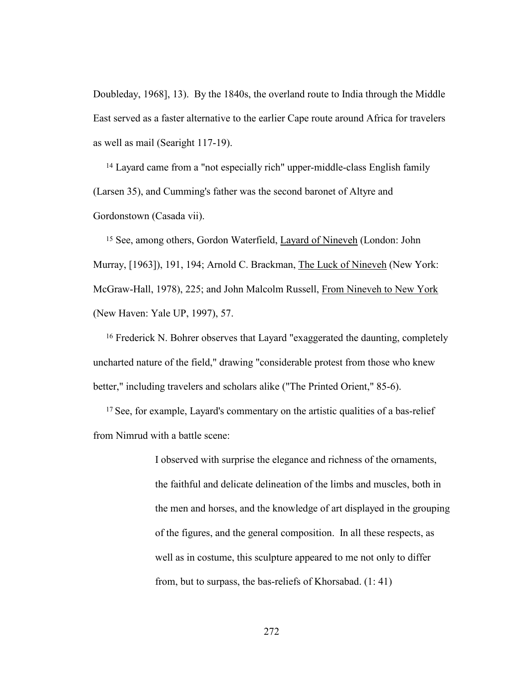Doubleday, 1968], 13). By the 1840s, the overland route to India through the Middle East served as a faster alternative to the earlier Cape route around Africa for travelers as well as mail (Searight 117-19).

14 Layard came from a "not especially rich" upper-middle-class English family (Larsen 35), and Cumming's father was the second baronet of Altyre and Gordonstown (Casada vii).

15 See, among others, Gordon Waterfield, Layard of Nineveh (London: John Murray, [1963]), 191, 194; Arnold C. Brackman, The Luck of Nineveh (New York: McGraw-Hall, 1978), 225; and John Malcolm Russell, From Nineveh to New York (New Haven: Yale UP, 1997), 57.

16 Frederick N. Bohrer observes that Layard "exaggerated the daunting, completely uncharted nature of the field," drawing "considerable protest from those who knew better," including travelers and scholars alike ("The Printed Orient," 85-6).

<sup>17</sup> See, for example, Layard's commentary on the artistic qualities of a bas-relief from Nimrud with a battle scene:

> I observed with surprise the elegance and richness of the ornaments, the faithful and delicate delineation of the limbs and muscles, both in the men and horses, and the knowledge of art displayed in the grouping of the figures, and the general composition. In all these respects, as well as in costume, this sculpture appeared to me not only to differ from, but to surpass, the bas-reliefs of Khorsabad. (1: 41)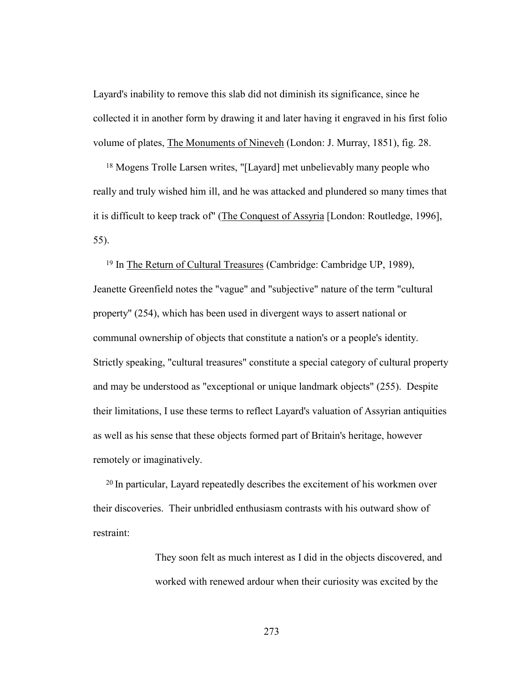Layard's inability to remove this slab did not diminish its significance, since he collected it in another form by drawing it and later having it engraved in his first folio volume of plates, The Monuments of Nineveh (London: J. Murray, 1851), fig. 28.

18 Mogens Trolle Larsen writes, "[Layard] met unbelievably many people who really and truly wished him ill, and he was attacked and plundered so many times that it is difficult to keep track of" (The Conquest of Assyria [London: Routledge, 1996], 55).

19 In The Return of Cultural Treasures (Cambridge: Cambridge UP, 1989), Jeanette Greenfield notes the "vague" and "subjective" nature of the term "cultural property" (254), which has been used in divergent ways to assert national or communal ownership of objects that constitute a nation's or a people's identity. Strictly speaking, "cultural treasures" constitute a special category of cultural property and may be understood as "exceptional or unique landmark objects" (255). Despite their limitations, I use these terms to reflect Layard's valuation of Assyrian antiquities as well as his sense that these objects formed part of Britain's heritage, however remotely or imaginatively.

<sup>20</sup> In particular, Layard repeatedly describes the excitement of his workmen over their discoveries. Their unbridled enthusiasm contrasts with his outward show of restraint:

> They soon felt as much interest as I did in the objects discovered, and worked with renewed ardour when their curiosity was excited by the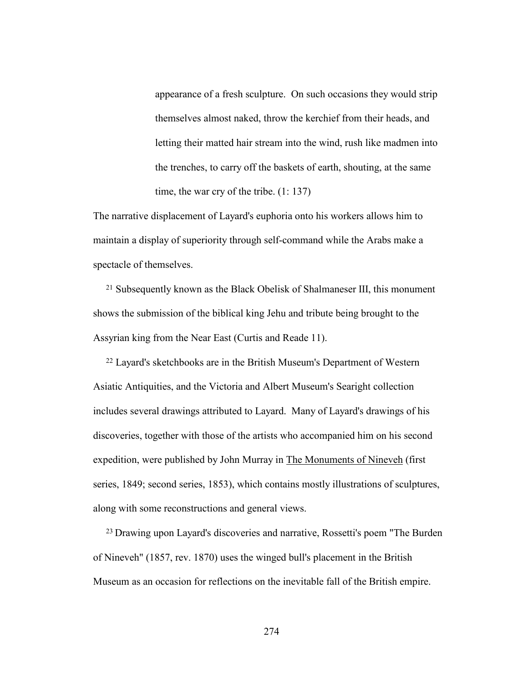appearance of a fresh sculpture. On such occasions they would strip themselves almost naked, throw the kerchief from their heads, and letting their matted hair stream into the wind, rush like madmen into the trenches, to carry off the baskets of earth, shouting, at the same time, the war cry of the tribe. (1: 137)

The narrative displacement of Layard's euphoria onto his workers allows him to maintain a display of superiority through self-command while the Arabs make a spectacle of themselves.

21 Subsequently known as the Black Obelisk of Shalmaneser III, this monument shows the submission of the biblical king Jehu and tribute being brought to the Assyrian king from the Near East (Curtis and Reade 11).

22 Layard's sketchbooks are in the British Museum's Department of Western Asiatic Antiquities, and the Victoria and Albert Museum's Searight collection includes several drawings attributed to Layard. Many of Layard's drawings of his discoveries, together with those of the artists who accompanied him on his second expedition, were published by John Murray in The Monuments of Nineveh (first series, 1849; second series, 1853), which contains mostly illustrations of sculptures, along with some reconstructions and general views.

<sup>23</sup> Drawing upon Layard's discoveries and narrative, Rossetti's poem "The Burden of Nineveh" (1857, rev. 1870) uses the winged bull's placement in the British Museum as an occasion for reflections on the inevitable fall of the British empire.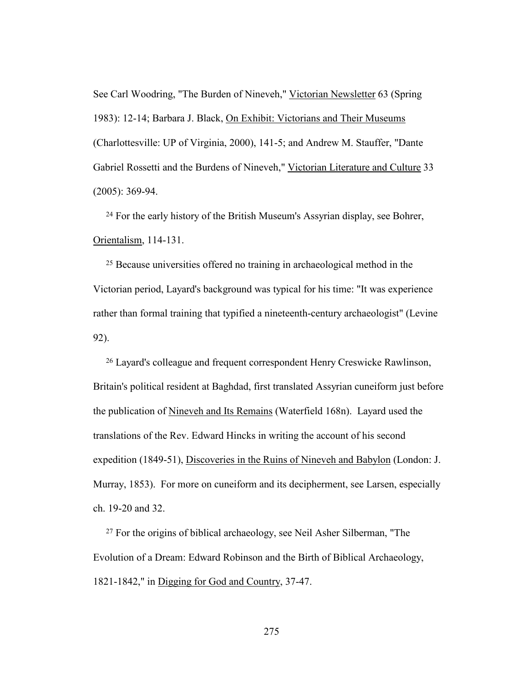See Carl Woodring, "The Burden of Nineveh," Victorian Newsletter 63 (Spring 1983): 12-14; Barbara J. Black, On Exhibit: Victorians and Their Museums (Charlottesville: UP of Virginia, 2000), 141-5; and Andrew M. Stauffer, "Dante Gabriel Rossetti and the Burdens of Nineveh," Victorian Literature and Culture 33 (2005): 369-94.

24 For the early history of the British Museum's Assyrian display, see Bohrer, Orientalism, 114-131.

25 Because universities offered no training in archaeological method in the Victorian period, Layard's background was typical for his time: "It was experience rather than formal training that typified a nineteenth-century archaeologist" (Levine 92).

26 Layard's colleague and frequent correspondent Henry Creswicke Rawlinson, Britain's political resident at Baghdad, first translated Assyrian cuneiform just before the publication of Nineveh and Its Remains (Waterfield 168n). Layard used the translations of the Rev. Edward Hincks in writing the account of his second expedition (1849-51), Discoveries in the Ruins of Nineveh and Babylon (London: J. Murray, 1853). For more on cuneiform and its decipherment, see Larsen, especially ch. 19-20 and 32.

27 For the origins of biblical archaeology, see Neil Asher Silberman, "The Evolution of a Dream: Edward Robinson and the Birth of Biblical Archaeology, 1821-1842," in Digging for God and Country, 37-47.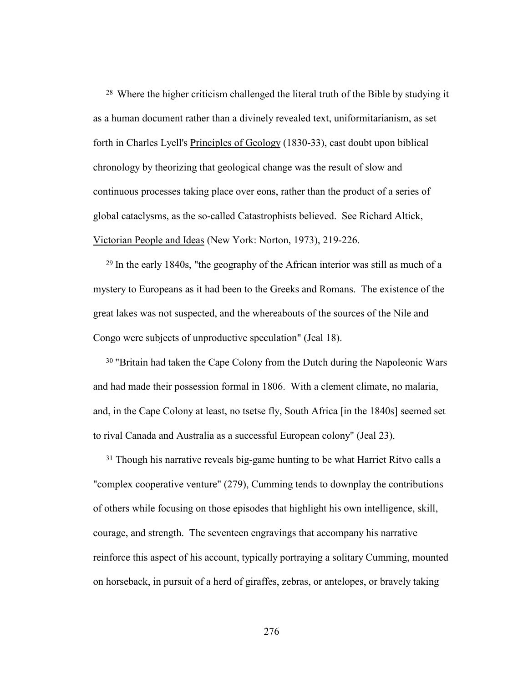<sup>28</sup> Where the higher criticism challenged the literal truth of the Bible by studying it as a human document rather than a divinely revealed text, uniformitarianism, as set forth in Charles Lyell's Principles of Geology (1830-33), cast doubt upon biblical chronology by theorizing that geological change was the result of slow and continuous processes taking place over eons, rather than the product of a series of global cataclysms, as the so-called Catastrophists believed. See Richard Altick, Victorian People and Ideas (New York: Norton, 1973), 219-226.

<sup>29</sup> In the early 1840s, "the geography of the African interior was still as much of a mystery to Europeans as it had been to the Greeks and Romans. The existence of the great lakes was not suspected, and the whereabouts of the sources of the Nile and Congo were subjects of unproductive speculation" (Jeal 18).

<sup>30</sup> "Britain had taken the Cape Colony from the Dutch during the Napoleonic Wars and had made their possession formal in 1806. With a clement climate, no malaria, and, in the Cape Colony at least, no tsetse fly, South Africa [in the 1840s] seemed set to rival Canada and Australia as a successful European colony" (Jeal 23).

<sup>31</sup> Though his narrative reveals big-game hunting to be what Harriet Ritvo calls a "complex cooperative venture" (279), Cumming tends to downplay the contributions of others while focusing on those episodes that highlight his own intelligence, skill, courage, and strength. The seventeen engravings that accompany his narrative reinforce this aspect of his account, typically portraying a solitary Cumming, mounted on horseback, in pursuit of a herd of giraffes, zebras, or antelopes, or bravely taking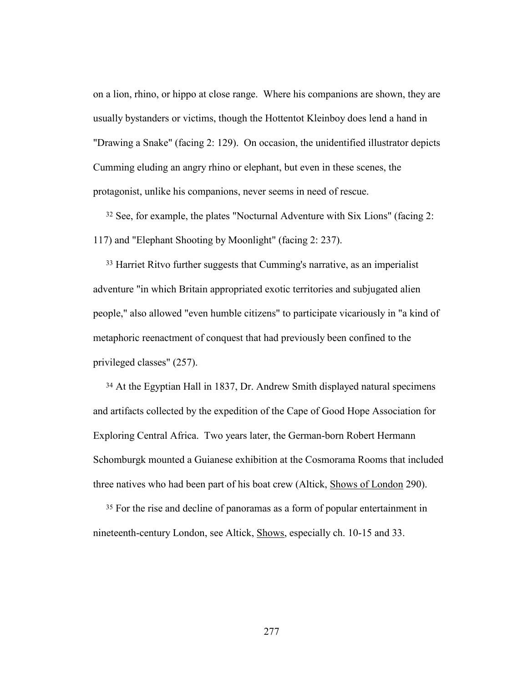on a lion, rhino, or hippo at close range. Where his companions are shown, they are usually bystanders or victims, though the Hottentot Kleinboy does lend a hand in "Drawing a Snake" (facing 2: 129). On occasion, the unidentified illustrator depicts Cumming eluding an angry rhino or elephant, but even in these scenes, the protagonist, unlike his companions, never seems in need of rescue.

32 See, for example, the plates "Nocturnal Adventure with Six Lions" (facing 2: 117) and "Elephant Shooting by Moonlight" (facing 2: 237).

33 Harriet Ritvo further suggests that Cumming's narrative, as an imperialist adventure "in which Britain appropriated exotic territories and subjugated alien people," also allowed "even humble citizens" to participate vicariously in "a kind of metaphoric reenactment of conquest that had previously been confined to the privileged classes" (257).

34 At the Egyptian Hall in 1837, Dr. Andrew Smith displayed natural specimens and artifacts collected by the expedition of the Cape of Good Hope Association for Exploring Central Africa. Two years later, the German-born Robert Hermann Schomburgk mounted a Guianese exhibition at the Cosmorama Rooms that included three natives who had been part of his boat crew (Altick, Shows of London 290).

35 For the rise and decline of panoramas as a form of popular entertainment in nineteenth-century London, see Altick, Shows, especially ch. 10-15 and 33.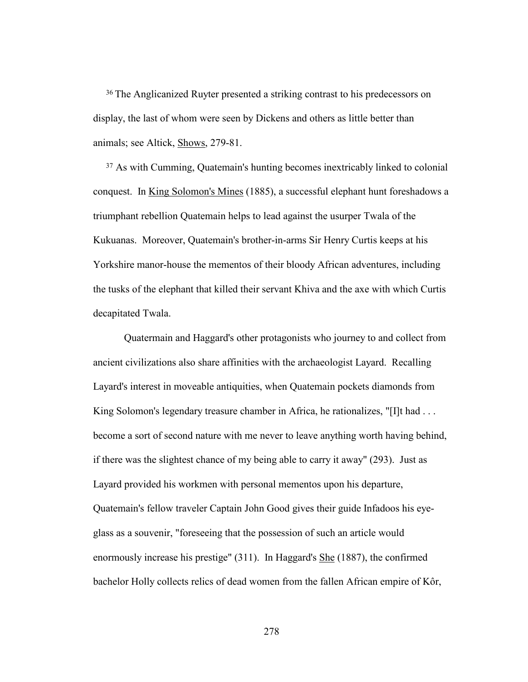<sup>36</sup> The Anglicanized Ruyter presented a striking contrast to his predecessors on display, the last of whom were seen by Dickens and others as little better than animals; see Altick, Shows, 279-81.

37 As with Cumming, Quatemain's hunting becomes inextricably linked to colonial conquest. In King Solomon's Mines (1885), a successful elephant hunt foreshadows a triumphant rebellion Quatemain helps to lead against the usurper Twala of the Kukuanas. Moreover, Quatemain's brother-in-arms Sir Henry Curtis keeps at his Yorkshire manor-house the mementos of their bloody African adventures, including the tusks of the elephant that killed their servant Khiva and the axe with which Curtis decapitated Twala.

 Quatermain and Haggard's other protagonists who journey to and collect from ancient civilizations also share affinities with the archaeologist Layard. Recalling Layard's interest in moveable antiquities, when Quatemain pockets diamonds from King Solomon's legendary treasure chamber in Africa, he rationalizes, "[I]t had ... become a sort of second nature with me never to leave anything worth having behind, if there was the slightest chance of my being able to carry it away" (293). Just as Layard provided his workmen with personal mementos upon his departure, Quatemain's fellow traveler Captain John Good gives their guide Infadoos his eyeglass as a souvenir, "foreseeing that the possession of such an article would enormously increase his prestige" (311). In Haggard's She (1887), the confirmed bachelor Holly collects relics of dead women from the fallen African empire of Kôr,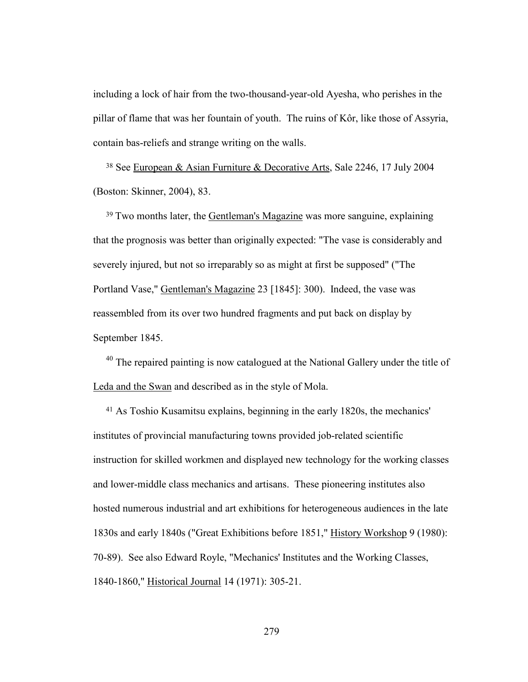including a lock of hair from the two-thousand-year-old Ayesha, who perishes in the pillar of flame that was her fountain of youth. The ruins of Kôr, like those of Assyria, contain bas-reliefs and strange writing on the walls.

38 See European & Asian Furniture & Decorative Arts, Sale 2246, 17 July 2004 (Boston: Skinner, 2004), 83.

<sup>39</sup> Two months later, the Gentleman's Magazine was more sanguine, explaining that the prognosis was better than originally expected: "The vase is considerably and severely injured, but not so irreparably so as might at first be supposed" ("The Portland Vase," Gentleman's Magazine 23 [1845]: 300). Indeed, the vase was reassembled from its over two hundred fragments and put back on display by September 1845.

 $40$  The repaired painting is now catalogued at the National Gallery under the title of Leda and the Swan and described as in the style of Mola.

<sup>41</sup> As Toshio Kusamitsu explains, beginning in the early 1820s, the mechanics' institutes of provincial manufacturing towns provided job-related scientific instruction for skilled workmen and displayed new technology for the working classes and lower-middle class mechanics and artisans. These pioneering institutes also hosted numerous industrial and art exhibitions for heterogeneous audiences in the late 1830s and early 1840s ("Great Exhibitions before 1851," History Workshop 9 (1980): 70-89). See also Edward Royle, "Mechanics' Institutes and the Working Classes, 1840-1860," Historical Journal 14 (1971): 305-21.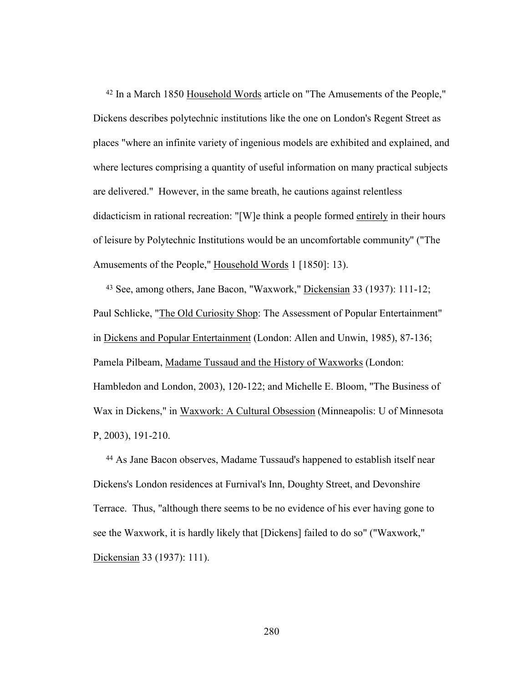42 In a March 1850 Household Words article on "The Amusements of the People," Dickens describes polytechnic institutions like the one on London's Regent Street as places "where an infinite variety of ingenious models are exhibited and explained, and where lectures comprising a quantity of useful information on many practical subjects are delivered." However, in the same breath, he cautions against relentless didacticism in rational recreation: "[W]e think a people formed entirely in their hours of leisure by Polytechnic Institutions would be an uncomfortable community" ("The Amusements of the People," Household Words 1 [1850]: 13).

<sup>43</sup> See, among others, Jane Bacon, "Waxwork," Dickensian 33 (1937): 111-12; Paul Schlicke, "The Old Curiosity Shop: The Assessment of Popular Entertainment" in Dickens and Popular Entertainment (London: Allen and Unwin, 1985), 87-136; Pamela Pilbeam, Madame Tussaud and the History of Waxworks (London: Hambledon and London, 2003), 120-122; and Michelle E. Bloom, "The Business of Wax in Dickens," in Waxwork: A Cultural Obsession (Minneapolis: U of Minnesota P, 2003), 191-210.

<sup>44</sup> As Jane Bacon observes, Madame Tussaud's happened to establish itself near Dickens's London residences at Furnival's Inn, Doughty Street, and Devonshire Terrace. Thus, "although there seems to be no evidence of his ever having gone to see the Waxwork, it is hardly likely that [Dickens] failed to do so" ("Waxwork," Dickensian 33 (1937): 111).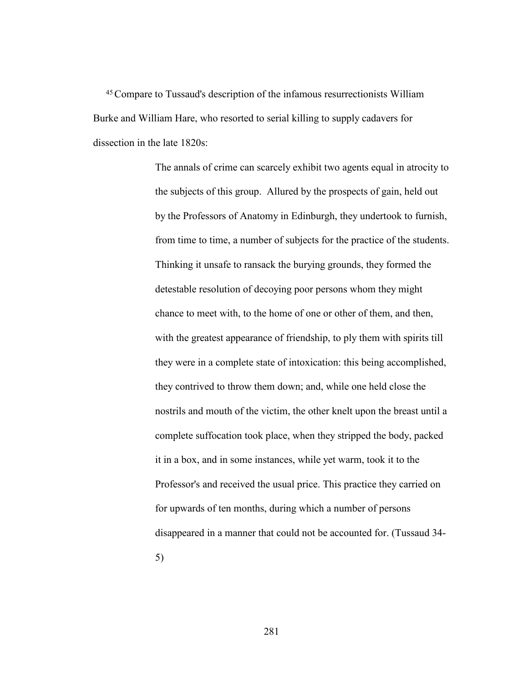45Compare to Tussaud's description of the infamous resurrectionists William Burke and William Hare, who resorted to serial killing to supply cadavers for dissection in the late 1820s:

> The annals of crime can scarcely exhibit two agents equal in atrocity to the subjects of this group. Allured by the prospects of gain, held out by the Professors of Anatomy in Edinburgh, they undertook to furnish, from time to time, a number of subjects for the practice of the students. Thinking it unsafe to ransack the burying grounds, they formed the detestable resolution of decoying poor persons whom they might chance to meet with, to the home of one or other of them, and then, with the greatest appearance of friendship, to ply them with spirits till they were in a complete state of intoxication: this being accomplished, they contrived to throw them down; and, while one held close the nostrils and mouth of the victim, the other knelt upon the breast until a complete suffocation took place, when they stripped the body, packed it in a box, and in some instances, while yet warm, took it to the Professor's and received the usual price. This practice they carried on for upwards of ten months, during which a number of persons disappeared in a manner that could not be accounted for. (Tussaud 34- 5)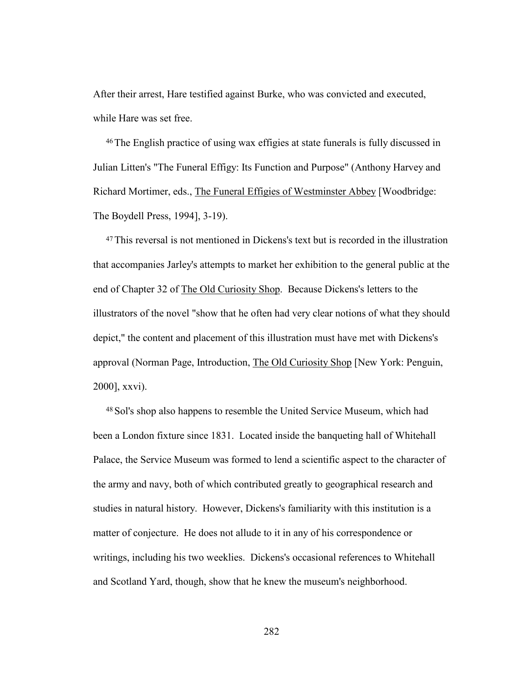After their arrest, Hare testified against Burke, who was convicted and executed, while Hare was set free.

46The English practice of using wax effigies at state funerals is fully discussed in Julian Litten's "The Funeral Effigy: Its Function and Purpose" (Anthony Harvey and Richard Mortimer, eds., The Funeral Effigies of Westminster Abbey [Woodbridge: The Boydell Press, 1994], 3-19).

47This reversal is not mentioned in Dickens's text but is recorded in the illustration that accompanies Jarley's attempts to market her exhibition to the general public at the end of Chapter 32 of The Old Curiosity Shop. Because Dickens's letters to the illustrators of the novel "show that he often had very clear notions of what they should depict," the content and placement of this illustration must have met with Dickens's approval (Norman Page, Introduction, The Old Curiosity Shop [New York: Penguin, 2000], xxvi).

48Sol's shop also happens to resemble the United Service Museum, which had been a London fixture since 1831. Located inside the banqueting hall of Whitehall Palace, the Service Museum was formed to lend a scientific aspect to the character of the army and navy, both of which contributed greatly to geographical research and studies in natural history. However, Dickens's familiarity with this institution is a matter of conjecture. He does not allude to it in any of his correspondence or writings, including his two weeklies. Dickens's occasional references to Whitehall and Scotland Yard, though, show that he knew the museum's neighborhood.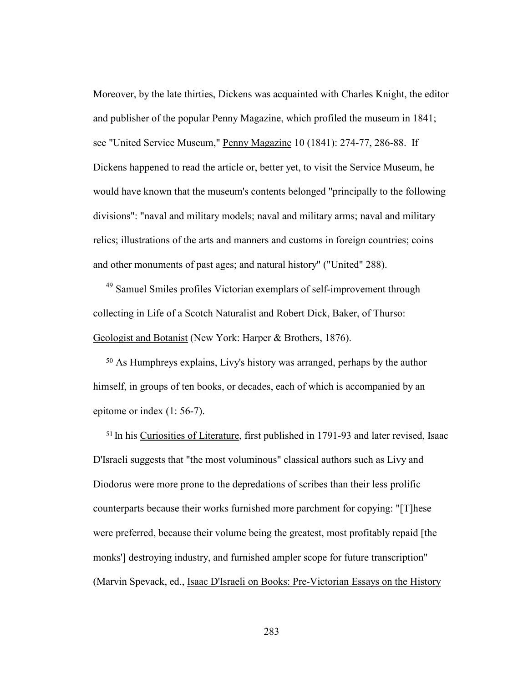Moreover, by the late thirties, Dickens was acquainted with Charles Knight, the editor and publisher of the popular Penny Magazine, which profiled the museum in 1841; see "United Service Museum," Penny Magazine 10 (1841): 274-77, 286-88. If Dickens happened to read the article or, better yet, to visit the Service Museum, he would have known that the museum's contents belonged "principally to the following divisions": "naval and military models; naval and military arms; naval and military relics; illustrations of the arts and manners and customs in foreign countries; coins and other monuments of past ages; and natural history" ("United" 288).

<sup>49</sup> Samuel Smiles profiles Victorian exemplars of self-improvement through collecting in Life of a Scotch Naturalist and Robert Dick, Baker, of Thurso: Geologist and Botanist (New York: Harper & Brothers, 1876).

<sup>50</sup> As Humphreys explains, Livy's history was arranged, perhaps by the author himself, in groups of ten books, or decades, each of which is accompanied by an epitome or index (1: 56-7).

<sup>51</sup> In his Curiosities of Literature, first published in 1791-93 and later revised, Isaac D'Israeli suggests that "the most voluminous" classical authors such as Livy and Diodorus were more prone to the depredations of scribes than their less prolific counterparts because their works furnished more parchment for copying: "[T]hese were preferred, because their volume being the greatest, most profitably repaid [the monks'] destroying industry, and furnished ampler scope for future transcription" (Marvin Spevack, ed., Isaac D'Israeli on Books: Pre-Victorian Essays on the History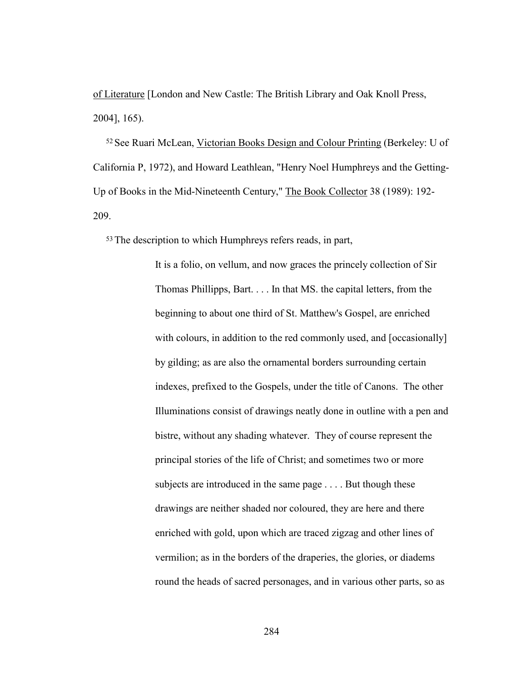of Literature [London and New Castle: The British Library and Oak Knoll Press, 2004], 165).

52See Ruari McLean, Victorian Books Design and Colour Printing (Berkeley: U of California P, 1972), and Howard Leathlean, "Henry Noel Humphreys and the Getting-Up of Books in the Mid-Nineteenth Century," The Book Collector 38 (1989): 192- 209.

53The description to which Humphreys refers reads, in part,

It is a folio, on vellum, and now graces the princely collection of Sir Thomas Phillipps, Bart. . . . In that MS. the capital letters, from the beginning to about one third of St. Matthew's Gospel, are enriched with colours, in addition to the red commonly used, and [occasionally] by gilding; as are also the ornamental borders surrounding certain indexes, prefixed to the Gospels, under the title of Canons. The other Illuminations consist of drawings neatly done in outline with a pen and bistre, without any shading whatever. They of course represent the principal stories of the life of Christ; and sometimes two or more subjects are introduced in the same page . . . . But though these drawings are neither shaded nor coloured, they are here and there enriched with gold, upon which are traced zigzag and other lines of vermilion; as in the borders of the draperies, the glories, or diadems round the heads of sacred personages, and in various other parts, so as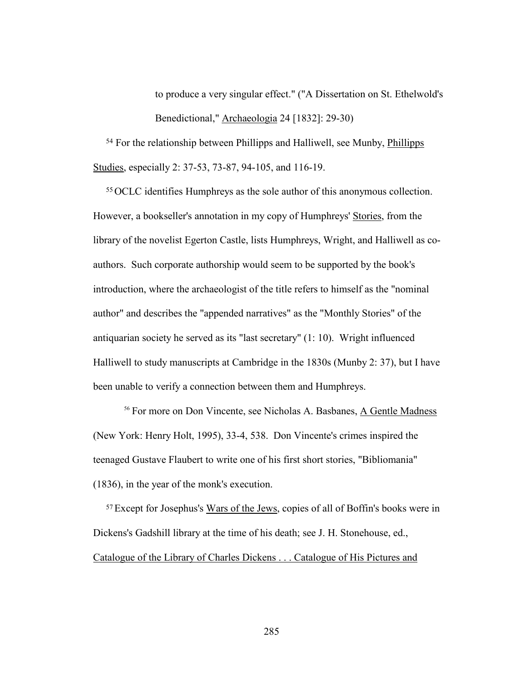to produce a very singular effect." ("A Dissertation on St. Ethelwold's Benedictional," Archaeologia 24 [1832]: 29-30)

54 For the relationship between Phillipps and Halliwell, see Munby, Phillipps Studies, especially 2: 37-53, 73-87, 94-105, and 116-19.

55OCLC identifies Humphreys as the sole author of this anonymous collection. However, a bookseller's annotation in my copy of Humphreys' Stories, from the library of the novelist Egerton Castle, lists Humphreys, Wright, and Halliwell as coauthors. Such corporate authorship would seem to be supported by the book's introduction, where the archaeologist of the title refers to himself as the "nominal author" and describes the "appended narratives" as the "Monthly Stories" of the antiquarian society he served as its "last secretary" (1: 10). Wright influenced Halliwell to study manuscripts at Cambridge in the 1830s (Munby 2: 37), but I have been unable to verify a connection between them and Humphreys.

<sup>56</sup> For more on Don Vincente, see Nicholas A. Basbanes, A Gentle Madness (New York: Henry Holt, 1995), 33-4, 538. Don Vincente's crimes inspired the teenaged Gustave Flaubert to write one of his first short stories, "Bibliomania" (1836), in the year of the monk's execution.

57Except for Josephus's Wars of the Jews, copies of all of Boffin's books were in Dickens's Gadshill library at the time of his death; see J. H. Stonehouse, ed., Catalogue of the Library of Charles Dickens . . . Catalogue of His Pictures and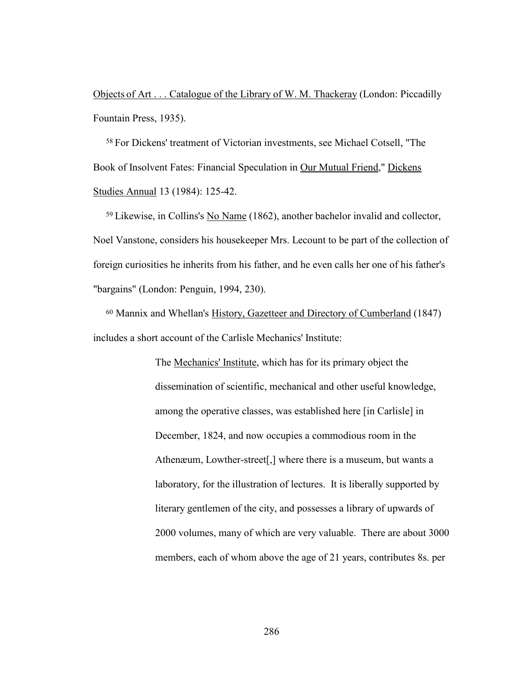Objects of Art . . . Catalogue of the Library of W. M. Thackeray (London: Piccadilly Fountain Press, 1935).

<sup>58</sup> For Dickens' treatment of Victorian investments, see Michael Cotsell, "The Book of Insolvent Fates: Financial Speculation in Our Mutual Friend," Dickens Studies Annual 13 (1984): 125-42.

<sup>59</sup> Likewise, in Collins's No Name (1862), another bachelor invalid and collector, Noel Vanstone, considers his housekeeper Mrs. Lecount to be part of the collection of foreign curiosities he inherits from his father, and he even calls her one of his father's "bargains" (London: Penguin, 1994, 230).

<sup>60</sup> Mannix and Whellan's History, Gazetteer and Directory of Cumberland (1847) includes a short account of the Carlisle Mechanics' Institute:

> The Mechanics' Institute, which has for its primary object the dissemination of scientific, mechanical and other useful knowledge, among the operative classes, was established here [in Carlisle] in December, 1824, and now occupies a commodious room in the Athenæum, Lowther-street[,] where there is a museum, but wants a laboratory, for the illustration of lectures. It is liberally supported by literary gentlemen of the city, and possesses a library of upwards of 2000 volumes, many of which are very valuable. There are about 3000 members, each of whom above the age of 21 years, contributes 8s. per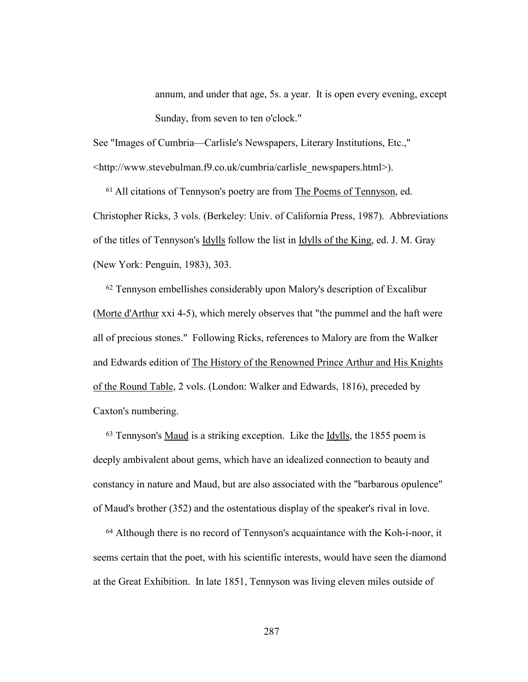annum, and under that age, 5s. a year. It is open every evening, except Sunday, from seven to ten o'clock."

See "Images of Cumbria—Carlisle's Newspapers, Literary Institutions, Etc.," <http://www.stevebulman.f9.co.uk/cumbria/carlisle\_newspapers.html>).

<sup>61</sup> All citations of Tennyson's poetry are from The Poems of Tennyson, ed. Christopher Ricks, 3 vols. (Berkeley: Univ. of California Press, 1987). Abbreviations of the titles of Tennyson's Idylls follow the list in Idylls of the King, ed. J. M. Gray (New York: Penguin, 1983), 303.

62 Tennyson embellishes considerably upon Malory's description of Excalibur (Morte d'Arthur xxi 4-5), which merely observes that "the pummel and the haft were all of precious stones." Following Ricks, references to Malory are from the Walker and Edwards edition of The History of the Renowned Prince Arthur and His Knights of the Round Table, 2 vols. (London: Walker and Edwards, 1816), preceded by Caxton's numbering.

63 Tennyson's Maud is a striking exception. Like the Idylls, the 1855 poem is deeply ambivalent about gems, which have an idealized connection to beauty and constancy in nature and Maud, but are also associated with the "barbarous opulence" of Maud's brother (352) and the ostentatious display of the speaker's rival in love.

64 Although there is no record of Tennyson's acquaintance with the Koh-i-noor, it seems certain that the poet, with his scientific interests, would have seen the diamond at the Great Exhibition. In late 1851, Tennyson was living eleven miles outside of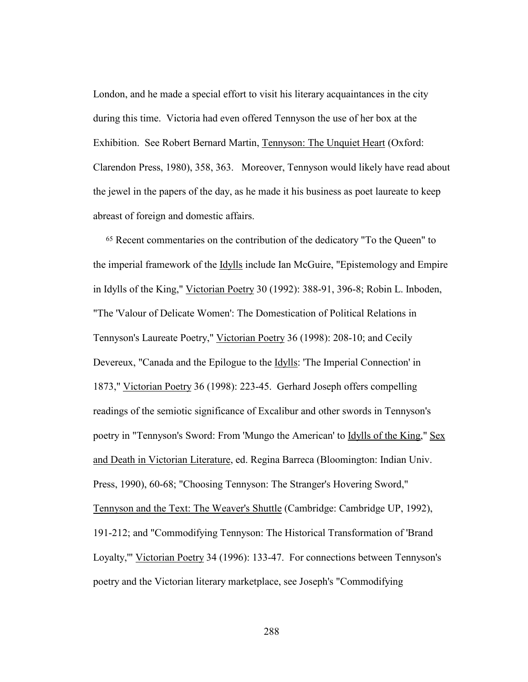London, and he made a special effort to visit his literary acquaintances in the city during this time. Victoria had even offered Tennyson the use of her box at the Exhibition. See Robert Bernard Martin, Tennyson: The Unquiet Heart (Oxford: Clarendon Press, 1980), 358, 363. Moreover, Tennyson would likely have read about the jewel in the papers of the day, as he made it his business as poet laureate to keep abreast of foreign and domestic affairs.

65 Recent commentaries on the contribution of the dedicatory "To the Queen" to the imperial framework of the Idylls include Ian McGuire, "Epistemology and Empire in Idylls of the King," Victorian Poetry 30 (1992): 388-91, 396-8; Robin L. Inboden, "The 'Valour of Delicate Women': The Domestication of Political Relations in Tennyson's Laureate Poetry," Victorian Poetry 36 (1998): 208-10; and Cecily Devereux, "Canada and the Epilogue to the **Idylls**: 'The Imperial Connection' in 1873," Victorian Poetry 36 (1998): 223-45. Gerhard Joseph offers compelling readings of the semiotic significance of Excalibur and other swords in Tennyson's poetry in "Tennyson's Sword: From 'Mungo the American' to **Idylls of the King**," Sex and Death in Victorian Literature, ed. Regina Barreca (Bloomington: Indian Univ. Press, 1990), 60-68; "Choosing Tennyson: The Stranger's Hovering Sword," Tennyson and the Text: The Weaver's Shuttle (Cambridge: Cambridge UP, 1992), 191-212; and "Commodifying Tennyson: The Historical Transformation of 'Brand Loyalty,'" Victorian Poetry 34 (1996): 133-47. For connections between Tennyson's poetry and the Victorian literary marketplace, see Joseph's "Commodifying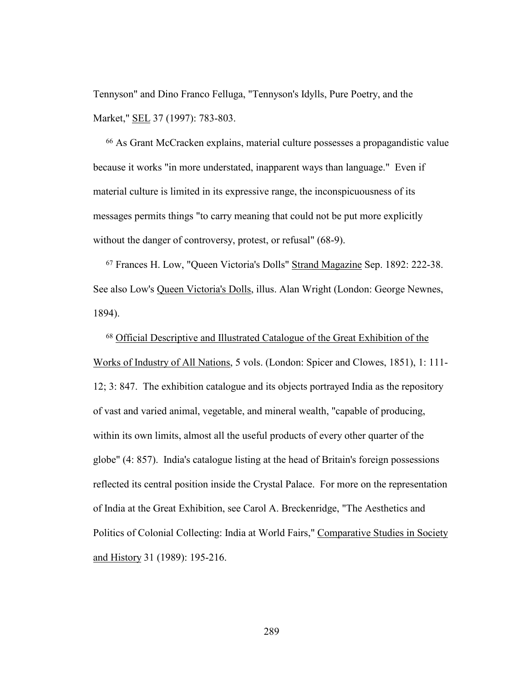Tennyson" and Dino Franco Felluga, "Tennyson's Idylls, Pure Poetry, and the Market," SEL 37 (1997): 783-803.

66 As Grant McCracken explains, material culture possesses a propagandistic value because it works "in more understated, inapparent ways than language." Even if material culture is limited in its expressive range, the inconspicuousness of its messages permits things "to carry meaning that could not be put more explicitly without the danger of controversy, protest, or refusal" (68-9).

67 Frances H. Low, "Queen Victoria's Dolls" Strand Magazine Sep. 1892: 222-38. See also Low's Queen Victoria's Dolls, illus. Alan Wright (London: George Newnes, 1894).

68 Official Descriptive and Illustrated Catalogue of the Great Exhibition of the Works of Industry of All Nations, 5 vols. (London: Spicer and Clowes, 1851), 1: 111- 12; 3: 847. The exhibition catalogue and its objects portrayed India as the repository of vast and varied animal, vegetable, and mineral wealth, "capable of producing, within its own limits, almost all the useful products of every other quarter of the globe" (4: 857). India's catalogue listing at the head of Britain's foreign possessions reflected its central position inside the Crystal Palace. For more on the representation of India at the Great Exhibition, see Carol A. Breckenridge, "The Aesthetics and Politics of Colonial Collecting: India at World Fairs," Comparative Studies in Society and History 31 (1989): 195-216.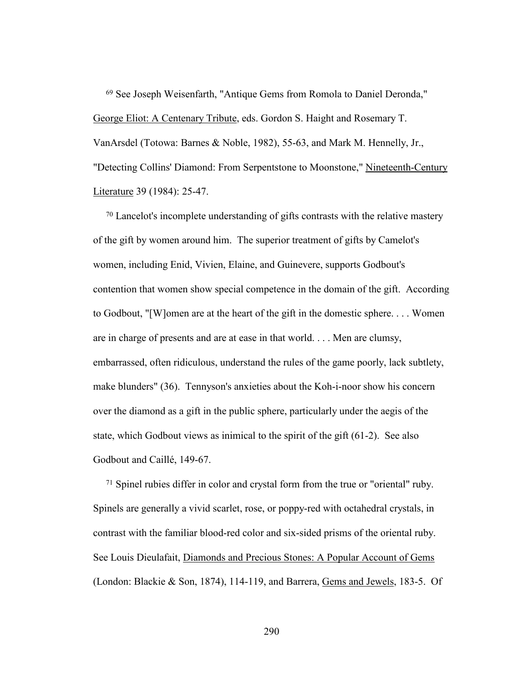69 See Joseph Weisenfarth, "Antique Gems from Romola to Daniel Deronda," George Eliot: A Centenary Tribute, eds. Gordon S. Haight and Rosemary T. VanArsdel (Totowa: Barnes & Noble, 1982), 55-63, and Mark M. Hennelly, Jr., "Detecting Collins' Diamond: From Serpentstone to Moonstone," Nineteenth-Century Literature 39 (1984): 25-47.

70 Lancelot's incomplete understanding of gifts contrasts with the relative mastery of the gift by women around him. The superior treatment of gifts by Camelot's women, including Enid, Vivien, Elaine, and Guinevere, supports Godbout's contention that women show special competence in the domain of the gift. According to Godbout, "[W]omen are at the heart of the gift in the domestic sphere. . . . Women are in charge of presents and are at ease in that world. . . . Men are clumsy, embarrassed, often ridiculous, understand the rules of the game poorly, lack subtlety, make blunders" (36). Tennyson's anxieties about the Koh-i-noor show his concern over the diamond as a gift in the public sphere, particularly under the aegis of the state, which Godbout views as inimical to the spirit of the gift (61-2). See also Godbout and Caillé, 149-67.

71 Spinel rubies differ in color and crystal form from the true or "oriental" ruby. Spinels are generally a vivid scarlet, rose, or poppy-red with octahedral crystals, in contrast with the familiar blood-red color and six-sided prisms of the oriental ruby. See Louis Dieulafait, Diamonds and Precious Stones: A Popular Account of Gems (London: Blackie & Son, 1874), 114-119, and Barrera, Gems and Jewels, 183-5. Of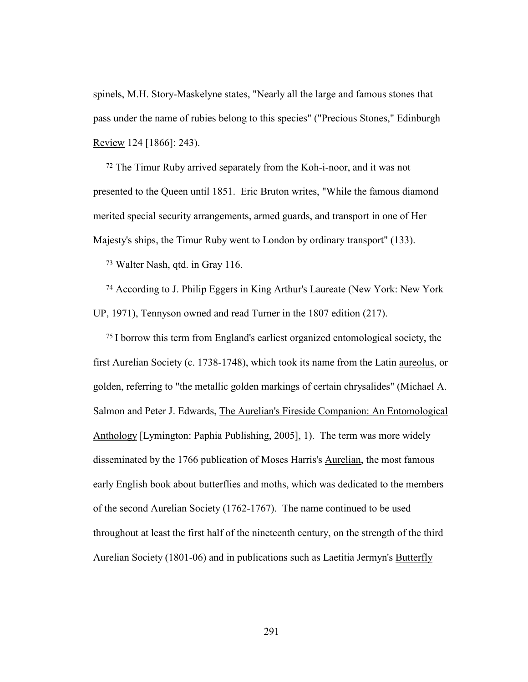spinels, M.H. Story-Maskelyne states, "Nearly all the large and famous stones that pass under the name of rubies belong to this species" ("Precious Stones," Edinburgh Review 124 [1866]: 243).

72 The Timur Ruby arrived separately from the Koh-i-noor, and it was not presented to the Queen until 1851. Eric Bruton writes, "While the famous diamond merited special security arrangements, armed guards, and transport in one of Her Majesty's ships, the Timur Ruby went to London by ordinary transport" (133).

73 Walter Nash, qtd. in Gray 116.

74 According to J. Philip Eggers in King Arthur's Laureate (New York: New York UP, 1971), Tennyson owned and read Turner in the 1807 edition (217).

<sup>75</sup> I borrow this term from England's earliest organized entomological society, the first Aurelian Society (c. 1738-1748), which took its name from the Latin aureolus, or golden, referring to "the metallic golden markings of certain chrysalides" (Michael A. Salmon and Peter J. Edwards, The Aurelian's Fireside Companion: An Entomological Anthology [Lymington: Paphia Publishing, 2005], 1). The term was more widely disseminated by the 1766 publication of Moses Harris's Aurelian, the most famous early English book about butterflies and moths, which was dedicated to the members of the second Aurelian Society (1762-1767). The name continued to be used throughout at least the first half of the nineteenth century, on the strength of the third Aurelian Society (1801-06) and in publications such as Laetitia Jermyn's Butterfly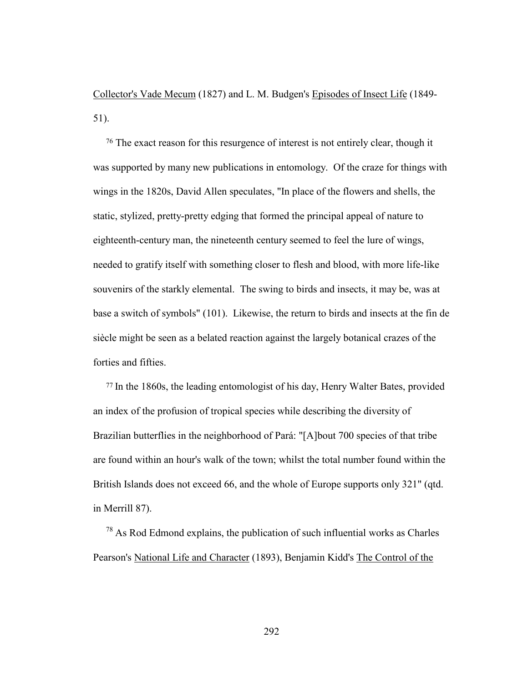Collector's Vade Mecum (1827) and L. M. Budgen's Episodes of Insect Life (1849- 51).

<sup>76</sup> The exact reason for this resurgence of interest is not entirely clear, though it was supported by many new publications in entomology. Of the craze for things with wings in the 1820s, David Allen speculates, "In place of the flowers and shells, the static, stylized, pretty-pretty edging that formed the principal appeal of nature to eighteenth-century man, the nineteenth century seemed to feel the lure of wings, needed to gratify itself with something closer to flesh and blood, with more life-like souvenirs of the starkly elemental. The swing to birds and insects, it may be, was at base a switch of symbols" (101). Likewise, the return to birds and insects at the fin de siècle might be seen as a belated reaction against the largely botanical crazes of the forties and fifties.

<sup>77</sup> In the 1860s, the leading entomologist of his day, Henry Walter Bates, provided an index of the profusion of tropical species while describing the diversity of Brazilian butterflies in the neighborhood of Pará: "[A]bout 700 species of that tribe are found within an hour's walk of the town; whilst the total number found within the British Islands does not exceed 66, and the whole of Europe supports only 321" (qtd. in Merrill 87).

 $78$  As Rod Edmond explains, the publication of such influential works as Charles Pearson's National Life and Character (1893), Benjamin Kidd's The Control of the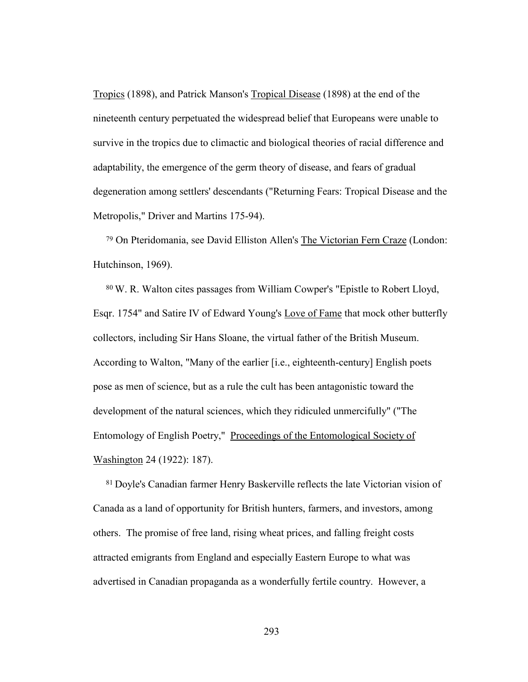Tropics (1898), and Patrick Manson's Tropical Disease (1898) at the end of the nineteenth century perpetuated the widespread belief that Europeans were unable to survive in the tropics due to climactic and biological theories of racial difference and adaptability, the emergence of the germ theory of disease, and fears of gradual degeneration among settlers' descendants ("Returning Fears: Tropical Disease and the Metropolis," Driver and Martins 175-94).

79 On Pteridomania, see David Elliston Allen's The Victorian Fern Craze (London: Hutchinson, 1969).

<sup>80</sup> W. R. Walton cites passages from William Cowper's "Epistle to Robert Lloyd, Esqr. 1754" and Satire IV of Edward Young's Love of Fame that mock other butterfly collectors, including Sir Hans Sloane, the virtual father of the British Museum. According to Walton, "Many of the earlier [i.e., eighteenth-century] English poets pose as men of science, but as a rule the cult has been antagonistic toward the development of the natural sciences, which they ridiculed unmercifully" ("The Entomology of English Poetry," Proceedings of the Entomological Society of Washington 24 (1922): 187).

<sup>81</sup> Doyle's Canadian farmer Henry Baskerville reflects the late Victorian vision of Canada as a land of opportunity for British hunters, farmers, and investors, among others. The promise of free land, rising wheat prices, and falling freight costs attracted emigrants from England and especially Eastern Europe to what was advertised in Canadian propaganda as a wonderfully fertile country. However, a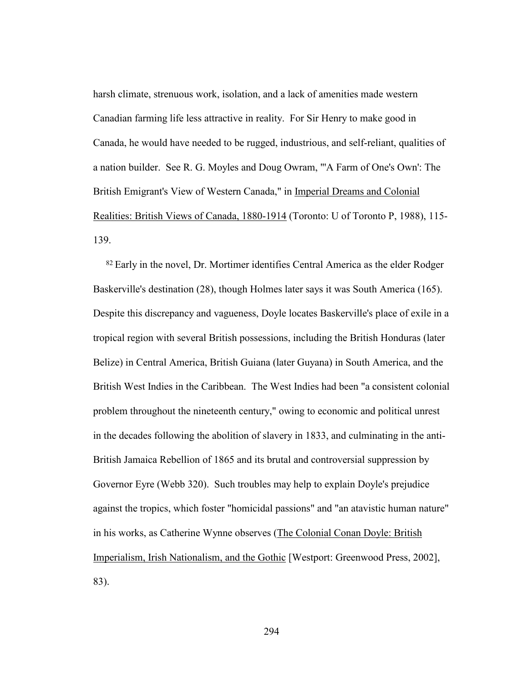harsh climate, strenuous work, isolation, and a lack of amenities made western Canadian farming life less attractive in reality. For Sir Henry to make good in Canada, he would have needed to be rugged, industrious, and self-reliant, qualities of a nation builder. See R. G. Moyles and Doug Owram, "'A Farm of One's Own': The British Emigrant's View of Western Canada," in Imperial Dreams and Colonial Realities: British Views of Canada, 1880-1914 (Toronto: U of Toronto P, 1988), 115- 139.

<sup>82</sup> Early in the novel, Dr. Mortimer identifies Central America as the elder Rodger Baskerville's destination (28), though Holmes later says it was South America (165). Despite this discrepancy and vagueness, Doyle locates Baskerville's place of exile in a tropical region with several British possessions, including the British Honduras (later Belize) in Central America, British Guiana (later Guyana) in South America, and the British West Indies in the Caribbean. The West Indies had been "a consistent colonial problem throughout the nineteenth century," owing to economic and political unrest in the decades following the abolition of slavery in 1833, and culminating in the anti-British Jamaica Rebellion of 1865 and its brutal and controversial suppression by Governor Eyre (Webb 320). Such troubles may help to explain Doyle's prejudice against the tropics, which foster "homicidal passions" and "an atavistic human nature" in his works, as Catherine Wynne observes (The Colonial Conan Doyle: British Imperialism, Irish Nationalism, and the Gothic [Westport: Greenwood Press, 2002], 83).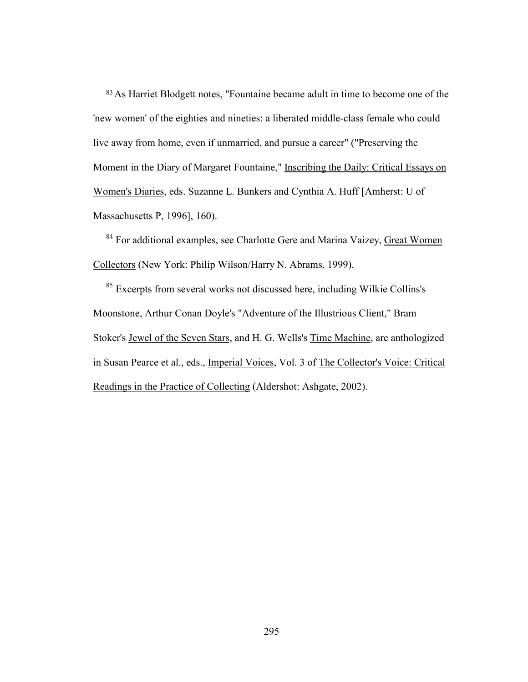83As Harriet Blodgett notes, "Fountaine became adult in time to become one of the 'new women' of the eighties and nineties: a liberated middle-class female who could live away from home, even if unmarried, and pursue a career" ("Preserving the Moment in the Diary of Margaret Fountaine," Inscribing the Daily: Critical Essays on Women's Diaries, eds. Suzanne L. Bunkers and Cynthia A. Huff [Amherst: U of Massachusetts P, 1996], 160).

84 For additional examples, see Charlotte Gere and Marina Vaizey, Great Women Collectors (New York: Philip Wilson/Harry N. Abrams, 1999).

<sup>85</sup> Excerpts from several works not discussed here, including Wilkie Collins's Moonstone, Arthur Conan Doyle's "Adventure of the Illustrious Client," Bram Stoker's Jewel of the Seven Stars, and H. G. Wells's Time Machine, are anthologized in Susan Pearce et al., eds., Imperial Voices, Vol. 3 of The Collector's Voice: Critical Readings in the Practice of Collecting (Aldershot: Ashgate, 2002).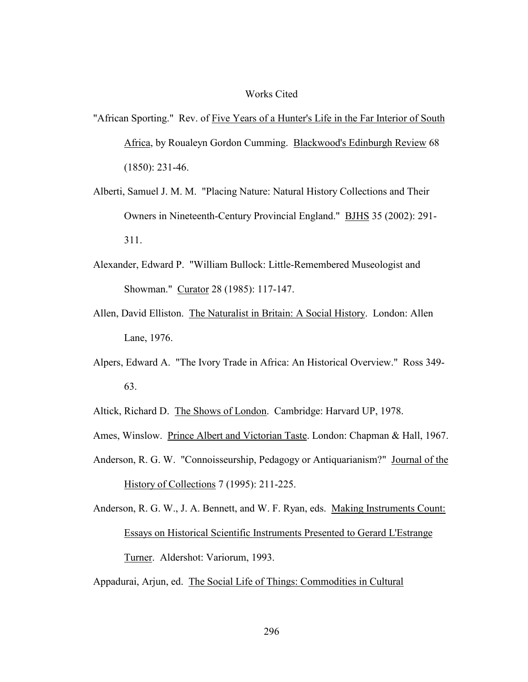## Works Cited

- "African Sporting." Rev. of Five Years of a Hunter's Life in the Far Interior of South Africa, by Roualeyn Gordon Cumming. Blackwood's Edinburgh Review 68 (1850): 231-46.
- Alberti, Samuel J. M. M. "Placing Nature: Natural History Collections and Their Owners in Nineteenth-Century Provincial England." BJHS 35 (2002): 291- 311.
- Alexander, Edward P. "William Bullock: Little-Remembered Museologist and Showman." Curator 28 (1985): 117-147.
- Allen, David Elliston. The Naturalist in Britain: A Social History. London: Allen Lane, 1976.
- Alpers, Edward A. "The Ivory Trade in Africa: An Historical Overview." Ross 349- 63.

Altick, Richard D. The Shows of London. Cambridge: Harvard UP, 1978.

- Ames, Winslow. Prince Albert and Victorian Taste. London: Chapman & Hall, 1967.
- Anderson, R. G. W. "Connoisseurship, Pedagogy or Antiquarianism?" Journal of the History of Collections 7 (1995): 211-225.

Anderson, R. G. W., J. A. Bennett, and W. F. Ryan, eds. Making Instruments Count: Essays on Historical Scientific Instruments Presented to Gerard L'Estrange Turner. Aldershot: Variorum, 1993.

Appadurai, Arjun, ed. The Social Life of Things: Commodities in Cultural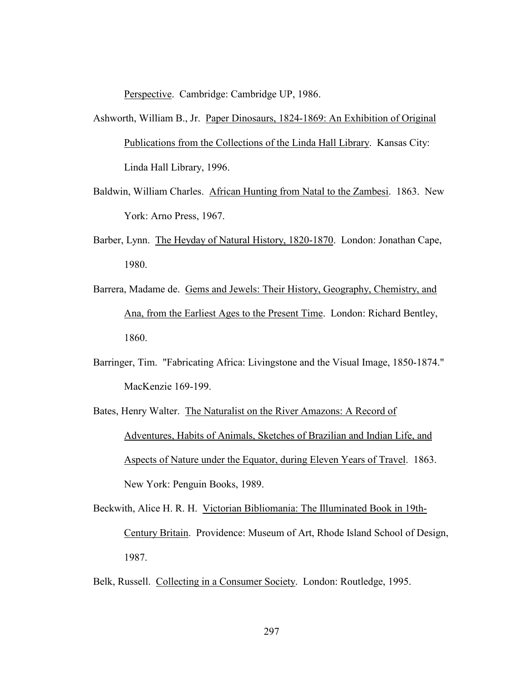Perspective. Cambridge: Cambridge UP, 1986.

- Ashworth, William B., Jr. Paper Dinosaurs, 1824-1869: An Exhibition of Original Publications from the Collections of the Linda Hall Library. Kansas City: Linda Hall Library, 1996.
- Baldwin, William Charles. African Hunting from Natal to the Zambesi. 1863. New York: Arno Press, 1967.
- Barber, Lynn. The Heyday of Natural History, 1820-1870. London: Jonathan Cape, 1980.
- Barrera, Madame de. Gems and Jewels: Their History, Geography, Chemistry, and Ana, from the Earliest Ages to the Present Time. London: Richard Bentley, 1860.
- Barringer, Tim. "Fabricating Africa: Livingstone and the Visual Image, 1850-1874." MacKenzie 169-199.
- Bates, Henry Walter. The Naturalist on the River Amazons: A Record of Adventures, Habits of Animals, Sketches of Brazilian and Indian Life, and Aspects of Nature under the Equator, during Eleven Years of Travel. 1863. New York: Penguin Books, 1989.
- Beckwith, Alice H. R. H. Victorian Bibliomania: The Illuminated Book in 19th-Century Britain. Providence: Museum of Art, Rhode Island School of Design, 1987.
- Belk, Russell. Collecting in a Consumer Society. London: Routledge, 1995.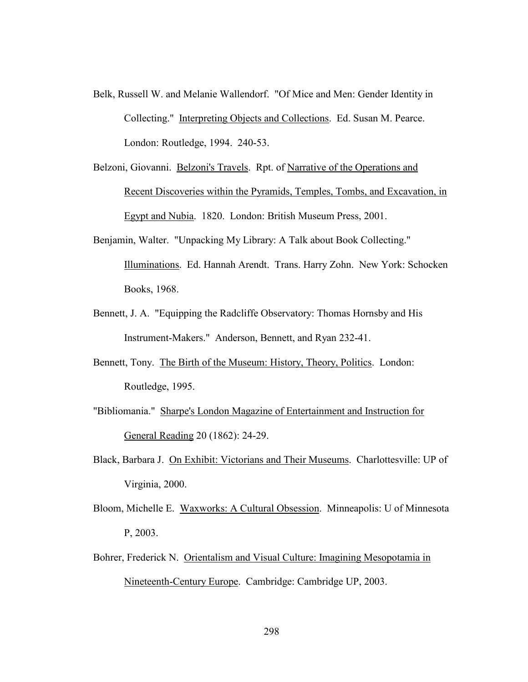Belk, Russell W. and Melanie Wallendorf. "Of Mice and Men: Gender Identity in Collecting." Interpreting Objects and Collections. Ed. Susan M. Pearce. London: Routledge, 1994. 240-53.

Belzoni, Giovanni. Belzoni's Travels. Rpt. of Narrative of the Operations and Recent Discoveries within the Pyramids, Temples, Tombs, and Excavation, in Egypt and Nubia. 1820. London: British Museum Press, 2001.

- Benjamin, Walter. "Unpacking My Library: A Talk about Book Collecting." Illuminations. Ed. Hannah Arendt. Trans. Harry Zohn. New York: Schocken Books, 1968.
- Bennett, J. A. "Equipping the Radcliffe Observatory: Thomas Hornsby and His Instrument-Makers." Anderson, Bennett, and Ryan 232-41.
- Bennett, Tony. The Birth of the Museum: History, Theory, Politics. London: Routledge, 1995.
- "Bibliomania." Sharpe's London Magazine of Entertainment and Instruction for General Reading 20 (1862): 24-29.
- Black, Barbara J. On Exhibit: Victorians and Their Museums. Charlottesville: UP of Virginia, 2000.
- Bloom, Michelle E. Waxworks: A Cultural Obsession. Minneapolis: U of Minnesota P, 2003.
- Bohrer, Frederick N. Orientalism and Visual Culture: Imagining Mesopotamia in Nineteenth-Century Europe. Cambridge: Cambridge UP, 2003.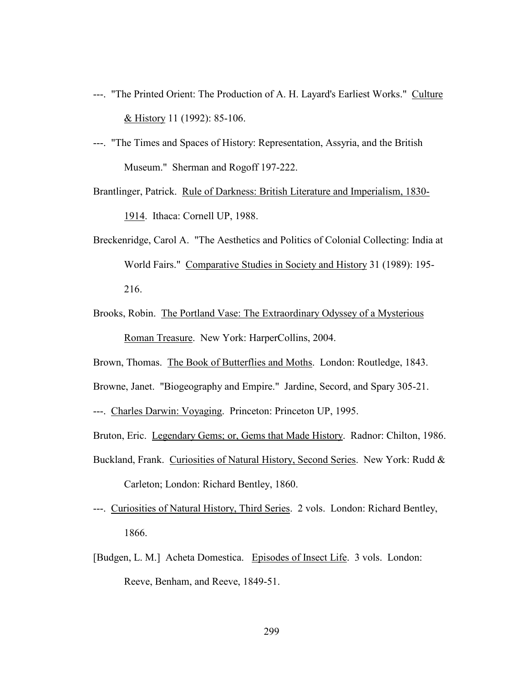- ---. "The Printed Orient: The Production of A. H. Layard's Earliest Works." Culture & History 11 (1992): 85-106.
- ---. "The Times and Spaces of History: Representation, Assyria, and the British Museum." Sherman and Rogoff 197-222.

Brantlinger, Patrick. Rule of Darkness: British Literature and Imperialism, 1830- 1914. Ithaca: Cornell UP, 1988.

- Breckenridge, Carol A. "The Aesthetics and Politics of Colonial Collecting: India at World Fairs." Comparative Studies in Society and History 31 (1989): 195- 216.
- Brooks, Robin. The Portland Vase: The Extraordinary Odyssey of a Mysterious Roman Treasure. New York: HarperCollins, 2004.
- Brown, Thomas. The Book of Butterflies and Moths. London: Routledge, 1843.

Browne, Janet. "Biogeography and Empire." Jardine, Secord, and Spary 305-21.

- ---. Charles Darwin: Voyaging. Princeton: Princeton UP, 1995.
- Bruton, Eric. Legendary Gems; or, Gems that Made History. Radnor: Chilton, 1986.
- Buckland, Frank. Curiosities of Natural History, Second Series. New York: Rudd & Carleton; London: Richard Bentley, 1860.
- ---. Curiosities of Natural History, Third Series. 2 vols. London: Richard Bentley, 1866.
- [Budgen, L. M.] Acheta Domestica. Episodes of Insect Life. 3 vols. London: Reeve, Benham, and Reeve, 1849-51.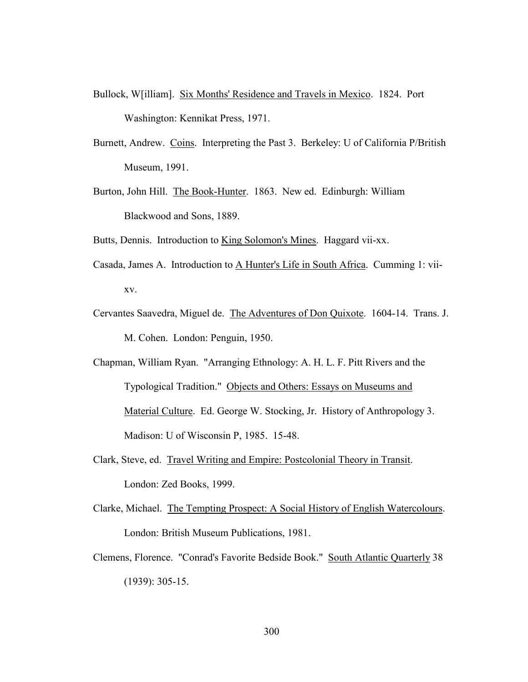- Bullock, W[illiam]. Six Months' Residence and Travels in Mexico. 1824. Port Washington: Kennikat Press, 1971.
- Burnett, Andrew. Coins. Interpreting the Past 3. Berkeley: U of California P/British Museum, 1991.
- Burton, John Hill. The Book-Hunter. 1863. New ed. Edinburgh: William Blackwood and Sons, 1889.

Butts, Dennis. Introduction to King Solomon's Mines. Haggard vii-xx.

- Casada, James A. Introduction to A Hunter's Life in South Africa. Cumming 1: viixv.
- Cervantes Saavedra, Miguel de. The Adventures of Don Quixote. 1604-14. Trans. J. M. Cohen. London: Penguin, 1950.

Chapman, William Ryan. "Arranging Ethnology: A. H. L. F. Pitt Rivers and the Typological Tradition." Objects and Others: Essays on Museums and Material Culture. Ed. George W. Stocking, Jr. History of Anthropology 3. Madison: U of Wisconsin P, 1985. 15-48.

- Clark, Steve, ed. Travel Writing and Empire: Postcolonial Theory in Transit. London: Zed Books, 1999.
- Clarke, Michael. The Tempting Prospect: A Social History of English Watercolours. London: British Museum Publications, 1981.
- Clemens, Florence. "Conrad's Favorite Bedside Book." South Atlantic Quarterly 38 (1939): 305-15.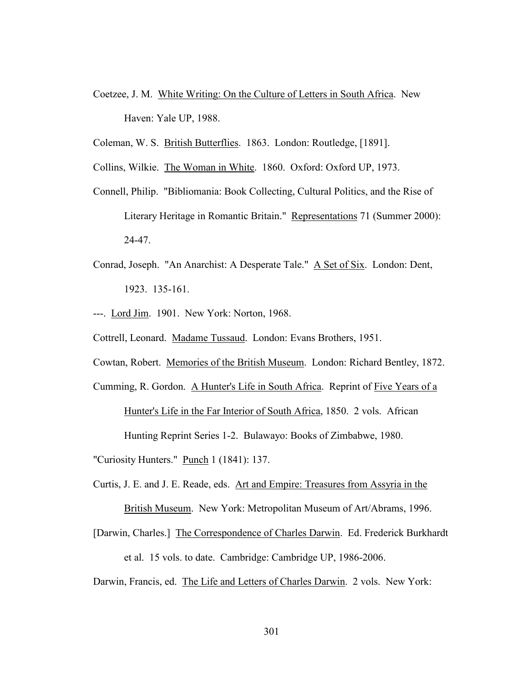- Coetzee, J. M. White Writing: On the Culture of Letters in South Africa. New Haven: Yale UP, 1988.
- Coleman, W. S. British Butterflies. 1863. London: Routledge, [1891].
- Collins, Wilkie. The Woman in White. 1860. Oxford: Oxford UP, 1973.
- Connell, Philip. "Bibliomania: Book Collecting, Cultural Politics, and the Rise of Literary Heritage in Romantic Britain." Representations 71 (Summer 2000): 24-47.
- Conrad, Joseph. "An Anarchist: A Desperate Tale." A Set of Six. London: Dent, 1923. 135-161.
- ---. Lord Jim. 1901. New York: Norton, 1968.
- Cottrell, Leonard. Madame Tussaud. London: Evans Brothers, 1951.
- Cowtan, Robert. Memories of the British Museum. London: Richard Bentley, 1872.
- Cumming, R. Gordon. A Hunter's Life in South Africa. Reprint of Five Years of a Hunter's Life in the Far Interior of South Africa, 1850. 2 vols. African Hunting Reprint Series 1-2. Bulawayo: Books of Zimbabwe, 1980.
- "Curiosity Hunters." Punch 1 (1841): 137.
- Curtis, J. E. and J. E. Reade, eds. Art and Empire: Treasures from Assyria in the British Museum. New York: Metropolitan Museum of Art/Abrams, 1996.
- [Darwin, Charles.] The Correspondence of Charles Darwin. Ed. Frederick Burkhardt

et al. 15 vols. to date. Cambridge: Cambridge UP, 1986-2006.

Darwin, Francis, ed. The Life and Letters of Charles Darwin. 2 vols. New York: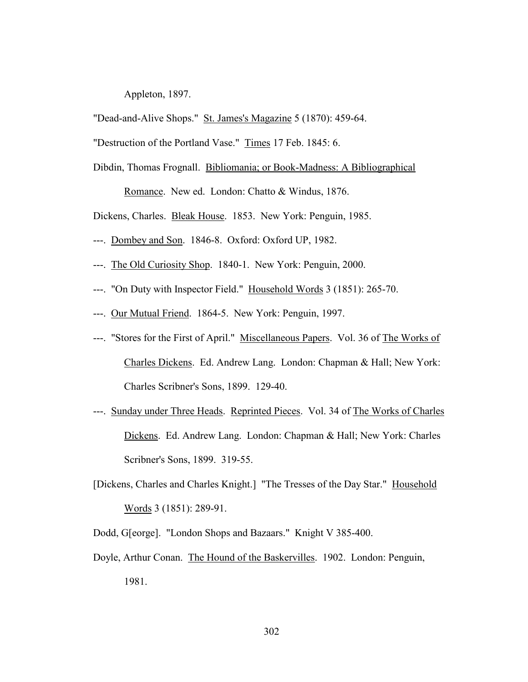Appleton, 1897.

"Dead-and-Alive Shops." St. James's Magazine 5 (1870): 459-64.

"Destruction of the Portland Vase." Times 17 Feb. 1845: 6.

Dibdin, Thomas Frognall. Bibliomania; or Book-Madness: A Bibliographical

Romance. New ed. London: Chatto & Windus, 1876.

Dickens, Charles. Bleak House. 1853. New York: Penguin, 1985.

- ---. Dombey and Son. 1846-8. Oxford: Oxford UP, 1982.
- ---. The Old Curiosity Shop. 1840-1. New York: Penguin, 2000.
- ---. "On Duty with Inspector Field." Household Words 3 (1851): 265-70.
- ---. Our Mutual Friend. 1864-5. New York: Penguin, 1997.
- ---. "Stores for the First of April." Miscellaneous Papers. Vol. 36 of The Works of Charles Dickens. Ed. Andrew Lang. London: Chapman & Hall; New York: Charles Scribner's Sons, 1899. 129-40.
- ---. Sunday under Three Heads. Reprinted Pieces. Vol. 34 of The Works of Charles Dickens. Ed. Andrew Lang. London: Chapman & Hall; New York: Charles Scribner's Sons, 1899. 319-55.
- [Dickens, Charles and Charles Knight.] "The Tresses of the Day Star." Household Words 3 (1851): 289-91.
- Dodd, G[eorge]. "London Shops and Bazaars." Knight V 385-400.
- Doyle, Arthur Conan. The Hound of the Baskervilles. 1902. London: Penguin, 1981.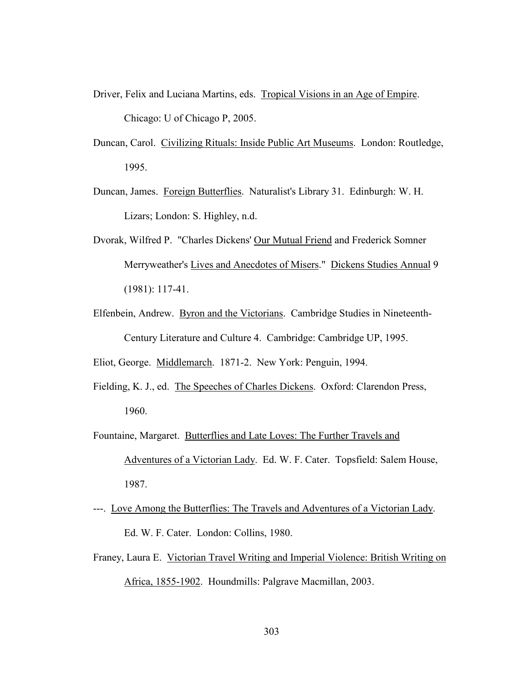- Driver, Felix and Luciana Martins, eds. Tropical Visions in an Age of Empire. Chicago: U of Chicago P, 2005.
- Duncan, Carol. Civilizing Rituals: Inside Public Art Museums. London: Routledge, 1995.
- Duncan, James. Foreign Butterflies. Naturalist's Library 31. Edinburgh: W. H. Lizars; London: S. Highley, n.d.
- Dvorak, Wilfred P. "Charles Dickens' Our Mutual Friend and Frederick Somner Merryweather's Lives and Anecdotes of Misers." Dickens Studies Annual 9 (1981): 117-41.
- Elfenbein, Andrew. Byron and the Victorians. Cambridge Studies in Nineteenth- Century Literature and Culture 4. Cambridge: Cambridge UP, 1995.
- Eliot, George. Middlemarch. 1871-2. New York: Penguin, 1994.
- Fielding, K. J., ed. The Speeches of Charles Dickens. Oxford: Clarendon Press, 1960.
- Fountaine, Margaret. Butterflies and Late Loves: The Further Travels and Adventures of a Victorian Lady. Ed. W. F. Cater. Topsfield: Salem House, 1987.
- ---. Love Among the Butterflies: The Travels and Adventures of a Victorian Lady. Ed. W. F. Cater. London: Collins, 1980.
- Franey, Laura E. Victorian Travel Writing and Imperial Violence: British Writing on Africa, 1855-1902. Houndmills: Palgrave Macmillan, 2003.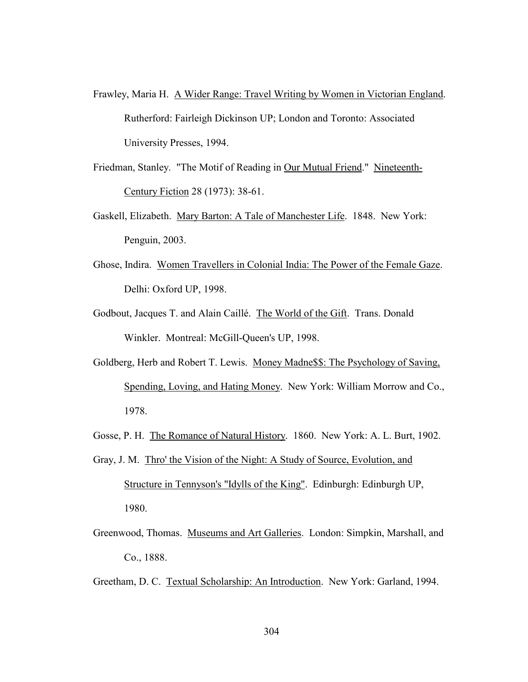- Frawley, Maria H. A Wider Range: Travel Writing by Women in Victorian England. Rutherford: Fairleigh Dickinson UP; London and Toronto: Associated University Presses, 1994.
- Friedman, Stanley. "The Motif of Reading in Our Mutual Friend." Nineteenth-Century Fiction 28 (1973): 38-61.
- Gaskell, Elizabeth. Mary Barton: A Tale of Manchester Life. 1848. New York: Penguin, 2003.
- Ghose, Indira. Women Travellers in Colonial India: The Power of the Female Gaze. Delhi: Oxford UP, 1998.
- Godbout, Jacques T. and Alain Caillé. The World of the Gift. Trans. Donald Winkler. Montreal: McGill-Queen's UP, 1998.
- Goldberg, Herb and Robert T. Lewis. Money Madne\$\$: The Psychology of Saving, Spending, Loving, and Hating Money. New York: William Morrow and Co., 1978.
- Gosse, P. H. The Romance of Natural History. 1860. New York: A. L. Burt, 1902.
- Gray, J. M. Thro' the Vision of the Night: A Study of Source, Evolution, and Structure in Tennyson's "Idylls of the King". Edinburgh: Edinburgh UP, 1980.
- Greenwood, Thomas. Museums and Art Galleries. London: Simpkin, Marshall, and Co., 1888.
- Greetham, D. C. Textual Scholarship: An Introduction. New York: Garland, 1994.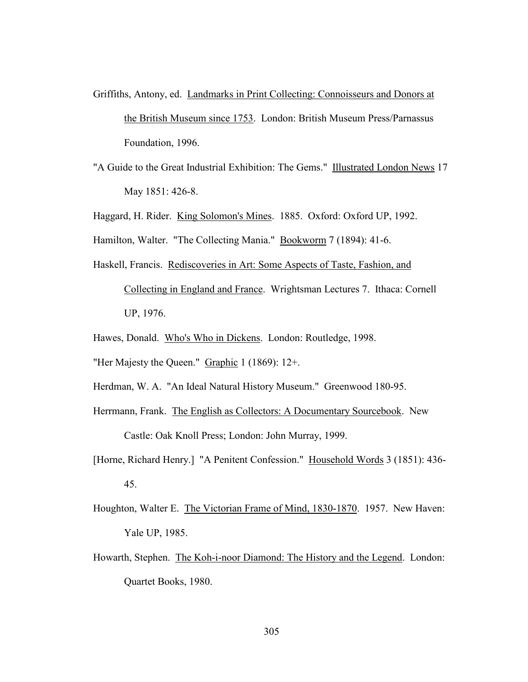- Griffiths, Antony, ed. Landmarks in Print Collecting: Connoisseurs and Donors at the British Museum since 1753. London: British Museum Press/Parnassus Foundation, 1996.
- "A Guide to the Great Industrial Exhibition: The Gems." Illustrated London News 17 May 1851: 426-8.
- Haggard, H. Rider. King Solomon's Mines. 1885. Oxford: Oxford UP, 1992.
- Hamilton, Walter. "The Collecting Mania." Bookworm 7 (1894): 41-6.
- Haskell, Francis. Rediscoveries in Art: Some Aspects of Taste, Fashion, and Collecting in England and France. Wrightsman Lectures 7. Ithaca: Cornell UP, 1976.
- Hawes, Donald. Who's Who in Dickens. London: Routledge, 1998.
- "Her Majesty the Queen." Graphic 1 (1869): 12+.
- Herdman, W. A. "An Ideal Natural History Museum." Greenwood 180-95.
- Herrmann, Frank. The English as Collectors: A Documentary Sourcebook. New Castle: Oak Knoll Press; London: John Murray, 1999.
- [Horne, Richard Henry.] "A Penitent Confession." Household Words 3 (1851): 436- 45.
- Houghton, Walter E. The Victorian Frame of Mind, 1830-1870. 1957. New Haven: Yale UP, 1985.
- Howarth, Stephen. The Koh-i-noor Diamond: The History and the Legend. London: Quartet Books, 1980.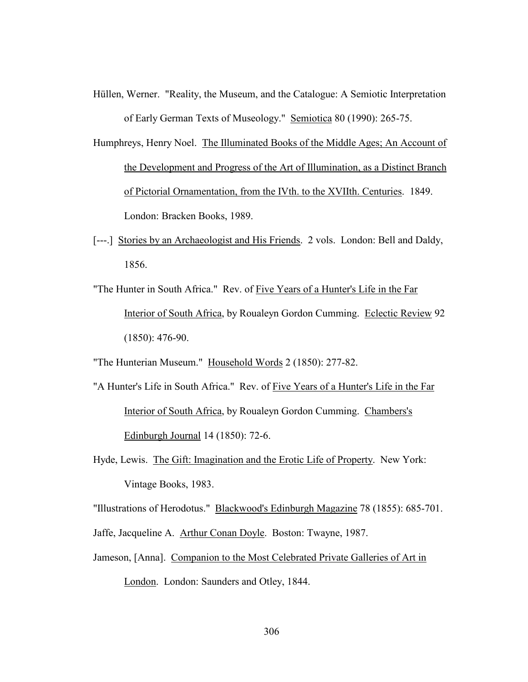- Hüllen, Werner. "Reality, the Museum, and the Catalogue: A Semiotic Interpretation of Early German Texts of Museology." Semiotica 80 (1990): 265-75.
- Humphreys, Henry Noel. The Illuminated Books of the Middle Ages; An Account of the Development and Progress of the Art of Illumination, as a Distinct Branch of Pictorial Ornamentation, from the IVth. to the XVIIth. Centuries. 1849. London: Bracken Books, 1989.
- [---.] Stories by an Archaeologist and His Friends. 2 vols. London: Bell and Daldy, 1856.
- "The Hunter in South Africa." Rev. of Five Years of a Hunter's Life in the Far Interior of South Africa, by Roualeyn Gordon Cumming. Eclectic Review 92 (1850): 476-90.
- "The Hunterian Museum." Household Words 2 (1850): 277-82.
- "A Hunter's Life in South Africa." Rev. of Five Years of a Hunter's Life in the Far Interior of South Africa, by Roualeyn Gordon Cumming. Chambers's Edinburgh Journal 14 (1850): 72-6.
- Hyde, Lewis. The Gift: Imagination and the Erotic Life of Property. New York: Vintage Books, 1983.

"Illustrations of Herodotus." Blackwood's Edinburgh Magazine 78 (1855): 685-701.

- Jaffe, Jacqueline A. Arthur Conan Doyle. Boston: Twayne, 1987.
- Jameson, [Anna]. Companion to the Most Celebrated Private Galleries of Art in London. London: Saunders and Otley, 1844.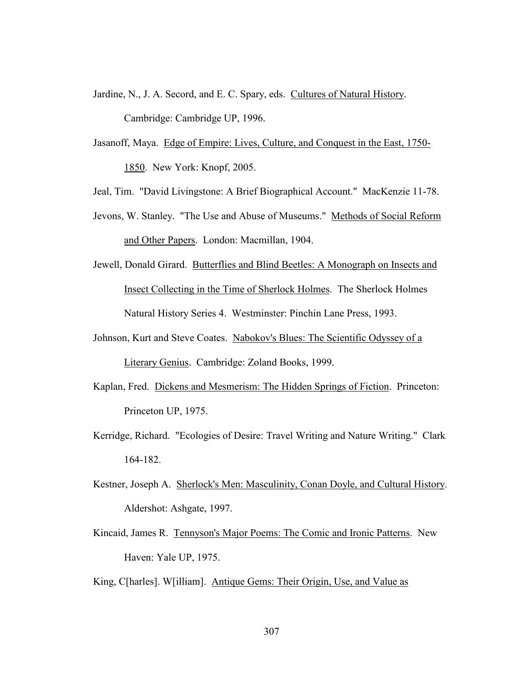- Jardine, N., J. A. Secord, and E. C. Spary, eds. Cultures of Natural History. Cambridge: Cambridge UP, 1996.
- Jasanoff, Maya. Edge of Empire: Lives, Culture, and Conquest in the East, 1750- 1850. New York: Knopf, 2005.
- Jeal, Tim. "David Livingstone: A Brief Biographical Account." MacKenzie 11-78.
- Jevons, W. Stanley. "The Use and Abuse of Museums." Methods of Social Reform and Other Papers. London: Macmillan, 1904.
- Jewell, Donald Girard. Butterflies and Blind Beetles: A Monograph on Insects and Insect Collecting in the Time of Sherlock Holmes. The Sherlock Holmes Natural History Series 4. Westminster: Pinchin Lane Press, 1993.
- Johnson, Kurt and Steve Coates. Nabokov's Blues: The Scientific Odyssey of a Literary Genius. Cambridge: Zoland Books, 1999.
- Kaplan, Fred. Dickens and Mesmerism: The Hidden Springs of Fiction. Princeton: Princeton UP, 1975.
- Kerridge, Richard. "Ecologies of Desire: Travel Writing and Nature Writing." Clark 164-182.
- Kestner, Joseph A. Sherlock's Men: Masculinity, Conan Doyle, and Cultural History. Aldershot: Ashgate, 1997.
- Kincaid, James R. Tennyson's Major Poems: The Comic and Ironic Patterns. New Haven: Yale UP, 1975.
- King, C[harles]. W[illiam]. Antique Gems: Their Origin, Use, and Value as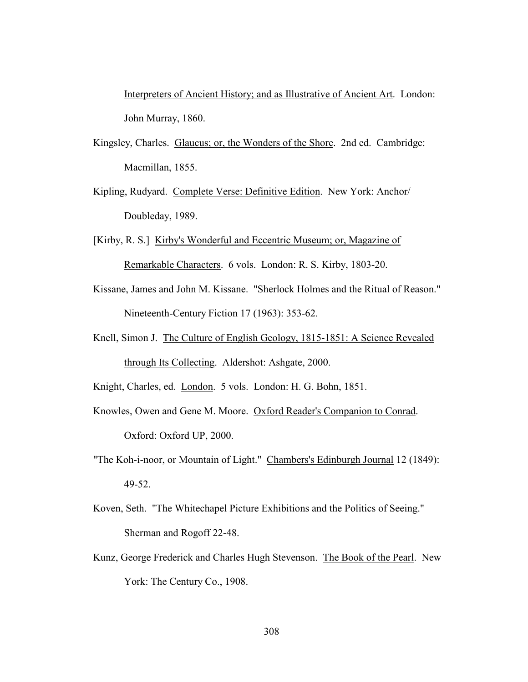Interpreters of Ancient History; and as Illustrative of Ancient Art. London: John Murray, 1860.

- Kingsley, Charles. Glaucus; or, the Wonders of the Shore. 2nd ed. Cambridge: Macmillan, 1855.
- Kipling, Rudyard. Complete Verse: Definitive Edition. New York: Anchor/ Doubleday, 1989.
- [Kirby, R. S.] Kirby's Wonderful and Eccentric Museum; or, Magazine of Remarkable Characters. 6 vols. London: R. S. Kirby, 1803-20.
- Kissane, James and John M. Kissane. "Sherlock Holmes and the Ritual of Reason." Nineteenth-Century Fiction 17 (1963): 353-62.
- Knell, Simon J. The Culture of English Geology, 1815-1851: A Science Revealed through Its Collecting. Aldershot: Ashgate, 2000.

Knight, Charles, ed. London. 5 vols. London: H. G. Bohn, 1851.

Knowles, Owen and Gene M. Moore. Oxford Reader's Companion to Conrad. Oxford: Oxford UP, 2000.

- "The Koh-i-noor, or Mountain of Light." Chambers's Edinburgh Journal 12 (1849): 49-52.
- Koven, Seth. "The Whitechapel Picture Exhibitions and the Politics of Seeing." Sherman and Rogoff 22-48.
- Kunz, George Frederick and Charles Hugh Stevenson. The Book of the Pearl. New York: The Century Co., 1908.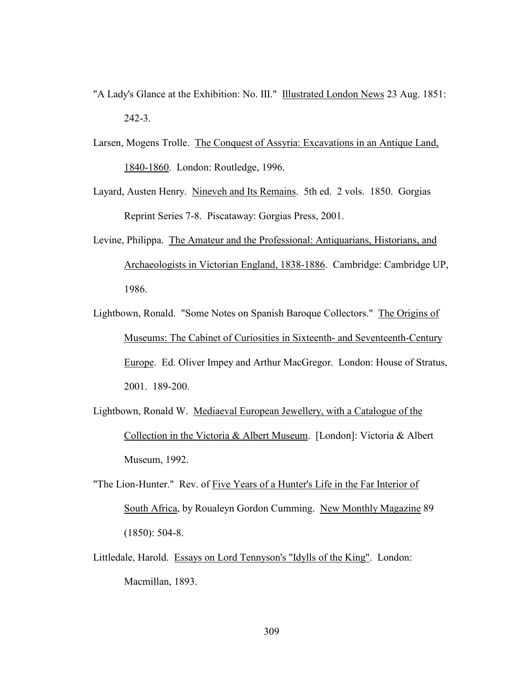- "A Lady's Glance at the Exhibition: No. III." Illustrated London News 23 Aug. 1851: 242-3.
- Larsen, Mogens Trolle. The Conquest of Assyria: Excavations in an Antique Land, 1840-1860. London: Routledge, 1996.
- Layard, Austen Henry. Nineveh and Its Remains. 5th ed. 2 vols. 1850. Gorgias Reprint Series 7-8. Piscataway: Gorgias Press, 2001.
- Levine, Philippa. The Amateur and the Professional: Antiquarians, Historians, and Archaeologists in Victorian England, 1838-1886. Cambridge: Cambridge UP, 1986.
- Lightbown, Ronald. "Some Notes on Spanish Baroque Collectors." The Origins of Museums: The Cabinet of Curiosities in Sixteenth- and Seventeenth-Century Europe. Ed. Oliver Impey and Arthur MacGregor. London: House of Stratus, 2001. 189-200.
- Lightbown, Ronald W. Mediaeval European Jewellery, with a Catalogue of the Collection in the Victoria & Albert Museum. [London]: Victoria & Albert Museum, 1992.
- "The Lion-Hunter." Rev. of Five Years of a Hunter's Life in the Far Interior of South Africa, by Roualeyn Gordon Cumming. New Monthly Magazine 89 (1850): 504-8.
- Littledale, Harold. Essays on Lord Tennyson's "Idylls of the King". London: Macmillan, 1893.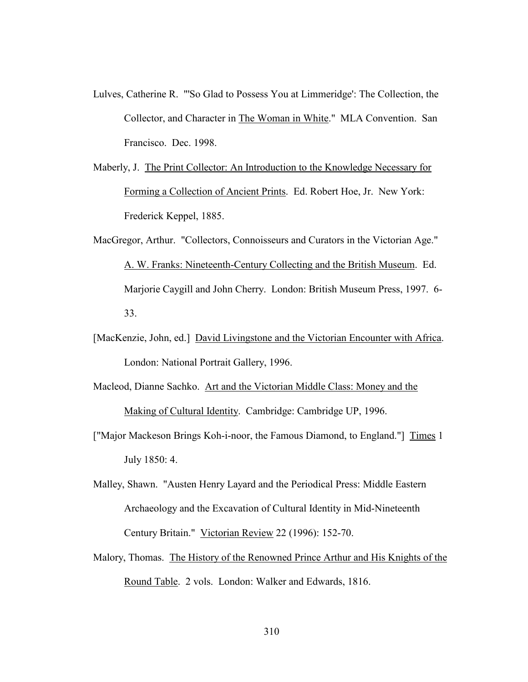- Lulves, Catherine R. "'So Glad to Possess You at Limmeridge': The Collection, the Collector, and Character in The Woman in White." MLA Convention. San Francisco. Dec. 1998.
- Maberly, J. The Print Collector: An Introduction to the Knowledge Necessary for Forming a Collection of Ancient Prints. Ed. Robert Hoe, Jr. New York: Frederick Keppel, 1885.
- MacGregor, Arthur. "Collectors, Connoisseurs and Curators in the Victorian Age." A. W. Franks: Nineteenth-Century Collecting and the British Museum. Ed. Marjorie Caygill and John Cherry. London: British Museum Press, 1997. 6- 33.
- [MacKenzie, John, ed.] David Livingstone and the Victorian Encounter with Africa. London: National Portrait Gallery, 1996.
- Macleod, Dianne Sachko. Art and the Victorian Middle Class: Money and the Making of Cultural Identity. Cambridge: Cambridge UP, 1996.
- ["Major Mackeson Brings Koh-i-noor, the Famous Diamond, to England."] Times 1 July 1850: 4.
- Malley, Shawn. "Austen Henry Layard and the Periodical Press: Middle Eastern Archaeology and the Excavation of Cultural Identity in Mid-Nineteenth Century Britain." Victorian Review 22 (1996): 152-70.
- Malory, Thomas. The History of the Renowned Prince Arthur and His Knights of the Round Table. 2 vols. London: Walker and Edwards, 1816.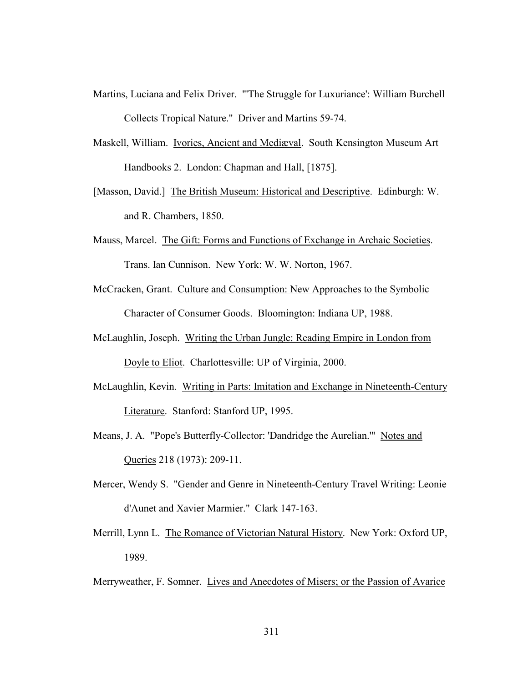- Martins, Luciana and Felix Driver. "'The Struggle for Luxuriance': William Burchell Collects Tropical Nature." Driver and Martins 59-74.
- Maskell, William. Ivories, Ancient and Mediæval. South Kensington Museum Art Handbooks 2. London: Chapman and Hall, [1875].
- [Masson, David.] The British Museum: Historical and Descriptive. Edinburgh: W. and R. Chambers, 1850.
- Mauss, Marcel. The Gift: Forms and Functions of Exchange in Archaic Societies. Trans. Ian Cunnison. New York: W. W. Norton, 1967.
- McCracken, Grant. Culture and Consumption: New Approaches to the Symbolic Character of Consumer Goods. Bloomington: Indiana UP, 1988.
- McLaughlin, Joseph. Writing the Urban Jungle: Reading Empire in London from Doyle to Eliot. Charlottesville: UP of Virginia, 2000.
- McLaughlin, Kevin. Writing in Parts: Imitation and Exchange in Nineteenth-Century Literature. Stanford: Stanford UP, 1995.
- Means, J. A. "Pope's Butterfly-Collector: 'Dandridge the Aurelian.'" Notes and Queries 218 (1973): 209-11.
- Mercer, Wendy S. "Gender and Genre in Nineteenth-Century Travel Writing: Leonie d'Aunet and Xavier Marmier." Clark 147-163.
- Merrill, Lynn L. The Romance of Victorian Natural History. New York: Oxford UP, 1989.
- Merryweather, F. Somner. Lives and Anecdotes of Misers; or the Passion of Avarice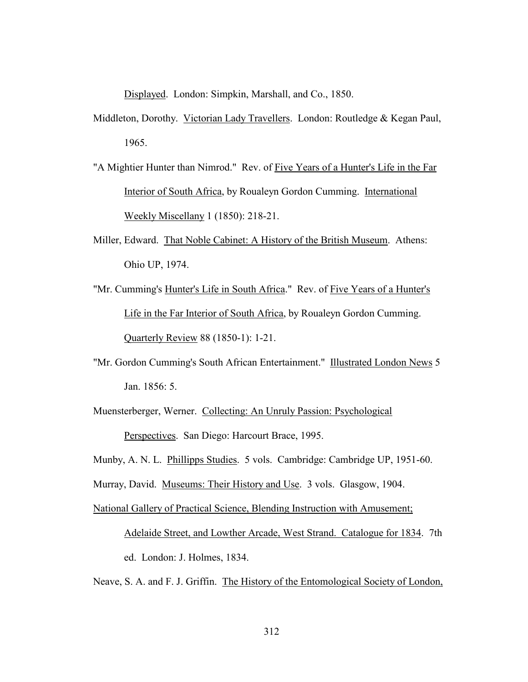Displayed. London: Simpkin, Marshall, and Co., 1850.

- Middleton, Dorothy. Victorian Lady Travellers. London: Routledge & Kegan Paul, 1965.
- "A Mightier Hunter than Nimrod." Rev. of Five Years of a Hunter's Life in the Far Interior of South Africa, by Roualeyn Gordon Cumming. International Weekly Miscellany 1 (1850): 218-21.
- Miller, Edward. That Noble Cabinet: A History of the British Museum. Athens: Ohio UP, 1974.
- "Mr. Cumming's Hunter's Life in South Africa." Rev. of Five Years of a Hunter's Life in the Far Interior of South Africa, by Roualeyn Gordon Cumming. Quarterly Review 88 (1850-1): 1-21.
- "Mr. Gordon Cumming's South African Entertainment." Illustrated London News 5 Jan. 1856: 5.
- Muensterberger, Werner. Collecting: An Unruly Passion: Psychological Perspectives. San Diego: Harcourt Brace, 1995.
- Munby, A. N. L. Phillipps Studies. 5 vols. Cambridge: Cambridge UP, 1951-60.
- Murray, David. Museums: Their History and Use. 3 vols. Glasgow, 1904.
- National Gallery of Practical Science, Blending Instruction with Amusement;

Adelaide Street, and Lowther Arcade, West Strand. Catalogue for 1834. 7th

ed. London: J. Holmes, 1834.

Neave, S. A. and F. J. Griffin. The History of the Entomological Society of London,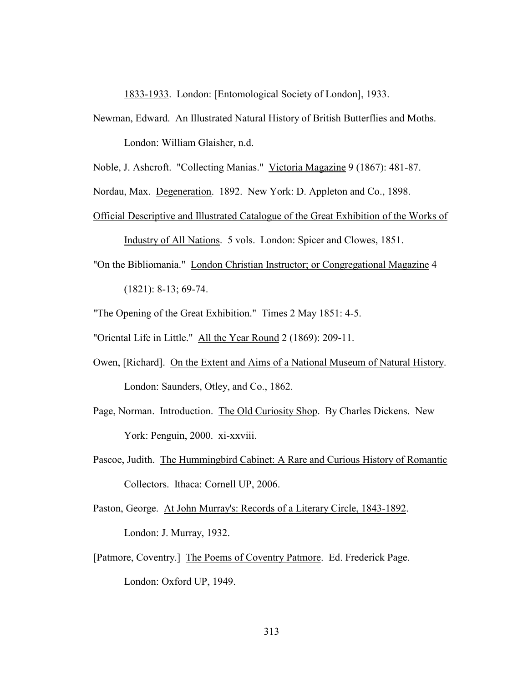1833-1933. London: [Entomological Society of London], 1933.

- Newman, Edward. An Illustrated Natural History of British Butterflies and Moths. London: William Glaisher, n.d.
- Noble, J. Ashcroft. "Collecting Manias." Victoria Magazine 9 (1867): 481-87.

Nordau, Max. Degeneration. 1892. New York: D. Appleton and Co., 1898.

- Official Descriptive and Illustrated Catalogue of the Great Exhibition of the Works of Industry of All Nations. 5 vols. London: Spicer and Clowes, 1851.
- "On the Bibliomania." London Christian Instructor; or Congregational Magazine 4 (1821): 8-13; 69-74.

"The Opening of the Great Exhibition." Times 2 May 1851: 4-5.

"Oriental Life in Little." All the Year Round 2 (1869): 209-11.

- Owen, [Richard]. On the Extent and Aims of a National Museum of Natural History. London: Saunders, Otley, and Co., 1862.
- Page, Norman. Introduction. The Old Curiosity Shop. By Charles Dickens. New York: Penguin, 2000. xi-xxviii.
- Pascoe, Judith. The Hummingbird Cabinet: A Rare and Curious History of Romantic Collectors. Ithaca: Cornell UP, 2006.
- Paston, George. At John Murray's: Records of a Literary Circle, 1843-1892. London: J. Murray, 1932.
- [Patmore, Coventry.] The Poems of Coventry Patmore. Ed. Frederick Page. London: Oxford UP, 1949.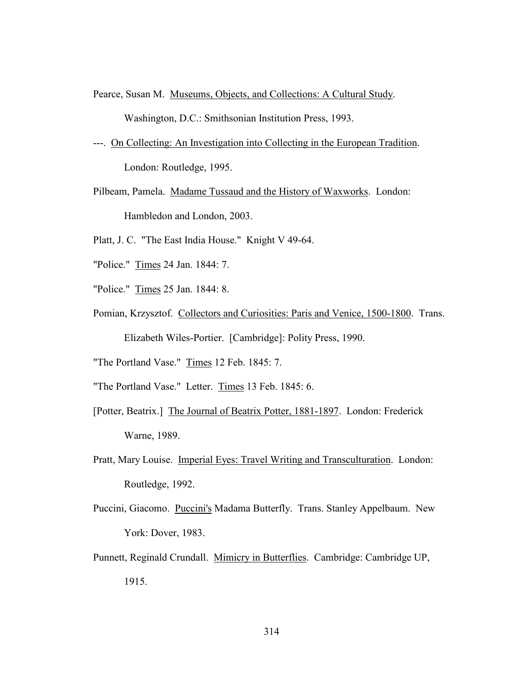Pearce, Susan M. Museums, Objects, and Collections: A Cultural Study.

Washington, D.C.: Smithsonian Institution Press, 1993.

---. On Collecting: An Investigation into Collecting in the European Tradition. London: Routledge, 1995.

Pilbeam, Pamela. Madame Tussaud and the History of Waxworks. London: Hambledon and London, 2003.

- Platt, J. C. "The East India House." Knight V 49-64.
- "Police." Times 24 Jan. 1844: 7.
- "Police." Times 25 Jan. 1844: 8.
- Pomian, Krzysztof. Collectors and Curiosities: Paris and Venice, 1500-1800. Trans. Elizabeth Wiles-Portier. [Cambridge]: Polity Press, 1990.

"The Portland Vase." Times 12 Feb. 1845: 7.

- "The Portland Vase." Letter. Times 13 Feb. 1845: 6.
- [Potter, Beatrix.] The Journal of Beatrix Potter, 1881-1897. London: Frederick Warne, 1989.
- Pratt, Mary Louise. Imperial Eyes: Travel Writing and Transculturation. London: Routledge, 1992.
- Puccini, Giacomo. Puccini's Madama Butterfly. Trans. Stanley Appelbaum. New York: Dover, 1983.
- Punnett, Reginald Crundall. Mimicry in Butterflies. Cambridge: Cambridge UP, 1915.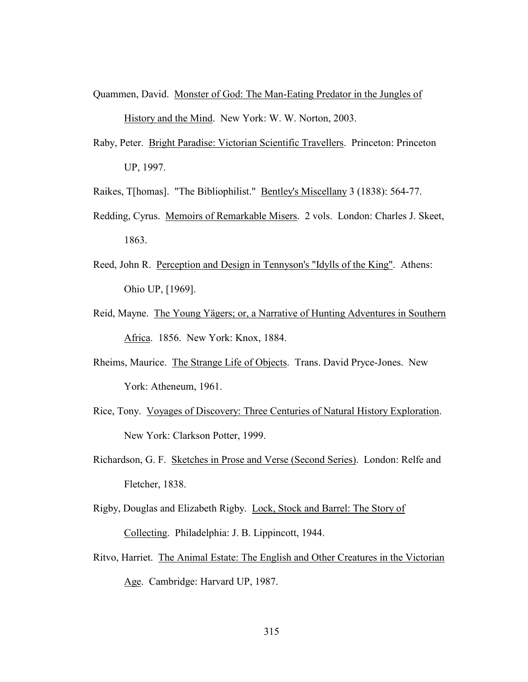- Quammen, David. Monster of God: The Man-Eating Predator in the Jungles of History and the Mind. New York: W. W. Norton, 2003.
- Raby, Peter. Bright Paradise: Victorian Scientific Travellers. Princeton: Princeton UP, 1997.
- Raikes, T[homas]. "The Bibliophilist." Bentley's Miscellany 3 (1838): 564-77.
- Redding, Cyrus. Memoirs of Remarkable Misers. 2 vols. London: Charles J. Skeet, 1863.
- Reed, John R. Perception and Design in Tennyson's "Idylls of the King". Athens: Ohio UP, [1969].
- Reid, Mayne. The Young Yägers; or, a Narrative of Hunting Adventures in Southern Africa. 1856. New York: Knox, 1884.
- Rheims, Maurice. The Strange Life of Objects. Trans. David Pryce-Jones. New York: Atheneum, 1961.
- Rice, Tony. Voyages of Discovery: Three Centuries of Natural History Exploration. New York: Clarkson Potter, 1999.
- Richardson, G. F. Sketches in Prose and Verse (Second Series). London: Relfe and Fletcher, 1838.
- Rigby, Douglas and Elizabeth Rigby. Lock, Stock and Barrel: The Story of Collecting. Philadelphia: J. B. Lippincott, 1944.
- Ritvo, Harriet. The Animal Estate: The English and Other Creatures in the Victorian Age. Cambridge: Harvard UP, 1987.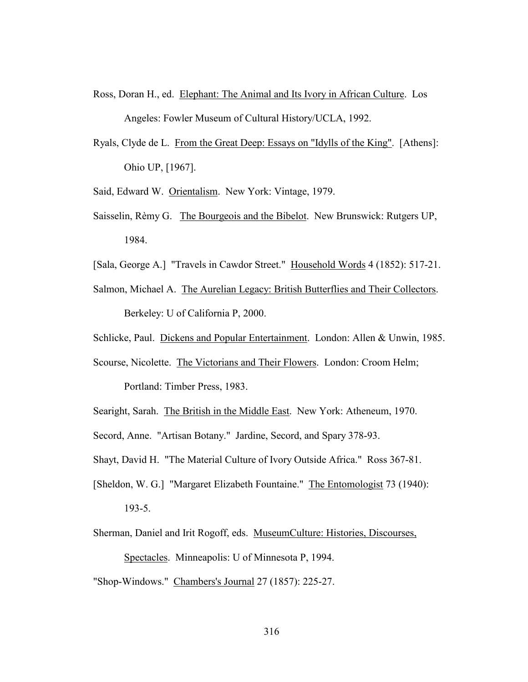- Ross, Doran H., ed. Elephant: The Animal and Its Ivory in African Culture. Los Angeles: Fowler Museum of Cultural History/UCLA, 1992.
- Ryals, Clyde de L. From the Great Deep: Essays on "Idylls of the King". [Athens]: Ohio UP, [1967].
- Said, Edward W. Orientalism. New York: Vintage, 1979.
- Saisselin, Rèmy G. The Bourgeois and the Bibelot. New Brunswick: Rutgers UP, 1984.
- [Sala, George A.] "Travels in Cawdor Street." Household Words 4 (1852): 517-21.
- Salmon, Michael A. The Aurelian Legacy: British Butterflies and Their Collectors. Berkeley: U of California P, 2000.
- Schlicke, Paul. Dickens and Popular Entertainment. London: Allen & Unwin, 1985.
- Scourse, Nicolette. The Victorians and Their Flowers. London: Croom Helm;

Portland: Timber Press, 1983.

Searight, Sarah. The British in the Middle East. New York: Atheneum, 1970.

Secord, Anne. "Artisan Botany." Jardine, Secord, and Spary 378-93.

- Shayt, David H. "The Material Culture of Ivory Outside Africa." Ross 367-81.
- [Sheldon, W. G.] "Margaret Elizabeth Fountaine." The Entomologist 73 (1940):

193-5.

- Sherman, Daniel and Irit Rogoff, eds. MuseumCulture: Histories, Discourses, Spectacles. Minneapolis: U of Minnesota P, 1994.
- "Shop-Windows." Chambers's Journal 27 (1857): 225-27.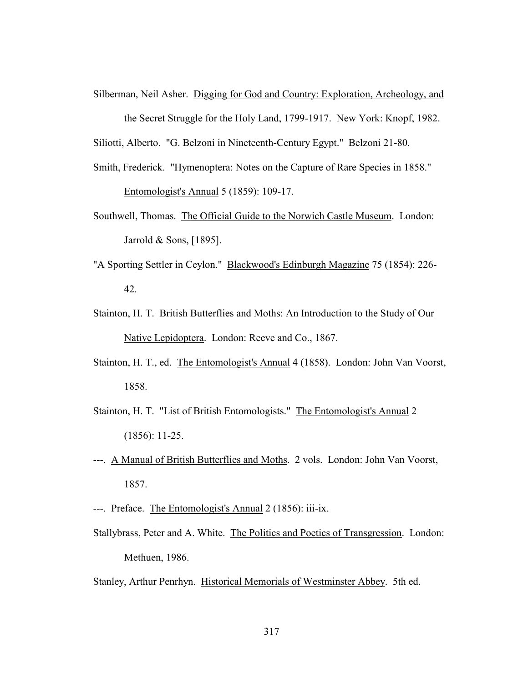Silberman, Neil Asher. Digging for God and Country: Exploration, Archeology, and the Secret Struggle for the Holy Land, 1799-1917. New York: Knopf, 1982.

Siliotti, Alberto. "G. Belzoni in Nineteenth-Century Egypt." Belzoni 21-80.

Smith, Frederick. "Hymenoptera: Notes on the Capture of Rare Species in 1858."

Entomologist's Annual 5 (1859): 109-17.

- Southwell, Thomas. The Official Guide to the Norwich Castle Museum. London: Jarrold & Sons, [1895].
- "A Sporting Settler in Ceylon." Blackwood's Edinburgh Magazine 75 (1854): 226- 42.
- Stainton, H. T. British Butterflies and Moths: An Introduction to the Study of Our Native Lepidoptera. London: Reeve and Co., 1867.
- Stainton, H. T., ed. The Entomologist's Annual 4 (1858). London: John Van Voorst, 1858.
- Stainton, H. T. "List of British Entomologists." The Entomologist's Annual 2 (1856): 11-25.
- ---. A Manual of British Butterflies and Moths. 2 vols. London: John Van Voorst, 1857.
- ---. Preface. The Entomologist's Annual 2 (1856): iii-ix.
- Stallybrass, Peter and A. White. The Politics and Poetics of Transgression. London: Methuen, 1986.

Stanley, Arthur Penrhyn. Historical Memorials of Westminster Abbey. 5th ed.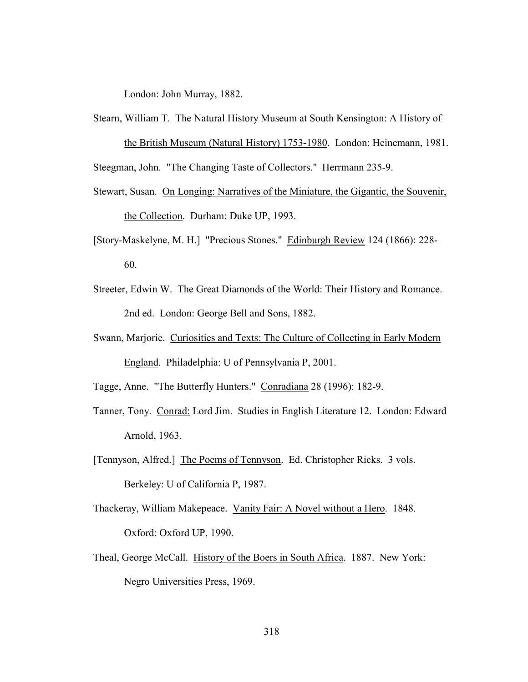London: John Murray, 1882.

Stearn, William T. The Natural History Museum at South Kensington: A History of the British Museum (Natural History) 1753-1980. London: Heinemann, 1981.

Steegman, John. "The Changing Taste of Collectors." Herrmann 235-9.

- Stewart, Susan. On Longing: Narratives of the Miniature, the Gigantic, the Souvenir, the Collection. Durham: Duke UP, 1993.
- [Story-Maskelyne, M. H.] "Precious Stones." Edinburgh Review 124 (1866): 228- 60.
- Streeter, Edwin W. The Great Diamonds of the World: Their History and Romance. 2nd ed. London: George Bell and Sons, 1882.
- Swann, Marjorie. Curiosities and Texts: The Culture of Collecting in Early Modern England. Philadelphia: U of Pennsylvania P, 2001.

Tagge, Anne. "The Butterfly Hunters." Conradiana 28 (1996): 182-9.

- Tanner, Tony. Conrad: Lord Jim. Studies in English Literature 12. London: Edward Arnold, 1963.
- [Tennyson, Alfred.] The Poems of Tennyson. Ed. Christopher Ricks. 3 vols. Berkeley: U of California P, 1987.
- Thackeray, William Makepeace. Vanity Fair: A Novel without a Hero. 1848. Oxford: Oxford UP, 1990.
- Theal, George McCall. History of the Boers in South Africa. 1887. New York: Negro Universities Press, 1969.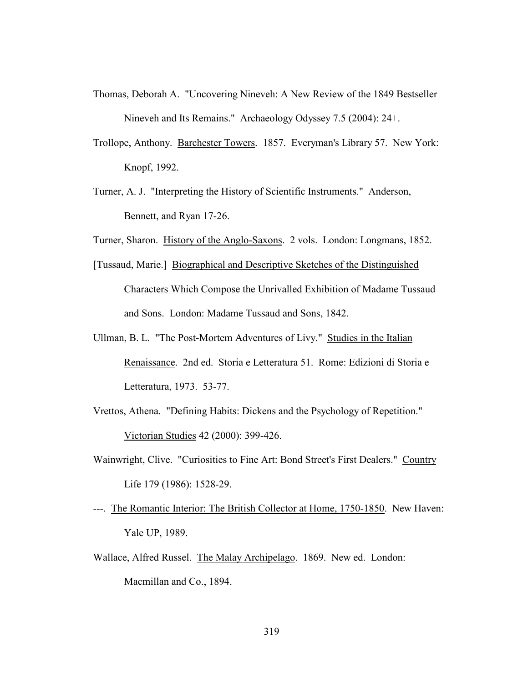- Thomas, Deborah A. "Uncovering Nineveh: A New Review of the 1849 Bestseller Nineveh and Its Remains." Archaeology Odyssey 7.5 (2004): 24+.
- Trollope, Anthony. Barchester Towers. 1857. Everyman's Library 57. New York: Knopf, 1992.
- Turner, A. J. "Interpreting the History of Scientific Instruments." Anderson, Bennett, and Ryan 17-26.
- Turner, Sharon. History of the Anglo-Saxons. 2 vols. London: Longmans, 1852.
- [Tussaud, Marie.] Biographical and Descriptive Sketches of the Distinguished Characters Which Compose the Unrivalled Exhibition of Madame Tussaud and Sons. London: Madame Tussaud and Sons, 1842.
- Ullman, B. L. "The Post-Mortem Adventures of Livy." Studies in the Italian Renaissance. 2nd ed. Storia e Letteratura 51. Rome: Edizioni di Storia e Letteratura, 1973. 53-77.
- Vrettos, Athena. "Defining Habits: Dickens and the Psychology of Repetition." Victorian Studies 42 (2000): 399-426.
- Wainwright, Clive. "Curiosities to Fine Art: Bond Street's First Dealers." Country Life 179 (1986): 1528-29.
- ---. The Romantic Interior: The British Collector at Home, 1750-1850. New Haven: Yale UP, 1989.
- Wallace, Alfred Russel. The Malay Archipelago. 1869. New ed. London: Macmillan and Co., 1894.